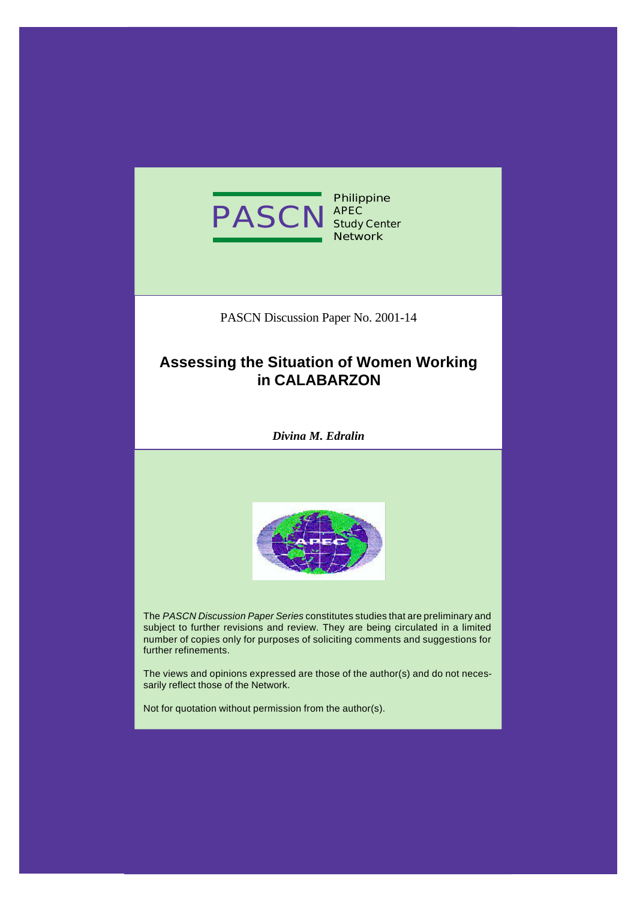

**Philippine Study Center Network**

PASCN Discussion Paper No. 2001-14

# **Assessing the Situation of Women Working in CALABARZON**

*Divina M. Edralin*



The *PASCN Discussion Paper Series* constitutes studies that are preliminary and subject to further revisions and review. They are being circulated in a limited number of copies only for purposes of soliciting comments and suggestions for further refinements.

The views and opinions expressed are those of the author(s) and do not necessarily reflect those of the Network.

Not for quotation without permission from the author(s).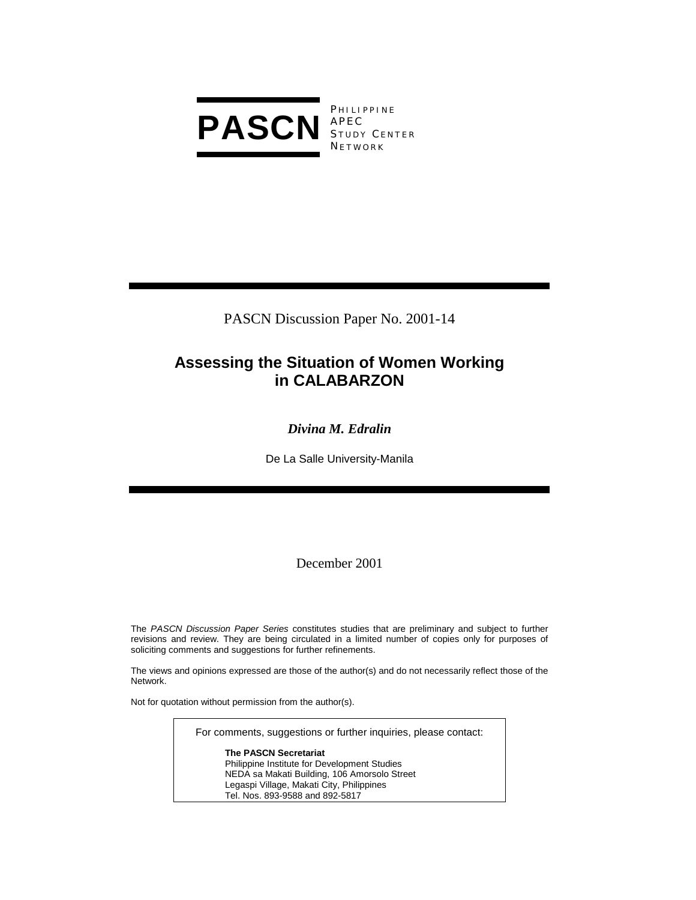

PASCN Discussion Paper No. 2001-14

# **Assessing the Situation of Women Working in CALABARZON**

# *Divina M. Edralin*

De La Salle University-Manila

December 2001

The *PASCN Discussion Paper Series* constitutes studies that are preliminary and subject to further revisions and review. They are being circulated in a limited number of copies only for purposes of soliciting comments and suggestions for further refinements.

The views and opinions expressed are those of the author(s) and do not necessarily reflect those of the Network.

Not for quotation without permission from the author(s).

For comments, suggestions or further inquiries, please contact:

**The PASCN Secretariat** Philippine Institute for Development Studies NEDA sa Makati Building, 106 Amorsolo Street Legaspi Village, Makati City, Philippines Tel. Nos. 893-9588 and 892-5817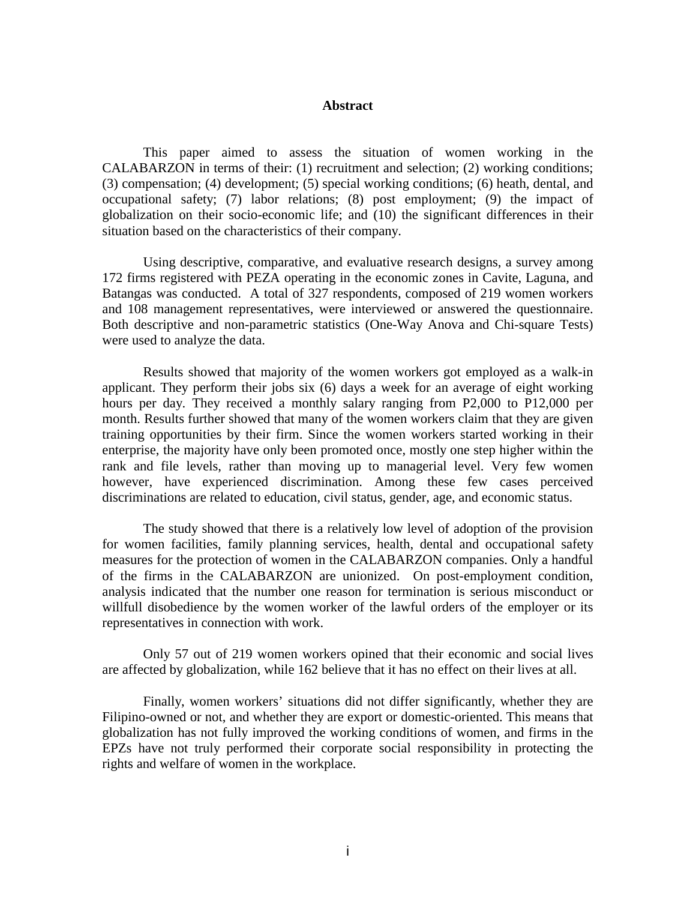#### **Abstract**

 This paper aimed to assess the situation of women working in the CALABARZON in terms of their: (1) recruitment and selection; (2) working conditions; (3) compensation; (4) development; (5) special working conditions; (6) heath, dental, and occupational safety; (7) labor relations; (8) post employment; (9) the impact of globalization on their socio-economic life; and (10) the significant differences in their situation based on the characteristics of their company.

 Using descriptive, comparative, and evaluative research designs, a survey among 172 firms registered with PEZA operating in the economic zones in Cavite, Laguna, and Batangas was conducted. A total of 327 respondents, composed of 219 women workers and 108 management representatives, were interviewed or answered the questionnaire. Both descriptive and non-parametric statistics (One-Way Anova and Chi-square Tests) were used to analyze the data.

 Results showed that majority of the women workers got employed as a walk-in applicant. They perform their jobs six (6) days a week for an average of eight working hours per day. They received a monthly salary ranging from P2,000 to P12,000 per month. Results further showed that many of the women workers claim that they are given training opportunities by their firm. Since the women workers started working in their enterprise, the majority have only been promoted once, mostly one step higher within the rank and file levels, rather than moving up to managerial level. Very few women however, have experienced discrimination. Among these few cases perceived discriminations are related to education, civil status, gender, age, and economic status.

The study showed that there is a relatively low level of adoption of the provision for women facilities, family planning services, health, dental and occupational safety measures for the protection of women in the CALABARZON companies. Only a handful of the firms in the CALABARZON are unionized. On post-employment condition, analysis indicated that the number one reason for termination is serious misconduct or willfull disobedience by the women worker of the lawful orders of the employer or its representatives in connection with work.

Only 57 out of 219 women workers opined that their economic and social lives are affected by globalization, while 162 believe that it has no effect on their lives at all.

 Finally, women workers' situations did not differ significantly, whether they are Filipino-owned or not, and whether they are export or domestic-oriented. This means that globalization has not fully improved the working conditions of women, and firms in the EPZs have not truly performed their corporate social responsibility in protecting the rights and welfare of women in the workplace.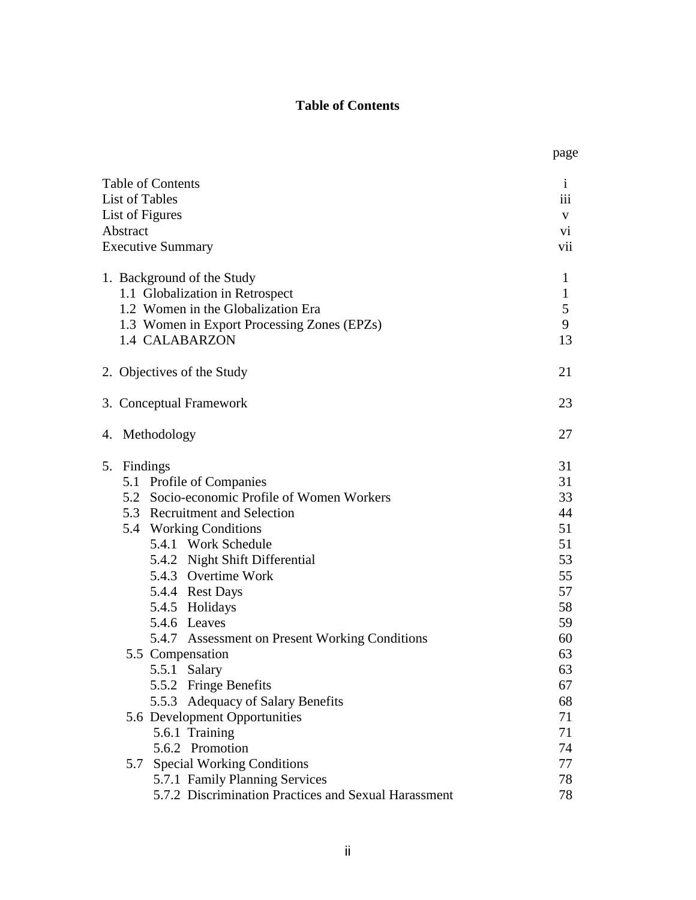# **Table of Contents**

|                |                                                      | page                |  |  |  |
|----------------|------------------------------------------------------|---------------------|--|--|--|
|                | <b>Table of Contents</b><br><b>List of Tables</b>    | $\mathbf{1}$<br>111 |  |  |  |
|                | List of Figures                                      | V                   |  |  |  |
| Abstract       |                                                      | V1                  |  |  |  |
|                | <b>Executive Summary</b>                             | vii                 |  |  |  |
|                |                                                      |                     |  |  |  |
|                | 1. Background of the Study                           | 1                   |  |  |  |
|                | 1.1 Globalization in Retrospect                      | $\mathbf{1}$        |  |  |  |
|                | 1.2 Women in the Globalization Era                   | 5                   |  |  |  |
|                | 1.3 Women in Export Processing Zones (EPZs)          | 9                   |  |  |  |
|                | 1.4 CALABARZON                                       | 13                  |  |  |  |
|                | 2. Objectives of the Study                           | 21                  |  |  |  |
|                |                                                      |                     |  |  |  |
|                | 3. Conceptual Framework                              | 23                  |  |  |  |
| 4. Methodology |                                                      |                     |  |  |  |
| 5. Findings    |                                                      | 31                  |  |  |  |
|                | 5.1 Profile of Companies                             | 31                  |  |  |  |
|                | 5.2 Socio-economic Profile of Women Workers          | 33                  |  |  |  |
|                | 5.3 Recruitment and Selection                        | 44                  |  |  |  |
|                | 5.4 Working Conditions                               | 51                  |  |  |  |
|                | 5.4.1 Work Schedule                                  | 51                  |  |  |  |
|                | 5.4.2 Night Shift Differential                       | 53                  |  |  |  |
|                | 5.4.3 Overtime Work                                  | 55                  |  |  |  |
|                | 5.4.4 Rest Days                                      | 57                  |  |  |  |
|                | 5.4.5 Holidays                                       | 58                  |  |  |  |
|                | 5.4.6 Leaves                                         | 59                  |  |  |  |
|                | 5.4.7 Assessment on Present Working Conditions       | 60                  |  |  |  |
|                | 5.5 Compensation                                     | 63                  |  |  |  |
|                | 5.5.1 Salary                                         | 63                  |  |  |  |
|                | 5.5.2 Fringe Benefits                                | 67                  |  |  |  |
|                | 5.5.3 Adequacy of Salary Benefits                    | 68                  |  |  |  |
|                | 5.6 Development Opportunities                        | 71                  |  |  |  |
|                | 5.6.1 Training                                       | 71                  |  |  |  |
|                | 5.6.2 Promotion                                      | 74                  |  |  |  |
| 5.7            | <b>Special Working Conditions</b>                    | 77                  |  |  |  |
|                | 5.7.1 Family Planning Services                       | 78                  |  |  |  |
|                | 5.7.2 Discrimination Practices and Sexual Harassment | 78                  |  |  |  |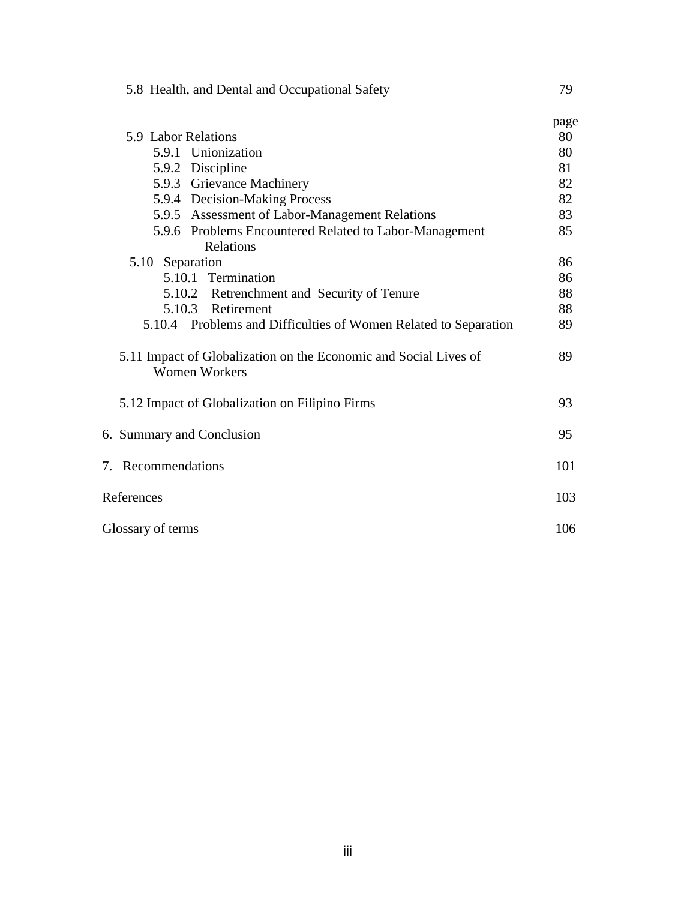|                                                                                                                                                                                                                                                                                                                                                                                                                                                                                                                                                                                                                                                    | page |  |  |
|----------------------------------------------------------------------------------------------------------------------------------------------------------------------------------------------------------------------------------------------------------------------------------------------------------------------------------------------------------------------------------------------------------------------------------------------------------------------------------------------------------------------------------------------------------------------------------------------------------------------------------------------------|------|--|--|
| 5.9 Labor Relations<br>5.9.1 Unionization<br>5.9.2 Discipline<br>5.9.3 Grievance Machinery<br>5.9.4 Decision-Making Process<br>5.9.5 Assessment of Labor-Management Relations<br>5.9.6 Problems Encountered Related to Labor-Management<br>Relations<br>5.10 Separation<br>5.10.1 Termination<br>5.10.2 Retrenchment and Security of Tenure<br>5.10.3 Retirement<br>5.10.4 Problems and Difficulties of Women Related to Separation<br>5.11 Impact of Globalization on the Economic and Social Lives of<br><b>Women Workers</b><br>5.12 Impact of Globalization on Filipino Firms<br>6. Summary and Conclusion<br>7. Recommendations<br>References |      |  |  |
|                                                                                                                                                                                                                                                                                                                                                                                                                                                                                                                                                                                                                                                    | 80   |  |  |
|                                                                                                                                                                                                                                                                                                                                                                                                                                                                                                                                                                                                                                                    | 81   |  |  |
|                                                                                                                                                                                                                                                                                                                                                                                                                                                                                                                                                                                                                                                    | 82   |  |  |
|                                                                                                                                                                                                                                                                                                                                                                                                                                                                                                                                                                                                                                                    | 82   |  |  |
|                                                                                                                                                                                                                                                                                                                                                                                                                                                                                                                                                                                                                                                    | 83   |  |  |
|                                                                                                                                                                                                                                                                                                                                                                                                                                                                                                                                                                                                                                                    | 85   |  |  |
|                                                                                                                                                                                                                                                                                                                                                                                                                                                                                                                                                                                                                                                    |      |  |  |
|                                                                                                                                                                                                                                                                                                                                                                                                                                                                                                                                                                                                                                                    | 86   |  |  |
|                                                                                                                                                                                                                                                                                                                                                                                                                                                                                                                                                                                                                                                    | 86   |  |  |
|                                                                                                                                                                                                                                                                                                                                                                                                                                                                                                                                                                                                                                                    | 88   |  |  |
|                                                                                                                                                                                                                                                                                                                                                                                                                                                                                                                                                                                                                                                    | 88   |  |  |
|                                                                                                                                                                                                                                                                                                                                                                                                                                                                                                                                                                                                                                                    | 89   |  |  |
|                                                                                                                                                                                                                                                                                                                                                                                                                                                                                                                                                                                                                                                    | 89   |  |  |
|                                                                                                                                                                                                                                                                                                                                                                                                                                                                                                                                                                                                                                                    | 93   |  |  |
|                                                                                                                                                                                                                                                                                                                                                                                                                                                                                                                                                                                                                                                    | 95   |  |  |
|                                                                                                                                                                                                                                                                                                                                                                                                                                                                                                                                                                                                                                                    | 101  |  |  |
| 103                                                                                                                                                                                                                                                                                                                                                                                                                                                                                                                                                                                                                                                |      |  |  |
| 106<br>Glossary of terms                                                                                                                                                                                                                                                                                                                                                                                                                                                                                                                                                                                                                           |      |  |  |

5.8 Health, and Dental and Occupational Safety 79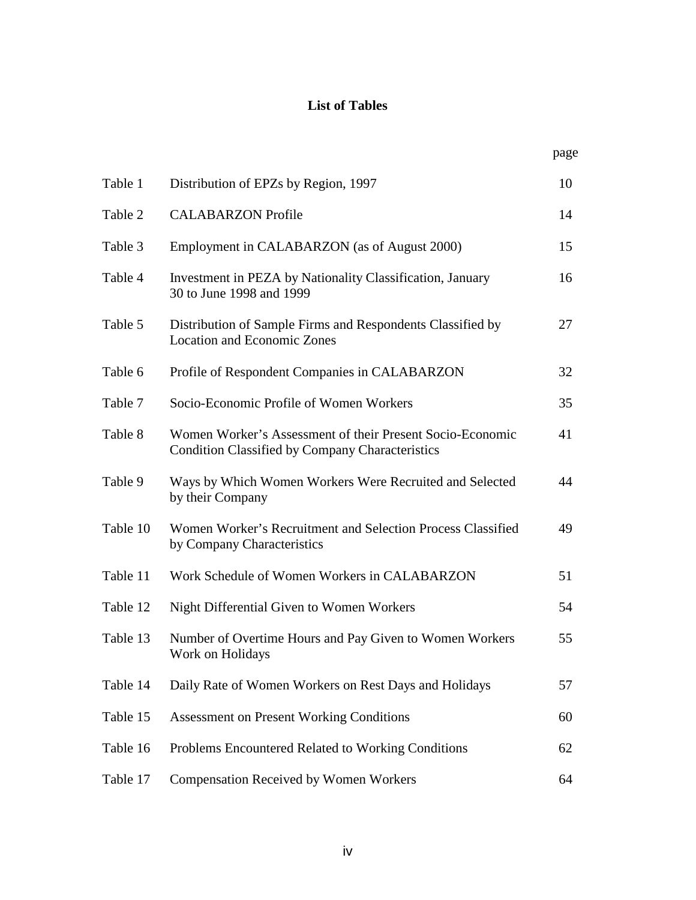# **List of Tables**

|          |                                                                                                                     | page |
|----------|---------------------------------------------------------------------------------------------------------------------|------|
| Table 1  | Distribution of EPZs by Region, 1997                                                                                | 10   |
| Table 2  | <b>CALABARZON</b> Profile                                                                                           | 14   |
| Table 3  | Employment in CALABARZON (as of August 2000)                                                                        | 15   |
| Table 4  | Investment in PEZA by Nationality Classification, January<br>30 to June 1998 and 1999                               | 16   |
| Table 5  | Distribution of Sample Firms and Respondents Classified by<br><b>Location and Economic Zones</b>                    | 27   |
| Table 6  | Profile of Respondent Companies in CALABARZON                                                                       | 32   |
| Table 7  | Socio-Economic Profile of Women Workers                                                                             | 35   |
| Table 8  | Women Worker's Assessment of their Present Socio-Economic<br><b>Condition Classified by Company Characteristics</b> | 41   |
| Table 9  | Ways by Which Women Workers Were Recruited and Selected<br>by their Company                                         | 44   |
| Table 10 | Women Worker's Recruitment and Selection Process Classified<br>by Company Characteristics                           | 49   |
| Table 11 | Work Schedule of Women Workers in CALABARZON                                                                        | 51   |
| Table 12 | Night Differential Given to Women Workers                                                                           | 54   |
| Table 13 | Number of Overtime Hours and Pay Given to Women Workers<br>Work on Holidays                                         | 55   |
| Table 14 | Daily Rate of Women Workers on Rest Days and Holidays                                                               | 57   |
| Table 15 | <b>Assessment on Present Working Conditions</b>                                                                     | 60   |
| Table 16 | Problems Encountered Related to Working Conditions                                                                  | 62   |
| Table 17 | <b>Compensation Received by Women Workers</b>                                                                       | 64   |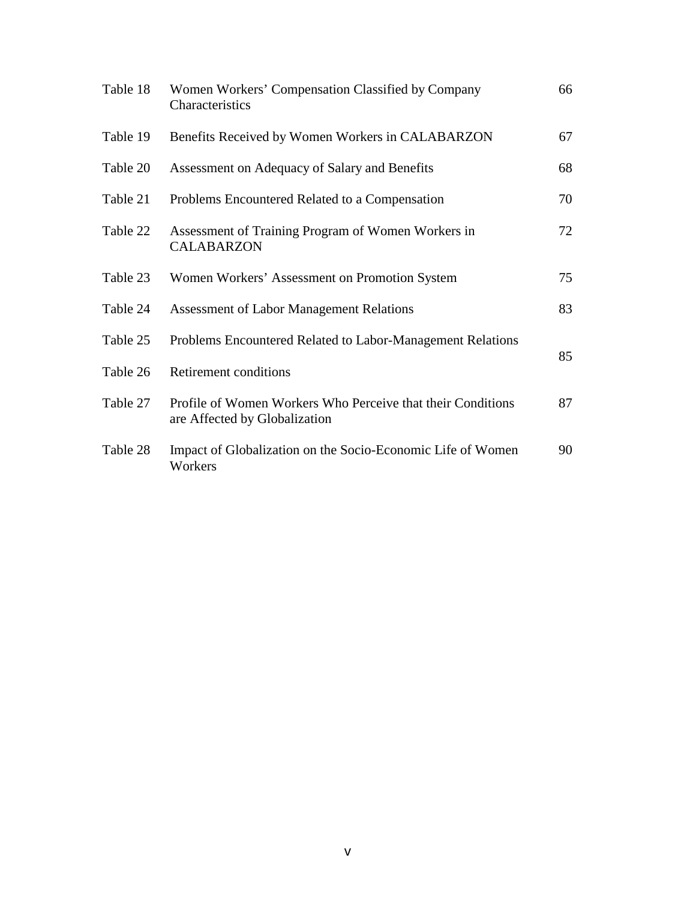| Table 18 | Women Workers' Compensation Classified by Company<br>Characteristics                         | 66 |
|----------|----------------------------------------------------------------------------------------------|----|
| Table 19 | Benefits Received by Women Workers in CALABARZON                                             | 67 |
| Table 20 | Assessment on Adequacy of Salary and Benefits                                                | 68 |
| Table 21 | Problems Encountered Related to a Compensation                                               | 70 |
| Table 22 | Assessment of Training Program of Women Workers in<br><b>CALABARZON</b>                      | 72 |
| Table 23 | Women Workers' Assessment on Promotion System                                                | 75 |
| Table 24 | <b>Assessment of Labor Management Relations</b>                                              | 83 |
| Table 25 | Problems Encountered Related to Labor-Management Relations                                   | 85 |
| Table 26 | Retirement conditions                                                                        |    |
| Table 27 | Profile of Women Workers Who Perceive that their Conditions<br>are Affected by Globalization | 87 |
| Table 28 | Impact of Globalization on the Socio-Economic Life of Women<br>Workers                       | 90 |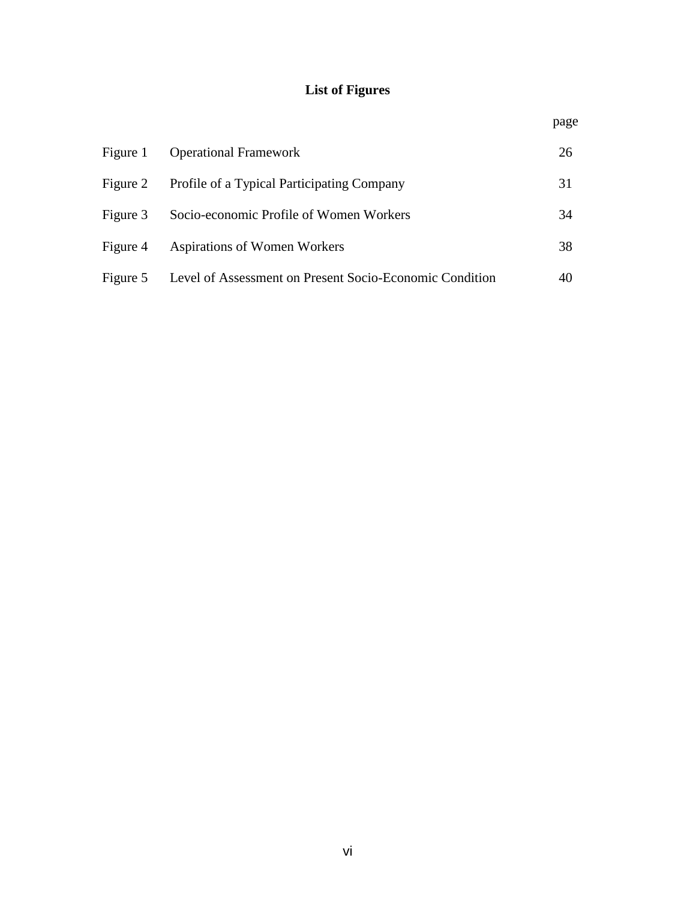# **List of Figures**

| Figure 1 | <b>Operational Framework</b>                            | 26 |
|----------|---------------------------------------------------------|----|
| Figure 2 | Profile of a Typical Participating Company              | 31 |
| Figure 3 | Socio-economic Profile of Women Workers                 | 34 |
| Figure 4 | Aspirations of Women Workers                            | 38 |
| Figure 5 | Level of Assessment on Present Socio-Economic Condition |    |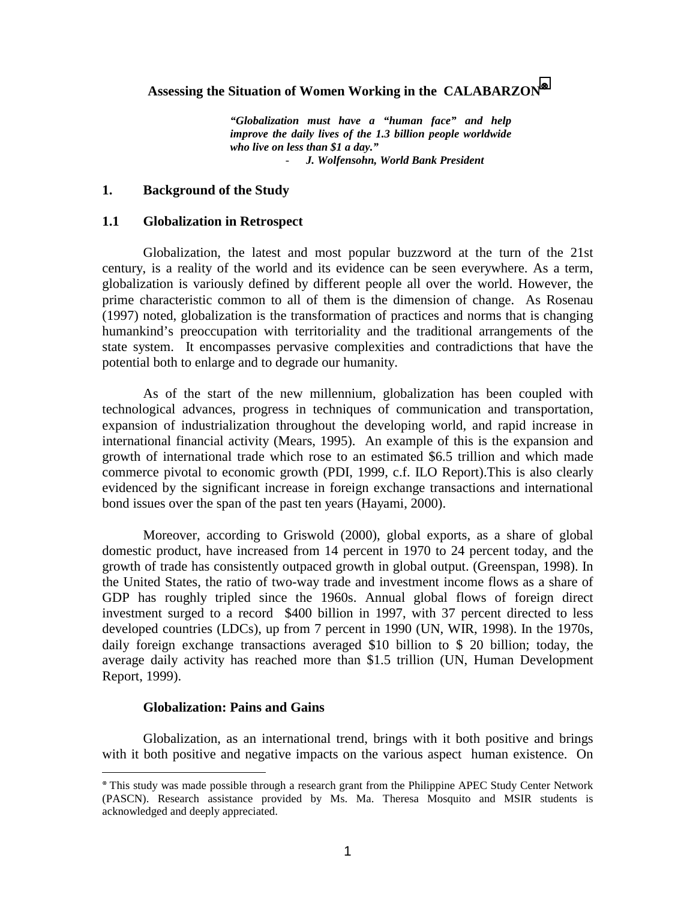#### **Assessing the Situation of Women Working in the CALABARZON**<sup>⊗</sup>

*"Globalization must have a "human face" and help improve the daily lives of the 1.3 billion people worldwide who live on less than \$1 a day."*  - *J. Wolfensohn, World Bank President* 

## **1. Background of the Study**

## **1.1 Globalization in Retrospect**

Globalization, the latest and most popular buzzword at the turn of the 21st century, is a reality of the world and its evidence can be seen everywhere. As a term, globalization is variously defined by different people all over the world. However, the prime characteristic common to all of them is the dimension of change. As Rosenau (1997) noted, globalization is the transformation of practices and norms that is changing humankind's preoccupation with territoriality and the traditional arrangements of the state system. It encompasses pervasive complexities and contradictions that have the potential both to enlarge and to degrade our humanity.

As of the start of the new millennium, globalization has been coupled with technological advances, progress in techniques of communication and transportation, expansion of industrialization throughout the developing world, and rapid increase in international financial activity (Mears, 1995). An example of this is the expansion and growth of international trade which rose to an estimated \$6.5 trillion and which made commerce pivotal to economic growth (PDI, 1999, c.f. ILO Report).This is also clearly evidenced by the significant increase in foreign exchange transactions and international bond issues over the span of the past ten years (Hayami, 2000).

Moreover, according to Griswold (2000), global exports, as a share of global domestic product, have increased from 14 percent in 1970 to 24 percent today, and the growth of trade has consistently outpaced growth in global output. (Greenspan, 1998). In the United States, the ratio of two-way trade and investment income flows as a share of GDP has roughly tripled since the 1960s. Annual global flows of foreign direct investment surged to a record \$400 billion in 1997, with 37 percent directed to less developed countries (LDCs), up from 7 percent in 1990 (UN, WIR, 1998). In the 1970s, daily foreign exchange transactions averaged \$10 billion to \$ 20 billion; today, the average daily activity has reached more than \$1.5 trillion (UN, Human Development Report, 1999).

#### **Globalization: Pains and Gains**

 $\overline{a}$ 

Globalization, as an international trend, brings with it both positive and brings with it both positive and negative impacts on the various aspect human existence. On

<sup>⊗</sup> This study was made possible through a research grant from the Philippine APEC Study Center Network (PASCN). Research assistance provided by Ms. Ma. Theresa Mosquito and MSIR students is acknowledged and deeply appreciated.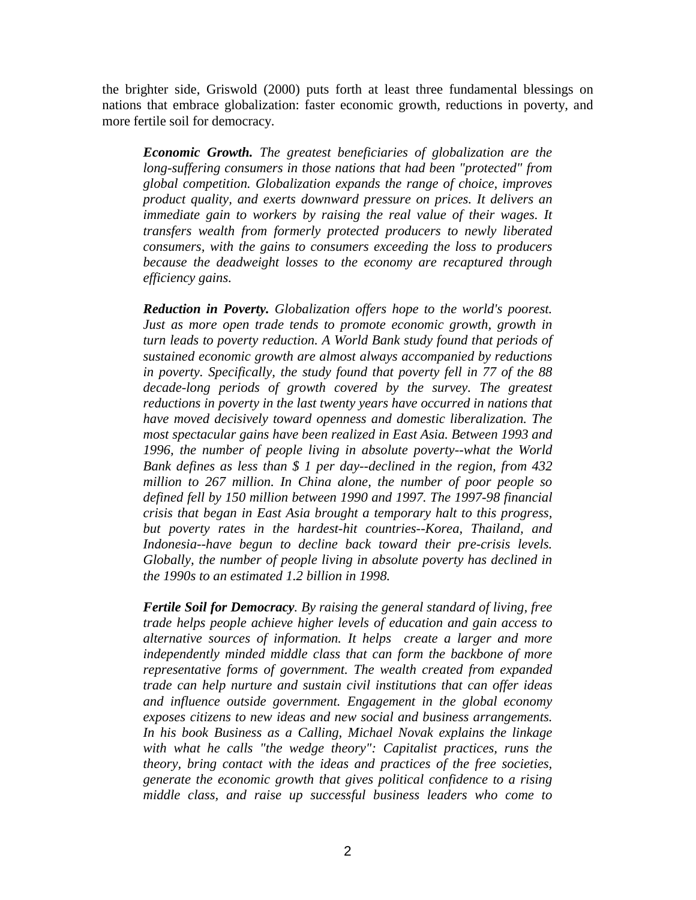the brighter side, Griswold (2000) puts forth at least three fundamental blessings on nations that embrace globalization: faster economic growth, reductions in poverty, and more fertile soil for democracy.

*Economic Growth. The greatest beneficiaries of globalization are the long-suffering consumers in those nations that had been "protected" from global competition. Globalization expands the range of choice, improves product quality, and exerts downward pressure on prices. It delivers an immediate gain to workers by raising the real value of their wages. It transfers wealth from formerly protected producers to newly liberated consumers, with the gains to consumers exceeding the loss to producers because the deadweight losses to the economy are recaptured through efficiency gains.* 

*Reduction in Poverty. Globalization offers hope to the world's poorest. Just as more open trade tends to promote economic growth, growth in turn leads to poverty reduction. A World Bank study found that periods of sustained economic growth are almost always accompanied by reductions in poverty. Specifically, the study found that poverty fell in 77 of the 88*  decade-long periods of growth covered by the survey. The greatest *reductions in poverty in the last twenty years have occurred in nations that have moved decisively toward openness and domestic liberalization. The most spectacular gains have been realized in East Asia. Between 1993 and 1996, the number of people living in absolute poverty--what the World Bank defines as less than \$ 1 per day--declined in the region, from 432 million to 267 million. In China alone, the number of poor people so defined fell by 150 million between 1990 and 1997. The 1997-98 financial crisis that began in East Asia brought a temporary halt to this progress, but poverty rates in the hardest-hit countries--Korea, Thailand, and Indonesia--have begun to decline back toward their pre-crisis levels. Globally, the number of people living in absolute poverty has declined in the 1990s to an estimated 1.2 billion in 1998.* 

*Fertile Soil for Democracy. By raising the general standard of living, free trade helps people achieve higher levels of education and gain access to alternative sources of information. It helps create a larger and more independently minded middle class that can form the backbone of more representative forms of government. The wealth created from expanded trade can help nurture and sustain civil institutions that can offer ideas and influence outside government. Engagement in the global economy exposes citizens to new ideas and new social and business arrangements. In his book Business as a Calling, Michael Novak explains the linkage with what he calls "the wedge theory": Capitalist practices, runs the theory, bring contact with the ideas and practices of the free societies, generate the economic growth that gives political confidence to a rising middle class, and raise up successful business leaders who come to*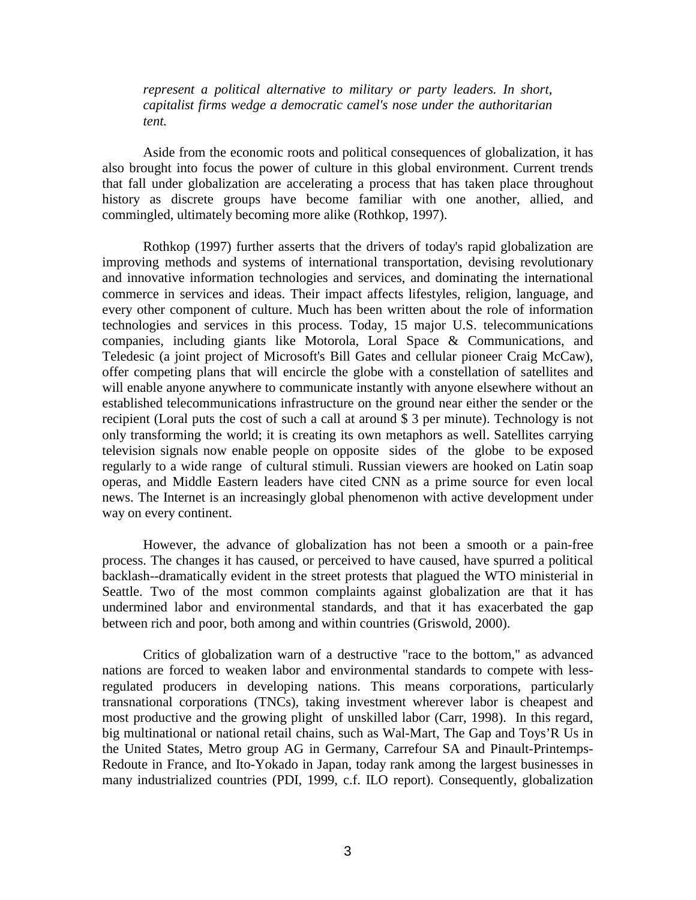*represent a political alternative to military or party leaders. In short, capitalist firms wedge a democratic camel's nose under the authoritarian tent.* 

Aside from the economic roots and political consequences of globalization, it has also brought into focus the power of culture in this global environment. Current trends that fall under globalization are accelerating a process that has taken place throughout history as discrete groups have become familiar with one another, allied, and commingled, ultimately becoming more alike (Rothkop, 1997).

Rothkop (1997) further asserts that the drivers of today's rapid globalization are improving methods and systems of international transportation, devising revolutionary and innovative information technologies and services, and dominating the international commerce in services and ideas. Their impact affects lifestyles, religion, language, and every other component of culture. Much has been written about the role of information technologies and services in this process. Today, 15 major U.S. telecommunications companies, including giants like Motorola, Loral Space & Communications, and Teledesic (a joint project of Microsoft's Bill Gates and cellular pioneer Craig McCaw), offer competing plans that will encircle the globe with a constellation of satellites and will enable anyone anywhere to communicate instantly with anyone elsewhere without an established telecommunications infrastructure on the ground near either the sender or the recipient (Loral puts the cost of such a call at around \$ 3 per minute). Technology is not only transforming the world; it is creating its own metaphors as well. Satellites carrying television signals now enable people on opposite sides of the globe to be exposed regularly to a wide range of cultural stimuli. Russian viewers are hooked on Latin soap operas, and Middle Eastern leaders have cited CNN as a prime source for even local news. The Internet is an increasingly global phenomenon with active development under way on every continent.

However, the advance of globalization has not been a smooth or a pain-free process. The changes it has caused, or perceived to have caused, have spurred a political backlash--dramatically evident in the street protests that plagued the WTO ministerial in Seattle. Two of the most common complaints against globalization are that it has undermined labor and environmental standards, and that it has exacerbated the gap between rich and poor, both among and within countries (Griswold, 2000).

Critics of globalization warn of a destructive "race to the bottom," as advanced nations are forced to weaken labor and environmental standards to compete with lessregulated producers in developing nations. This means corporations, particularly transnational corporations (TNCs), taking investment wherever labor is cheapest and most productive and the growing plight of unskilled labor (Carr, 1998). In this regard, big multinational or national retail chains, such as Wal-Mart, The Gap and Toys'R Us in the United States, Metro group AG in Germany, Carrefour SA and Pinault-Printemps-Redoute in France, and Ito-Yokado in Japan, today rank among the largest businesses in many industrialized countries (PDI, 1999, c.f. ILO report). Consequently, globalization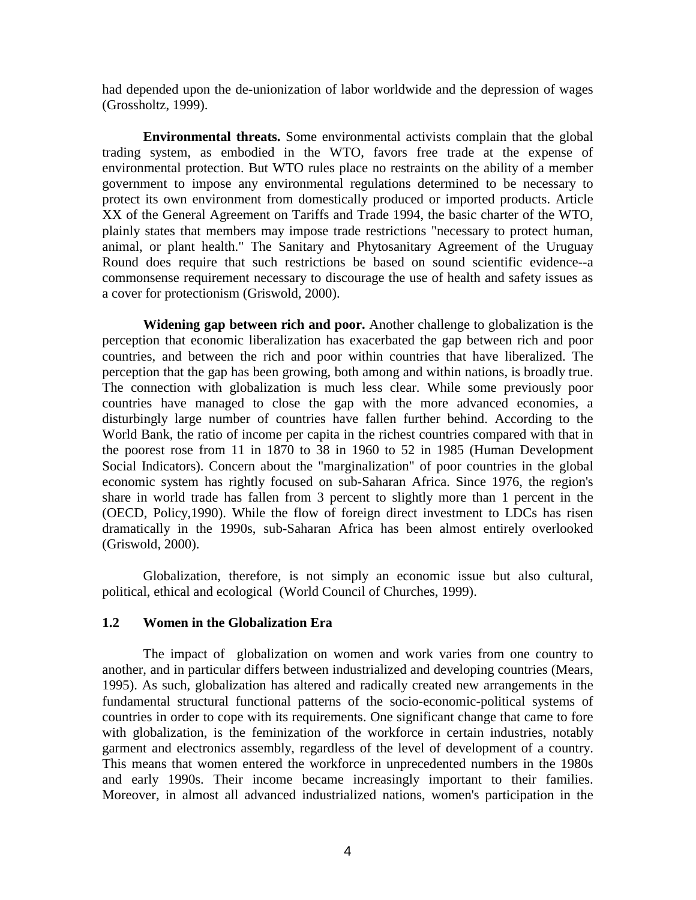had depended upon the de-unionization of labor worldwide and the depression of wages (Grossholtz, 1999).

**Environmental threats.** Some environmental activists complain that the global trading system, as embodied in the WTO, favors free trade at the expense of environmental protection. But WTO rules place no restraints on the ability of a member government to impose any environmental regulations determined to be necessary to protect its own environment from domestically produced or imported products. Article XX of the General Agreement on Tariffs and Trade 1994, the basic charter of the WTO, plainly states that members may impose trade restrictions "necessary to protect human, animal, or plant health." The Sanitary and Phytosanitary Agreement of the Uruguay Round does require that such restrictions be based on sound scientific evidence--a commonsense requirement necessary to discourage the use of health and safety issues as a cover for protectionism (Griswold, 2000).

**Widening gap between rich and poor.** Another challenge to globalization is the perception that economic liberalization has exacerbated the gap between rich and poor countries, and between the rich and poor within countries that have liberalized. The perception that the gap has been growing, both among and within nations, is broadly true. The connection with globalization is much less clear. While some previously poor countries have managed to close the gap with the more advanced economies, a disturbingly large number of countries have fallen further behind. According to the World Bank, the ratio of income per capita in the richest countries compared with that in the poorest rose from 11 in 1870 to 38 in 1960 to 52 in 1985 (Human Development Social Indicators). Concern about the "marginalization" of poor countries in the global economic system has rightly focused on sub-Saharan Africa. Since 1976, the region's share in world trade has fallen from 3 percent to slightly more than 1 percent in the (OECD, Policy,1990). While the flow of foreign direct investment to LDCs has risen dramatically in the 1990s, sub-Saharan Africa has been almost entirely overlooked (Griswold, 2000).

Globalization, therefore, is not simply an economic issue but also cultural, political, ethical and ecological (World Council of Churches, 1999).

# **1.2 Women in the Globalization Era**

 The impact of globalization on women and work varies from one country to another, and in particular differs between industrialized and developing countries (Mears, 1995). As such, globalization has altered and radically created new arrangements in the fundamental structural functional patterns of the socio-economic-political systems of countries in order to cope with its requirements. One significant change that came to fore with globalization, is the feminization of the workforce in certain industries, notably garment and electronics assembly, regardless of the level of development of a country. This means that women entered the workforce in unprecedented numbers in the 1980s and early 1990s. Their income became increasingly important to their families. Moreover, in almost all advanced industrialized nations, women's participation in the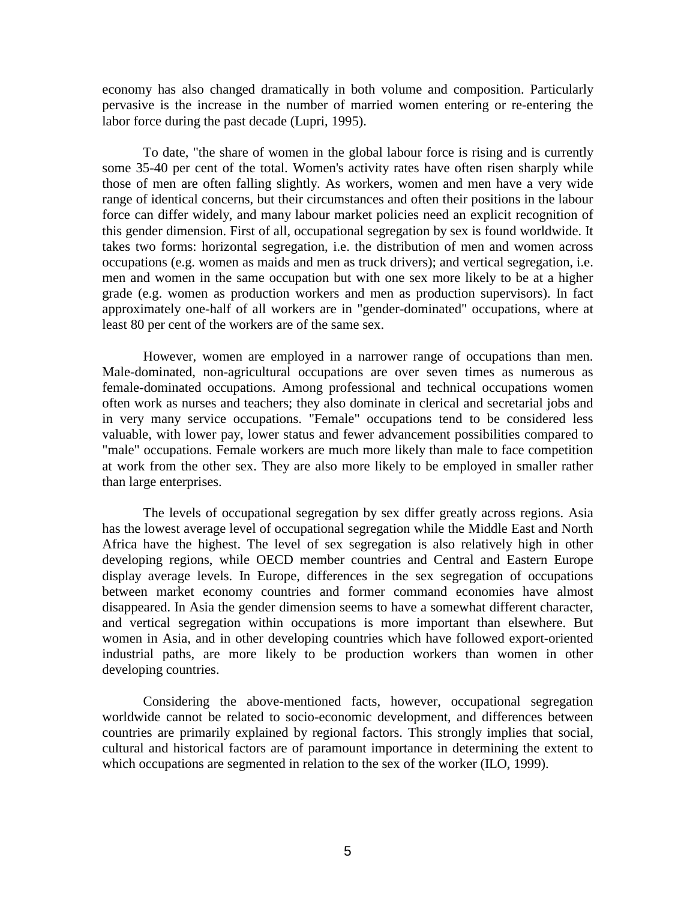economy has also changed dramatically in both volume and composition. Particularly pervasive is the increase in the number of married women entering or re-entering the labor force during the past decade (Lupri, 1995).

 To date, "the share of women in the global labour force is rising and is currently some 35-40 per cent of the total. Women's activity rates have often risen sharply while those of men are often falling slightly. As workers, women and men have a very wide range of identical concerns, but their circumstances and often their positions in the labour force can differ widely, and many labour market policies need an explicit recognition of this gender dimension. First of all, occupational segregation by sex is found worldwide. It takes two forms: horizontal segregation, i.e. the distribution of men and women across occupations (e.g. women as maids and men as truck drivers); and vertical segregation, i.e. men and women in the same occupation but with one sex more likely to be at a higher grade (e.g. women as production workers and men as production supervisors). In fact approximately one-half of all workers are in "gender-dominated" occupations, where at least 80 per cent of the workers are of the same sex.

However, women are employed in a narrower range of occupations than men. Male-dominated, non-agricultural occupations are over seven times as numerous as female-dominated occupations. Among professional and technical occupations women often work as nurses and teachers; they also dominate in clerical and secretarial jobs and in very many service occupations. "Female" occupations tend to be considered less valuable, with lower pay, lower status and fewer advancement possibilities compared to "male" occupations. Female workers are much more likely than male to face competition at work from the other sex. They are also more likely to be employed in smaller rather than large enterprises.

The levels of occupational segregation by sex differ greatly across regions. Asia has the lowest average level of occupational segregation while the Middle East and North Africa have the highest. The level of sex segregation is also relatively high in other developing regions, while OECD member countries and Central and Eastern Europe display average levels. In Europe, differences in the sex segregation of occupations between market economy countries and former command economies have almost disappeared. In Asia the gender dimension seems to have a somewhat different character, and vertical segregation within occupations is more important than elsewhere. But women in Asia, and in other developing countries which have followed export-oriented industrial paths, are more likely to be production workers than women in other developing countries.

Considering the above-mentioned facts, however, occupational segregation worldwide cannot be related to socio-economic development, and differences between countries are primarily explained by regional factors. This strongly implies that social, cultural and historical factors are of paramount importance in determining the extent to which occupations are segmented in relation to the sex of the worker (ILO, 1999).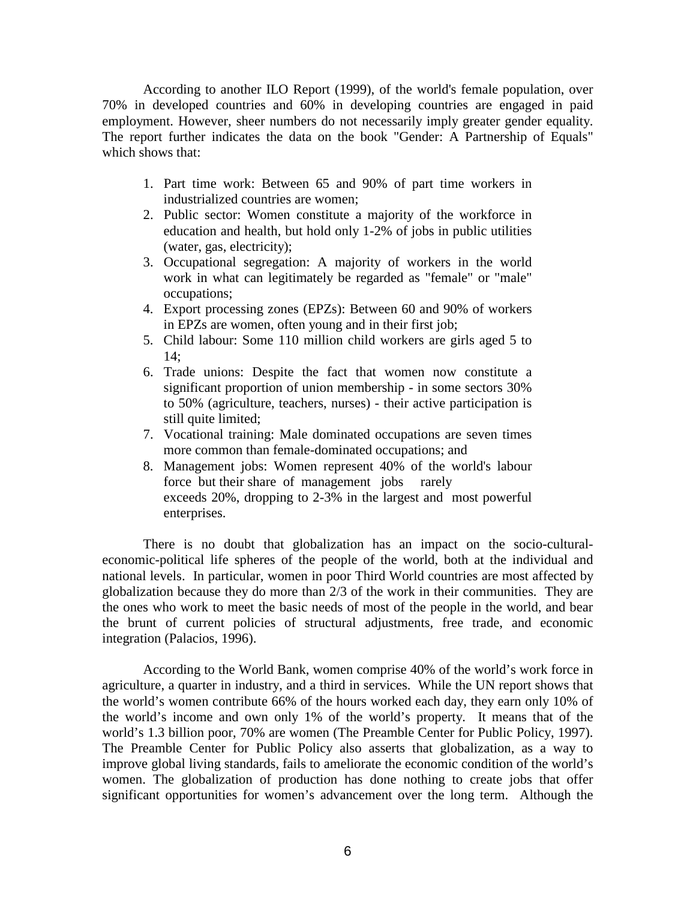According to another ILO Report (1999), of the world's female population, over 70% in developed countries and 60% in developing countries are engaged in paid employment. However, sheer numbers do not necessarily imply greater gender equality. The report further indicates the data on the book "Gender: A Partnership of Equals" which shows that:

- 1. Part time work: Between 65 and 90% of part time workers in industrialized countries are women;
- 2. Public sector: Women constitute a majority of the workforce in education and health, but hold only 1-2% of jobs in public utilities (water, gas, electricity);
- 3. Occupational segregation: A majority of workers in the world work in what can legitimately be regarded as "female" or "male" occupations;
- 4. Export processing zones (EPZs): Between 60 and 90% of workers in EPZs are women, often young and in their first job;
- 5. Child labour: Some 110 million child workers are girls aged 5 to 14;
- 6. Trade unions: Despite the fact that women now constitute a significant proportion of union membership - in some sectors 30% to 50% (agriculture, teachers, nurses) - their active participation is still quite limited;
- 7. Vocational training: Male dominated occupations are seven times more common than female-dominated occupations; and
- 8. Management jobs: Women represent 40% of the world's labour force but their share of management jobs rarely exceeds 20%, dropping to 2-3% in the largest and most powerful enterprises.

There is no doubt that globalization has an impact on the socio-culturaleconomic-political life spheres of the people of the world, both at the individual and national levels. In particular, women in poor Third World countries are most affected by globalization because they do more than 2/3 of the work in their communities. They are the ones who work to meet the basic needs of most of the people in the world, and bear the brunt of current policies of structural adjustments, free trade, and economic integration (Palacios, 1996).

According to the World Bank, women comprise 40% of the world's work force in agriculture, a quarter in industry, and a third in services. While the UN report shows that the world's women contribute 66% of the hours worked each day, they earn only 10% of the world's income and own only 1% of the world's property. It means that of the world's 1.3 billion poor, 70% are women (The Preamble Center for Public Policy, 1997). The Preamble Center for Public Policy also asserts that globalization, as a way to improve global living standards, fails to ameliorate the economic condition of the world's women. The globalization of production has done nothing to create jobs that offer significant opportunities for women's advancement over the long term. Although the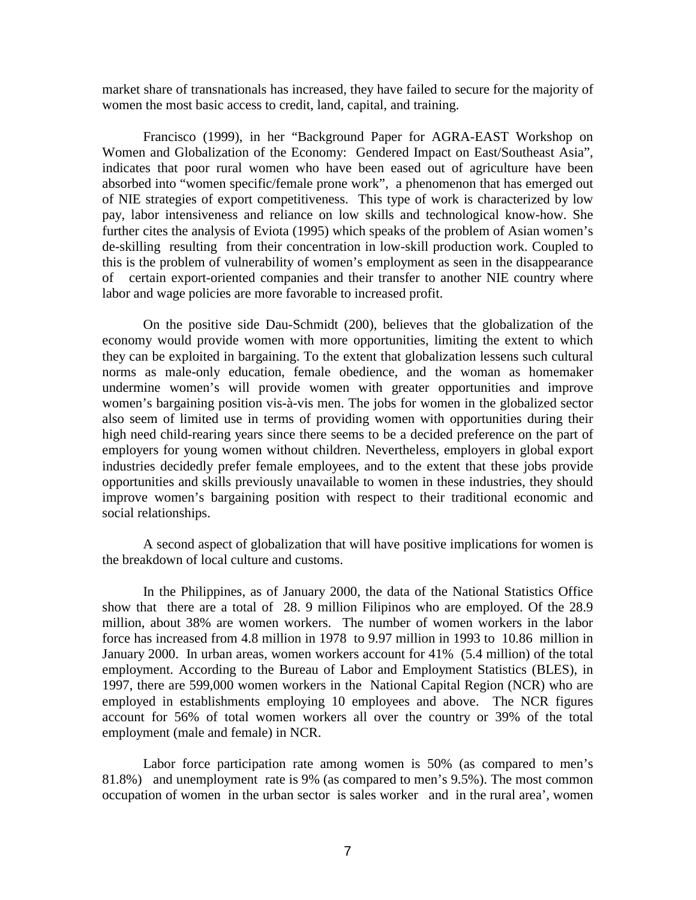market share of transnationals has increased, they have failed to secure for the majority of women the most basic access to credit, land, capital, and training.

Francisco (1999), in her "Background Paper for AGRA-EAST Workshop on Women and Globalization of the Economy: Gendered Impact on East/Southeast Asia", indicates that poor rural women who have been eased out of agriculture have been absorbed into "women specific/female prone work", a phenomenon that has emerged out of NIE strategies of export competitiveness. This type of work is characterized by low pay, labor intensiveness and reliance on low skills and technological know-how. She further cites the analysis of Eviota (1995) which speaks of the problem of Asian women's de-skilling resulting from their concentration in low-skill production work. Coupled to this is the problem of vulnerability of women's employment as seen in the disappearance of certain export-oriented companies and their transfer to another NIE country where labor and wage policies are more favorable to increased profit.

 On the positive side Dau-Schmidt (200), believes that the globalization of the economy would provide women with more opportunities, limiting the extent to which they can be exploited in bargaining. To the extent that globalization lessens such cultural norms as male-only education, female obedience, and the woman as homemaker undermine women's will provide women with greater opportunities and improve women's bargaining position vis-à-vis men. The jobs for women in the globalized sector also seem of limited use in terms of providing women with opportunities during their high need child-rearing years since there seems to be a decided preference on the part of employers for young women without children. Nevertheless, employers in global export industries decidedly prefer female employees, and to the extent that these jobs provide opportunities and skills previously unavailable to women in these industries, they should improve women's bargaining position with respect to their traditional economic and social relationships.

 A second aspect of globalization that will have positive implications for women is the breakdown of local culture and customs.

 In the Philippines, as of January 2000, the data of the National Statistics Office show that there are a total of 28. 9 million Filipinos who are employed. Of the 28.9 million, about 38% are women workers. The number of women workers in the labor force has increased from 4.8 million in 1978 to 9.97 million in 1993 to 10.86 million in January 2000. In urban areas, women workers account for 41% (5.4 million) of the total employment. According to the Bureau of Labor and Employment Statistics (BLES), in 1997, there are 599,000 women workers in the National Capital Region (NCR) who are employed in establishments employing 10 employees and above. The NCR figures account for 56% of total women workers all over the country or 39% of the total employment (male and female) in NCR.

 Labor force participation rate among women is 50% (as compared to men's 81.8%) and unemployment rate is 9% (as compared to men's 9.5%). The most common occupation of women in the urban sector is sales worker and in the rural area', women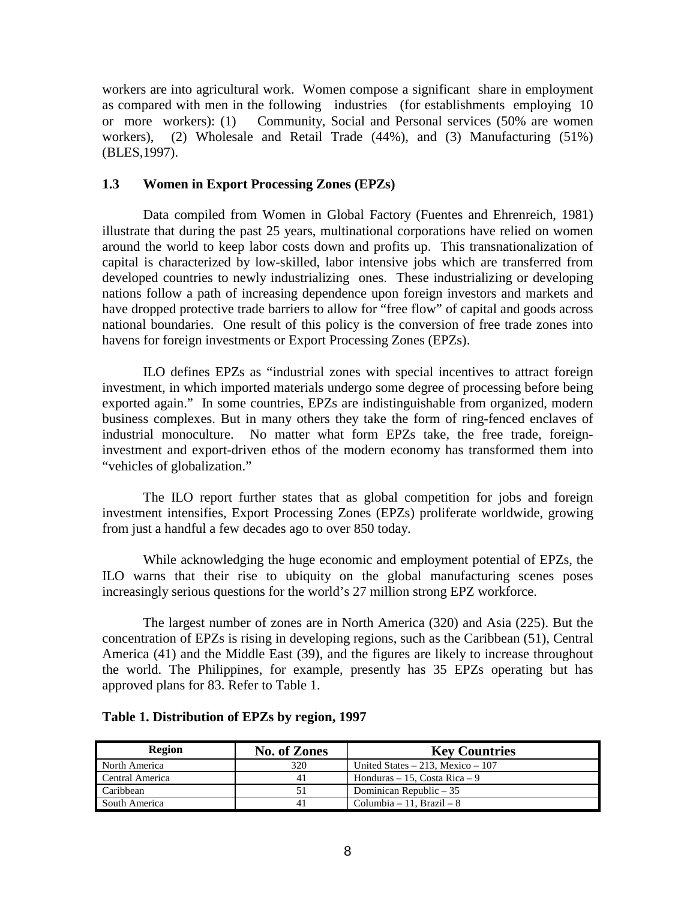workers are into agricultural work. Women compose a significant share in employment as compared with men in the following industries (for establishments employing 10 or more workers): (1) Community, Social and Personal services (50% are women workers), (2) Wholesale and Retail Trade (44%), and (3) Manufacturing (51%) (BLES,1997).

# **1.3 Women in Export Processing Zones (EPZs)**

Data compiled from Women in Global Factory (Fuentes and Ehrenreich, 1981) illustrate that during the past 25 years, multinational corporations have relied on women around the world to keep labor costs down and profits up. This transnationalization of capital is characterized by low-skilled, labor intensive jobs which are transferred from developed countries to newly industrializing ones. These industrializing or developing nations follow a path of increasing dependence upon foreign investors and markets and have dropped protective trade barriers to allow for "free flow" of capital and goods across national boundaries. One result of this policy is the conversion of free trade zones into havens for foreign investments or Export Processing Zones (EPZs).

ILO defines EPZs as "industrial zones with special incentives to attract foreign investment, in which imported materials undergo some degree of processing before being exported again." In some countries, EPZs are indistinguishable from organized, modern business complexes. But in many others they take the form of ring-fenced enclaves of industrial monoculture. No matter what form EPZs take, the free trade, foreigninvestment and export-driven ethos of the modern economy has transformed them into "vehicles of globalization."

The ILO report further states that as global competition for jobs and foreign investment intensifies, Export Processing Zones (EPZs) proliferate worldwide, growing from just a handful a few decades ago to over 850 today.

While acknowledging the huge economic and employment potential of EPZs, the ILO warns that their rise to ubiquity on the global manufacturing scenes poses increasingly serious questions for the world's 27 million strong EPZ workforce.

The largest number of zones are in North America (320) and Asia (225). But the concentration of EPZs is rising in developing regions, such as the Caribbean (51), Central America (41) and the Middle East (39), and the figures are likely to increase throughout the world. The Philippines, for example, presently has 35 EPZs operating but has approved plans for 83. Refer to Table 1.

| Region          | No. of Zones | <b>Key Countries</b>                 |
|-----------------|--------------|--------------------------------------|
| North America   | 320          | United States $-213$ , Mexico $-107$ |
| Central America | 41           | Honduras $-15$ , Costa Rica $-9$     |
| Caribbean       | 51           | Dominican Republic $-35$             |
| South America   | 41           | Columbia – 11, Brazil – $8$          |

# **Table 1. Distribution of EPZs by region, 1997**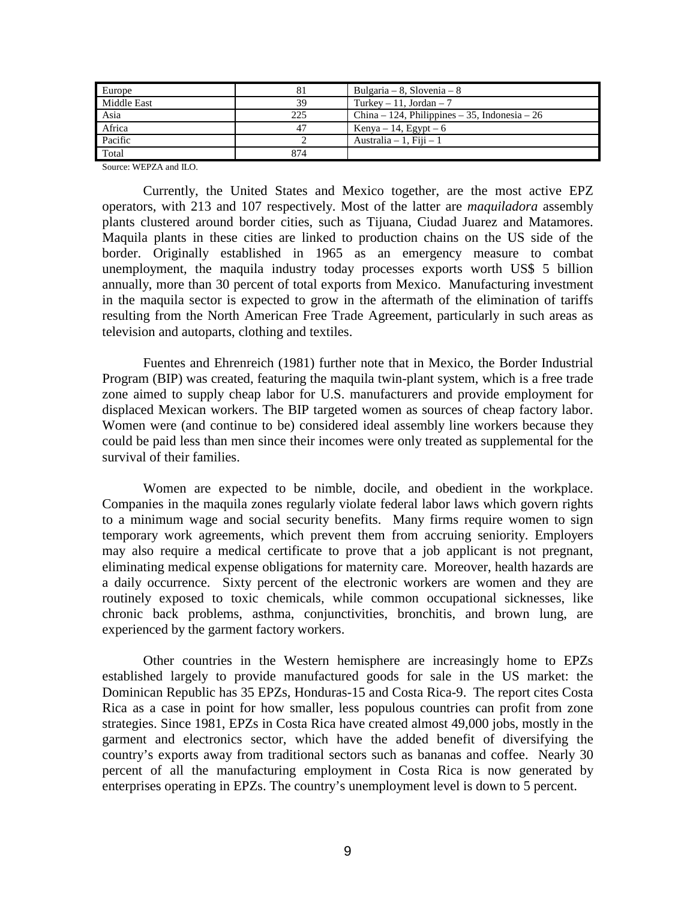| Europe      | 81  | Bulgaria – 8, Slovenia – 8                    |
|-------------|-----|-----------------------------------------------|
| Middle East | 39  | Turkey $-11$ , Jordan $-7$                    |
| Asia        | 225 | China – 124, Philippines – 35, Indonesia – 26 |
| Africa      | 47  | Kenya – 14, Egypt – 6                         |
| Pacific     |     | Australia $-1$ , Fiji $-1$                    |
| Total       | 874 |                                               |

Source: WEPZA and ILO.

 Currently, the United States and Mexico together, are the most active EPZ operators, with 213 and 107 respectively. Most of the latter are *maquiladora* assembly plants clustered around border cities, such as Tijuana, Ciudad Juarez and Matamores. Maquila plants in these cities are linked to production chains on the US side of the border. Originally established in 1965 as an emergency measure to combat unemployment, the maquila industry today processes exports worth US\$ 5 billion annually, more than 30 percent of total exports from Mexico. Manufacturing investment in the maquila sector is expected to grow in the aftermath of the elimination of tariffs resulting from the North American Free Trade Agreement, particularly in such areas as television and autoparts, clothing and textiles.

Fuentes and Ehrenreich (1981) further note that in Mexico, the Border Industrial Program (BIP) was created, featuring the maquila twin-plant system, which is a free trade zone aimed to supply cheap labor for U.S. manufacturers and provide employment for displaced Mexican workers. The BIP targeted women as sources of cheap factory labor. Women were (and continue to be) considered ideal assembly line workers because they could be paid less than men since their incomes were only treated as supplemental for the survival of their families.

Women are expected to be nimble, docile, and obedient in the workplace. Companies in the maquila zones regularly violate federal labor laws which govern rights to a minimum wage and social security benefits. Many firms require women to sign temporary work agreements, which prevent them from accruing seniority. Employers may also require a medical certificate to prove that a job applicant is not pregnant, eliminating medical expense obligations for maternity care. Moreover, health hazards are a daily occurrence. Sixty percent of the electronic workers are women and they are routinely exposed to toxic chemicals, while common occupational sicknesses, like chronic back problems, asthma, conjunctivities, bronchitis, and brown lung, are experienced by the garment factory workers.

Other countries in the Western hemisphere are increasingly home to EPZs established largely to provide manufactured goods for sale in the US market: the Dominican Republic has 35 EPZs, Honduras-15 and Costa Rica-9. The report cites Costa Rica as a case in point for how smaller, less populous countries can profit from zone strategies. Since 1981, EPZs in Costa Rica have created almost 49,000 jobs, mostly in the garment and electronics sector, which have the added benefit of diversifying the country's exports away from traditional sectors such as bananas and coffee. Nearly 30 percent of all the manufacturing employment in Costa Rica is now generated by enterprises operating in EPZs. The country's unemployment level is down to 5 percent.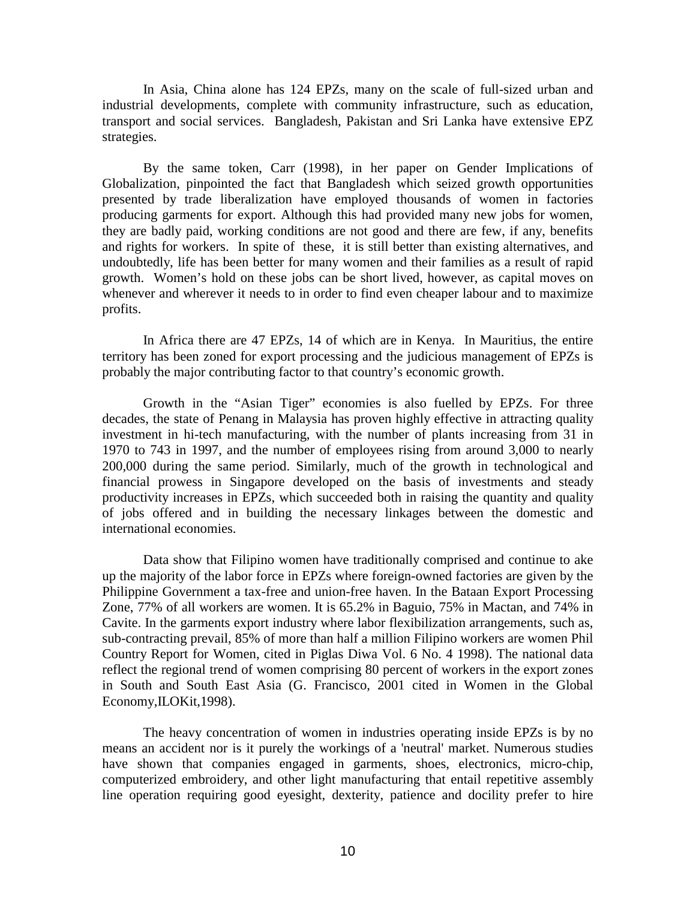In Asia, China alone has 124 EPZs, many on the scale of full-sized urban and industrial developments, complete with community infrastructure, such as education, transport and social services. Bangladesh, Pakistan and Sri Lanka have extensive EPZ strategies.

By the same token, Carr (1998), in her paper on Gender Implications of Globalization, pinpointed the fact that Bangladesh which seized growth opportunities presented by trade liberalization have employed thousands of women in factories producing garments for export. Although this had provided many new jobs for women, they are badly paid, working conditions are not good and there are few, if any, benefits and rights for workers. In spite of these, it is still better than existing alternatives, and undoubtedly, life has been better for many women and their families as a result of rapid growth. Women's hold on these jobs can be short lived, however, as capital moves on whenever and wherever it needs to in order to find even cheaper labour and to maximize profits.

In Africa there are 47 EPZs, 14 of which are in Kenya. In Mauritius, the entire territory has been zoned for export processing and the judicious management of EPZs is probably the major contributing factor to that country's economic growth.

Growth in the "Asian Tiger" economies is also fuelled by EPZs. For three decades, the state of Penang in Malaysia has proven highly effective in attracting quality investment in hi-tech manufacturing, with the number of plants increasing from 31 in 1970 to 743 in 1997, and the number of employees rising from around 3,000 to nearly 200,000 during the same period. Similarly, much of the growth in technological and financial prowess in Singapore developed on the basis of investments and steady productivity increases in EPZs, which succeeded both in raising the quantity and quality of jobs offered and in building the necessary linkages between the domestic and international economies.

Data show that Filipino women have traditionally comprised and continue to ake up the majority of the labor force in EPZs where foreign-owned factories are given by the Philippine Government a tax-free and union-free haven. In the Bataan Export Processing Zone, 77% of all workers are women. It is 65.2% in Baguio, 75% in Mactan, and 74% in Cavite. In the garments export industry where labor flexibilization arrangements, such as, sub-contracting prevail, 85% of more than half a million Filipino workers are women Phil Country Report for Women, cited in Piglas Diwa Vol. 6 No. 4 1998). The national data reflect the regional trend of women comprising 80 percent of workers in the export zones in South and South East Asia (G. Francisco, 2001 cited in Women in the Global Economy,ILOKit,1998).

The heavy concentration of women in industries operating inside EPZs is by no means an accident nor is it purely the workings of a 'neutral' market. Numerous studies have shown that companies engaged in garments, shoes, electronics, micro-chip, computerized embroidery, and other light manufacturing that entail repetitive assembly line operation requiring good eyesight, dexterity, patience and docility prefer to hire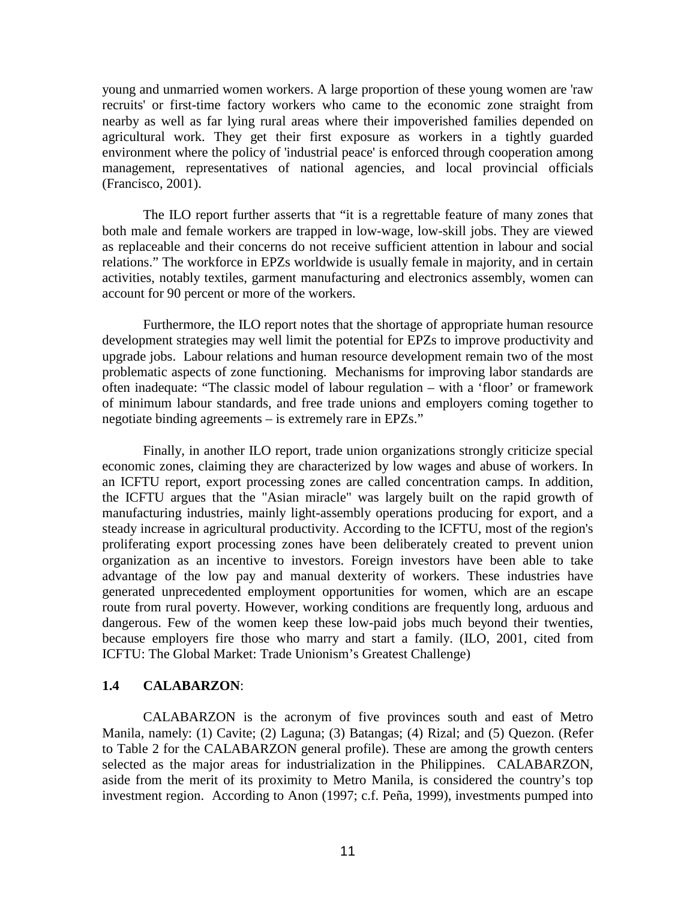young and unmarried women workers. A large proportion of these young women are 'raw recruits' or first-time factory workers who came to the economic zone straight from nearby as well as far lying rural areas where their impoverished families depended on agricultural work. They get their first exposure as workers in a tightly guarded environment where the policy of 'industrial peace' is enforced through cooperation among management, representatives of national agencies, and local provincial officials (Francisco, 2001).

The ILO report further asserts that "it is a regrettable feature of many zones that both male and female workers are trapped in low-wage, low-skill jobs. They are viewed as replaceable and their concerns do not receive sufficient attention in labour and social relations." The workforce in EPZs worldwide is usually female in majority, and in certain activities, notably textiles, garment manufacturing and electronics assembly, women can account for 90 percent or more of the workers.

Furthermore, the ILO report notes that the shortage of appropriate human resource development strategies may well limit the potential for EPZs to improve productivity and upgrade jobs. Labour relations and human resource development remain two of the most problematic aspects of zone functioning. Mechanisms for improving labor standards are often inadequate: "The classic model of labour regulation – with a 'floor' or framework of minimum labour standards, and free trade unions and employers coming together to negotiate binding agreements – is extremely rare in EPZs."

Finally, in another ILO report, trade union organizations strongly criticize special economic zones, claiming they are characterized by low wages and abuse of workers. In an ICFTU report, export processing zones are called concentration camps. In addition, the ICFTU argues that the "Asian miracle" was largely built on the rapid growth of manufacturing industries, mainly light-assembly operations producing for export, and a steady increase in agricultural productivity. According to the ICFTU, most of the region's proliferating export processing zones have been deliberately created to prevent union organization as an incentive to investors. Foreign investors have been able to take advantage of the low pay and manual dexterity of workers. These industries have generated unprecedented employment opportunities for women, which are an escape route from rural poverty. However, working conditions are frequently long, arduous and dangerous. Few of the women keep these low-paid jobs much beyond their twenties, because employers fire those who marry and start a family. (ILO, 2001, cited from ICFTU: The Global Market: Trade Unionism's Greatest Challenge)

# **1.4 CALABARZON**:

CALABARZON is the acronym of five provinces south and east of Metro Manila, namely: (1) Cavite; (2) Laguna; (3) Batangas; (4) Rizal; and (5) Quezon. (Refer to Table 2 for the CALABARZON general profile). These are among the growth centers selected as the major areas for industrialization in the Philippines. CALABARZON, aside from the merit of its proximity to Metro Manila, is considered the country's top investment region. According to Anon (1997; c.f. Peña, 1999), investments pumped into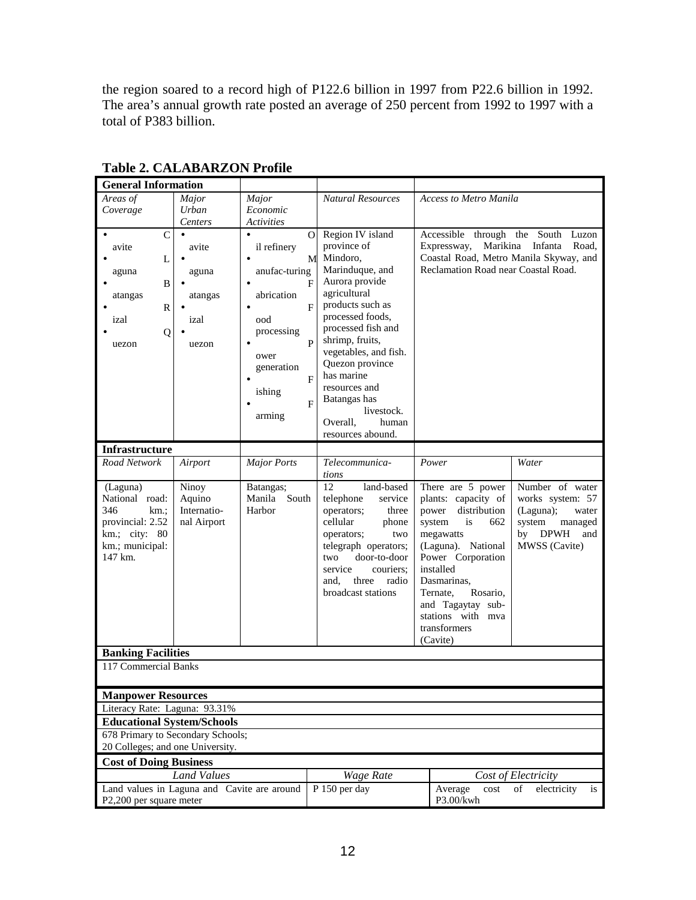the region soared to a record high of P122.6 billion in 1997 from P22.6 billion in 1992. The area's annual growth rate posted an average of 250 percent from 1992 to 1997 with a total of P383 billion.

| <b>General Information</b>                  |                    |                       |                                        |                                         |         |
|---------------------------------------------|--------------------|-----------------------|----------------------------------------|-----------------------------------------|---------|
| Areas of<br>Major                           |                    | Major                 | <b>Natural Resources</b>               | <b>Access to Metro Manila</b>           |         |
| Coverage                                    | Urban              | Economic              |                                        |                                         |         |
|                                             | Centers            | <b>Activities</b>     |                                        |                                         |         |
| $\mathcal{C}$<br>$\bullet$                  | $\bullet$          | $\Omega$<br>$\bullet$ | Region IV island                       | Accessible through the South Luzon      |         |
| avite                                       | avite              | il refinery           | province of                            | Marikina Infanta<br>Expressway,         | Road,   |
| L                                           |                    | M                     | Mindoro,                               | Coastal Road, Metro Manila Skyway, and  |         |
| aguna                                       | aguna              | anufac-turing         | Marinduque, and<br>Aurora provide      | Reclamation Road near Coastal Road.     |         |
| B                                           |                    | F<br>$\bullet$        | agricultural                           |                                         |         |
| atangas                                     | atangas            | abrication<br>F       | products such as                       |                                         |         |
| R                                           | izal               | ood                   | processed foods,                       |                                         |         |
| izal                                        |                    | processing            | processed fish and                     |                                         |         |
| Q<br>uezon                                  | uezon              | P<br>$\bullet$        | shrimp, fruits,                        |                                         |         |
|                                             |                    | ower                  | vegetables, and fish.                  |                                         |         |
|                                             |                    | generation            | Quezon province                        |                                         |         |
|                                             |                    | F<br>$\bullet$        | has marine                             |                                         |         |
|                                             |                    | ishing                | resources and                          |                                         |         |
|                                             |                    | F                     | Batangas has                           |                                         |         |
|                                             |                    | arming                | livestock.                             |                                         |         |
|                                             |                    |                       | Overall,<br>human<br>resources abound. |                                         |         |
|                                             |                    |                       |                                        |                                         |         |
| <b>Infrastructure</b><br>Road Network       | Airport            | <b>Major Ports</b>    | Telecommunica-                         | $\overline{P}$ ower<br>Water            |         |
|                                             |                    |                       | tions                                  |                                         |         |
| (Laguna)                                    | Ninoy              | Batangas;             | 12<br>land-based                       | Number of water<br>There are 5 power    |         |
| National road:                              | Aquino             | South<br>Manila       | telephone<br>service                   | plants: capacity of<br>works system: 57 |         |
| 346<br>km.;                                 | Internatio-        | Harbor                | operators;<br>three                    | distribution<br>(Laguna);<br>power      | water   |
| provincial: 2.52                            | nal Airport        |                       | cellular<br>phone                      | system<br>system<br>is<br>662           | managed |
| km.; city: 80                               |                    |                       | operators;<br>two                      | megawatts<br>by<br><b>DPWH</b>          | and     |
| km.; municipal:                             |                    |                       | telegraph operators;                   | MWSS (Cavite)<br>(Laguna). National     |         |
| 147 km.                                     |                    |                       | door-to-door<br>two                    | Power Corporation                       |         |
|                                             |                    |                       | service<br>couriers:                   | installed                               |         |
|                                             |                    |                       | three<br>radio<br>and.                 | Dasmarinas,                             |         |
|                                             |                    |                       | broadcast stations                     | Rosario,<br>Ternate,                    |         |
|                                             |                    |                       |                                        | and Tagaytay sub-<br>stations with mva  |         |
|                                             |                    |                       |                                        | transformers                            |         |
|                                             |                    |                       |                                        | (Cavite)                                |         |
| <b>Banking Facilities</b>                   |                    |                       |                                        |                                         |         |
| 117 Commercial Banks                        |                    |                       |                                        |                                         |         |
|                                             |                    |                       |                                        |                                         |         |
| <b>Manpower Resources</b>                   |                    |                       |                                        |                                         |         |
| Literacy Rate: Laguna: 93.31%               |                    |                       |                                        |                                         |         |
| <b>Educational System/Schools</b>           |                    |                       |                                        |                                         |         |
| 678 Primary to Secondary Schools;           |                    |                       |                                        |                                         |         |
| 20 Colleges; and one University.            |                    |                       |                                        |                                         |         |
| <b>Cost of Doing Business</b>               |                    |                       |                                        |                                         |         |
|                                             | <b>Land Values</b> |                       | <b>Wage Rate</b>                       | Cost of Electricity                     |         |
| Land values in Laguna and Cavite are around |                    |                       | P 150 per day                          | Average<br>of<br>electricity<br>cost    | is      |
| P2,200 per square meter                     |                    |                       |                                        | P3.00/kwh                               |         |

**Table 2. CALABARZON Profile**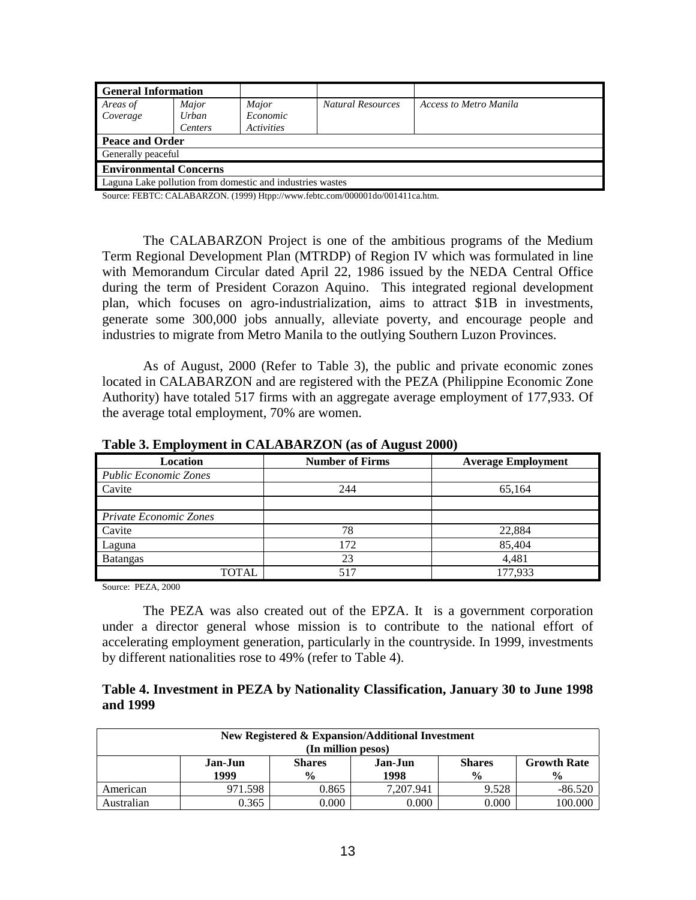| <b>General Information</b>                                |         |                                 |                          |                        |  |
|-----------------------------------------------------------|---------|---------------------------------|--------------------------|------------------------|--|
| Areas of                                                  | Major   | Major                           | <b>Natural Resources</b> | Access to Metro Manila |  |
| Coverage                                                  | Urban   | <i>Economic</i>                 |                          |                        |  |
|                                                           | Centers | <i><u><b>Activities</b></u></i> |                          |                        |  |
| <b>Peace and Order</b>                                    |         |                                 |                          |                        |  |
| <b>Generally peaceful</b>                                 |         |                                 |                          |                        |  |
| <b>Environmental Concerns</b>                             |         |                                 |                          |                        |  |
| Laguna Lake pollution from domestic and industries wastes |         |                                 |                          |                        |  |

Source: FEBTC: CALABARZON. (1999) Htpp://www.febtc.com/000001do/001411ca.htm.

The CALABARZON Project is one of the ambitious programs of the Medium Term Regional Development Plan (MTRDP) of Region IV which was formulated in line with Memorandum Circular dated April 22, 1986 issued by the NEDA Central Office during the term of President Corazon Aquino. This integrated regional development plan, which focuses on agro-industrialization, aims to attract \$1B in investments, generate some 300,000 jobs annually, alleviate poverty, and encourage people and industries to migrate from Metro Manila to the outlying Southern Luzon Provinces.

 As of August, 2000 (Refer to Table 3), the public and private economic zones located in CALABARZON and are registered with the PEZA (Philippine Economic Zone Authority) have totaled 517 firms with an aggregate average employment of 177,933. Of the average total employment, 70% are women.

| <b>Location</b>              | <b>Number of Firms</b> | <b>Average Employment</b> |
|------------------------------|------------------------|---------------------------|
| <b>Public Economic Zones</b> |                        |                           |
| Cavite                       | 244                    | 65,164                    |
|                              |                        |                           |
| Private Economic Zones       |                        |                           |
| Cavite                       | 78                     | 22.884                    |
| Laguna                       | 172                    | 85,404                    |
| Batangas                     | 23                     | 4,481                     |
| TOTAL                        | 517                    | 177,933                   |

**Table 3. Employment in CALABARZON (as of August 2000)** 

Source: PEZA, 2000

The PEZA was also created out of the EPZA. It is a government corporation under a director general whose mission is to contribute to the national effort of accelerating employment generation, particularly in the countryside. In 1999, investments by different nationalities rose to 49% (refer to Table 4).

## **Table 4. Investment in PEZA by Nationality Classification, January 30 to June 1998 and 1999**

| <b>New Registered &amp; Expansion/Additional Investment</b><br>(In million pesos) |                                                                                                                                               |       |           |       |           |  |  |
|-----------------------------------------------------------------------------------|-----------------------------------------------------------------------------------------------------------------------------------------------|-------|-----------|-------|-----------|--|--|
|                                                                                   | <b>Shares</b><br><b>Growth Rate</b><br>Jan-Jun<br><b>Shares</b><br>Jan-Jun<br>1999<br>1998<br>$\frac{0}{0}$<br>$\frac{0}{0}$<br>$\frac{0}{0}$ |       |           |       |           |  |  |
| American                                                                          | 971.598                                                                                                                                       | 0.865 | 7.207.941 | 9.528 | $-86.520$ |  |  |
| Australian                                                                        | 0.365                                                                                                                                         | 0.000 | 0.000     | 0.000 | 100.000   |  |  |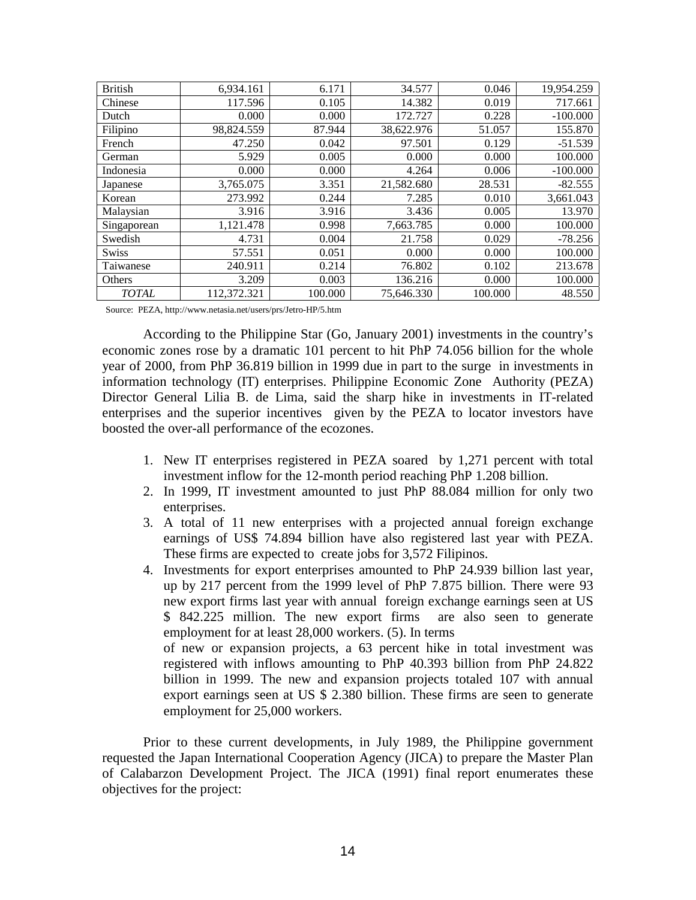| <b>British</b> | 6,934.161   | 6.171   | 34.577     | 0.046   | 19,954.259 |
|----------------|-------------|---------|------------|---------|------------|
| Chinese        | 117.596     | 0.105   | 14.382     | 0.019   | 717.661    |
| Dutch          | 0.000       | 0.000   | 172.727    | 0.228   | $-100.000$ |
| Filipino       | 98,824.559  | 87.944  | 38,622.976 | 51.057  | 155.870    |
| French         | 47.250      | 0.042   | 97.501     | 0.129   | $-51.539$  |
| German         | 5.929       | 0.005   | 0.000      | 0.000   | 100.000    |
| Indonesia      | 0.000       | 0.000   | 4.264      | 0.006   | $-100.000$ |
| Japanese       | 3,765.075   | 3.351   | 21,582.680 | 28.531  | $-82.555$  |
| Korean         | 273.992     | 0.244   | 7.285      | 0.010   | 3,661.043  |
| Malaysian      | 3.916       | 3.916   | 3.436      | 0.005   | 13.970     |
| Singaporean    | 1.121.478   | 0.998   | 7,663.785  | 0.000   | 100.000    |
| Swedish        | 4.731       | 0.004   | 21.758     | 0.029   | $-78.256$  |
| <b>Swiss</b>   | 57.551      | 0.051   | 0.000      | 0.000   | 100.000    |
| Taiwanese      | 240.911     | 0.214   | 76.802     | 0.102   | 213.678    |
| Others         | 3.209       | 0.003   | 136.216    | 0.000   | 100.000    |
| <b>TOTAL</b>   | 112,372.321 | 100.000 | 75.646.330 | 100.000 | 48.550     |

Source: PEZA, http://www.netasia.net/users/prs/Jetro-HP/5.htm

According to the Philippine Star (Go, January 2001) investments in the country's economic zones rose by a dramatic 101 percent to hit PhP 74.056 billion for the whole year of 2000, from PhP 36.819 billion in 1999 due in part to the surge in investments in information technology (IT) enterprises. Philippine Economic Zone Authority (PEZA) Director General Lilia B. de Lima, said the sharp hike in investments in IT-related enterprises and the superior incentives given by the PEZA to locator investors have boosted the over-all performance of the ecozones.

- 1. New IT enterprises registered in PEZA soared by 1,271 percent with total investment inflow for the 12-month period reaching PhP 1.208 billion.
- 2. In 1999, IT investment amounted to just PhP 88.084 million for only two enterprises.
- 3. A total of 11 new enterprises with a projected annual foreign exchange earnings of US\$ 74.894 billion have also registered last year with PEZA. These firms are expected to create jobs for 3,572 Filipinos.
- 4. Investments for export enterprises amounted to PhP 24.939 billion last year, up by 217 percent from the 1999 level of PhP 7.875 billion. There were 93 new export firms last year with annual foreign exchange earnings seen at US \$ 842.225 million. The new export firms are also seen to generate employment for at least 28,000 workers. (5). In terms of new or expansion projects, a 63 percent hike in total investment was registered with inflows amounting to PhP 40.393 billion from PhP 24.822 billion in 1999. The new and expansion projects totaled 107 with annual export earnings seen at US \$ 2.380 billion. These firms are seen to generate employment for 25,000 workers.

Prior to these current developments, in July 1989, the Philippine government requested the Japan International Cooperation Agency (JICA) to prepare the Master Plan of Calabarzon Development Project. The JICA (1991) final report enumerates these objectives for the project: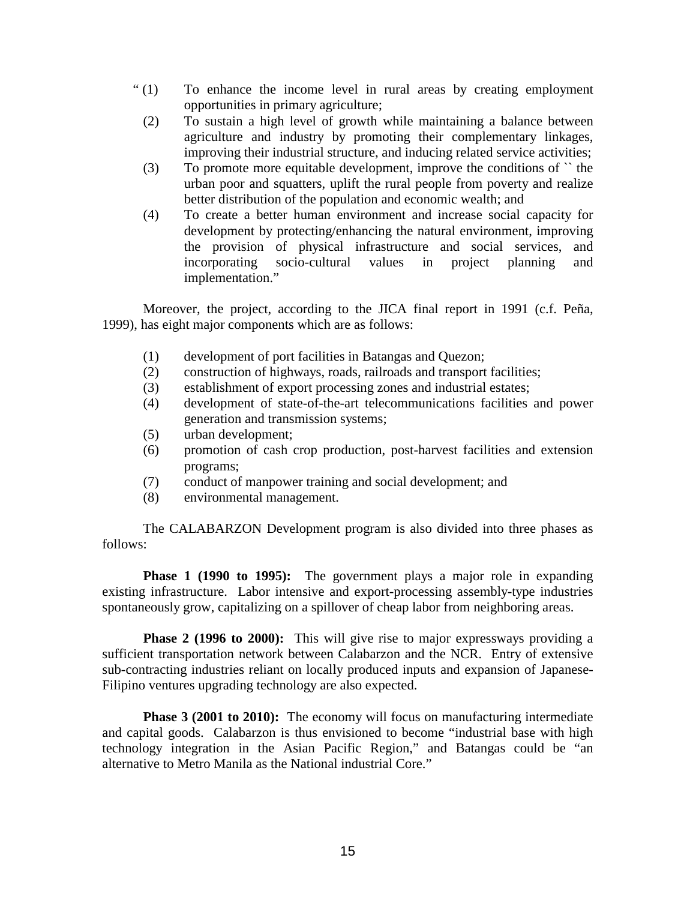- " (1) To enhance the income level in rural areas by creating employment opportunities in primary agriculture;
	- (2) To sustain a high level of growth while maintaining a balance between agriculture and industry by promoting their complementary linkages, improving their industrial structure, and inducing related service activities;
	- (3) To promote more equitable development, improve the conditions of `` the urban poor and squatters, uplift the rural people from poverty and realize better distribution of the population and economic wealth; and
	- (4) To create a better human environment and increase social capacity for development by protecting/enhancing the natural environment, improving the provision of physical infrastructure and social services, and incorporating socio-cultural values in project planning and implementation."

Moreover, the project, according to the JICA final report in 1991 (c.f. Peña, 1999), has eight major components which are as follows:

- (1) development of port facilities in Batangas and Quezon;
- (2) construction of highways, roads, railroads and transport facilities;
- (3) establishment of export processing zones and industrial estates;
- (4) development of state-of-the-art telecommunications facilities and power generation and transmission systems;
- (5) urban development;
- (6) promotion of cash crop production, post-harvest facilities and extension programs;
- (7) conduct of manpower training and social development; and
- (8) environmental management.

The CALABARZON Development program is also divided into three phases as follows:

**Phase 1 (1990 to 1995):** The government plays a major role in expanding existing infrastructure. Labor intensive and export-processing assembly-type industries spontaneously grow, capitalizing on a spillover of cheap labor from neighboring areas.

**Phase 2 (1996 to 2000):** This will give rise to major expressways providing a sufficient transportation network between Calabarzon and the NCR. Entry of extensive sub-contracting industries reliant on locally produced inputs and expansion of Japanese-Filipino ventures upgrading technology are also expected.

**Phase 3 (2001 to 2010):** The economy will focus on manufacturing intermediate and capital goods. Calabarzon is thus envisioned to become "industrial base with high technology integration in the Asian Pacific Region," and Batangas could be "an alternative to Metro Manila as the National industrial Core."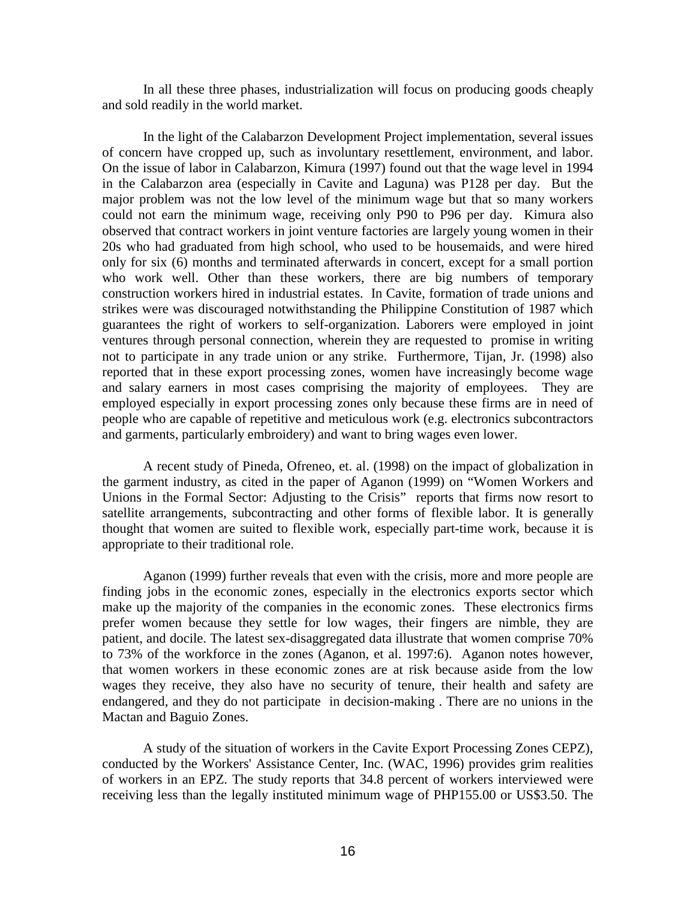In all these three phases, industrialization will focus on producing goods cheaply and sold readily in the world market.

In the light of the Calabarzon Development Project implementation, several issues of concern have cropped up, such as involuntary resettlement, environment, and labor. On the issue of labor in Calabarzon, Kimura (1997) found out that the wage level in 1994 in the Calabarzon area (especially in Cavite and Laguna) was P128 per day. But the major problem was not the low level of the minimum wage but that so many workers could not earn the minimum wage, receiving only P90 to P96 per day. Kimura also observed that contract workers in joint venture factories are largely young women in their 20s who had graduated from high school, who used to be housemaids, and were hired only for six (6) months and terminated afterwards in concert, except for a small portion who work well. Other than these workers, there are big numbers of temporary construction workers hired in industrial estates. In Cavite, formation of trade unions and strikes were was discouraged notwithstanding the Philippine Constitution of 1987 which guarantees the right of workers to self-organization. Laborers were employed in joint ventures through personal connection, wherein they are requested to promise in writing not to participate in any trade union or any strike. Furthermore, Tijan, Jr. (1998) also reported that in these export processing zones, women have increasingly become wage and salary earners in most cases comprising the majority of employees. They are employed especially in export processing zones only because these firms are in need of people who are capable of repetitive and meticulous work (e.g. electronics subcontractors and garments, particularly embroidery) and want to bring wages even lower.

A recent study of Pineda, Ofreneo, et. al. (1998) on the impact of globalization in the garment industry, as cited in the paper of Aganon (1999) on "Women Workers and Unions in the Formal Sector: Adjusting to the Crisis" reports that firms now resort to satellite arrangements, subcontracting and other forms of flexible labor. It is generally thought that women are suited to flexible work, especially part-time work, because it is appropriate to their traditional role.

Aganon (1999) further reveals that even with the crisis, more and more people are finding jobs in the economic zones, especially in the electronics exports sector which make up the majority of the companies in the economic zones. These electronics firms prefer women because they settle for low wages, their fingers are nimble, they are patient, and docile. The latest sex-disaggregated data illustrate that women comprise 70% to 73% of the workforce in the zones (Aganon, et al. 1997:6). Aganon notes however, that women workers in these economic zones are at risk because aside from the low wages they receive, they also have no security of tenure, their health and safety are endangered, and they do not participate in decision-making . There are no unions in the Mactan and Baguio Zones.

A study of the situation of workers in the Cavite Export Processing Zones CEPZ), conducted by the Workers' Assistance Center, Inc. (WAC, 1996) provides grim realities of workers in an EPZ. The study reports that 34.8 percent of workers interviewed were receiving less than the legally instituted minimum wage of PHP155.00 or US\$3.50. The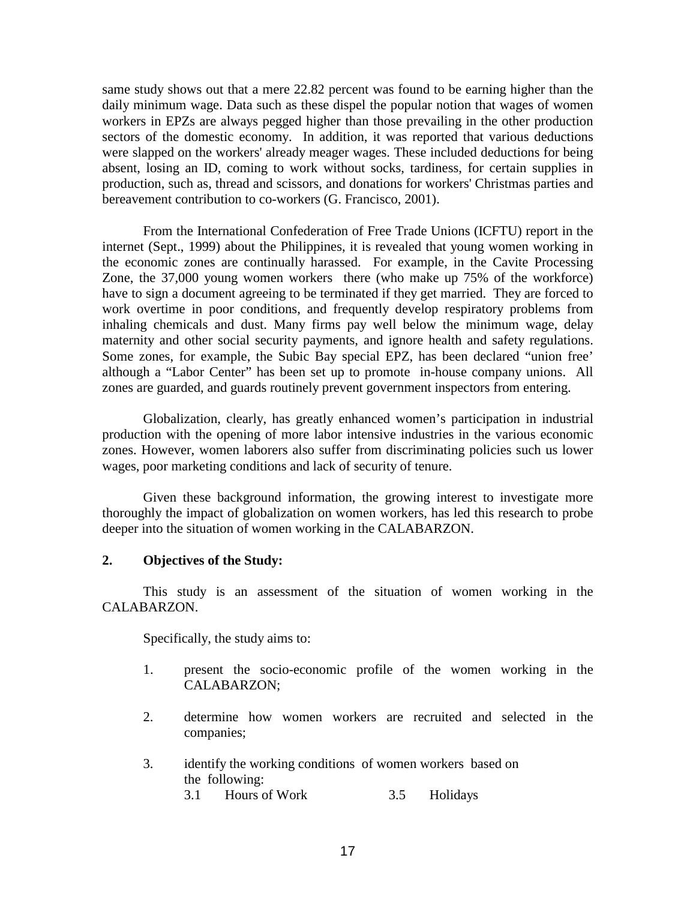same study shows out that a mere 22.82 percent was found to be earning higher than the daily minimum wage. Data such as these dispel the popular notion that wages of women workers in EPZs are always pegged higher than those prevailing in the other production sectors of the domestic economy. In addition, it was reported that various deductions were slapped on the workers' already meager wages. These included deductions for being absent, losing an ID, coming to work without socks, tardiness, for certain supplies in production, such as, thread and scissors, and donations for workers' Christmas parties and bereavement contribution to co-workers (G. Francisco, 2001).

From the International Confederation of Free Trade Unions (ICFTU) report in the internet (Sept., 1999) about the Philippines, it is revealed that young women working in the economic zones are continually harassed. For example, in the Cavite Processing Zone, the 37,000 young women workers there (who make up 75% of the workforce) have to sign a document agreeing to be terminated if they get married. They are forced to work overtime in poor conditions, and frequently develop respiratory problems from inhaling chemicals and dust. Many firms pay well below the minimum wage, delay maternity and other social security payments, and ignore health and safety regulations. Some zones, for example, the Subic Bay special EPZ, has been declared "union free' although a "Labor Center" has been set up to promote in-house company unions. All zones are guarded, and guards routinely prevent government inspectors from entering.

Globalization, clearly, has greatly enhanced women's participation in industrial production with the opening of more labor intensive industries in the various economic zones. However, women laborers also suffer from discriminating policies such us lower wages, poor marketing conditions and lack of security of tenure.

Given these background information, the growing interest to investigate more thoroughly the impact of globalization on women workers, has led this research to probe deeper into the situation of women working in the CALABARZON.

## **2. Objectives of the Study:**

This study is an assessment of the situation of women working in the CALABARZON.

Specifically, the study aims to:

- 1. present the socio-economic profile of the women working in the CALABARZON;
- 2. determine how women workers are recruited and selected in the companies;
- 3. identify the working conditions of women workers based on the following:
	- 3.1 Hours of Work 3.5 Holidays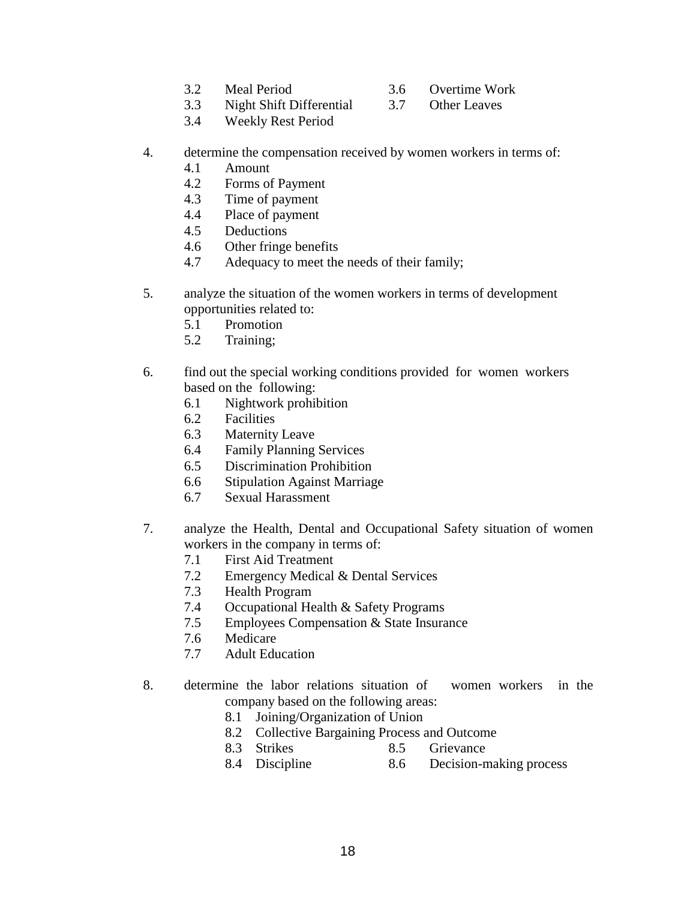- 
- 3.2 Meal Period 3.6 Overtime Work
- 3.3 Night Shift Differential 3.7 Other Leaves
	-
- 3.4 Weekly Rest Period
- 4. determine the compensation received by women workers in terms of:
	- 4.1 Amount
	- 4.2 Forms of Payment
	- 4.3 Time of payment
	- 4.4 Place of payment
	- 4.5 Deductions
	- 4.6 Other fringe benefits
	- 4.7 Adequacy to meet the needs of their family;
- 5. analyze the situation of the women workers in terms of development opportunities related to:
	- 5.1 Promotion
	- 5.2 Training;
- 6. find out the special working conditions provided for women workers based on the following:
	- 6.1 Nightwork prohibition
	- 6.2 Facilities
	- 6.3 Maternity Leave
	- 6.4 Family Planning Services
	- 6.5 Discrimination Prohibition
	- 6.6 Stipulation Against Marriage
	- 6.7 Sexual Harassment
- 7. analyze the Health, Dental and Occupational Safety situation of women workers in the company in terms of:
	- 7.1 First Aid Treatment
	- 7.2 Emergency Medical & Dental Services
	- 7.3 Health Program
	- 7.4 Occupational Health & Safety Programs
	- 7.5 Employees Compensation & State Insurance
	- 7.6 Medicare
	- 7.7 Adult Education
- 8. determine the labor relations situation of women workers in the company based on the following areas:
	- 8.1 Joining/Organization of Union
	- 8.2 Collective Bargaining Process and Outcome
	- 8.3 Strikes 8.5 Grievance
	- 8.4 Discipline 8.6 Decision-making process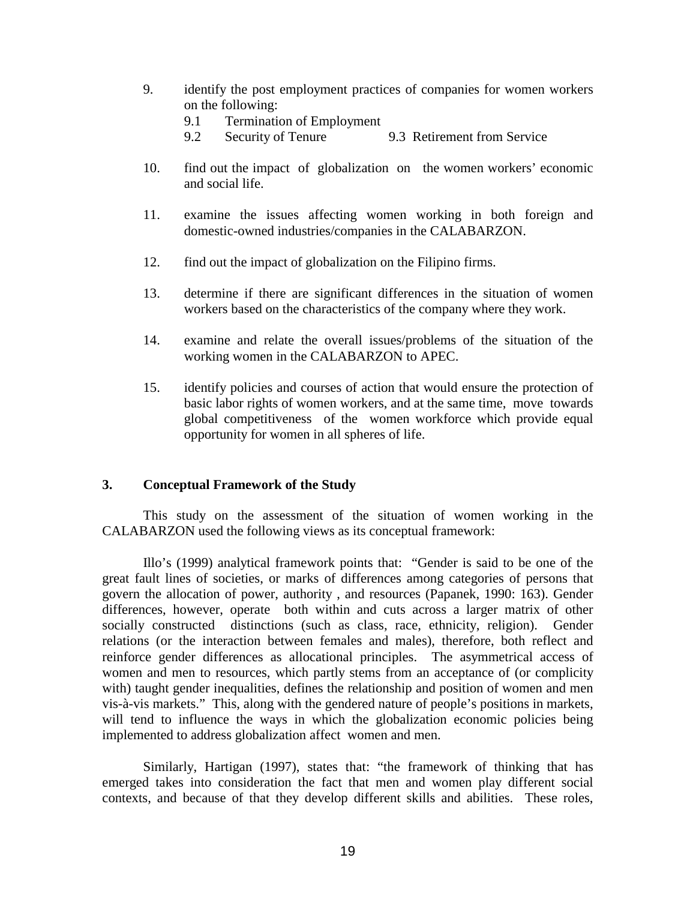- 9. identify the post employment practices of companies for women workers on the following:
	- 9.1 Termination of Employment
	- 9.2 Security of Tenure 9.3 Retirement from Service
- 10. find out the impact of globalization on the women workers' economic and social life.
- 11. examine the issues affecting women working in both foreign and domestic-owned industries/companies in the CALABARZON.
- 12. find out the impact of globalization on the Filipino firms.
- 13. determine if there are significant differences in the situation of women workers based on the characteristics of the company where they work.
- 14. examine and relate the overall issues/problems of the situation of the working women in the CALABARZON to APEC.
- 15. identify policies and courses of action that would ensure the protection of basic labor rights of women workers, and at the same time, move towards global competitiveness of the women workforce which provide equal opportunity for women in all spheres of life.

## **3. Conceptual Framework of the Study**

This study on the assessment of the situation of women working in the CALABARZON used the following views as its conceptual framework:

Illo's (1999) analytical framework points that: "Gender is said to be one of the great fault lines of societies, or marks of differences among categories of persons that govern the allocation of power, authority , and resources (Papanek, 1990: 163). Gender differences, however, operate both within and cuts across a larger matrix of other socially constructed distinctions (such as class, race, ethnicity, religion). Gender relations (or the interaction between females and males), therefore, both reflect and reinforce gender differences as allocational principles. The asymmetrical access of women and men to resources, which partly stems from an acceptance of (or complicity with) taught gender inequalities, defines the relationship and position of women and men vis-à-vis markets." This, along with the gendered nature of people's positions in markets, will tend to influence the ways in which the globalization economic policies being implemented to address globalization affect women and men.

Similarly, Hartigan (1997), states that: "the framework of thinking that has emerged takes into consideration the fact that men and women play different social contexts, and because of that they develop different skills and abilities. These roles,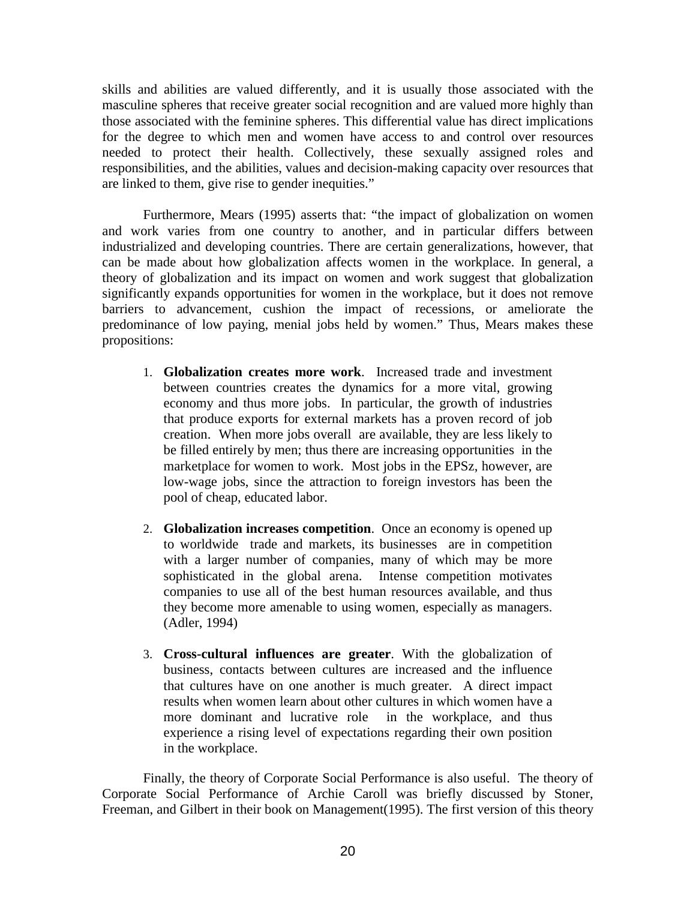skills and abilities are valued differently, and it is usually those associated with the masculine spheres that receive greater social recognition and are valued more highly than those associated with the feminine spheres. This differential value has direct implications for the degree to which men and women have access to and control over resources needed to protect their health. Collectively, these sexually assigned roles and responsibilities, and the abilities, values and decision-making capacity over resources that are linked to them, give rise to gender inequities."

Furthermore, Mears (1995) asserts that: "the impact of globalization on women and work varies from one country to another, and in particular differs between industrialized and developing countries. There are certain generalizations, however, that can be made about how globalization affects women in the workplace. In general, a theory of globalization and its impact on women and work suggest that globalization significantly expands opportunities for women in the workplace, but it does not remove barriers to advancement, cushion the impact of recessions, or ameliorate the predominance of low paying, menial jobs held by women." Thus, Mears makes these propositions:

- 1. **Globalization creates more work**. Increased trade and investment between countries creates the dynamics for a more vital, growing economy and thus more jobs. In particular, the growth of industries that produce exports for external markets has a proven record of job creation. When more jobs overall are available, they are less likely to be filled entirely by men; thus there are increasing opportunities in the marketplace for women to work. Most jobs in the EPSz, however, are low-wage jobs, since the attraction to foreign investors has been the pool of cheap, educated labor.
- 2. **Globalization increases competition**. Once an economy is opened up to worldwide trade and markets, its businesses are in competition with a larger number of companies, many of which may be more sophisticated in the global arena. Intense competition motivates companies to use all of the best human resources available, and thus they become more amenable to using women, especially as managers. (Adler, 1994)
- 3. **Cross-cultural influences are greater**. With the globalization of business, contacts between cultures are increased and the influence that cultures have on one another is much greater. A direct impact results when women learn about other cultures in which women have a more dominant and lucrative role in the workplace, and thus experience a rising level of expectations regarding their own position in the workplace.

Finally, the theory of Corporate Social Performance is also useful. The theory of Corporate Social Performance of Archie Caroll was briefly discussed by Stoner, Freeman, and Gilbert in their book on Management(1995). The first version of this theory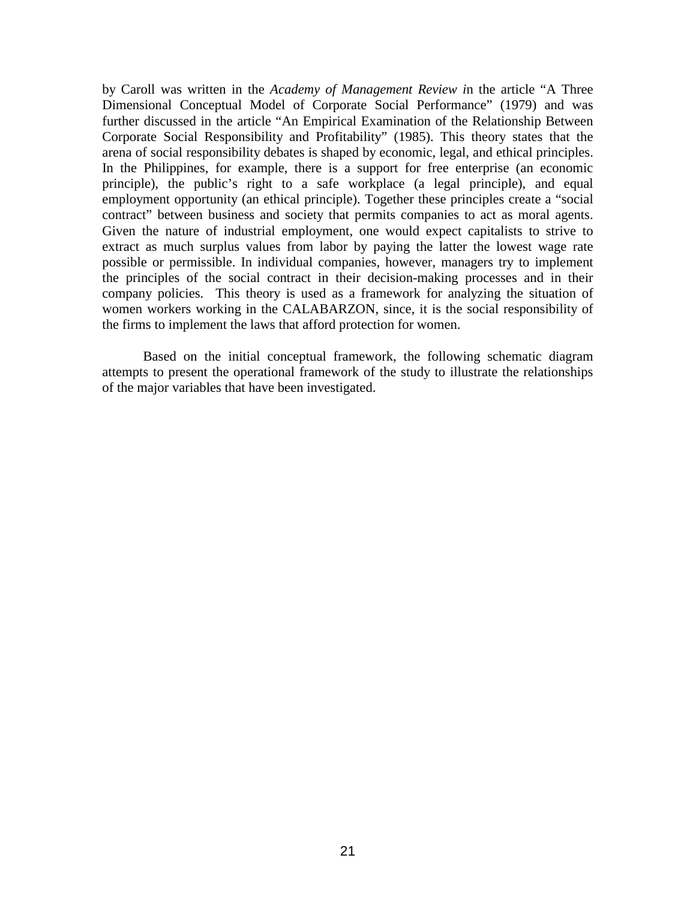by Caroll was written in the *Academy of Management Review i*n the article "A Three Dimensional Conceptual Model of Corporate Social Performance" (1979) and was further discussed in the article "An Empirical Examination of the Relationship Between Corporate Social Responsibility and Profitability" (1985). This theory states that the arena of social responsibility debates is shaped by economic, legal, and ethical principles. In the Philippines, for example, there is a support for free enterprise (an economic principle), the public's right to a safe workplace (a legal principle), and equal employment opportunity (an ethical principle). Together these principles create a "social contract" between business and society that permits companies to act as moral agents. Given the nature of industrial employment, one would expect capitalists to strive to extract as much surplus values from labor by paying the latter the lowest wage rate possible or permissible. In individual companies, however, managers try to implement the principles of the social contract in their decision-making processes and in their company policies. This theory is used as a framework for analyzing the situation of women workers working in the CALABARZON, since, it is the social responsibility of the firms to implement the laws that afford protection for women.

Based on the initial conceptual framework, the following schematic diagram attempts to present the operational framework of the study to illustrate the relationships of the major variables that have been investigated.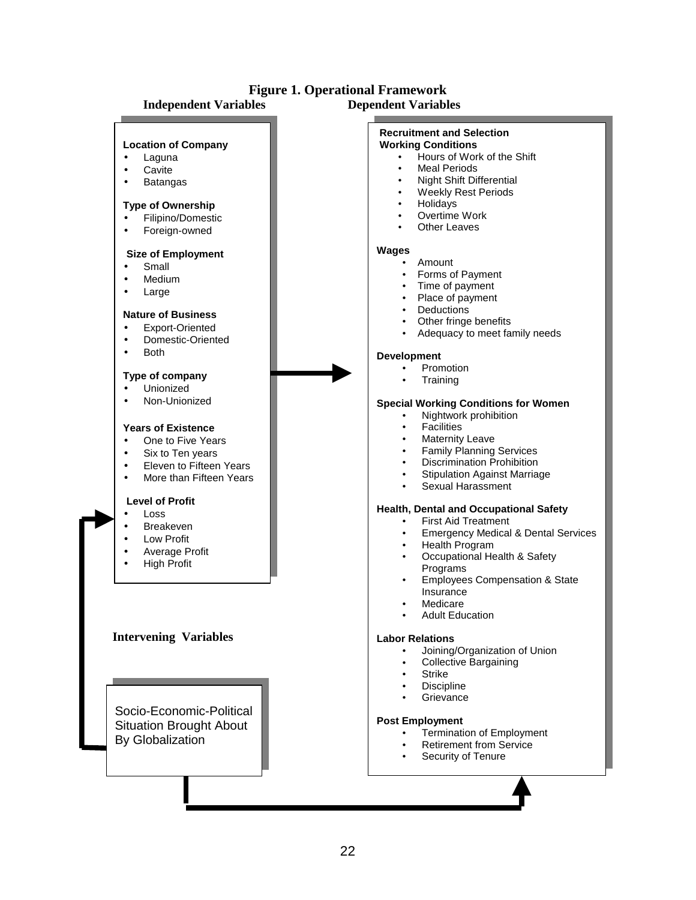

# **Figure 1. Operational Framework**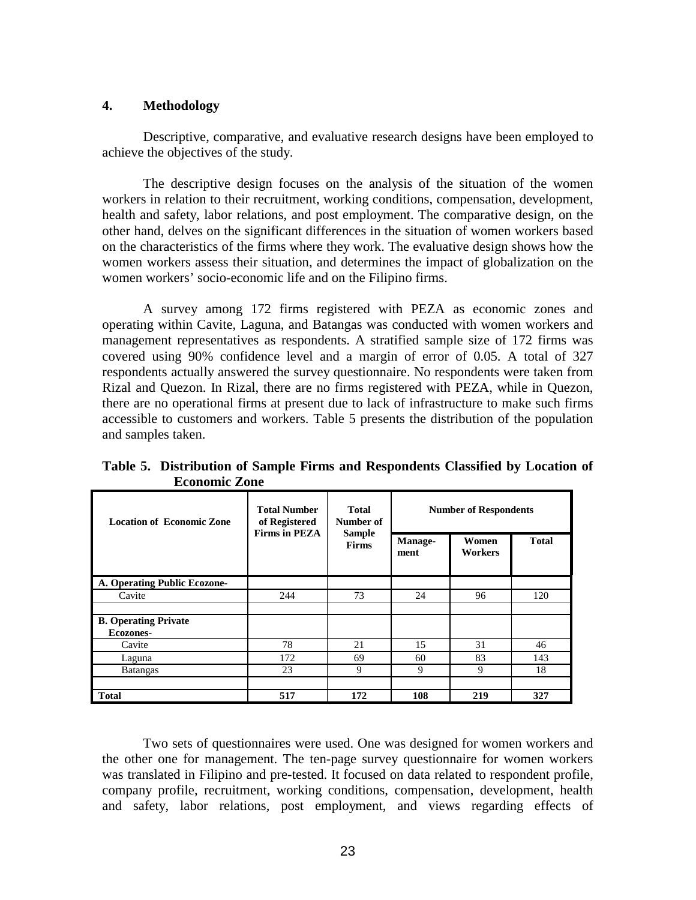#### **4. Methodology**

Descriptive, comparative, and evaluative research designs have been employed to achieve the objectives of the study.

The descriptive design focuses on the analysis of the situation of the women workers in relation to their recruitment, working conditions, compensation, development, health and safety, labor relations, and post employment. The comparative design, on the other hand, delves on the significant differences in the situation of women workers based on the characteristics of the firms where they work. The evaluative design shows how the women workers assess their situation, and determines the impact of globalization on the women workers' socio-economic life and on the Filipino firms.

A survey among 172 firms registered with PEZA as economic zones and operating within Cavite, Laguna, and Batangas was conducted with women workers and management representatives as respondents. A stratified sample size of 172 firms was covered using 90% confidence level and a margin of error of 0.05. A total of 327 respondents actually answered the survey questionnaire. No respondents were taken from Rizal and Quezon. In Rizal, there are no firms registered with PEZA, while in Quezon, there are no operational firms at present due to lack of infrastructure to make such firms accessible to customers and workers. Table 5 presents the distribution of the population and samples taken.

| <b>Location of Economic Zone</b> | <b>Total Number</b><br>of Registered<br><b>Firms in PEZA</b> | <b>Total</b><br>Number of<br><b>Sample</b><br><b>Firms</b> | <b>Number of Respondents</b> |                  |              |  |
|----------------------------------|--------------------------------------------------------------|------------------------------------------------------------|------------------------------|------------------|--------------|--|
|                                  |                                                              |                                                            | Manage-<br>ment              | Women<br>Workers | <b>Total</b> |  |
| A. Operating Public Ecozone-     |                                                              |                                                            |                              |                  |              |  |
| Cavite                           | 244                                                          | 73                                                         | 24                           | 96               | 120          |  |
|                                  |                                                              |                                                            |                              |                  |              |  |
| <b>B. Operating Private</b>      |                                                              |                                                            |                              |                  |              |  |
| Ecozones-                        |                                                              |                                                            |                              |                  |              |  |
| Cavite                           | 78                                                           | 21                                                         | 15                           | 31               | 46           |  |
| Laguna                           | 172                                                          | 69                                                         | 60                           | 83               | 143          |  |
| <b>Batangas</b>                  | 23                                                           | 9                                                          | 9                            | 9                | 18           |  |
| <b>Total</b>                     | 517                                                          | 172                                                        | 108                          | 219              | 327          |  |

**Table 5. Distribution of Sample Firms and Respondents Classified by Location of Economic Zone** 

Two sets of questionnaires were used. One was designed for women workers and the other one for management. The ten-page survey questionnaire for women workers was translated in Filipino and pre-tested. It focused on data related to respondent profile, company profile, recruitment, working conditions, compensation, development, health and safety, labor relations, post employment, and views regarding effects of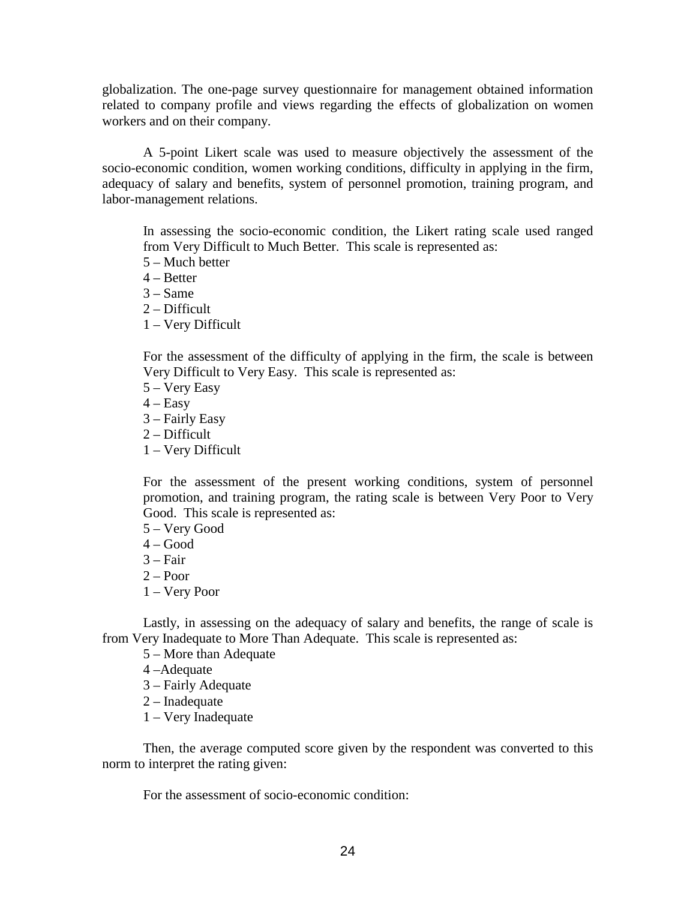globalization. The one-page survey questionnaire for management obtained information related to company profile and views regarding the effects of globalization on women workers and on their company.

A 5-point Likert scale was used to measure objectively the assessment of the socio-economic condition, women working conditions, difficulty in applying in the firm, adequacy of salary and benefits, system of personnel promotion, training program, and labor-management relations.

In assessing the socio-economic condition, the Likert rating scale used ranged from Very Difficult to Much Better. This scale is represented as:

- 5 Much better
- 4 Better
- $3 Same$
- 2 Difficult
- 1 Very Difficult

For the assessment of the difficulty of applying in the firm, the scale is between Very Difficult to Very Easy. This scale is represented as:

- 5 Very Easy
- $4 Easy$
- 3 Fairly Easy
- 2 Difficult
- 1 Very Difficult

For the assessment of the present working conditions, system of personnel promotion, and training program, the rating scale is between Very Poor to Very Good. This scale is represented as:

5 – Very Good

- $4 Good$
- 3 Fair
- $2 -$ Poor
- 1 Very Poor

Lastly, in assessing on the adequacy of salary and benefits, the range of scale is from Very Inadequate to More Than Adequate. This scale is represented as:

- 5 More than Adequate
- 4 –Adequate
- 3 Fairly Adequate
- 2 Inadequate
- 1 Very Inadequate

Then, the average computed score given by the respondent was converted to this norm to interpret the rating given:

For the assessment of socio-economic condition: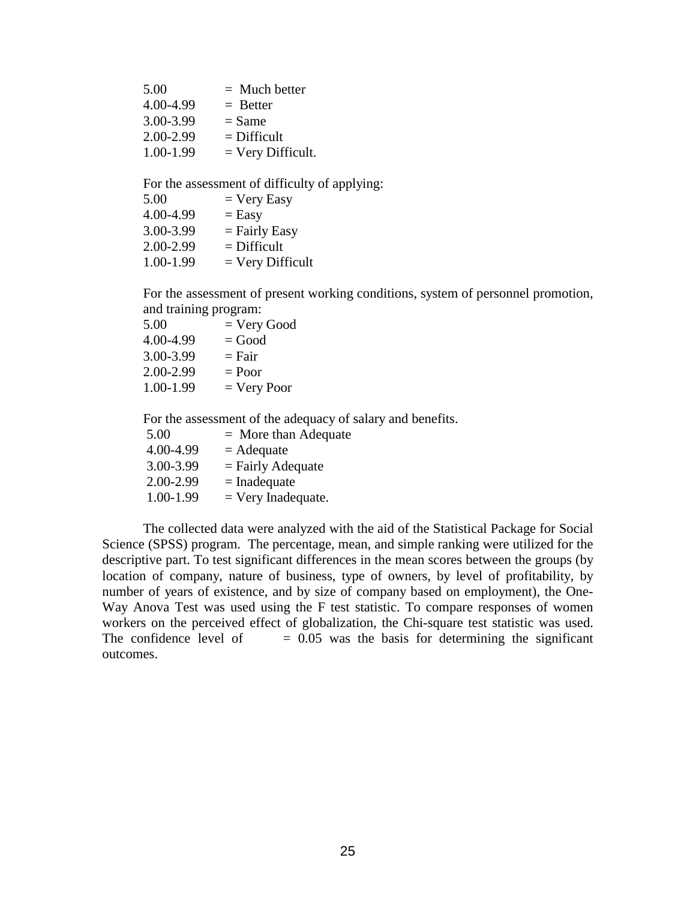| 5.00      | $=$ Much better     |
|-----------|---------------------|
| 4.00-4.99 | $=$ Better          |
| 3.00-3.99 | $=$ Same            |
| 2.00-2.99 | $=$ Difficult       |
| 1.00-1.99 | $=$ Very Difficult. |

For the assessment of difficulty of applying:<br> $5.00 - \text{Norr}$  Feev  $-$  Very Easy

| J.VV      | $-$ v ci y Lasy    |
|-----------|--------------------|
| 4.00-4.99 | $=$ Easy           |
| 3.00-3.99 | $=$ Fairly Easy    |
| 2.00-2.99 | $=$ Difficult      |
| 1.00-1.99 | $=$ Very Difficult |

For the assessment of present working conditions, system of personnel promotion, and training program:

| 5.00      | $=$ Very Good |
|-----------|---------------|
| 4.00-4.99 | $=$ Good      |
| 3.00-3.99 | $=$ Fair      |
| 2.00-2.99 | $=$ Poor      |
| 1.00-1.99 | $=$ Very Poor |
|           |               |

For the assessment of the adequacy of salary and benefits.

| 5.00      | $=$ More than Adequate |
|-----------|------------------------|
| 4.00-4.99 | $=$ Adequate           |
| 3.00-3.99 | $=$ Fairly Adequate    |
| 2.00-2.99 | $=$ Inadequate         |
| 1.00-1.99 | $=$ Very Inadequate.   |

The collected data were analyzed with the aid of the Statistical Package for Social Science (SPSS) program. The percentage, mean, and simple ranking were utilized for the descriptive part. To test significant differences in the mean scores between the groups (by location of company, nature of business, type of owners, by level of profitability, by number of years of existence, and by size of company based on employment), the One-Way Anova Test was used using the F test statistic. To compare responses of women workers on the perceived effect of globalization, the Chi-square test statistic was used. The confidence level of  $= 0.05$  was the basis for determining the significant outcomes.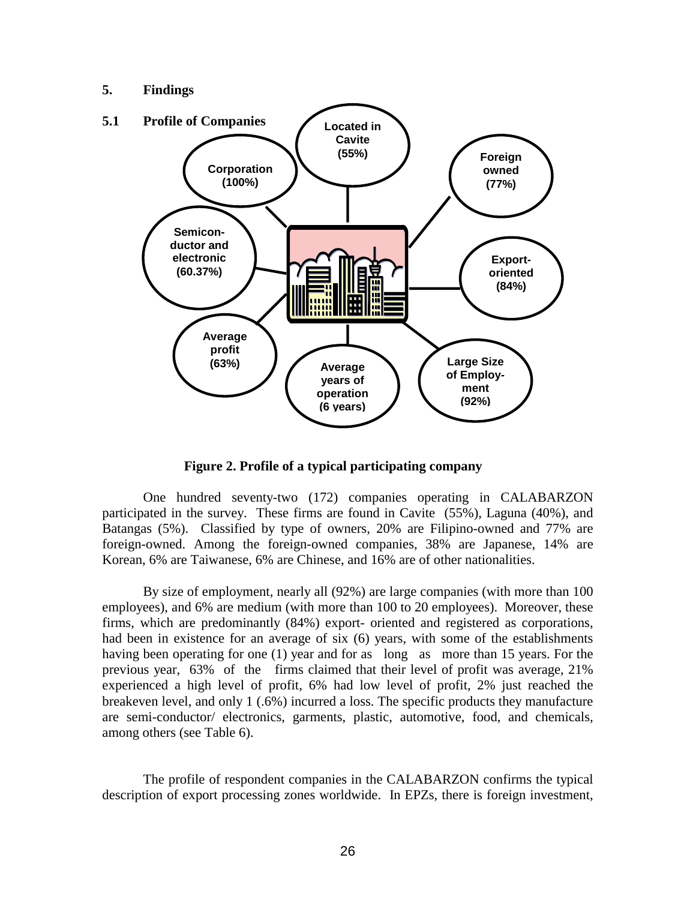### **5. Findings**



**Figure 2. Profile of a typical participating company** 

One hundred seventy-two (172) companies operating in CALABARZON participated in the survey. These firms are found in Cavite (55%), Laguna (40%), and Batangas (5%). Classified by type of owners, 20% are Filipino-owned and 77% are foreign-owned. Among the foreign-owned companies, 38% are Japanese, 14% are Korean, 6% are Taiwanese, 6% are Chinese, and 16% are of other nationalities.

By size of employment, nearly all (92%) are large companies (with more than 100 employees), and 6% are medium (with more than 100 to 20 employees). Moreover, these firms, which are predominantly (84%) export- oriented and registered as corporations, had been in existence for an average of six (6) years, with some of the establishments having been operating for one (1) year and for as long as more than 15 years. For the previous year, 63% of the firms claimed that their level of profit was average, 21% experienced a high level of profit, 6% had low level of profit, 2% just reached the breakeven level, and only 1 (.6%) incurred a loss. The specific products they manufacture are semi-conductor/ electronics, garments, plastic, automotive, food, and chemicals, among others (see Table 6).

 The profile of respondent companies in the CALABARZON confirms the typical description of export processing zones worldwide. In EPZs, there is foreign investment,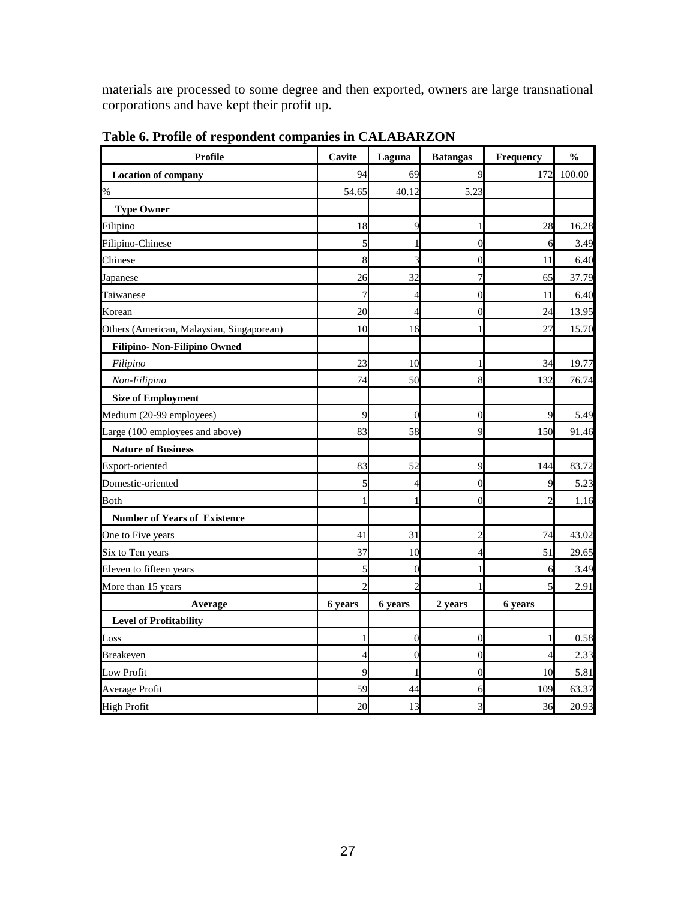materials are processed to some degree and then exported, owners are large transnational corporations and have kept their profit up.

| <b>Profile</b>                            | Cavite         | Laguna         | <b>Batangas</b> | Frequency | $\mathbf{0}_{\mathbf{0}}^{\prime}$ |
|-------------------------------------------|----------------|----------------|-----------------|-----------|------------------------------------|
| <b>Location of company</b>                | 94             | 69             | 9               | 172       | 100.00                             |
| $\%$                                      | 54.65          | 40.12          | 5.23            |           |                                    |
| <b>Type Owner</b>                         |                |                |                 |           |                                    |
| Filipino                                  | 18             | q              |                 | 28        | 16.28                              |
| Filipino-Chinese                          | 5              |                | $\theta$        | 6         | 3.49                               |
| Chinese                                   | 8              |                | 0               | 11        | 6.40                               |
| Japanese                                  | 26             | 32             | 7               | 65        | 37.79                              |
| Taiwanese                                 | 7              | 4              | 0               | 11        | 6.40                               |
| Korean                                    | 20             | 4              | $\overline{0}$  | 24        | 13.95                              |
| Others (American, Malaysian, Singaporean) | 10             | 16             |                 | 27        | 15.70                              |
| Filipino- Non-Filipino Owned              |                |                |                 |           |                                    |
| Filipino                                  | 23             | 10             |                 | 34        | 19.77                              |
| Non-Filipino                              | 74             | 50             | 8               | 132       | 76.74                              |
| <b>Size of Employment</b>                 |                |                |                 |           |                                    |
| Medium (20-99 employees)                  | 9              | $\Omega$       | 0               | 9         | 5.49                               |
| Large (100 employees and above)           | 83             | 58             | 9               | 150       | 91.46                              |
| <b>Nature of Business</b>                 |                |                |                 |           |                                    |
| Export-oriented                           | 83             | 52             | 9               | 144       | 83.72                              |
| Domestic-oriented                         | 5              | ∠              | $\theta$        | 9         | 5.23                               |
| <b>Both</b>                               |                |                | 0               |           | 1.16                               |
| <b>Number of Years of Existence</b>       |                |                |                 |           |                                    |
| One to Five years                         | 41             | 31             | 2               | 74        | 43.02                              |
| Six to Ten years                          | 37             | 10             | 4               | 51        | 29.65                              |
| Eleven to fifteen years                   | 5              | 0              |                 | 6         | 3.49                               |
| More than 15 years                        | $\overline{c}$ | $\mathfrak{D}$ |                 | 5         | 2.91                               |
| Average                                   | 6 years        | 6 years        | 2 years         | 6 years   |                                    |
| <b>Level of Profitability</b>             |                |                |                 |           |                                    |
| Loss                                      | 1              | 0              | 0               | 1         | 0.58                               |
| <b>Breakeven</b>                          | 4              | $\overline{0}$ | $\overline{0}$  | 4         | 2.33                               |
| Low Profit                                | $\overline{Q}$ |                | $\overline{0}$  | 10        | 5.81                               |
| Average Profit                            | 59             | 44             | 6               | 109       | 63.37                              |
| <b>High Profit</b>                        | 20             | 13             | 3               | 36        | 20.93                              |

**Table 6. Profile of respondent companies in CALABARZON**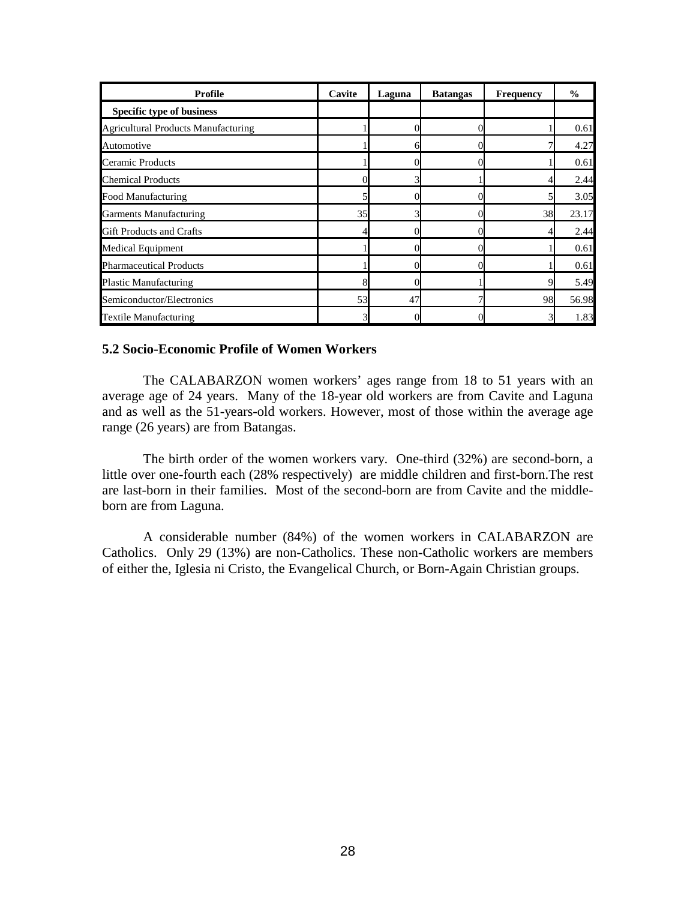| <b>Profile</b>                             | Cavite | Laguna | <b>Batangas</b> | <b>Frequency</b> | $\frac{0}{0}$ |
|--------------------------------------------|--------|--------|-----------------|------------------|---------------|
| Specific type of business                  |        |        |                 |                  |               |
| <b>Agricultural Products Manufacturing</b> |        |        |                 |                  | 0.61          |
| Automotive                                 |        |        |                 |                  | 4.27          |
| Ceramic Products                           |        |        |                 |                  | 0.61          |
| <b>Chemical Products</b>                   |        |        |                 |                  | 2.44          |
| Food Manufacturing                         |        |        |                 |                  | 3.05          |
| <b>Garments Manufacturing</b>              | 35     |        |                 | 38               | 23.17         |
| <b>Gift Products and Crafts</b>            |        |        |                 |                  | 2.44          |
| <b>Medical Equipment</b>                   |        |        |                 |                  | 0.61          |
| <b>Pharmaceutical Products</b>             |        |        |                 |                  | 0.61          |
| <b>Plastic Manufacturing</b>               |        |        |                 |                  | 5.49          |
| Semiconductor/Electronics                  | 53     | 47     |                 | 98               | 56.98         |
| <b>Textile Manufacturing</b>               |        |        |                 |                  | 1.83          |

#### **5.2 Socio-Economic Profile of Women Workers**

The CALABARZON women workers' ages range from 18 to 51 years with an average age of 24 years. Many of the 18-year old workers are from Cavite and Laguna and as well as the 51-years-old workers. However, most of those within the average age range (26 years) are from Batangas.

 The birth order of the women workers vary. One-third (32%) are second-born, a little over one-fourth each (28% respectively) are middle children and first-born.The rest are last-born in their families. Most of the second-born are from Cavite and the middleborn are from Laguna.

 A considerable number (84%) of the women workers in CALABARZON are Catholics. Only 29 (13%) are non-Catholics. These non-Catholic workers are members of either the, Iglesia ni Cristo, the Evangelical Church, or Born-Again Christian groups.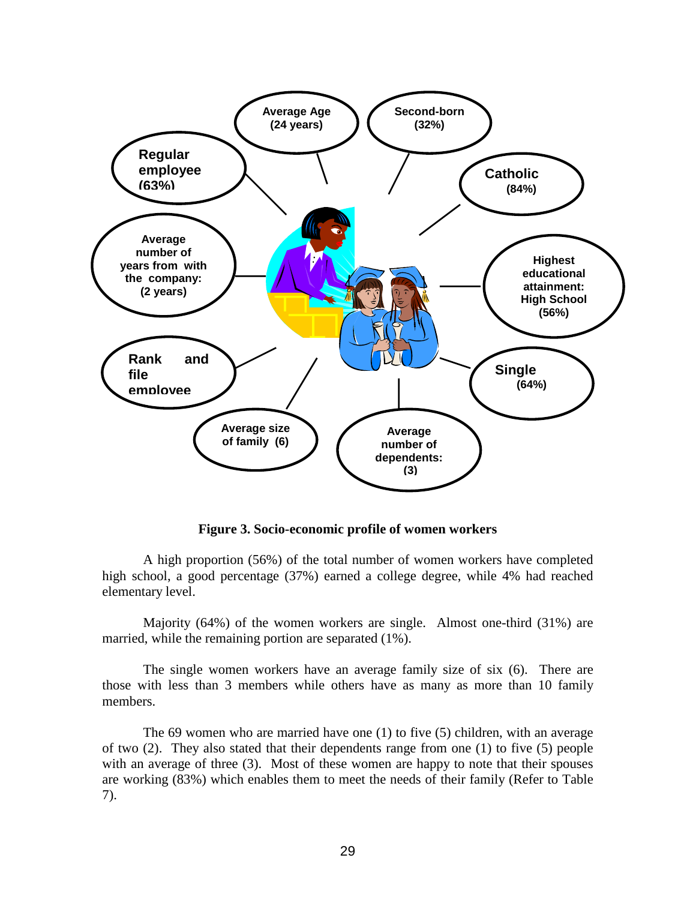

**Figure 3. Socio-economic profile of women workers** 

A high proportion (56%) of the total number of women workers have completed high school, a good percentage (37%) earned a college degree, while 4% had reached elementary level.

 Majority (64%) of the women workers are single. Almost one-third (31%) are married, while the remaining portion are separated (1%).

The single women workers have an average family size of six (6). There are those with less than 3 members while others have as many as more than 10 family members.

 The 69 women who are married have one (1) to five (5) children, with an average of two (2). They also stated that their dependents range from one (1) to five (5) people with an average of three (3). Most of these women are happy to note that their spouses are working (83%) which enables them to meet the needs of their family (Refer to Table 7).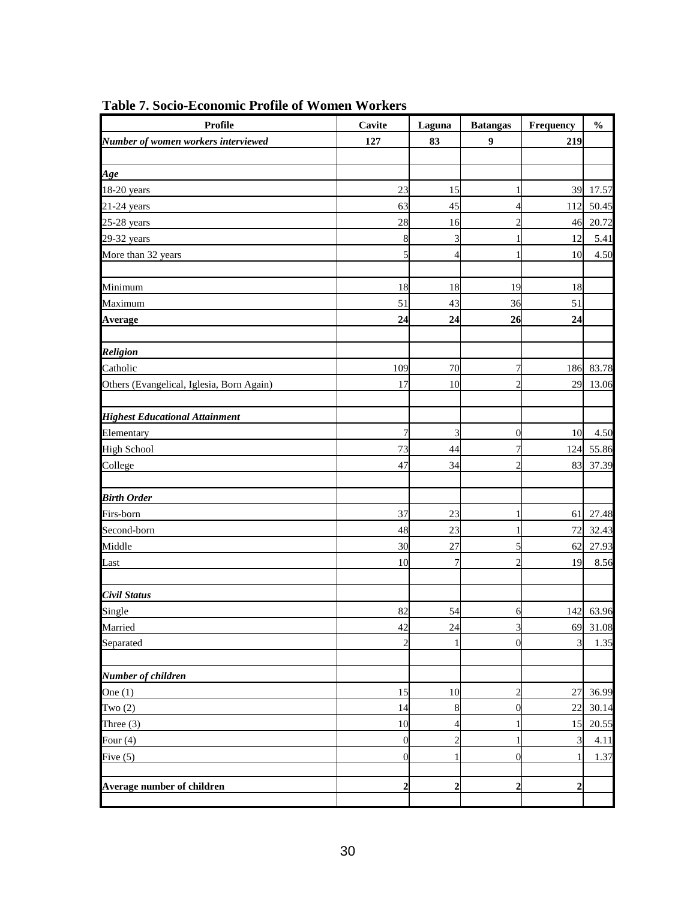| Profile                                   | Cavite           | Laguna         | <b>Batangas</b>  | Frequency        | $\frac{0}{0}$ |
|-------------------------------------------|------------------|----------------|------------------|------------------|---------------|
| Number of women workers interviewed       | 127              | 83             | 9                | 219              |               |
|                                           |                  |                |                  |                  |               |
| Age                                       |                  |                |                  |                  |               |
| 18-20 years                               | 23               | 15             | 1                | 39               | 17.57         |
| $21-24$ years                             | 63               | 45             | 4                | 112              | 50.45         |
| $25-28$ years                             | 28               | 16             | $\overline{c}$   | 46               | 20.72         |
| $29-32$ years                             | $\boldsymbol{8}$ | 3              | 1                | 12               | 5.41          |
| More than 32 years                        | 5                | 4              | 1                | 10               | 4.50          |
|                                           |                  |                |                  |                  |               |
| Minimum                                   | 18               | 18             | 19               | 18               |               |
| Maximum                                   | 51               | 43             | 36               | 51               |               |
| <b>Average</b>                            | 24               | 24             | 26               | 24               |               |
|                                           |                  |                |                  |                  |               |
| <b>Religion</b>                           |                  |                |                  |                  |               |
| Catholic                                  | 109              | 70             | 7                | 186              | 83.78         |
| Others (Evangelical, Iglesia, Born Again) | 17               | 10             | $\overline{2}$   | 29               | 13.06         |
|                                           |                  |                |                  |                  |               |
| <b>Highest Educational Attainment</b>     |                  |                |                  |                  |               |
| Elementary                                | $\sqrt{ }$       | 3              | $\boldsymbol{0}$ | 10               | 4.50          |
| <b>High School</b>                        | 73               | 44             | 7                | 124              | 55.86         |
| College                                   | 47               | 34             | $\overline{2}$   | 83               | 37.39         |
|                                           |                  |                |                  |                  |               |
| <b>Birth Order</b>                        |                  |                |                  |                  |               |
| Firs-born                                 | 37               | 23             | 1                | 61               | 27.48         |
| Second-born                               | 48               | 23             | 1                | 72               | 32.43         |
| Middle                                    | 30               | 27             | 5                | 62               | 27.93         |
| Last                                      | 10               | $\overline{7}$ | $\overline{2}$   | 19               | 8.56          |
|                                           |                  |                |                  |                  |               |
| Civil Status                              |                  |                |                  |                  |               |
| Single                                    | 82               | 54             | 6                | 142              | 63.96         |
| Married                                   | 42               | 24             | $\mathfrak{Z}$   |                  | 69 31.08      |
| Separated                                 | $\overline{c}$   |                | $\overline{0}$   | 3                | 1.35          |
|                                           |                  |                |                  |                  |               |
| Number of children                        |                  |                |                  |                  |               |
| One $(1)$                                 | 15               | 10             | $\overline{c}$   | 27               | 36.99         |
| Two $(2)$                                 | 14               | 8              | $\boldsymbol{0}$ | 22               | 30.14         |
| Three $(3)$                               | 10               | 4              | 1                | 15               | 20.55         |
| Four $(4)$                                | $\boldsymbol{0}$ | $\overline{c}$ | $\mathbf{1}$     | 3                | 4.11          |
| Five $(5)$                                | $\boldsymbol{0}$ |                | $\mathbf{0}$     | 1                | 1.37          |
|                                           |                  |                |                  |                  |               |
| Average number of children                | $\boldsymbol{2}$ | 2              | $\boldsymbol{2}$ | $\boldsymbol{2}$ |               |
|                                           |                  |                |                  |                  |               |

**Table 7. Socio-Economic Profile of Women Workers**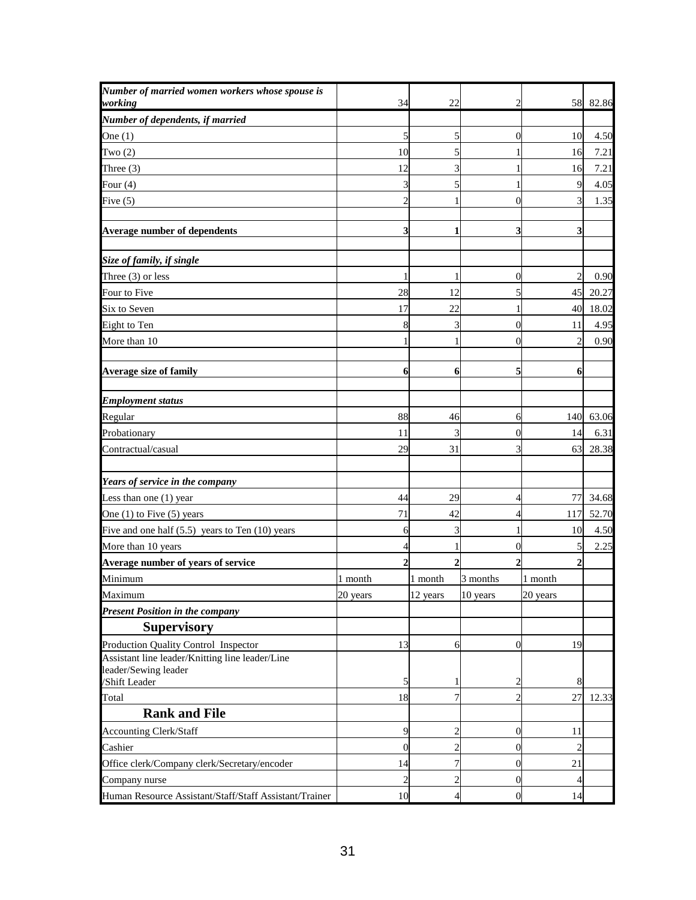| Number of married women workers whose spouse is<br>working | 34             | 22             | 2                | 58             | 82.86 |
|------------------------------------------------------------|----------------|----------------|------------------|----------------|-------|
| Number of dependents, if married                           |                |                |                  |                |       |
| One $(1)$                                                  | 5              | 5              | 0                | 10             | 4.50  |
| Two $(2)$                                                  | 10             | 5              |                  | 16             | 7.21  |
| Three $(3)$                                                | 12             | 3              |                  | 16             | 7.21  |
| Four $(4)$                                                 | 3              | 5              | 1                | 9              | 4.05  |
| Five $(5)$                                                 | $\overline{2}$ |                | $\overline{0}$   | 3              | 1.35  |
|                                                            |                |                |                  |                |       |
| <b>Average number of dependents</b>                        | 3              | 1              | 3                | 3              |       |
| Size of family, if single                                  |                |                |                  |                |       |
| Three $(3)$ or less                                        |                |                | 0                | $\overline{c}$ | 0.90  |
| Four to Five                                               | 28             | 12             | 5                | 45             | 20.27 |
| Six to Seven                                               | 17             | 22             |                  | 40             | 18.02 |
| Eight to Ten                                               | 8              |                | 0                | 11             | 4.95  |
| More than 10                                               |                |                | $\overline{0}$   | $\overline{2}$ | 0.90  |
| <b>Average size of family</b>                              | 6              | 6              | 5                | 6              |       |
| <b>Employment status</b>                                   |                |                |                  |                |       |
| Regular                                                    | 88             | 46             | 6                | 140            | 63.06 |
| Probationary                                               | 11             | 3              | $\overline{0}$   | 14             | 6.31  |
| Contractual/casual                                         | 29             | 31             | 3                | 63             | 28.38 |
| Years of service in the company                            |                |                |                  |                |       |
| Less than one $(1)$ year                                   | 44             | 29             | 4                | 77             | 34.68 |
| One $(1)$ to Five $(5)$ years                              | 71             | 42             | 4                | 117            | 52.70 |
| Five and one half $(5.5)$ years to Ten $(10)$ years        | 6              | 3              |                  | 10             | 4.50  |
| More than 10 years                                         | 4              |                | 0                | 5              | 2.25  |
| Average number of years of service                         | 2              | $\mathbf 2$    | 2                | 2              |       |
| Minimum                                                    | 1 month        | 1 month        | 3 months         | 1 month        |       |
| Maximum                                                    | 20 years       | 12 years       | 10 years         | 20 years       |       |
| <b>Present Position in the company</b>                     |                |                |                  |                |       |
| <b>Supervisory</b>                                         |                |                |                  |                |       |
| Production Quality Control Inspector                       | 13             | 6              | $\boldsymbol{0}$ | 19             |       |
| Assistant line leader/Knitting line leader/Line            |                |                |                  |                |       |
| leader/Sewing leader<br>/Shift Leader                      | 5              | 1              | 2                | 8              |       |
| Total                                                      | 18             | 7              | 2                | 27             | 12.33 |
| <b>Rank and File</b>                                       |                |                |                  |                |       |
| <b>Accounting Clerk/Staff</b>                              | 9              | $\overline{2}$ | $\boldsymbol{0}$ | 11             |       |
| Cashier                                                    | $\mathbf 0$    | $\overline{c}$ | $\overline{0}$   | $\overline{c}$ |       |
| Office clerk/Company clerk/Secretary/encoder               | 14             | 7              | $\boldsymbol{0}$ | 21             |       |
| Company nurse                                              | $\overline{c}$ | $\overline{2}$ | 0                | $\overline{4}$ |       |
| Human Resource Assistant/Staff/Staff Assistant/Trainer     | 10             | 4              | $\boldsymbol{0}$ | 14             |       |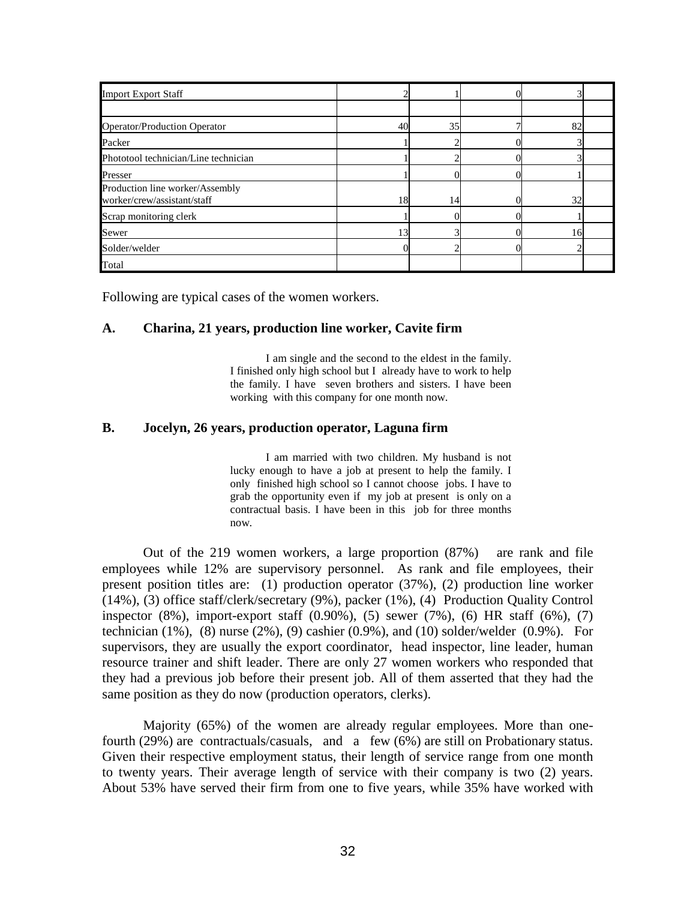| <b>Import Export Staff</b>                                     |                 |    |    |  |
|----------------------------------------------------------------|-----------------|----|----|--|
|                                                                |                 |    |    |  |
| <b>Operator/Production Operator</b>                            | 40              | 35 | 82 |  |
| Packer                                                         |                 |    |    |  |
| Phototool technician/Line technician                           |                 |    |    |  |
| Presser                                                        |                 |    |    |  |
| Production line worker/Assembly<br>worker/crew/assistant/staff | 18              | 14 | 32 |  |
| Scrap monitoring clerk                                         |                 |    |    |  |
| Sewer                                                          | 13 <sup>1</sup> |    | 16 |  |
| Solder/welder                                                  |                 |    |    |  |
| Total                                                          |                 |    |    |  |

Following are typical cases of the women workers.

### **A. Charina, 21 years, production line worker, Cavite firm**

 I am single and the second to the eldest in the family. I finished only high school but I already have to work to help the family. I have seven brothers and sisters. I have been working with this company for one month now.

### **B. Jocelyn, 26 years, production operator, Laguna firm**

 I am married with two children. My husband is not lucky enough to have a job at present to help the family. I only finished high school so I cannot choose jobs. I have to grab the opportunity even if my job at present is only on a contractual basis. I have been in this job for three months now.

Out of the 219 women workers, a large proportion (87%) are rank and file employees while 12% are supervisory personnel. As rank and file employees, their present position titles are: (1) production operator (37%), (2) production line worker (14%), (3) office staff/clerk/secretary (9%), packer (1%), (4) Production Quality Control inspector (8%), import-export staff (0.90%), (5) sewer (7%), (6) HR staff (6%), (7) technician  $(1\%)$ ,  $(8)$  nurse  $(2\%)$ ,  $(9)$  cashier  $(0.9\%)$ , and  $(10)$  solder/welder  $(0.9\%)$ . For supervisors, they are usually the export coordinator, head inspector, line leader, human resource trainer and shift leader. There are only 27 women workers who responded that they had a previous job before their present job. All of them asserted that they had the same position as they do now (production operators, clerks).

Majority (65%) of the women are already regular employees. More than onefourth (29%) are contractuals/casuals, and a few (6%) are still on Probationary status. Given their respective employment status, their length of service range from one month to twenty years. Their average length of service with their company is two (2) years. About 53% have served their firm from one to five years, while 35% have worked with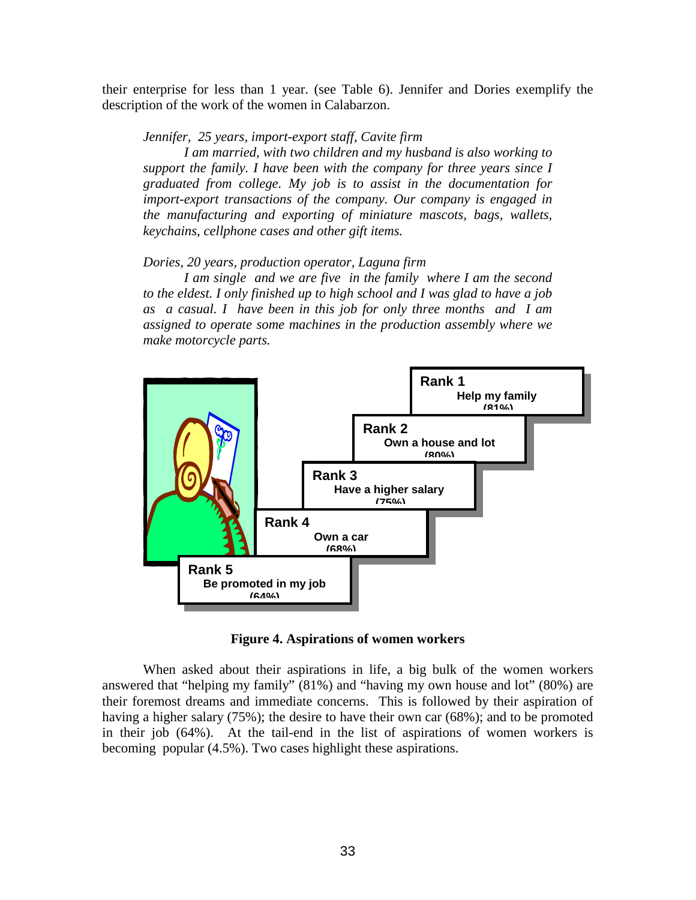their enterprise for less than 1 year. (see Table 6). Jennifer and Dories exemplify the description of the work of the women in Calabarzon.

*Jennifer, 25 years, import-export staff, Cavite firm* 

 *I am married, with two children and my husband is also working to support the family. I have been with the company for three years since I graduated from college. My job is to assist in the documentation for import-export transactions of the company. Our company is engaged in the manufacturing and exporting of miniature mascots, bags, wallets, keychains, cellphone cases and other gift items.* 

### *Dories, 20 years, production operator, Laguna firm*

 *I am single and we are five in the family where I am the second to the eldest. I only finished up to high school and I was glad to have a job as a casual. I have been in this job for only three months and I am assigned to operate some machines in the production assembly where we make motorcycle parts.* 



**Figure 4. Aspirations of women workers** 

When asked about their aspirations in life, a big bulk of the women workers answered that "helping my family" (81%) and "having my own house and lot" (80%) are their foremost dreams and immediate concerns. This is followed by their aspiration of having a higher salary (75%); the desire to have their own car (68%); and to be promoted in their job (64%). At the tail-end in the list of aspirations of women workers is becoming popular (4.5%). Two cases highlight these aspirations.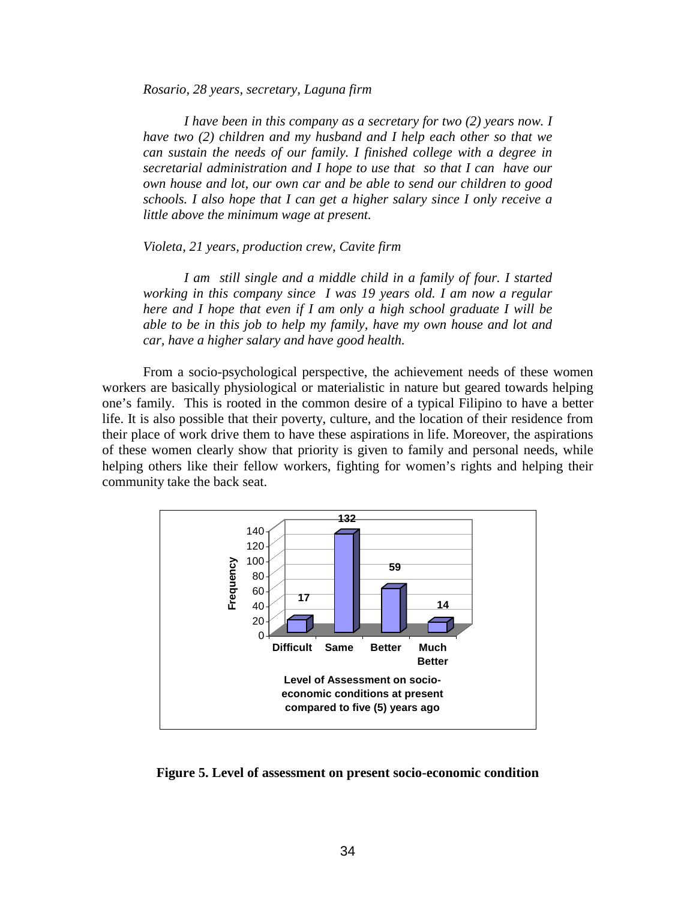*Rosario, 28 years, secretary, Laguna firm* 

*I have been in this company as a secretary for two (2) years now. I have two (2) children and my husband and I help each other so that we can sustain the needs of our family. I finished college with a degree in secretarial administration and I hope to use that so that I can have our own house and lot, our own car and be able to send our children to good schools. I also hope that I can get a higher salary since I only receive a little above the minimum wage at present.* 

#### *Violeta, 21 years, production crew, Cavite firm*

 *I am still single and a middle child in a family of four. I started working in this company since I was 19 years old. I am now a regular here and I hope that even if I am only a high school graduate I will be able to be in this job to help my family, have my own house and lot and car, have a higher salary and have good health.* 

From a socio-psychological perspective, the achievement needs of these women workers are basically physiological or materialistic in nature but geared towards helping one's family. This is rooted in the common desire of a typical Filipino to have a better life. It is also possible that their poverty, culture, and the location of their residence from their place of work drive them to have these aspirations in life. Moreover, the aspirations of these women clearly show that priority is given to family and personal needs, while helping others like their fellow workers, fighting for women's rights and helping their community take the back seat.



**Figure 5. Level of assessment on present socio-economic condition**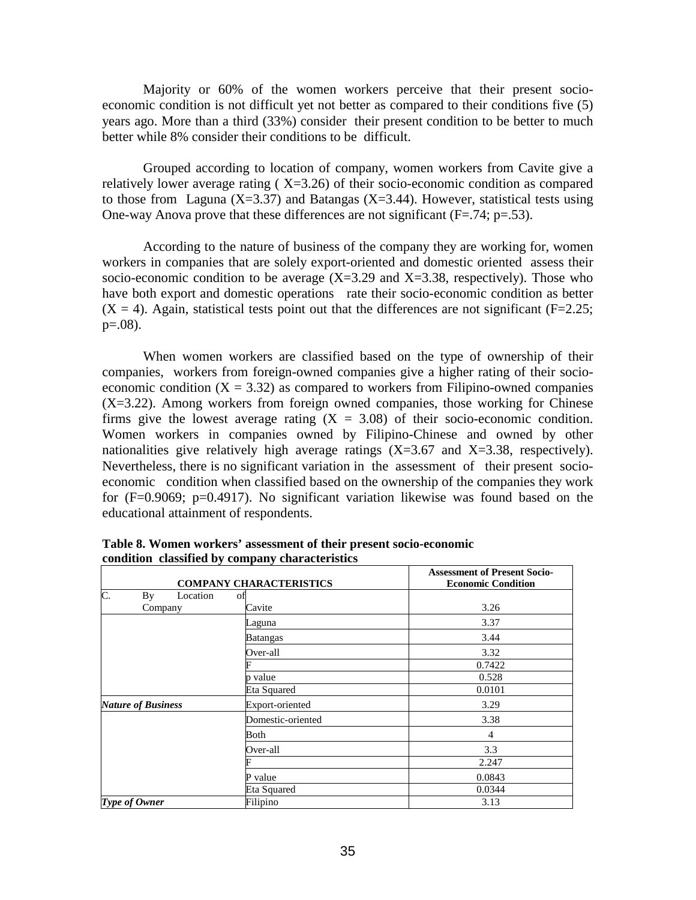Majority or 60% of the women workers perceive that their present socioeconomic condition is not difficult yet not better as compared to their conditions five (5) years ago. More than a third (33%) consider their present condition to be better to much better while 8% consider their conditions to be difficult.

Grouped according to location of company, women workers from Cavite give a relatively lower average rating  $(X=3.26)$  of their socio-economic condition as compared to those from Laguna (X=3.37) and Batangas (X=3.44). However, statistical tests using One-way Anova prove that these differences are not significant  $(F=.74; p=.53)$ .

According to the nature of business of the company they are working for, women workers in companies that are solely export-oriented and domestic oriented assess their socio-economic condition to be average  $(X=3.29)$  and  $X=3.38$ , respectively). Those who have both export and domestic operations rate their socio-economic condition as better  $(X = 4)$ . Again, statistical tests point out that the differences are not significant (F=2.25;  $p=.08$ ).

When women workers are classified based on the type of ownership of their companies, workers from foreign-owned companies give a higher rating of their socioeconomic condition  $(X = 3.32)$  as compared to workers from Filipino-owned companies  $(X=3.22)$ . Among workers from foreign owned companies, those working for Chinese firms give the lowest average rating  $(X = 3.08)$  of their socio-economic condition. Women workers in companies owned by Filipino-Chinese and owned by other nationalities give relatively high average ratings  $(X=3.67$  and  $X=3.38$ , respectively). Nevertheless, there is no significant variation in the assessment of their present socioeconomic condition when classified based on the ownership of the companies they work for (F=0.9069; p=0.4917). No significant variation likewise was found based on the educational attainment of respondents.

|                                    | <b>COMPANY CHARACTERISTICS</b> | <b>Assessment of Present Socio-</b><br><b>Economic Condition</b> |
|------------------------------------|--------------------------------|------------------------------------------------------------------|
| $\overline{C}$ .<br>By<br>Location | of                             |                                                                  |
| Company                            | Cavite                         | 3.26                                                             |
|                                    | Laguna                         | 3.37                                                             |
|                                    | <b>Batangas</b>                | 3.44                                                             |
|                                    | Over-all                       | 3.32                                                             |
|                                    |                                | 0.7422                                                           |
|                                    | p value                        | 0.528                                                            |
|                                    | Eta Squared                    | 0.0101                                                           |
| <b>Nature of Business</b>          | Export-oriented                | 3.29                                                             |
|                                    | Domestic-oriented              | 3.38                                                             |
|                                    | Both                           | 4                                                                |
|                                    | Over-all                       | 3.3                                                              |
|                                    |                                | 2.247                                                            |
|                                    | P value                        | 0.0843                                                           |
|                                    | Eta Squared                    | 0.0344                                                           |
| Type of Owner                      | Filipino                       | 3.13                                                             |

**Table 8. Women workers' assessment of their present socio-economic condition classified by company characteristics**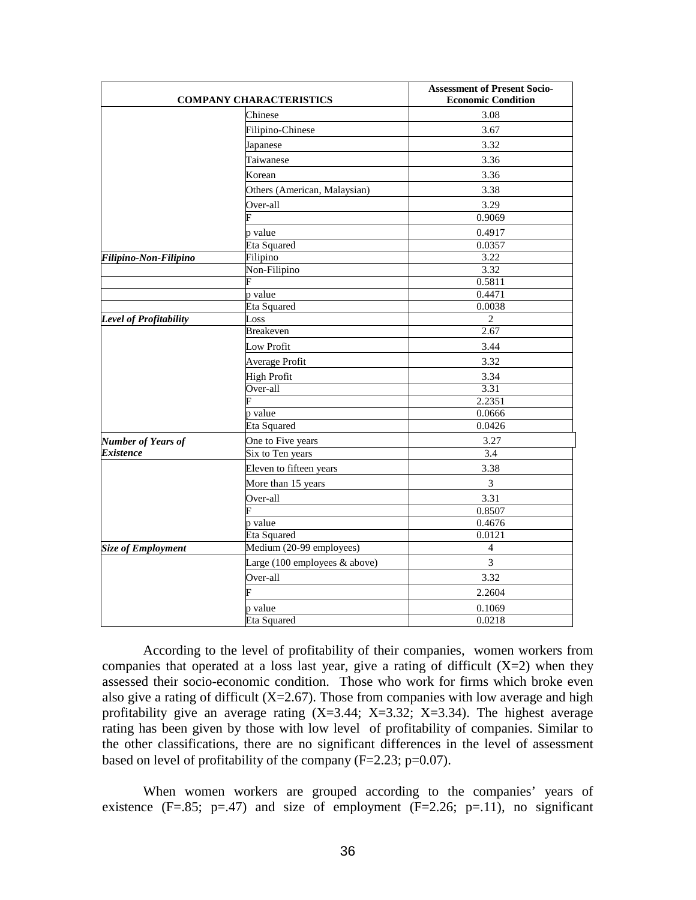|                           | <b>COMPANY CHARACTERISTICS</b>                   | <b>Assessment of Present Socio-</b><br><b>Economic Condition</b> |
|---------------------------|--------------------------------------------------|------------------------------------------------------------------|
|                           | Chinese                                          | 3.08                                                             |
|                           | Filipino-Chinese                                 | 3.67                                                             |
|                           | Japanese                                         | 3.32                                                             |
|                           | Taiwanese                                        | 3.36                                                             |
|                           | Korean                                           | 3.36                                                             |
|                           | Others (American, Malaysian)                     | 3.38                                                             |
|                           | Over-all                                         | 3.29                                                             |
|                           |                                                  | 0.9069                                                           |
|                           | p value                                          | 0.4917                                                           |
|                           | <b>Eta Squared</b>                               | 0.0357                                                           |
| Filipino-Non-Filipino     | Filipino                                         | 3.22                                                             |
|                           | Non-Filipino                                     | 3.32                                                             |
|                           | F                                                | 0.5811                                                           |
|                           | p value                                          | 0.4471                                                           |
|                           | Eta Squared                                      | 0.0038                                                           |
| Level of Profitability    | Loss                                             | 2                                                                |
|                           | <b>Breakeven</b>                                 | 2.67                                                             |
|                           | Low Profit                                       | 3.44                                                             |
|                           | Average Profit                                   | 3.32                                                             |
|                           | <b>High Profit</b>                               | 3.34                                                             |
|                           | Over-all                                         | 3.31                                                             |
|                           |                                                  | 2.2351                                                           |
|                           | p value                                          | 0.0666                                                           |
|                           | <b>Eta Squared</b>                               | 0.0426                                                           |
| <b>Number of Years of</b> | One to Five years                                | 3.27                                                             |
| <i><b>Existence</b></i>   | Six to Ten years                                 | 3.4                                                              |
|                           | Eleven to fifteen years                          | 3.38                                                             |
|                           | More than 15 years                               | $\overline{3}$                                                   |
|                           | Over-all                                         | 3.31                                                             |
|                           |                                                  | 0.8507                                                           |
|                           | p value                                          | 0.4676                                                           |
|                           | <b>Eta Squared</b>                               | 0.0121                                                           |
| <b>Size of Employment</b> | Medium (20-99 employees)                         | $\overline{4}$                                                   |
|                           | Large $(100 \text{ employees } \& \text{above})$ | 3                                                                |
|                           | Over-all                                         | 3.32                                                             |
|                           | F                                                | 2.2604                                                           |
|                           | p value                                          | 0.1069                                                           |
|                           | Eta Squared                                      | 0.0218                                                           |

According to the level of profitability of their companies, women workers from companies that operated at a loss last year, give a rating of difficult  $(X=2)$  when they assessed their socio-economic condition. Those who work for firms which broke even also give a rating of difficult  $(X=2.67)$ . Those from companies with low average and high profitability give an average rating  $(X=3.44; X=3.32; X=3.34)$ . The highest average rating has been given by those with low level of profitability of companies. Similar to the other classifications, there are no significant differences in the level of assessment based on level of profitability of the company  $(F=2.23; p=0.07)$ .

When women workers are grouped according to the companies' years of existence  $(F=.85; p=.47)$  and size of employment  $(F=.2.26; p=.11)$ , no significant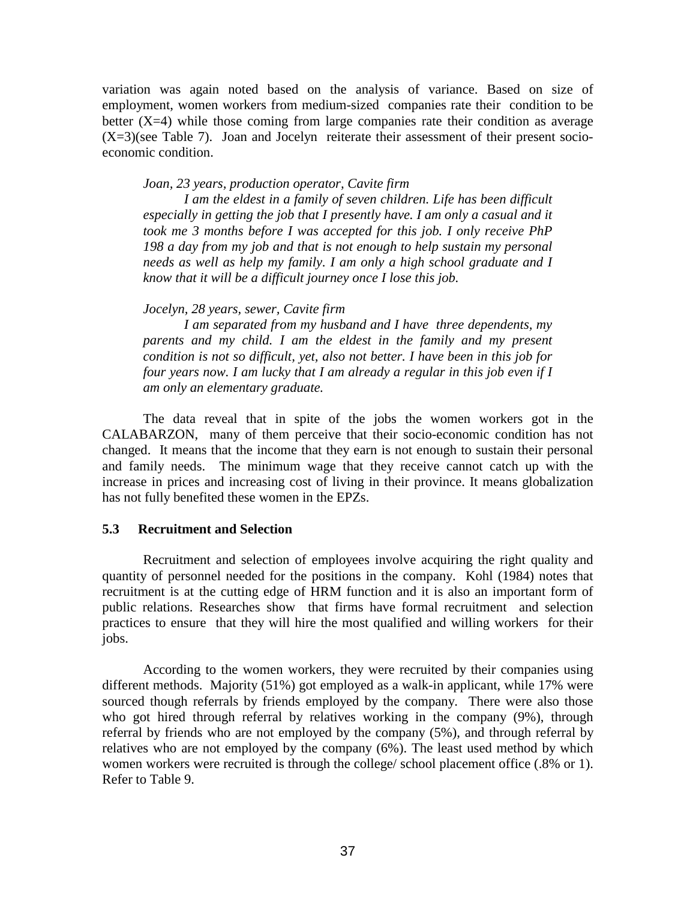variation was again noted based on the analysis of variance. Based on size of employment, women workers from medium-sized companies rate their condition to be better  $(X=4)$  while those coming from large companies rate their condition as average (X=3)(see Table 7). Joan and Jocelyn reiterate their assessment of their present socioeconomic condition.

*Joan, 23 years, production operator, Cavite firm* 

 *I am the eldest in a family of seven children. Life has been difficult especially in getting the job that I presently have. I am only a casual and it took me 3 months before I was accepted for this job. I only receive PhP 198 a day from my job and that is not enough to help sustain my personal needs as well as help my family. I am only a high school graduate and I know that it will be a difficult journey once I lose this job.* 

#### *Jocelyn, 28 years, sewer, Cavite firm*

 *I am separated from my husband and I have three dependents, my parents and my child. I am the eldest in the family and my present condition is not so difficult, yet, also not better. I have been in this job for four years now. I am lucky that I am already a regular in this job even if I am only an elementary graduate.* 

 The data reveal that in spite of the jobs the women workers got in the CALABARZON, many of them perceive that their socio-economic condition has not changed. It means that the income that they earn is not enough to sustain their personal and family needs. The minimum wage that they receive cannot catch up with the increase in prices and increasing cost of living in their province. It means globalization has not fully benefited these women in the EPZs.

### **5.3 Recruitment and Selection**

Recruitment and selection of employees involve acquiring the right quality and quantity of personnel needed for the positions in the company. Kohl (1984) notes that recruitment is at the cutting edge of HRM function and it is also an important form of public relations. Researches show that firms have formal recruitment and selection practices to ensure that they will hire the most qualified and willing workers for their jobs.

According to the women workers, they were recruited by their companies using different methods. Majority (51%) got employed as a walk-in applicant, while 17% were sourced though referrals by friends employed by the company. There were also those who got hired through referral by relatives working in the company (9%), through referral by friends who are not employed by the company (5%), and through referral by relatives who are not employed by the company (6%). The least used method by which women workers were recruited is through the college/ school placement office (.8% or 1). Refer to Table 9.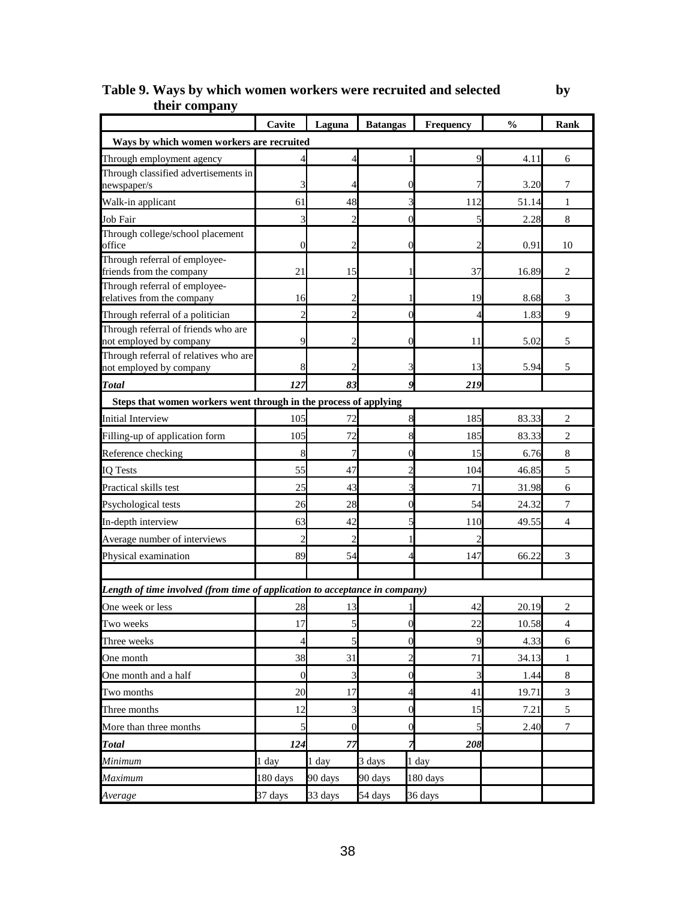|                                                                             | Cavite         | Laguna           | <b>Batangas</b> | Frequency | $\frac{0}{0}$ | Rank           |
|-----------------------------------------------------------------------------|----------------|------------------|-----------------|-----------|---------------|----------------|
| Ways by which women workers are recruited                                   |                |                  |                 |           |               |                |
| Through employment agency                                                   |                |                  |                 | 9         | 4.11          | 6              |
| Through classified advertisements in                                        |                | 4                |                 |           | 3.20          | 7              |
| newspaper/s                                                                 | 61             | 48               |                 |           | 51.14         |                |
| Walk-in applicant<br>Job Fair                                               | 3              | $\overline{2}$   |                 | 112<br>5  | 2.28          | 1<br>8         |
| Through college/school placement                                            |                |                  |                 |           |               |                |
| office                                                                      | $\theta$       | 2                |                 |           | 0.91          | 10             |
| Through referral of employee-<br>friends from the company                   | 21             | 15               |                 | 37        | 16.89         | 2              |
| Through referral of employee-<br>relatives from the company                 | 16             | 2                |                 | 19        | 8.68          | 3              |
| Through referral of a politician                                            | 2              | 2                |                 |           | 1.83          | 9              |
| Through referral of friends who are<br>not employed by company              | 9              |                  |                 | 11        | 5.02          | 5              |
| Through referral of relatives who are<br>not employed by company            |                |                  |                 | 13        | 5.94          | 5              |
| <b>Total</b>                                                                | 127            | 83               |                 | 219       |               |                |
| Steps that women workers went through in the process of applying            |                |                  |                 |           |               |                |
| <b>Initial Interview</b>                                                    | 105            | 72               |                 | 185       | 83.33         | $\overline{c}$ |
| Filling-up of application form                                              | 105            | 72               |                 | 185       | 83.33         | $\overline{2}$ |
| Reference checking                                                          |                | 7                |                 | 15        | 6.76          | 8              |
| <b>IQ Tests</b>                                                             | 55             | 47               |                 | 104       | 46.85         | 5              |
| Practical skills test                                                       | 25             | 43               |                 | 71        | 31.98         | 6              |
| Psychological tests                                                         | 26             | 28               |                 | 54        | 24.32         | 7              |
| In-depth interview                                                          | 63             | 42               |                 | 110       | 49.55         | 4              |
| Average number of interviews                                                | $\mathcal{P}$  | 2                |                 |           |               |                |
| Physical examination                                                        | 89             | 54               |                 | 147       | 66.22         | 3              |
|                                                                             |                |                  |                 |           |               |                |
| Length of time involved (from time of application to acceptance in company) |                |                  |                 |           |               |                |
| One week or less                                                            | 28             | 13               |                 | 42        | 20.19         | $\overline{c}$ |
| <b>Two weeks</b>                                                            | 17             | $\mathcal{L}$    | O               | 22        | 10.58         | 4              |
| Three weeks                                                                 | $\overline{4}$ | 5                | C               | 9         | 4.33          | 6              |
| One month                                                                   | 38             | 31               | 2               | 71        | 34.13         | 1              |
| One month and a half                                                        | $\overline{0}$ | 3                | 0               | 3         | 1.44          | $\,$ 8 $\,$    |
| Two months                                                                  | 20             | 17               | 4               | 41        | 19.71         | 3              |
| Three months                                                                | 12             | 3                | 0               | 15        | 7.21          | $\sqrt{5}$     |
| More than three months                                                      | 5              | $\boldsymbol{0}$ | 0               | 5         | 2.40          | $\tau$         |
| <b>Total</b>                                                                | 124            | 77               |                 | 208       |               |                |
| Minimum                                                                     | 1 day          | 1 day            | 3 days          | 1 day     |               |                |
| Maximum                                                                     | 180 days       | 90 days          | 90 days         | 180 days  |               |                |
| Average                                                                     | 37 days        | 33 days          | 54 days         | 36 days   |               |                |

## **Table 9. Ways by which women workers were recruited and selected by their company**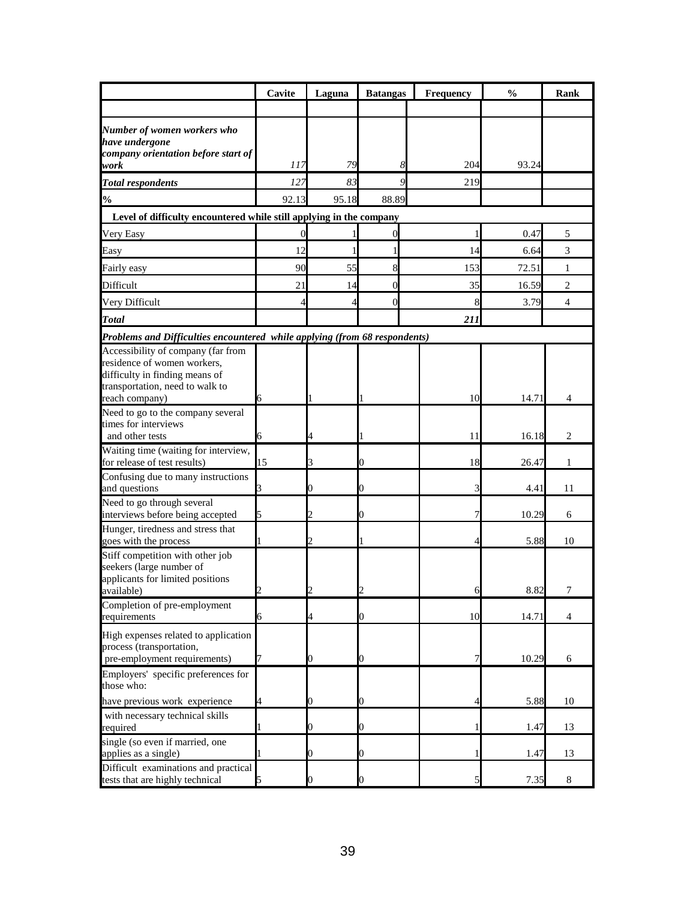|                                                                                                                                        | Cavite   | Laguna         | <b>Batangas</b> | Frequency | $\frac{0}{0}$  | Rank           |
|----------------------------------------------------------------------------------------------------------------------------------------|----------|----------------|-----------------|-----------|----------------|----------------|
|                                                                                                                                        |          |                |                 |           |                |                |
| Number of women workers who<br>have undergone                                                                                          |          |                |                 |           |                |                |
| company orientation before start of<br>work                                                                                            | 117      | 79             | 8               | 204       | 93.24          |                |
| <b>Total respondents</b>                                                                                                               | 127      | 83             | $\mathbf Q$     | 219       |                |                |
| $\frac{1}{2}$                                                                                                                          | 92.13    | 95.18          | 88.89           |           |                |                |
| Level of difficulty encountered while still applying in the company                                                                    |          |                |                 |           |                |                |
| Very Easy                                                                                                                              | $\theta$ |                | 0               |           | 0.47           | 5              |
| Easy                                                                                                                                   | 12       |                |                 | 14        | 6.64           | 3              |
| Fairly easy                                                                                                                            | 90       | 55             | 8               | 153       | 72.51          | 1              |
| Difficult                                                                                                                              | 21       | 14             | $\overline{0}$  | 35        | 16.59          | $\overline{2}$ |
| Very Difficult                                                                                                                         | 4        | 4              | $\overline{0}$  | 8         | 3.79           | $\overline{4}$ |
| <b>Total</b>                                                                                                                           |          |                |                 | 211       |                |                |
| Problems and Difficulties encountered while applying (from 68 respondents)                                                             |          |                |                 |           |                |                |
| Accessibility of company (far from<br>residence of women workers,<br>difficulty in finding means of<br>transportation, need to walk to |          |                |                 |           |                |                |
| reach company)                                                                                                                         | 6        |                |                 | 10        | 14.71          | 4              |
| Need to go to the company several<br>times for interviews<br>and other tests                                                           | 6        |                |                 | 11        | 16.18          | 2              |
| Waiting time (waiting for interview,<br>for release of test results)                                                                   | 15       | 3              |                 | 18        | 26.47          | 1              |
| Confusing due to many instructions<br>and questions                                                                                    |          | 0              | 0               |           | 4.41           | 11             |
| Need to go through several<br>interviews before being accepted                                                                         | 5        |                |                 |           | 10.29          | 6              |
| Hunger, tiredness and stress that<br>goes with the process                                                                             |          |                |                 |           | 5.88           | 10             |
| Stiff competition with other job<br>seekers (large number of<br>applicants for limited positions<br>available)                         |          |                |                 |           | 8.82           | 7              |
| Completion of pre-employment<br>requirements                                                                                           |          | 4              | D               | 10        |                | 4              |
| High expenses related to application<br>process (transportation,<br>pre-employment requirements)                                       | 6        | 0              | 0               |           | 14.71<br>10.29 | 6              |
| Employers' specific preferences for<br>those who:                                                                                      |          |                |                 |           |                |                |
| have previous work experience                                                                                                          |          | 0              | 0               |           | 5.88           | 10             |
| with necessary technical skills<br>required                                                                                            |          | 0              | O.              |           | 1.47           | 13             |
| single (so even if married, one<br>applies as a single)                                                                                |          | 0              | O.              |           | 1.47           | 13             |
| Difficult examinations and practical<br>tests that are highly technical                                                                |          | $\overline{0}$ | 0               |           | 7.35           | 8              |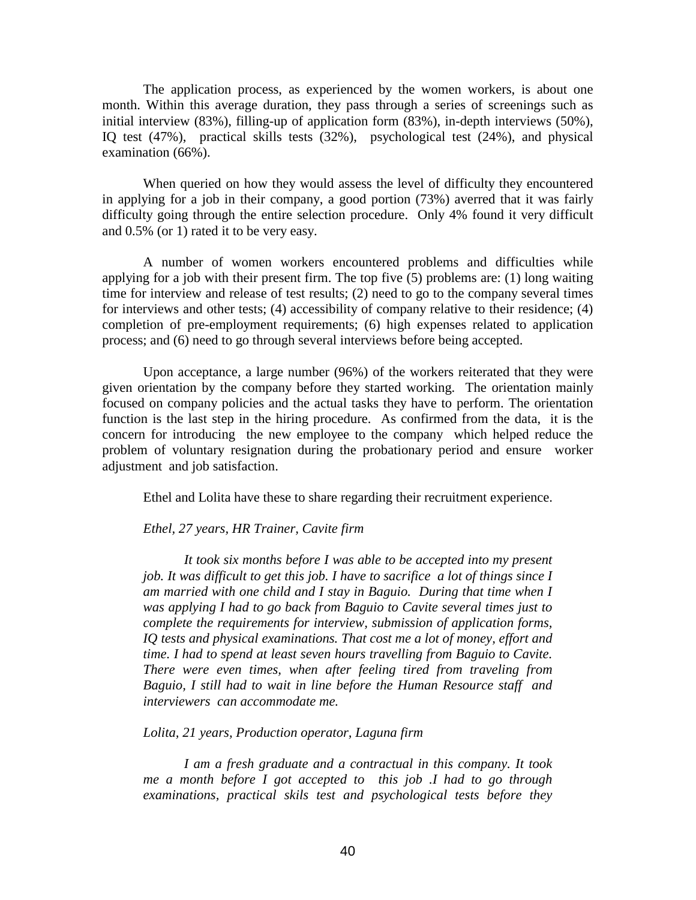The application process, as experienced by the women workers, is about one month. Within this average duration, they pass through a series of screenings such as initial interview (83%), filling-up of application form (83%), in-depth interviews (50%), IQ test (47%), practical skills tests (32%), psychological test (24%), and physical examination (66%).

When queried on how they would assess the level of difficulty they encountered in applying for a job in their company, a good portion (73%) averred that it was fairly difficulty going through the entire selection procedure. Only 4% found it very difficult and 0.5% (or 1) rated it to be very easy.

A number of women workers encountered problems and difficulties while applying for a job with their present firm. The top five (5) problems are: (1) long waiting time for interview and release of test results; (2) need to go to the company several times for interviews and other tests; (4) accessibility of company relative to their residence; (4) completion of pre-employment requirements; (6) high expenses related to application process; and (6) need to go through several interviews before being accepted.

Upon acceptance, a large number (96%) of the workers reiterated that they were given orientation by the company before they started working. The orientation mainly focused on company policies and the actual tasks they have to perform. The orientation function is the last step in the hiring procedure. As confirmed from the data, it is the concern for introducing the new employee to the company which helped reduce the problem of voluntary resignation during the probationary period and ensure worker adjustment and job satisfaction.

Ethel and Lolita have these to share regarding their recruitment experience.

#### *Ethel, 27 years, HR Trainer, Cavite firm*

*It took six months before I was able to be accepted into my present job. It was difficult to get this job. I have to sacrifice a lot of things since I am married with one child and I stay in Baguio. During that time when I was applying I had to go back from Baguio to Cavite several times just to complete the requirements for interview, submission of application forms, IQ tests and physical examinations. That cost me a lot of money, effort and time. I had to spend at least seven hours travelling from Baguio to Cavite. There were even times, when after feeling tired from traveling from Baguio, I still had to wait in line before the Human Resource staff and interviewers can accommodate me.* 

#### *Lolita, 21 years, Production operator, Laguna firm*

*I am a fresh graduate and a contractual in this company. It took me a month before I got accepted to this job .I had to go through examinations, practical skils test and psychological tests before they*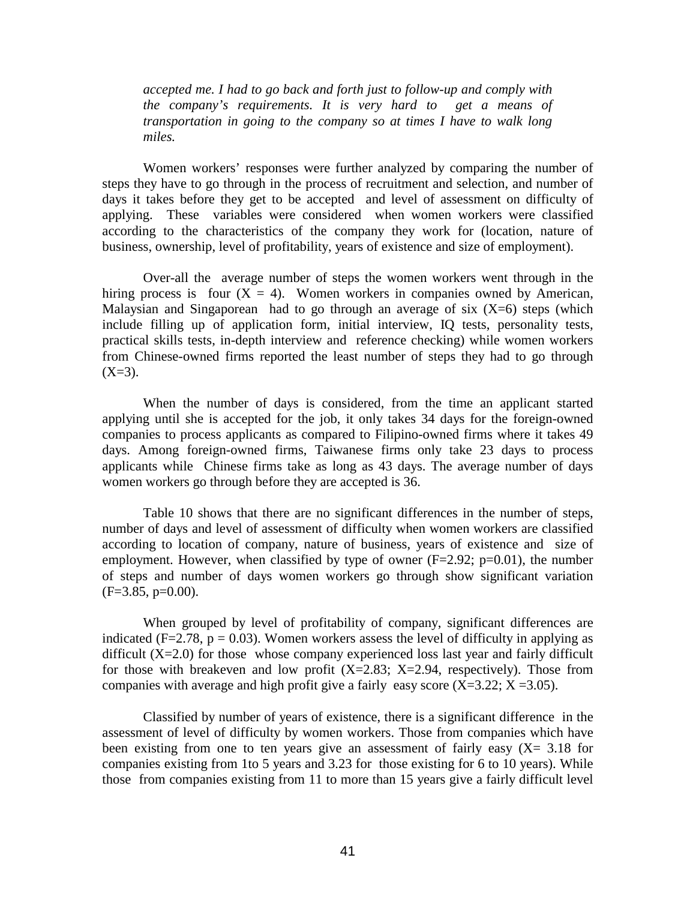*accepted me. I had to go back and forth just to follow-up and comply with the company's requirements. It is very hard to get a means of transportation in going to the company so at times I have to walk long miles.* 

 Women workers' responses were further analyzed by comparing the number of steps they have to go through in the process of recruitment and selection, and number of days it takes before they get to be accepted and level of assessment on difficulty of applying. These variables were considered when women workers were classified according to the characteristics of the company they work for (location, nature of business, ownership, level of profitability, years of existence and size of employment).

Over-all the average number of steps the women workers went through in the hiring process is four  $(X = 4)$ . Women workers in companies owned by American, Malaysian and Singaporean had to go through an average of six  $(X=6)$  steps (which include filling up of application form, initial interview, IQ tests, personality tests, practical skills tests, in-depth interview and reference checking) while women workers from Chinese-owned firms reported the least number of steps they had to go through  $(X=3)$ .

When the number of days is considered, from the time an applicant started applying until she is accepted for the job, it only takes 34 days for the foreign-owned companies to process applicants as compared to Filipino-owned firms where it takes 49 days. Among foreign-owned firms, Taiwanese firms only take 23 days to process applicants while Chinese firms take as long as 43 days. The average number of days women workers go through before they are accepted is 36.

Table 10 shows that there are no significant differences in the number of steps, number of days and level of assessment of difficulty when women workers are classified according to location of company, nature of business, years of existence and size of employment. However, when classified by type of owner  $(F=2.92; p=0.01)$ , the number of steps and number of days women workers go through show significant variation  $(F=3.85, p=0.00)$ .

 When grouped by level of profitability of company, significant differences are indicated (F=2.78,  $p = 0.03$ ). Women workers assess the level of difficulty in applying as difficult  $(X=2.0)$  for those whose company experienced loss last year and fairly difficult for those with breakeven and low profit  $(X=2.83; X=2.94,$  respectively). Those from companies with average and high profit give a fairly easy score  $(X=3.22; X=3.05)$ .

Classified by number of years of existence, there is a significant difference in the assessment of level of difficulty by women workers. Those from companies which have been existing from one to ten years give an assessment of fairly easy  $(X= 3.18$  for companies existing from 1to 5 years and 3.23 for those existing for 6 to 10 years). While those from companies existing from 11 to more than 15 years give a fairly difficult level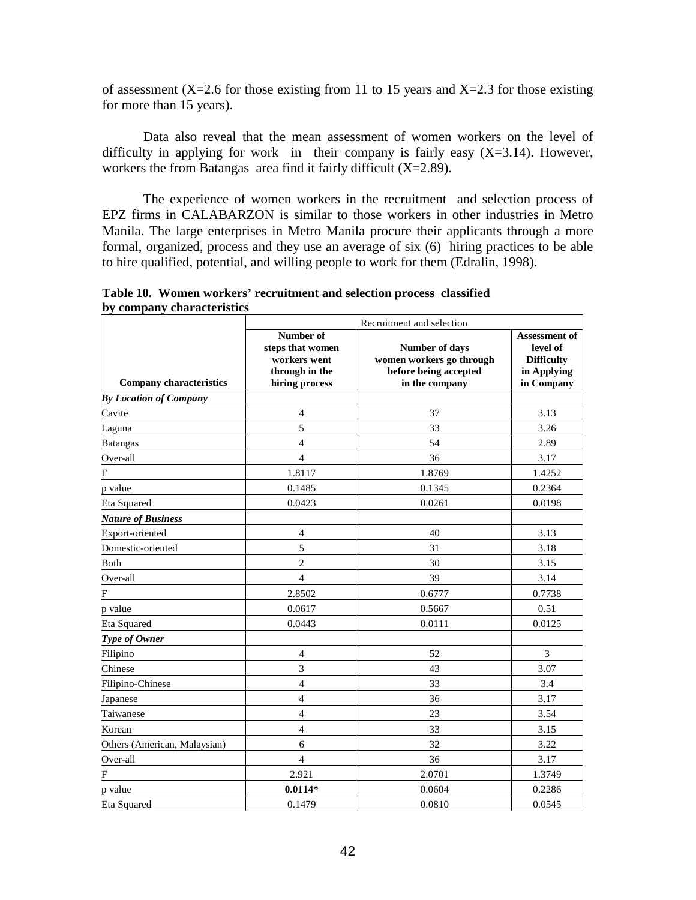of assessment (X=2.6 for those existing from 11 to 15 years and X=2.3 for those existing for more than 15 years).

Data also reveal that the mean assessment of women workers on the level of difficulty in applying for work in their company is fairly easy  $(X=3.14)$ . However, workers the from Batangas area find it fairly difficult (X=2.89).

 The experience of women workers in the recruitment and selection process of EPZ firms in CALABARZON is similar to those workers in other industries in Metro Manila. The large enterprises in Metro Manila procure their applicants through a more formal, organized, process and they use an average of six (6) hiring practices to be able to hire qualified, potential, and willing people to work for them (Edralin, 1998).

|                                | Recruitment and selection                                                         |                                                                                       |                                                                             |  |
|--------------------------------|-----------------------------------------------------------------------------------|---------------------------------------------------------------------------------------|-----------------------------------------------------------------------------|--|
| <b>Company characteristics</b> | Number of<br>steps that women<br>workers went<br>through in the<br>hiring process | Number of days<br>women workers go through<br>before being accepted<br>in the company | Assessment of<br>level of<br><b>Difficulty</b><br>in Applying<br>in Company |  |
| <b>By Location of Company</b>  |                                                                                   |                                                                                       |                                                                             |  |
| Cavite                         | $\overline{4}$                                                                    | 37                                                                                    | 3.13                                                                        |  |
| Laguna                         | 5                                                                                 | 33                                                                                    | 3.26                                                                        |  |
| <b>Batangas</b>                | $\overline{4}$                                                                    | 54                                                                                    | 2.89                                                                        |  |
| Over-all                       | $\overline{4}$                                                                    | 36                                                                                    | 3.17                                                                        |  |
| F                              | 1.8117                                                                            | 1.8769                                                                                | 1.4252                                                                      |  |
| p value                        | 0.1485                                                                            | 0.1345                                                                                | 0.2364                                                                      |  |
| Eta Squared                    | 0.0423                                                                            | 0.0261                                                                                | 0.0198                                                                      |  |
| <b>Nature of Business</b>      |                                                                                   |                                                                                       |                                                                             |  |
| Export-oriented                | $\overline{4}$                                                                    | 40                                                                                    | 3.13                                                                        |  |
| Domestic-oriented              | 5                                                                                 | 31                                                                                    | 3.18                                                                        |  |
| <b>Both</b>                    | $\overline{c}$                                                                    | 30                                                                                    | 3.15                                                                        |  |
| Over-all                       | $\overline{4}$                                                                    | 39                                                                                    | 3.14                                                                        |  |
| F                              | 2.8502                                                                            | 0.6777                                                                                | 0.7738                                                                      |  |
| p value                        | 0.0617                                                                            | 0.5667                                                                                | 0.51                                                                        |  |
| <b>Eta Squared</b>             | 0.0443                                                                            | 0.0111                                                                                | 0.0125                                                                      |  |
| Type of Owner                  |                                                                                   |                                                                                       |                                                                             |  |
| Filipino                       | $\overline{4}$                                                                    | 52                                                                                    | 3                                                                           |  |
| Chinese                        | 3                                                                                 | 43                                                                                    | 3.07                                                                        |  |
| Filipino-Chinese               | $\overline{4}$                                                                    | 33                                                                                    | 3.4                                                                         |  |
| Japanese                       | $\overline{4}$                                                                    | 36                                                                                    | 3.17                                                                        |  |
| Taiwanese                      | $\overline{4}$                                                                    | 23                                                                                    | 3.54                                                                        |  |
| Korean                         | $\overline{4}$                                                                    | 33                                                                                    | 3.15                                                                        |  |
| Others (American, Malaysian)   | 6                                                                                 | 32                                                                                    | 3.22                                                                        |  |
| Over-all                       | $\overline{4}$                                                                    | 36                                                                                    | 3.17                                                                        |  |
| F                              | 2.921                                                                             | 2.0701                                                                                | 1.3749                                                                      |  |
| p value                        | $0.0114*$                                                                         | 0.0604                                                                                | 0.2286                                                                      |  |
| <b>Eta Squared</b>             | 0.1479                                                                            | 0.0810                                                                                | 0.0545                                                                      |  |

**Table 10. Women workers' recruitment and selection process classified by company characteristics**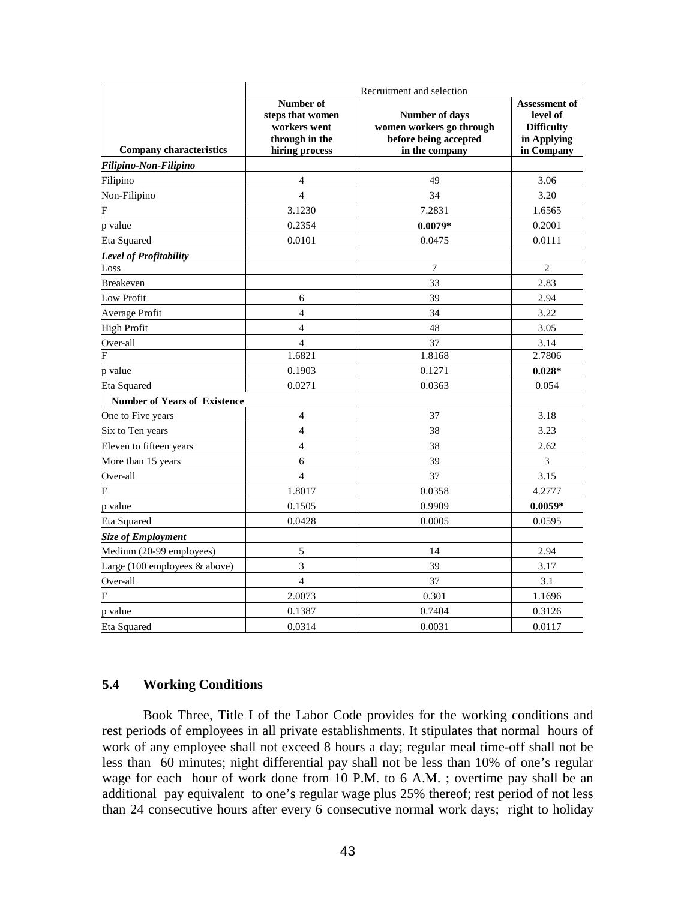|                                                  | Recruitment and selection                                                         |                                                                                       |                                                                                    |  |  |
|--------------------------------------------------|-----------------------------------------------------------------------------------|---------------------------------------------------------------------------------------|------------------------------------------------------------------------------------|--|--|
| <b>Company characteristics</b>                   | Number of<br>steps that women<br>workers went<br>through in the<br>hiring process | Number of days<br>women workers go through<br>before being accepted<br>in the company | <b>Assessment of</b><br>level of<br><b>Difficulty</b><br>in Applying<br>in Company |  |  |
| Filipino-Non-Filipino                            |                                                                                   |                                                                                       |                                                                                    |  |  |
| Filipino                                         | $\overline{4}$                                                                    | 49                                                                                    | 3.06                                                                               |  |  |
| Non-Filipino                                     | $\overline{4}$                                                                    | 34                                                                                    | 3.20                                                                               |  |  |
|                                                  | 3.1230                                                                            | 7.2831                                                                                | 1.6565                                                                             |  |  |
| p value                                          | 0.2354                                                                            | $0.0079*$                                                                             | 0.2001                                                                             |  |  |
| <b>Eta Squared</b>                               | 0.0101                                                                            | 0.0475                                                                                | 0.0111                                                                             |  |  |
| <b>Level of Profitability</b>                    |                                                                                   |                                                                                       |                                                                                    |  |  |
| Loss                                             |                                                                                   | 7                                                                                     | $\overline{2}$                                                                     |  |  |
| <b>Breakeven</b>                                 |                                                                                   | 33                                                                                    | 2.83                                                                               |  |  |
| Low Profit                                       | 6                                                                                 | 39                                                                                    | 2.94                                                                               |  |  |
| Average Profit                                   | $\overline{4}$                                                                    | 34                                                                                    | 3.22                                                                               |  |  |
| High Profit                                      | $\overline{4}$                                                                    | 48                                                                                    | 3.05                                                                               |  |  |
| Over-all                                         | $\overline{4}$                                                                    | 37                                                                                    | 3.14                                                                               |  |  |
| F                                                | 1.6821                                                                            | 1.8168                                                                                | 2.7806                                                                             |  |  |
| p value                                          | 0.1903                                                                            | 0.1271                                                                                | $0.028*$                                                                           |  |  |
| Eta Squared                                      | 0.0271                                                                            | 0.0363                                                                                | 0.054                                                                              |  |  |
| <b>Number of Years of Existence</b>              |                                                                                   |                                                                                       |                                                                                    |  |  |
| One to Five years                                | $\overline{4}$                                                                    | 37                                                                                    | 3.18                                                                               |  |  |
| Six to Ten years                                 | $\overline{4}$                                                                    | 38                                                                                    | 3.23                                                                               |  |  |
| Eleven to fifteen years                          | $\overline{4}$                                                                    | 38                                                                                    | 2.62                                                                               |  |  |
| More than 15 years                               | 6                                                                                 | 39                                                                                    | 3                                                                                  |  |  |
| Over-all                                         | $\overline{4}$                                                                    | 37                                                                                    | 3.15                                                                               |  |  |
| F                                                | 1.8017                                                                            | 0.0358                                                                                | 4.2777                                                                             |  |  |
| p value                                          | 0.1505                                                                            | 0.9909                                                                                | $0.0059*$                                                                          |  |  |
| <b>Eta Squared</b>                               | 0.0428                                                                            | 0.0005                                                                                | 0.0595                                                                             |  |  |
| <b>Size of Employment</b>                        |                                                                                   |                                                                                       |                                                                                    |  |  |
| Medium (20-99 employees)                         | 5                                                                                 | 14                                                                                    | 2.94                                                                               |  |  |
| Large $(100 \text{ employees } \& \text{above})$ | 3                                                                                 | 39                                                                                    | 3.17                                                                               |  |  |
| Over-all                                         | $\overline{4}$                                                                    | 37                                                                                    | 3.1                                                                                |  |  |
| F                                                | 2.0073                                                                            | 0.301                                                                                 | 1.1696                                                                             |  |  |
| p value                                          | 0.1387                                                                            | 0.7404                                                                                | 0.3126                                                                             |  |  |
| Eta Squared                                      | 0.0314                                                                            | 0.0031                                                                                | 0.0117                                                                             |  |  |

# **5.4 Working Conditions**

Book Three, Title I of the Labor Code provides for the working conditions and rest periods of employees in all private establishments. It stipulates that normal hours of work of any employee shall not exceed 8 hours a day; regular meal time-off shall not be less than 60 minutes; night differential pay shall not be less than 10% of one's regular wage for each hour of work done from 10 P.M. to 6 A.M. ; overtime pay shall be an additional pay equivalent to one's regular wage plus 25% thereof; rest period of not less than 24 consecutive hours after every 6 consecutive normal work days; right to holiday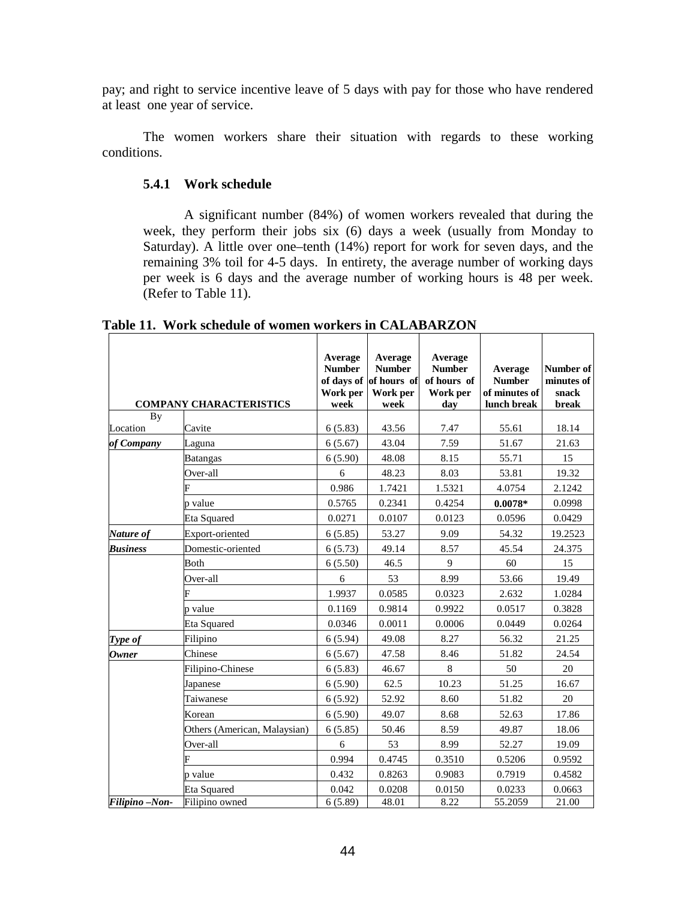pay; and right to service incentive leave of 5 days with pay for those who have rendered at least one year of service.

The women workers share their situation with regards to these working conditions.

## **5.4.1 Work schedule**

A significant number (84%) of women workers revealed that during the week, they perform their jobs six (6) days a week (usually from Monday to Saturday). A little over one–tenth (14%) report for work for seven days, and the remaining 3% toil for 4-5 days. In entirety, the average number of working days per week is 6 days and the average number of working hours is 48 per week. (Refer to Table 11).

| By              | <b>COMPANY CHARACTERISTICS</b> | Average<br><b>Number</b><br>Work per<br>week | Average<br><b>Number</b><br>of days of of hours of<br>Work per<br>week | Average<br><b>Number</b><br>of hours of<br>Work per<br>day | Average<br><b>Number</b><br>of minutes of<br>lunch break | Number of<br>minutes of<br>snack<br>break |
|-----------------|--------------------------------|----------------------------------------------|------------------------------------------------------------------------|------------------------------------------------------------|----------------------------------------------------------|-------------------------------------------|
| Location        | Cavite                         | 6(5.83)                                      | 43.56                                                                  | 7.47                                                       | 55.61                                                    | 18.14                                     |
| of Company      | Laguna                         | 6(5.67)                                      | 43.04                                                                  | 7.59                                                       | 51.67                                                    | 21.63                                     |
|                 | <b>Batangas</b>                | 6(5.90)                                      | 48.08                                                                  | 8.15                                                       | 55.71                                                    | 15                                        |
|                 | Over-all                       | 6                                            | 48.23                                                                  | 8.03                                                       | 53.81                                                    | 19.32                                     |
|                 |                                | 0.986                                        | 1.7421                                                                 | 1.5321                                                     | 4.0754                                                   | 2.1242                                    |
|                 | p value                        | 0.5765                                       | 0.2341                                                                 | 0.4254                                                     | $0.0078*$                                                | 0.0998                                    |
|                 | Eta Squared                    | 0.0271                                       | 0.0107                                                                 | 0.0123                                                     | 0.0596                                                   | 0.0429                                    |
| Nature of       | Export-oriented                | 6(5.85)                                      | 53.27                                                                  | 9.09                                                       | 54.32                                                    | 19.2523                                   |
| <b>Business</b> | Domestic-oriented              | 6(5.73)                                      | 49.14                                                                  | 8.57                                                       | 45.54                                                    | 24.375                                    |
|                 | Both                           | 6(5.50)                                      | 46.5                                                                   | 9                                                          | 60                                                       | 15                                        |
|                 | Over-all                       | 6                                            | 53                                                                     | 8.99                                                       | 53.66                                                    | 19.49                                     |
|                 |                                | 1.9937                                       | 0.0585                                                                 | 0.0323                                                     | 2.632                                                    | 1.0284                                    |
|                 | p value                        | 0.1169                                       | 0.9814                                                                 | 0.9922                                                     | 0.0517                                                   | 0.3828                                    |
|                 | Eta Squared                    | 0.0346                                       | 0.0011                                                                 | 0.0006                                                     | 0.0449                                                   | 0.0264                                    |
| Type of         | Filipino                       | 6(5.94)                                      | 49.08                                                                  | 8.27                                                       | 56.32                                                    | 21.25                                     |
| <b>Owner</b>    | Chinese                        | 6(5.67)                                      | 47.58                                                                  | 8.46                                                       | 51.82                                                    | 24.54                                     |
|                 | Filipino-Chinese               | 6(5.83)                                      | 46.67                                                                  | $\,8\,$                                                    | 50                                                       | 20                                        |
|                 | Japanese                       | 6(5.90)                                      | 62.5                                                                   | 10.23                                                      | 51.25                                                    | 16.67                                     |
|                 | Taiwanese                      | 6(5.92)                                      | 52.92                                                                  | 8.60                                                       | 51.82                                                    | 20                                        |
|                 | Korean                         | 6(5.90)                                      | 49.07                                                                  | 8.68                                                       | 52.63                                                    | 17.86                                     |
|                 | Others (American, Malaysian)   | 6(5.85)                                      | 50.46                                                                  | 8.59                                                       | 49.87                                                    | 18.06                                     |
|                 | Over-all                       | 6                                            | 53                                                                     | 8.99                                                       | 52.27                                                    | 19.09                                     |
|                 |                                | 0.994                                        | 0.4745                                                                 | 0.3510                                                     | 0.5206                                                   | 0.9592                                    |
|                 | p value                        | 0.432                                        | 0.8263                                                                 | 0.9083                                                     | 0.7919                                                   | 0.4582                                    |
|                 | Eta Squared                    | 0.042                                        | 0.0208                                                                 | 0.0150                                                     | 0.0233                                                   | 0.0663                                    |
| Filipino-Non-   | Filipino owned                 | 6(5.89)                                      | 48.01                                                                  | 8.22                                                       | 55.2059                                                  | 21.00                                     |

**Table 11. Work schedule of women workers in CALABARZON**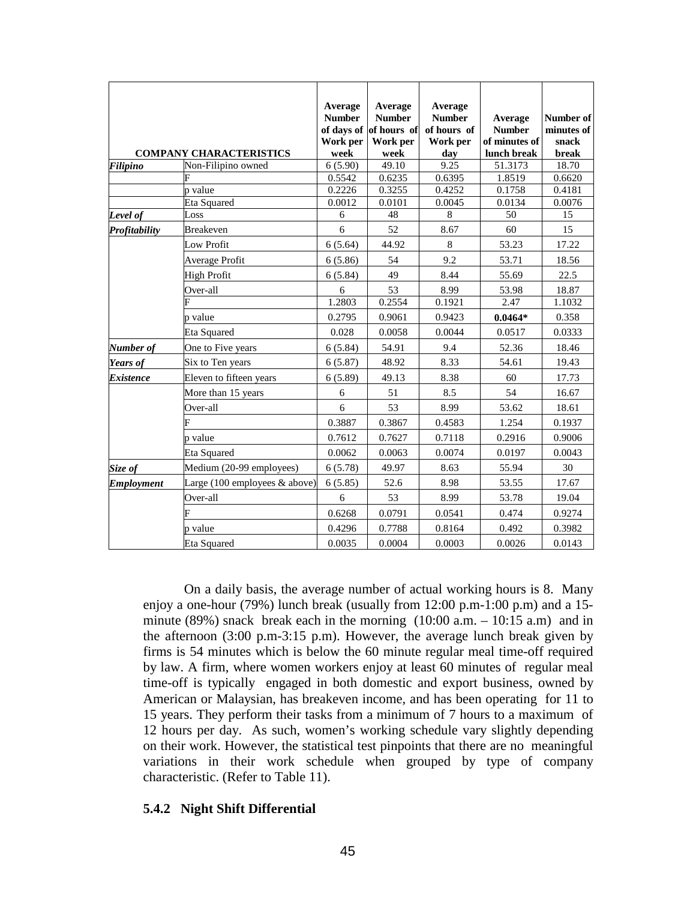|                   |                                                  | Average<br><b>Number</b><br>Work per | Average<br><b>Number</b><br>of days of of hours of<br>Work per | Average<br><b>Number</b><br>of hours of<br>Work per | Average<br><b>Number</b><br>of minutes of | Number of<br>minutes of<br>snack |
|-------------------|--------------------------------------------------|--------------------------------------|----------------------------------------------------------------|-----------------------------------------------------|-------------------------------------------|----------------------------------|
|                   | <b>COMPANY CHARACTERISTICS</b>                   | week                                 | week                                                           | day                                                 | lunch break                               | break                            |
| Filipino          | Non-Filipino owned                               | 6(5.90)                              | 49.10                                                          | 9.25                                                | 51.3173                                   | 18.70                            |
|                   |                                                  | 0.5542                               | 0.6235                                                         | 0.6395                                              | 1.8519                                    | 0.6620                           |
|                   | p value                                          | 0.2226                               | 0.3255                                                         | 0.4252                                              | 0.1758                                    | 0.4181                           |
|                   | Eta Squared                                      | 0.0012                               | 0.0101                                                         | 0.0045                                              | 0.0134                                    | 0.0076                           |
| Level of          | Loss                                             | 6                                    | 48                                                             | 8                                                   | 50                                        | 15                               |
| Profitability     | <b>Breakeven</b>                                 | 6                                    | 52                                                             | 8.67                                                | 60                                        | 15                               |
|                   | <b>Low Profit</b>                                | 6(5.64)                              | 44.92                                                          | 8                                                   | 53.23                                     | 17.22                            |
|                   | Average Profit                                   | 6(5.86)                              | 54                                                             | 9.2                                                 | 53.71                                     | 18.56                            |
|                   | <b>High Profit</b>                               | 6(5.84)                              | 49                                                             | 8.44                                                | 55.69                                     | 22.5                             |
|                   | Over-all                                         | 6                                    | 53                                                             | 8.99                                                | 53.98                                     | 18.87                            |
|                   |                                                  | 1.2803                               | 0.2554                                                         | 0.1921                                              | 2.47                                      | 1.1032                           |
|                   | p value                                          | 0.2795                               | 0.9061                                                         | 0.9423                                              | $0.0464*$                                 | 0.358                            |
|                   | Eta Squared                                      | 0.028                                | 0.0058                                                         | 0.0044                                              | 0.0517                                    | 0.0333                           |
| Number of         | One to Five years                                | 6(5.84)                              | 54.91                                                          | 9.4                                                 | 52.36                                     | 18.46                            |
| Years of          | Six to Ten years                                 | 6(5.87)                              | 48.92                                                          | 8.33                                                | 54.61                                     | 19.43                            |
| <b>Existence</b>  | Eleven to fifteen years                          | 6(5.89)                              | 49.13                                                          | 8.38                                                | 60                                        | 17.73                            |
|                   | More than 15 years                               | 6                                    | 51                                                             | 8.5                                                 | 54                                        | 16.67                            |
|                   | Over-all                                         | 6                                    | 53                                                             | 8.99                                                | 53.62                                     | 18.61                            |
|                   |                                                  | 0.3887                               | 0.3867                                                         | 0.4583                                              | 1.254                                     | 0.1937                           |
|                   | p value                                          | 0.7612                               | 0.7627                                                         | 0.7118                                              | 0.2916                                    | 0.9006                           |
|                   | Eta Squared                                      | 0.0062                               | 0.0063                                                         | 0.0074                                              | 0.0197                                    | 0.0043                           |
| Size of           | Medium (20-99 employees)                         | 6(5.78)                              | 49.97                                                          | 8.63                                                | 55.94                                     | 30                               |
| <b>Employment</b> | Large $(100 \text{ employees } \& \text{above})$ | 6(5.85)                              | 52.6                                                           | 8.98                                                | 53.55                                     | 17.67                            |
|                   | Over-all                                         | 6                                    | 53                                                             | 8.99                                                | 53.78                                     | 19.04                            |
|                   |                                                  | 0.6268                               | 0.0791                                                         | 0.0541                                              | 0.474                                     | 0.9274                           |
|                   | p value                                          | 0.4296                               | 0.7788                                                         | 0.8164                                              | 0.492                                     | 0.3982                           |
|                   | <b>Eta Squared</b>                               | 0.0035                               | 0.0004                                                         | 0.0003                                              | 0.0026                                    | 0.0143                           |

On a daily basis, the average number of actual working hours is 8. Many enjoy a one-hour (79%) lunch break (usually from 12:00 p.m-1:00 p.m) and a 15 minute (89%) snack break each in the morning  $(10:00 \text{ a.m.} - 10:15 \text{ a.m})$  and in the afternoon (3:00 p.m-3:15 p.m). However, the average lunch break given by firms is 54 minutes which is below the 60 minute regular meal time-off required by law. A firm, where women workers enjoy at least 60 minutes of regular meal time-off is typically engaged in both domestic and export business, owned by American or Malaysian, has breakeven income, and has been operating for 11 to 15 years. They perform their tasks from a minimum of 7 hours to a maximum of 12 hours per day. As such, women's working schedule vary slightly depending on their work. However, the statistical test pinpoints that there are no meaningful variations in their work schedule when grouped by type of company characteristic. (Refer to Table 11).

## **5.4.2 Night Shift Differential**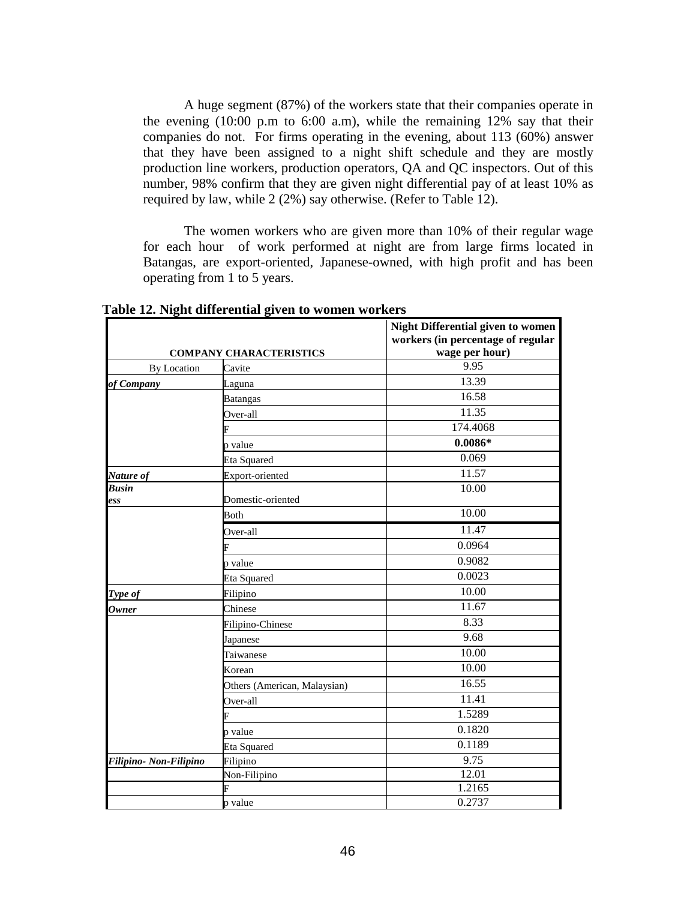A huge segment (87%) of the workers state that their companies operate in the evening (10:00 p.m to 6:00 a.m), while the remaining 12% say that their companies do not. For firms operating in the evening, about 113 (60%) answer that they have been assigned to a night shift schedule and they are mostly production line workers, production operators, QA and QC inspectors. Out of this number, 98% confirm that they are given night differential pay of at least 10% as required by law, while 2 (2%) say otherwise. (Refer to Table 12).

The women workers who are given more than 10% of their regular wage for each hour of work performed at night are from large firms located in Batangas, are export-oriented, Japanese-owned, with high profit and has been operating from 1 to 5 years.

|                       | <b>COMPANY CHARACTERISTICS</b> | <b>Night Differential given to women</b><br>workers (in percentage of regular<br>wage per hour) |
|-----------------------|--------------------------------|-------------------------------------------------------------------------------------------------|
| <b>By Location</b>    | Cavite                         | 9.95                                                                                            |
| of Company            | Laguna                         | 13.39                                                                                           |
|                       | <b>Batangas</b>                | 16.58                                                                                           |
|                       | Over-all                       | 11.35                                                                                           |
|                       |                                | 174.4068                                                                                        |
|                       | p value                        | $0.0086*$                                                                                       |
|                       | <b>Eta Squared</b>             | 0.069                                                                                           |
| Nature of             | Export-oriented                | 11.57                                                                                           |
| <b>Busin</b>          |                                | 10.00                                                                                           |
| ess                   | Domestic-oriented              |                                                                                                 |
|                       | <b>Both</b>                    | 10.00                                                                                           |
|                       | Over-all                       | 11.47                                                                                           |
|                       |                                | 0.0964                                                                                          |
|                       | p value                        | 0.9082                                                                                          |
|                       | <b>Eta Squared</b>             | 0.0023                                                                                          |
| Type of               | Filipino                       | 10.00                                                                                           |
| <b>Owner</b>          | Chinese                        | 11.67                                                                                           |
|                       | Filipino-Chinese               | 8.33                                                                                            |
|                       | Japanese                       | 9.68                                                                                            |
|                       | Taiwanese                      | 10.00                                                                                           |
|                       | Korean                         | 10.00                                                                                           |
|                       | Others (American, Malaysian)   | 16.55                                                                                           |
|                       | Over-all                       | 11.41                                                                                           |
|                       | E                              | 1.5289                                                                                          |
|                       | p value                        | 0.1820                                                                                          |
|                       | <b>Eta Squared</b>             | 0.1189                                                                                          |
| Filipino-Non-Filipino | Filipino                       | 9.75                                                                                            |
|                       | Non-Filipino                   | 12.01                                                                                           |
|                       | F                              | 1.2165                                                                                          |
|                       | p value                        | 0.2737                                                                                          |

**Table 12. Night differential given to women workers**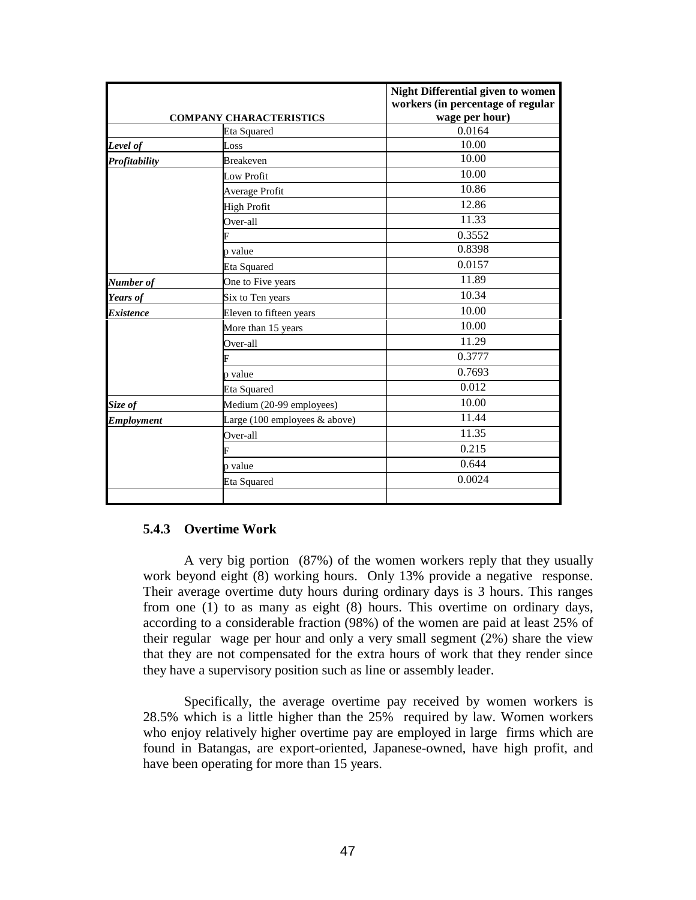|                   | <b>COMPANY CHARACTERISTICS</b>                   | <b>Night Differential given to women</b><br>workers (in percentage of regular<br>wage per hour) |
|-------------------|--------------------------------------------------|-------------------------------------------------------------------------------------------------|
|                   | <b>Eta Squared</b>                               | 0.0164                                                                                          |
| Level of          | Loss                                             | 10.00                                                                                           |
| Profitability     | <b>Breakeven</b>                                 | 10.00                                                                                           |
|                   | Low Profit                                       | 10.00                                                                                           |
|                   | Average Profit                                   | 10.86                                                                                           |
|                   | <b>High Profit</b>                               | 12.86                                                                                           |
|                   | Over-all                                         | 11.33                                                                                           |
|                   |                                                  | 0.3552                                                                                          |
|                   | p value                                          | 0.8398                                                                                          |
|                   | Eta Squared                                      | 0.0157                                                                                          |
| Number of         | One to Five years                                | 11.89                                                                                           |
| Years of          | Six to Ten years                                 | 10.34                                                                                           |
| <b>Existence</b>  | Eleven to fifteen years                          | 10.00                                                                                           |
|                   | More than 15 years                               | 10.00                                                                                           |
|                   | Over-all                                         | 11.29                                                                                           |
|                   |                                                  | 0.3777                                                                                          |
|                   | p value                                          | 0.7693                                                                                          |
|                   | Eta Squared                                      | 0.012                                                                                           |
| Size of           | Medium (20-99 employees)                         | 10.00                                                                                           |
| <b>Employment</b> | Large $(100 \text{ employees } \& \text{above})$ | 11.44                                                                                           |
|                   | Over-all                                         | 11.35                                                                                           |
|                   |                                                  | 0.215                                                                                           |
|                   | p value                                          | 0.644                                                                                           |
|                   | Eta Squared                                      | 0.0024                                                                                          |
|                   |                                                  |                                                                                                 |

### **5.4.3 Overtime Work**

A very big portion (87%) of the women workers reply that they usually work beyond eight (8) working hours. Only 13% provide a negativeresponse. Their average overtime duty hours during ordinary days is 3 hours. This ranges from one (1) to as many as eight (8) hours. This overtime on ordinary days, according to a considerable fraction (98%) of the women are paid at least 25% of their regular wage per hour and only a very small segment (2%) share the view that they are not compensated for the extra hours of work that they render since they have a supervisory position such as line or assembly leader.

Specifically, the average overtime pay received by women workers is 28.5% which is a little higher than the 25% required by law. Women workers who enjoy relatively higher overtime pay are employed in large firms which are found in Batangas, are export-oriented, Japanese-owned, have high profit, and have been operating for more than 15 years.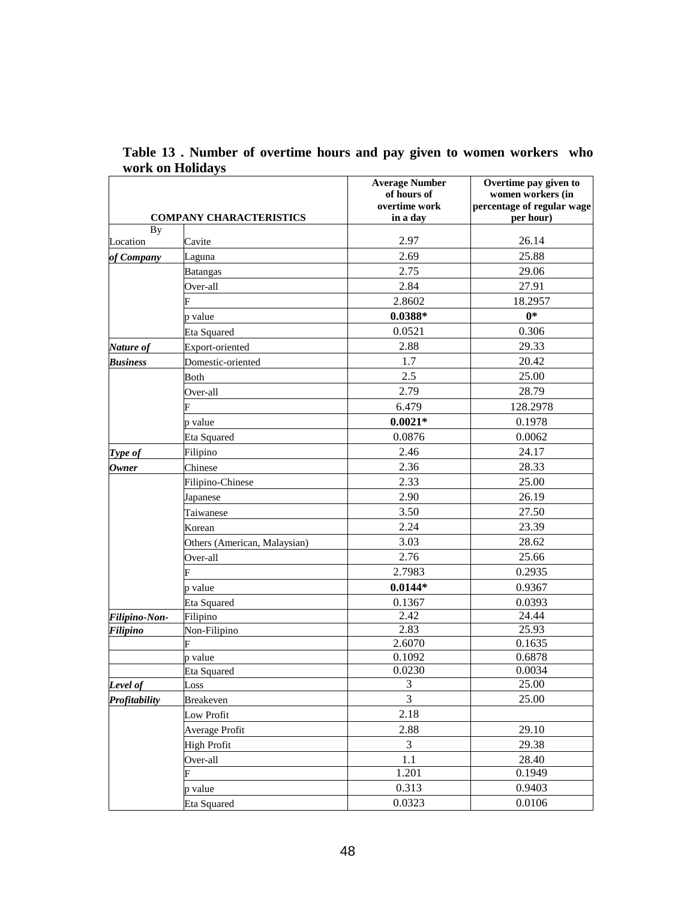|                           | <b>COMPANY CHARACTERISTICS</b> | <b>Average Number</b><br>of hours of<br>overtime work<br>in a day | Overtime pay given to<br>women workers (in<br>percentage of regular wage<br>per hour) |
|---------------------------|--------------------------------|-------------------------------------------------------------------|---------------------------------------------------------------------------------------|
| By                        |                                |                                                                   | 26.14                                                                                 |
| Location                  | Cavite                         | 2.97<br>2.69                                                      |                                                                                       |
| of Company                | Laguna                         |                                                                   | 25.88                                                                                 |
|                           | <b>Batangas</b>                | 2.75                                                              | 29.06                                                                                 |
|                           | Over-all                       | 2.84                                                              | 27.91                                                                                 |
|                           | F                              | 2.8602                                                            | 18.2957                                                                               |
|                           | p value                        | $0.0388*$                                                         | $0*$                                                                                  |
|                           | Eta Squared                    | 0.0521                                                            | 0.306                                                                                 |
| Nature of                 | Export-oriented                | 2.88                                                              | 29.33                                                                                 |
| <b>Business</b>           | Domestic-oriented              | 1.7                                                               | 20.42                                                                                 |
|                           | Both                           | 2.5                                                               | 25.00                                                                                 |
|                           | Over-all                       | 2.79                                                              | 28.79                                                                                 |
|                           |                                | 6.479                                                             | 128.2978                                                                              |
|                           | p value                        | $0.0021*$                                                         | 0.1978                                                                                |
|                           | Eta Squared                    | 0.0876                                                            | 0.0062                                                                                |
| Type of                   | Filipino                       | 2.46                                                              | 24.17                                                                                 |
| <b>Owner</b>              | Chinese                        | 2.36                                                              | 28.33                                                                                 |
|                           | Filipino-Chinese               | 2.33                                                              | 25.00                                                                                 |
|                           | Japanese                       | 2.90                                                              | 26.19                                                                                 |
|                           | Taiwanese                      | 3.50                                                              | 27.50                                                                                 |
|                           | Korean                         | 2.24                                                              | 23.39                                                                                 |
|                           | Others (American, Malaysian)   | 3.03                                                              | 28.62                                                                                 |
|                           | Over-all                       | 2.76                                                              | 25.66                                                                                 |
|                           | F                              | 2.7983                                                            | 0.2935                                                                                |
|                           |                                | $0.0144*$                                                         | 0.9367                                                                                |
|                           | p value                        | 0.1367                                                            | 0.0393                                                                                |
|                           | Eta Squared<br>Filipino        | 2.42                                                              | 24.44                                                                                 |
| Filipino-Non-<br>Filipino | Non-Filipino                   | 2.83                                                              | 25.93                                                                                 |
|                           | F                              | 2.6070                                                            | 0.1635                                                                                |
|                           | p value                        | 0.1092                                                            | 0.6878                                                                                |
|                           | Eta Squared                    | 0.0230                                                            | 0.0034                                                                                |
| Level of                  | Loss                           | $\ensuremath{\mathfrak{Z}}$                                       | 25.00                                                                                 |
| Profitability             | <b>Breakeven</b>               | 3                                                                 | 25.00                                                                                 |
|                           | Low Profit                     | 2.18                                                              |                                                                                       |
|                           | Average Profit                 | 2.88                                                              | 29.10                                                                                 |
|                           | High Profit                    | $\mathfrak{Z}$                                                    | 29.38                                                                                 |
|                           | Over-all                       | 1.1                                                               | 28.40                                                                                 |
|                           | F                              | 1.201                                                             | 0.1949                                                                                |
|                           | p value                        | 0.313                                                             | 0.9403                                                                                |
|                           | Eta Squared                    | 0.0323                                                            | 0.0106                                                                                |

**Table 13 . Number of overtime hours and pay given to women workers who work on Holidays**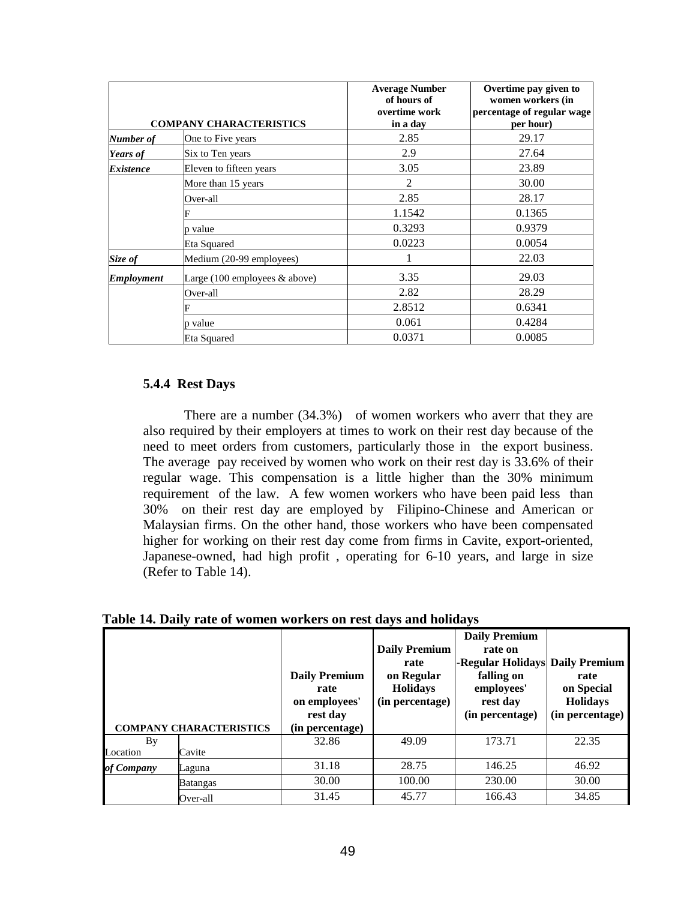|                         | <b>COMPANY CHARACTERISTICS</b>                   | <b>Average Number</b><br>of hours of<br>overtime work<br>in a day | Overtime pay given to<br>women workers (in<br>percentage of regular wage<br>per hour) |
|-------------------------|--------------------------------------------------|-------------------------------------------------------------------|---------------------------------------------------------------------------------------|
| Number of               | One to Five years                                | 2.85                                                              | 29.17                                                                                 |
| <b>Years of</b>         | Six to Ten years                                 | 2.9                                                               | 27.64                                                                                 |
| <i><b>Existence</b></i> | Eleven to fifteen years                          | 3.05                                                              | 23.89                                                                                 |
|                         | More than 15 years                               | $\overline{2}$                                                    | 30.00                                                                                 |
|                         | Over-all                                         | 2.85                                                              | 28.17                                                                                 |
|                         |                                                  | 1.1542                                                            | 0.1365                                                                                |
|                         | p value                                          | 0.3293                                                            | 0.9379                                                                                |
|                         | Eta Squared                                      | 0.0223                                                            | 0.0054                                                                                |
| Size of                 | Medium (20-99 employees)                         | 1                                                                 | 22.03                                                                                 |
| <b>Employment</b>       | Large $(100 \text{ employees } \& \text{above})$ | 3.35                                                              | 29.03                                                                                 |
|                         | Over-all                                         | 2.82                                                              | 28.29                                                                                 |
|                         |                                                  | 2.8512                                                            | 0.6341                                                                                |
|                         | p value                                          | 0.061                                                             | 0.4284                                                                                |
|                         | Eta Squared                                      | 0.0371                                                            | 0.0085                                                                                |

## **5.4.4 Rest Days**

There are a number (34.3%) of women workers who averr that they are also required by their employers at times to work on their rest day because of the need to meet orders from customers, particularly those in the export business. The average pay received by women who work on their rest day is 33.6% of their regular wage. This compensation is a little higher than the 30% minimum requirement of the law. A few women workers who have been paid less than 30% on their rest day are employed by Filipino-Chinese and American or Malaysian firms. On the other hand, those workers who have been compensated higher for working on their rest day come from firms in Cavite, export-oriented, Japanese-owned, had high profit , operating for 6-10 years, and large in size (Refer to Table 14).

**Table 14. Daily rate of women workers on rest days and holidays** 

| <b>COMPANY CHARACTERISTICS</b> |                 | <b>Daily Premium</b><br>rate<br>on employees'<br>rest day<br>(in percentage) | <b>Daily Premium</b><br>rate<br>on Regular<br><b>Holidays</b><br>(in percentage) | <b>Daily Premium</b><br>rate on<br>-Regular Holidays Daily Premium<br>falling on<br>employees'<br>rest day<br>(in percentage) | rate<br>on Special<br><b>Holidays</b><br>(in percentage) |
|--------------------------------|-----------------|------------------------------------------------------------------------------|----------------------------------------------------------------------------------|-------------------------------------------------------------------------------------------------------------------------------|----------------------------------------------------------|
| By                             |                 | 32.86                                                                        | 49.09                                                                            | 173.71                                                                                                                        | 22.35                                                    |
| Location                       | Cavite          |                                                                              |                                                                                  |                                                                                                                               |                                                          |
| of Company                     | Laguna          | 31.18                                                                        | 28.75                                                                            | 146.25                                                                                                                        | 46.92                                                    |
|                                | <b>Batangas</b> | 30.00                                                                        | 100.00                                                                           | 230.00                                                                                                                        | 30.00                                                    |
|                                | Over-all        | 31.45                                                                        | 45.77                                                                            | 166.43                                                                                                                        | 34.85                                                    |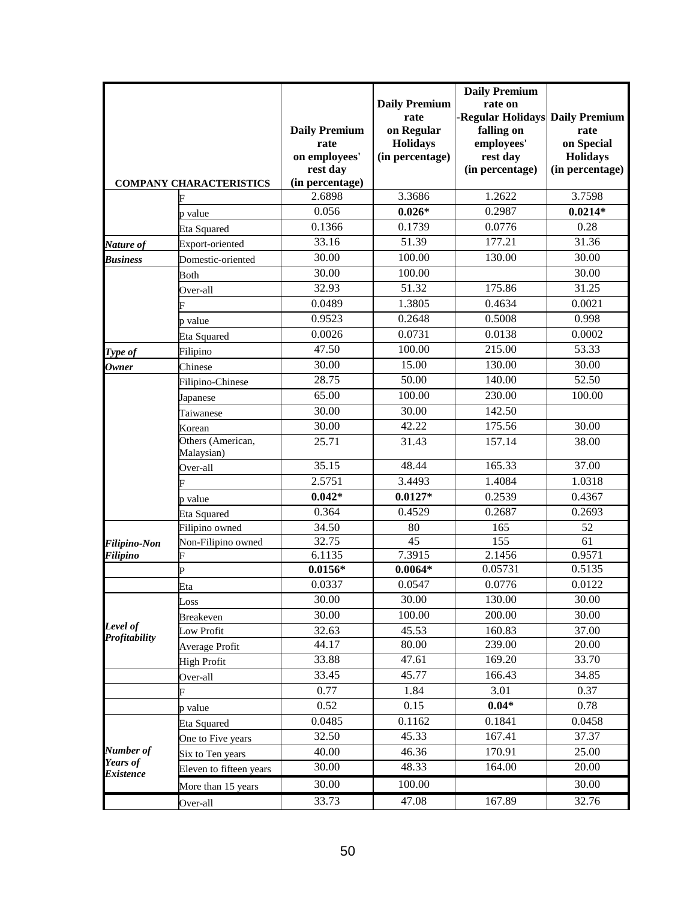|                           |                                |                      |                      | <b>Daily Premium</b>            |                 |
|---------------------------|--------------------------------|----------------------|----------------------|---------------------------------|-----------------|
|                           |                                |                      | <b>Daily Premium</b> | rate on                         |                 |
|                           |                                |                      | rate                 | -Regular Holidays Daily Premium |                 |
|                           |                                | <b>Daily Premium</b> | on Regular           | falling on                      | rate            |
|                           |                                | rate                 | <b>Holidays</b>      | employees'                      | on Special      |
|                           |                                | on employees'        | (in percentage)      | rest day                        | <b>Holidays</b> |
|                           |                                | rest day             |                      | (in percentage)                 | (in percentage) |
|                           | <b>COMPANY CHARACTERISTICS</b> | (in percentage)      |                      |                                 |                 |
|                           |                                | 2.6898               | 3.3686               | 1.2622                          | 3.7598          |
|                           | p value                        | 0.056                | $0.026*$             | 0.2987                          | $0.0214*$       |
|                           | <b>Eta Squared</b>             | 0.1366               | 0.1739               | 0.0776                          | 0.28            |
| Nature of                 | Export-oriented                | 33.16                | 51.39                | 177.21                          | 31.36           |
| <b>Business</b>           | Domestic-oriented              | 30.00                | 100.00               | 130.00                          | 30.00           |
|                           | Both                           | 30.00                | 100.00               |                                 | 30.00           |
|                           | Over-all                       | 32.93                | 51.32                | 175.86                          | 31.25           |
|                           |                                | 0.0489               | 1.3805               | 0.4634                          | 0.0021          |
|                           | p value                        | 0.9523               | 0.2648               | 0.5008                          | 0.998           |
|                           | <b>Eta Squared</b>             | 0.0026               | 0.0731               | 0.0138                          | 0.0002          |
| Type of                   | Filipino                       | 47.50                | 100.00               | 215.00                          | 53.33           |
| <b>Owner</b>              | Chinese                        | 30.00                | 15.00                | 130.00                          | 30.00           |
|                           | Filipino-Chinese               | 28.75                | 50.00                | 140.00                          | 52.50           |
|                           | Japanese                       | 65.00                | 100.00               | 230.00                          | 100.00          |
|                           | Taiwanese                      | 30.00                | 30.00                | 142.50                          |                 |
|                           | Korean                         | 30.00                | 42.22                | 175.56                          | 30.00           |
|                           | Others (American,              | 25.71                | 31.43                | 157.14                          | 38.00           |
|                           | Malaysian)                     |                      |                      |                                 |                 |
|                           | Over-all                       | 35.15                | 48.44                | 165.33                          | 37.00           |
|                           |                                | 2.5751               | 3.4493               | 1.4084                          | 1.0318          |
|                           | p value                        | $0.042*$             | $0.0127*$            | 0.2539                          | 0.4367          |
|                           | <b>Eta Squared</b>             | 0.364                | 0.4529               | 0.2687                          | 0.2693          |
|                           | Filipino owned                 | 34.50                | 80                   | 165                             | 52              |
| <b>Filipino-Non</b>       | Non-Filipino owned             | 32.75                | 45                   | 155                             | 61              |
| Filipino                  | F                              | 6.1135               | 7.3915               | 2.1456                          | 0.9571          |
|                           | Þ                              | $0.0156*$            | $0.0064*$            | 0.05731                         | 0.5135          |
|                           | Eta                            | 0.0337               | 0.0547               | 0.0776                          | 0.0122          |
|                           | Loss                           | 30.00                | 30.00                | 130.00                          | 30.00           |
|                           | <b>Breakeven</b>               | 30.00                | 100.00               | 200.00                          | 30.00           |
| Level of<br>Profitability | Low Profit                     | 32.63                | 45.53                | 160.83                          | 37.00           |
|                           | Average Profit                 | 44.17                | 80.00                | 239.00                          | 20.00           |
|                           | High Profit                    | 33.88                | 47.61                | 169.20                          | 33.70           |
|                           | Over-all                       | 33.45                | 45.77                | 166.43                          | 34.85           |
|                           | F                              | 0.77                 | 1.84                 | 3.01                            | 0.37            |
|                           | p value                        | 0.52                 | 0.15                 | $0.04*$                         | 0.78            |
|                           | Eta Squared                    | 0.0485               | 0.1162               | 0.1841                          | 0.0458          |
|                           | One to Five years              | 32.50                | 45.33                | 167.41                          | 37.37           |
| Number of                 | Six to Ten years               | 40.00                | 46.36                | 170.91                          | 25.00           |
| Years of                  | Eleven to fifteen years        | 30.00                | 48.33                | 164.00                          | 20.00           |
| <b>Existence</b>          | More than 15 years             | 30.00                | 100.00               |                                 | 30.00           |
|                           | Over-all                       | 33.73                | 47.08                | 167.89                          | 32.76           |
|                           |                                |                      |                      |                                 |                 |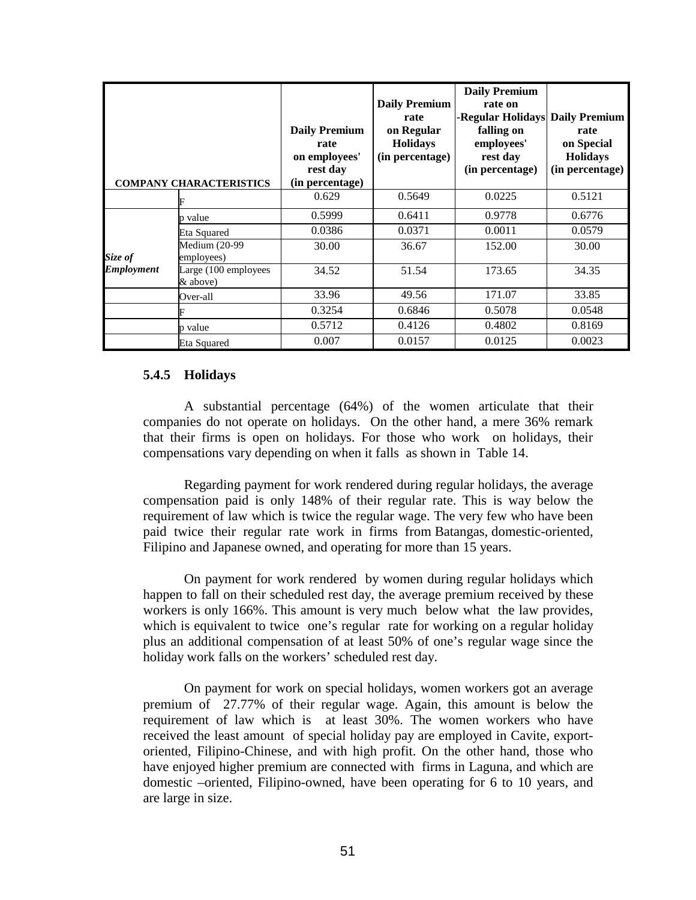| <b>COMPANY CHARACTERISTICS</b> |                                  | <b>Daily Premium</b><br>rate<br>on employees'<br>rest day<br>(in percentage) | <b>Daily Premium</b><br>rate<br>on Regular<br><b>Holidays</b><br>(in percentage) | <b>Daily Premium</b><br>rate on<br>-Regular Holidays<br>falling on<br>employees'<br>rest day<br>(in percentage) | <b>Daily Premium</b><br>rate<br>on Special<br><b>Holidays</b><br>(in percentage) |  |
|--------------------------------|----------------------------------|------------------------------------------------------------------------------|----------------------------------------------------------------------------------|-----------------------------------------------------------------------------------------------------------------|----------------------------------------------------------------------------------|--|
|                                |                                  | 0.629                                                                        | 0.5649                                                                           | 0.0225                                                                                                          | 0.5121                                                                           |  |
|                                | p value                          | 0.5999                                                                       | 0.6411                                                                           | 0.9778                                                                                                          | 0.6776                                                                           |  |
|                                | Eta Squared                      | 0.0386                                                                       | 0.0371                                                                           | 0.0011                                                                                                          | 0.0579                                                                           |  |
| Size of                        | Medium (20-99<br>employees)      | 30.00                                                                        | 36.67                                                                            | 152.00                                                                                                          | 30.00                                                                            |  |
| <b>Employment</b>              | Large (100 employees<br>& above) | 34.52                                                                        | 51.54                                                                            | 173.65                                                                                                          | 34.35                                                                            |  |
|                                | Over-all                         | 33.96                                                                        | 49.56                                                                            | 171.07                                                                                                          | 33.85                                                                            |  |
|                                |                                  | 0.3254                                                                       | 0.6846                                                                           | 0.5078                                                                                                          | 0.0548                                                                           |  |
|                                | p value                          | 0.5712                                                                       | 0.4126                                                                           | 0.4802                                                                                                          | 0.8169                                                                           |  |
|                                | Eta Squared                      | 0.007                                                                        | 0.0157                                                                           | 0.0125                                                                                                          | 0.0023                                                                           |  |

### **5.4.5 Holidays**

A substantial percentage (64%) of the women articulate that their companies do not operate on holidays. On the other hand, a mere 36% remark that their firms is open on holidays. For those who work on holidays, their compensations vary depending on when it falls as shown in Table 14.

Regarding payment for work rendered during regular holidays, the average compensation paid is only 148% of their regular rate. This is way below the requirement of law which is twice the regular wage. The very few who have been paid twice their regular rate work in firms from Batangas, domestic-oriented, Filipino and Japanese owned, and operating for more than 15 years.

On payment for work rendered by women during regular holidays which happen to fall on their scheduled rest day, the average premium received by these workers is only 166%. This amount is very much below what the law provides, which is equivalent to twice one's regular rate for working on a regular holiday plus an additional compensation of at least 50% of one's regular wage since the holiday work falls on the workers' scheduled rest day.

On payment for work on special holidays, women workers got an average premium of 27.77% of their regular wage. Again, this amount is below the requirement of law which is at least 30%. The women workers who have received the least amount of special holiday pay are employed in Cavite, exportoriented, Filipino-Chinese, and with high profit. On the other hand, those who have enjoyed higher premium are connected with firms in Laguna, and which are domestic –oriented, Filipino-owned, have been operating for 6 to 10 years, and are large in size.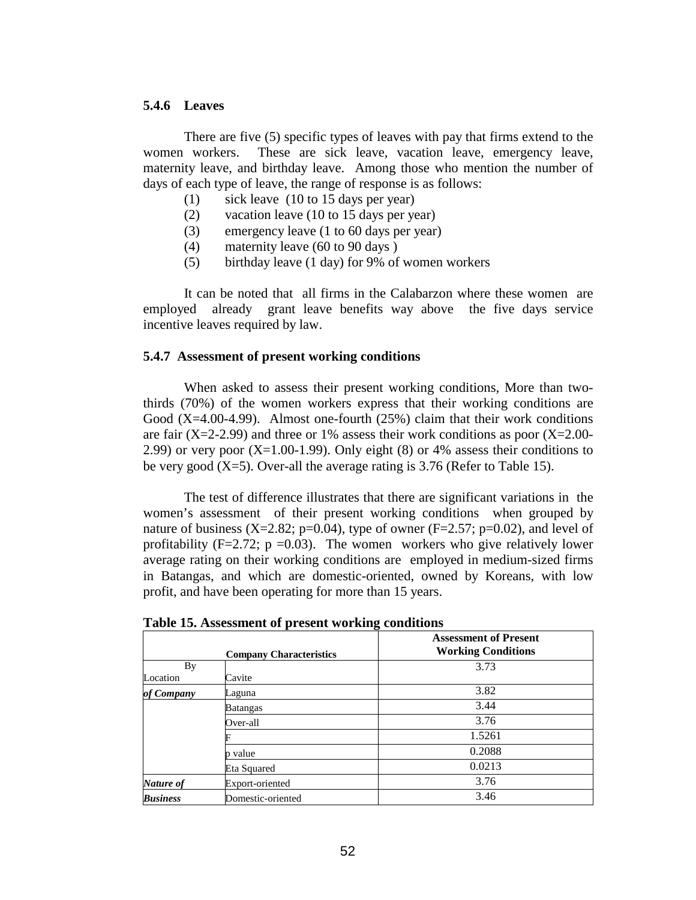### **5.4.6 Leaves**

There are five (5) specific types of leaves with pay that firms extend to the women workers. These are sick leave, vacation leave, emergency leave, maternity leave, and birthday leave. Among those who mention the number of days of each type of leave, the range of response is as follows:

- (1) sick leave (10 to 15 days per year)
- (2) vacation leave (10 to 15 days per year)
- (3) emergency leave (1 to 60 days per year)
- (4) maternity leave (60 to 90 days )
- (5) birthday leave (1 day) for 9% of women workers

It can be noted that all firms in the Calabarzon where these women are employed already grant leave benefits way above the five days service incentive leaves required by law.

### **5.4.7 Assessment of present working conditions**

When asked to assess their present working conditions, More than twothirds (70%) of the women workers express that their working conditions are Good  $(X=4.00-4.99)$ . Almost one-fourth  $(25%)$  claim that their work conditions are fair  $(X=2-2.99)$  and three or 1% assess their work conditions as poor  $(X=2.00-$ 2.99) or very poor  $(X=1.00-1.99)$ . Only eight  $(8)$  or 4% assess their conditions to be very good  $(X=5)$ . Over-all the average rating is 3.76 (Refer to Table 15).

 The test of difference illustrates that there are significant variations in the women's assessment of their present working conditions when grouped by nature of business  $(X=2.82; p=0.04)$ , type of owner  $(F=2.57; p=0.02)$ , and level of profitability (F=2.72;  $p = 0.03$ ). The women workers who give relatively lower average rating on their working conditions are employed in medium-sized firms in Batangas, and which are domestic-oriented, owned by Koreans, with low profit, and have been operating for more than 15 years.

|                 | <b>Company Characteristics</b> | <b>Assessment of Present</b><br><b>Working Conditions</b> |
|-----------------|--------------------------------|-----------------------------------------------------------|
| By              |                                | 3.73                                                      |
| Location        | Cavite                         |                                                           |
| of Company      | Laguna                         | 3.82                                                      |
|                 | <b>Batangas</b>                | 3.44                                                      |
|                 | Over-all                       | 3.76                                                      |
|                 |                                | 1.5261                                                    |
|                 | value                          | 0.2088                                                    |
|                 | Eta Squared                    | 0.0213                                                    |
| Nature of       | Export-oriented                | 3.76                                                      |
| <b>Business</b> | Domestic-oriented              | 3.46                                                      |

**Table 15. Assessment of present working conditions**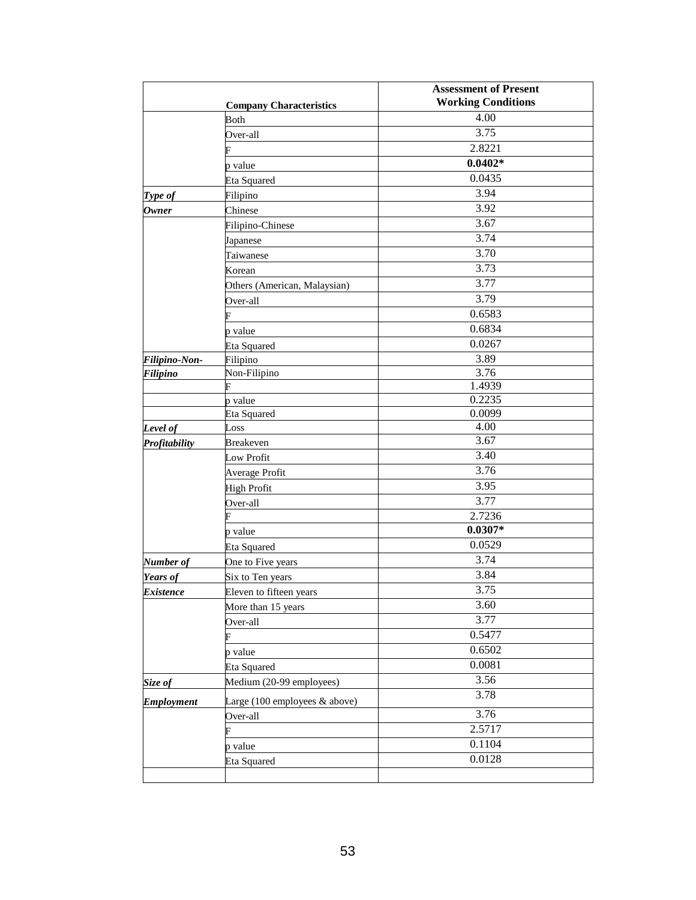|                   |                                                  | <b>Assessment of Present</b> |
|-------------------|--------------------------------------------------|------------------------------|
|                   | <b>Company Characteristics</b>                   | <b>Working Conditions</b>    |
|                   | <b>Both</b>                                      | 4.00                         |
|                   | Over-all                                         | 3.75                         |
|                   |                                                  | 2.8221                       |
|                   | p value                                          | $0.0402*$                    |
|                   | Eta Squared                                      | 0.0435                       |
| Type of           | Filipino                                         | 3.94                         |
| <b>Owner</b>      | Chinese                                          | 3.92                         |
|                   | Filipino-Chinese                                 | 3.67                         |
|                   | Japanese                                         | 3.74                         |
|                   | Taiwanese                                        | 3.70                         |
|                   | Korean                                           | 3.73                         |
|                   | Others (American, Malaysian)                     | 3.77                         |
|                   | Over-all                                         | 3.79                         |
|                   | F                                                | 0.6583                       |
|                   | p value                                          | 0.6834                       |
|                   | Eta Squared                                      | 0.0267                       |
| Filipino-Non-     | Filipino                                         | 3.89                         |
| Filipino          | Non-Filipino                                     | 3.76                         |
|                   | F                                                | 1.4939                       |
|                   | p value                                          | 0.2235                       |
|                   | Eta Squared                                      | 0.0099                       |
| Level of          | Loss                                             | 4.00                         |
| Profitability     | <b>Breakeven</b>                                 | 3.67                         |
|                   | Low Profit                                       | 3.40                         |
|                   | Average Profit                                   | 3.76                         |
|                   | <b>High Profit</b>                               | 3.95                         |
|                   | Over-all                                         | 3.77                         |
|                   |                                                  | 2.7236                       |
|                   | p value                                          | $0.0307*$                    |
|                   | Eta Squared                                      | 0.0529                       |
| Number of         | One to Five years                                | 3.74                         |
| Years of          | Six to Ten years                                 | 3.84                         |
| Existence         | Eleven to fifteen years                          | 3.75                         |
|                   | More than 15 years                               | 3.60                         |
|                   | Over-all                                         | 3.77                         |
|                   | F                                                | 0.5477                       |
|                   | p value                                          | 0.6502                       |
|                   | Eta Squared                                      | 0.0081                       |
| Size of           | Medium (20-99 employees)                         | 3.56                         |
| <b>Employment</b> | Large $(100 \text{ employees } \& \text{above})$ | 3.78                         |
|                   | Over-all                                         | 3.76                         |
|                   | F                                                | 2.5717                       |
|                   |                                                  | 0.1104                       |
|                   | p value                                          | 0.0128                       |
|                   | Eta Squared                                      |                              |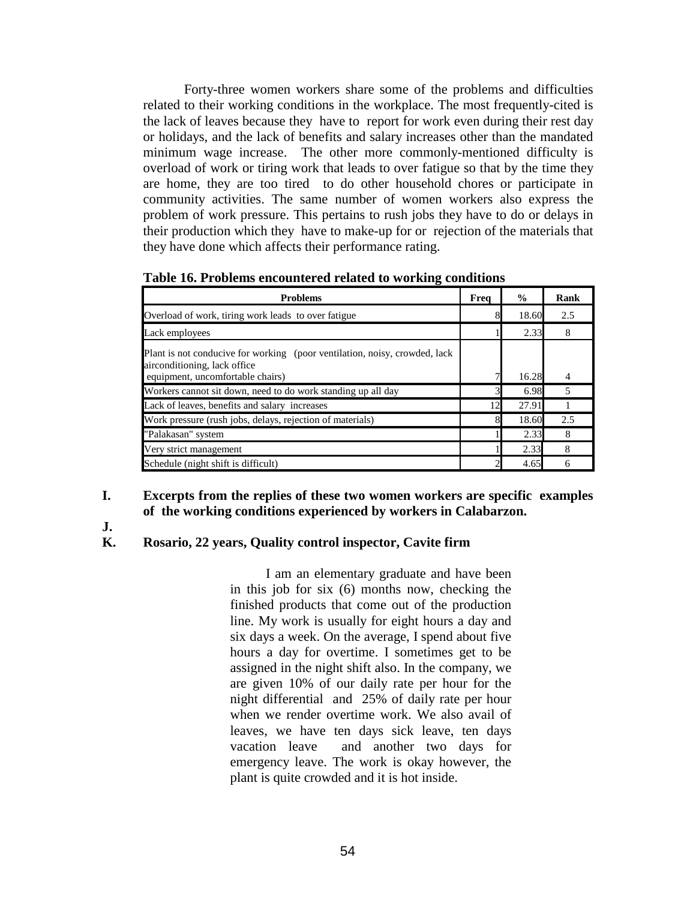Forty-three women workers share some of the problems and difficulties related to their working conditions in the workplace. The most frequently-cited is the lack of leaves because they have to report for work even during their rest day or holidays, and the lack of benefits and salary increases other than the mandated minimum wage increase. The other more commonly-mentioned difficulty is overload of work or tiring work that leads to over fatigue so that by the time they are home, they are too tired to do other household chores or participate in community activities. The same number of women workers also express the problem of work pressure. This pertains to rush jobs they have to do or delays in their production which they have to make-up for or rejection of the materials that they have done which affects their performance rating.

| <b>Problems</b>                                                                                            | Freq | $\frac{0}{0}$ | Rank |
|------------------------------------------------------------------------------------------------------------|------|---------------|------|
| Overload of work, tiring work leads to over fatigue                                                        |      | 18.60         | 2.5  |
| Lack employees                                                                                             |      | 2.33          | 8    |
| Plant is not conducive for working (poor ventilation, noisy, crowded, lack<br>airconditioning, lack office |      |               |      |
| equipment, uncomfortable chairs)                                                                           |      | 16.28         | 4    |
| Workers cannot sit down, need to do work standing up all day                                               |      | 6.98          | 5    |
| Lack of leaves, benefits and salary increases                                                              | 12   | 27.91         |      |
| Work pressure (rush jobs, delays, rejection of materials)                                                  |      | 18.60         | 2.5  |
| "Palakasan" system                                                                                         |      | 2.33          | 8    |
| Very strict management                                                                                     |      | 2.33          | 8    |
| Schedule (night shift is difficult)                                                                        |      | 4.65          | 6    |

**Table 16. Problems encountered related to working conditions** 

## **I. Excerpts from the replies of these two women workers are specific examples of the working conditions experienced by workers in Calabarzon.**

**J.** 

## **K. Rosario, 22 years, Quality control inspector, Cavite firm**

I am an elementary graduate and have been in this job for six (6) months now, checking the finished products that come out of the production line. My work is usually for eight hours a day and six days a week. On the average, I spend about five hours a day for overtime. I sometimes get to be assigned in the night shift also. In the company, we are given 10% of our daily rate per hour for the night differential and 25% of daily rate per hour when we render overtime work. We also avail of leaves, we have ten days sick leave, ten days vacation leave and another two days for emergency leave. The work is okay however, the plant is quite crowded and it is hot inside.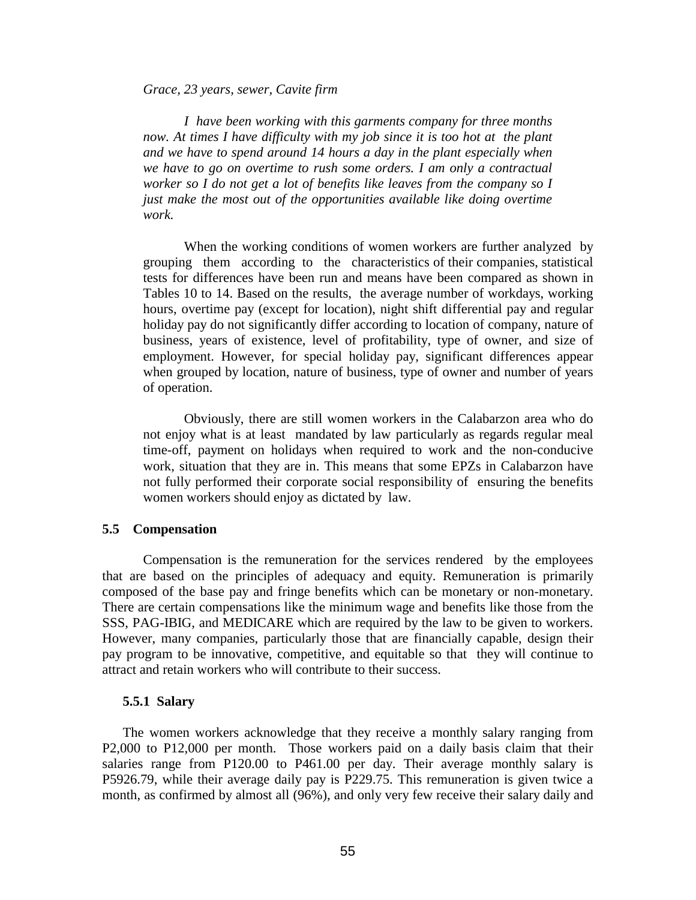*Grace, 23 years, sewer, Cavite firm* 

 *I have been working with this garments company for three months now. At times I have difficulty with my job since it is too hot at the plant and we have to spend around 14 hours a day in the plant especially when we have to go on overtime to rush some orders. I am only a contractual worker so I do not get a lot of benefits like leaves from the company so I just make the most out of the opportunities available like doing overtime work.* 

When the working conditions of women workers are further analyzed by grouping them according to the characteristics of their companies, statistical tests for differences have been run and means have been compared as shown in Tables 10 to 14. Based on the results, the average number of workdays, working hours, overtime pay (except for location), night shift differential pay and regular holiday pay do not significantly differ according to location of company, nature of business, years of existence, level of profitability, type of owner, and size of employment. However, for special holiday pay, significant differences appear when grouped by location, nature of business, type of owner and number of years of operation.

Obviously, there are still women workers in the Calabarzon area who do not enjoy what is at least mandated by law particularly as regards regular meal time-off, payment on holidays when required to work and the non-conducive work, situation that they are in. This means that some EPZs in Calabarzon have not fully performed their corporate social responsibility of ensuring the benefits women workers should enjoy as dictated by law.

#### **5.5 Compensation**

 Compensation is the remuneration for the services rendered by the employees that are based on the principles of adequacy and equity. Remuneration is primarily composed of the base pay and fringe benefits which can be monetary or non-monetary. There are certain compensations like the minimum wage and benefits like those from the SSS, PAG-IBIG, and MEDICARE which are required by the law to be given to workers. However, many companies, particularly those that are financially capable, design their pay program to be innovative, competitive, and equitable so that they will continue to attract and retain workers who will contribute to their success.

#### **5.5.1 Salary**

The women workers acknowledge that they receive a monthly salary ranging from P2,000 to P12,000 per month. Those workers paid on a daily basis claim that their salaries range from P120.00 to P461.00 per day. Their average monthly salary is P5926.79, while their average daily pay is P229.75. This remuneration is given twice a month, as confirmed by almost all (96%), and only very few receive their salary daily and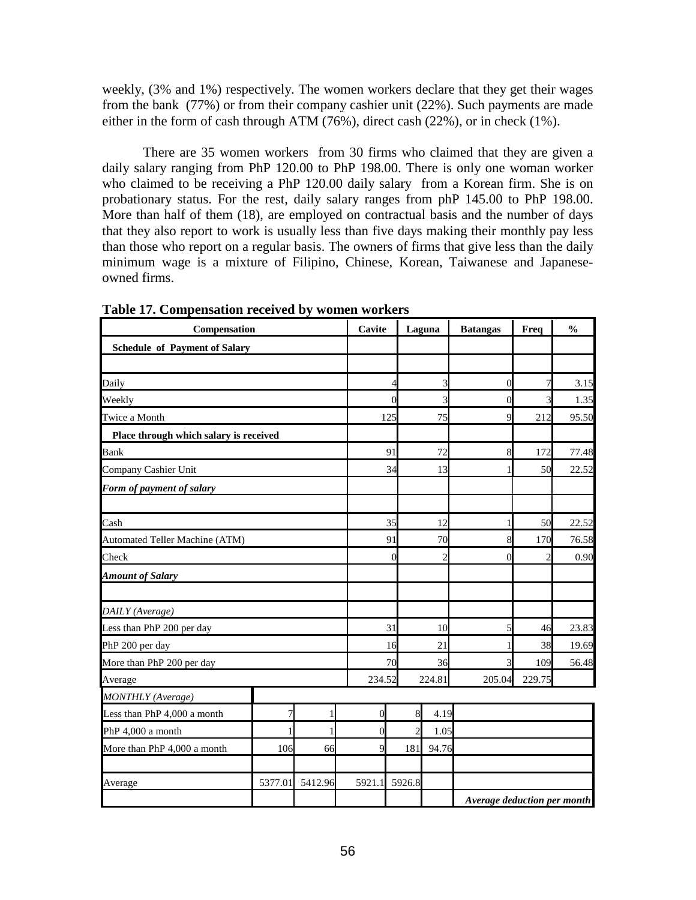weekly, (3% and 1%) respectively. The women workers declare that they get their wages from the bank (77%) or from their company cashier unit (22%). Such payments are made either in the form of cash through ATM (76%), direct cash (22%), or in check (1%).

 There are 35 women workers from 30 firms who claimed that they are given a daily salary ranging from PhP 120.00 to PhP 198.00. There is only one woman worker who claimed to be receiving a PhP 120.00 daily salary from a Korean firm. She is on probationary status. For the rest, daily salary ranges from phP 145.00 to PhP 198.00. More than half of them (18), are employed on contractual basis and the number of days that they also report to work is usually less than five days making their monthly pay less than those who report on a regular basis. The owners of firms that give less than the daily minimum wage is a mixture of Filipino, Chinese, Korean, Taiwanese and Japaneseowned firms.

| Compensation                           |                |         | Cavite           |                | Laguna         | <b>Batangas</b>             | Freq   | $\frac{0}{0}$ |
|----------------------------------------|----------------|---------|------------------|----------------|----------------|-----------------------------|--------|---------------|
| <b>Schedule of Payment of Salary</b>   |                |         |                  |                |                |                             |        |               |
|                                        |                |         |                  |                |                |                             |        |               |
| Daily                                  |                |         |                  | 4              | 3              | $\boldsymbol{0}$            | 7      | 3.15          |
| Weekly                                 |                |         |                  | $\theta$       | 3              | 0                           | 3      | 1.35          |
| Twice a Month                          |                |         |                  | 125            | 75             | $\mathbf Q$                 | 212    | 95.50         |
| Place through which salary is received |                |         |                  |                |                |                             |        |               |
| <b>Bank</b>                            |                |         |                  | 91             | 72             | 8                           | 172    | 77.48         |
| Company Cashier Unit                   |                |         |                  | 34             | 13             |                             | 50     | 22.52         |
| Form of payment of salary              |                |         |                  |                |                |                             |        |               |
|                                        |                |         |                  |                |                |                             |        |               |
| Cash                                   |                |         |                  | 35             | 12             |                             | 50     | 22.52         |
| Automated Teller Machine (ATM)         |                |         |                  | 91             | 70             |                             | 170    | 76.58         |
| Check                                  |                |         |                  | $\overline{0}$ | $\overline{c}$ | $\overline{0}$              |        | 0.90          |
| <b>Amount of Salary</b>                |                |         |                  |                |                |                             |        |               |
|                                        |                |         |                  |                |                |                             |        |               |
| DAILY (Average)                        |                |         |                  |                |                |                             |        |               |
| Less than PhP 200 per day              |                |         |                  | 31             | 10             | 5                           | 46     | 23.83         |
| PhP 200 per day                        |                |         |                  | 16             | 21             |                             | 38     | 19.69         |
| More than PhP 200 per day              |                |         |                  | 70             | 36             |                             | 109    | 56.48         |
| Average                                |                |         | 234.52           |                | 224.81         | 205.04                      | 229.75 |               |
| <b>MONTHLY</b> (Average)               |                |         |                  |                |                |                             |        |               |
| Less than PhP 4,000 a month            | $\overline{7}$ | 1       | $\boldsymbol{0}$ |                | 8<br>4.19      |                             |        |               |
| PhP 4,000 a month                      |                |         | $\boldsymbol{0}$ |                | 1.05           |                             |        |               |
| More than PhP 4,000 a month            | 106            | 66      | 9                | 181            | 94.76          |                             |        |               |
|                                        |                |         |                  |                |                |                             |        |               |
| Average                                | 5377.01        | 5412.96 | 5921.1           | 5926.8         |                |                             |        |               |
|                                        |                |         |                  |                |                | Average deduction per month |        |               |

**Table 17. Compensation received by women workers**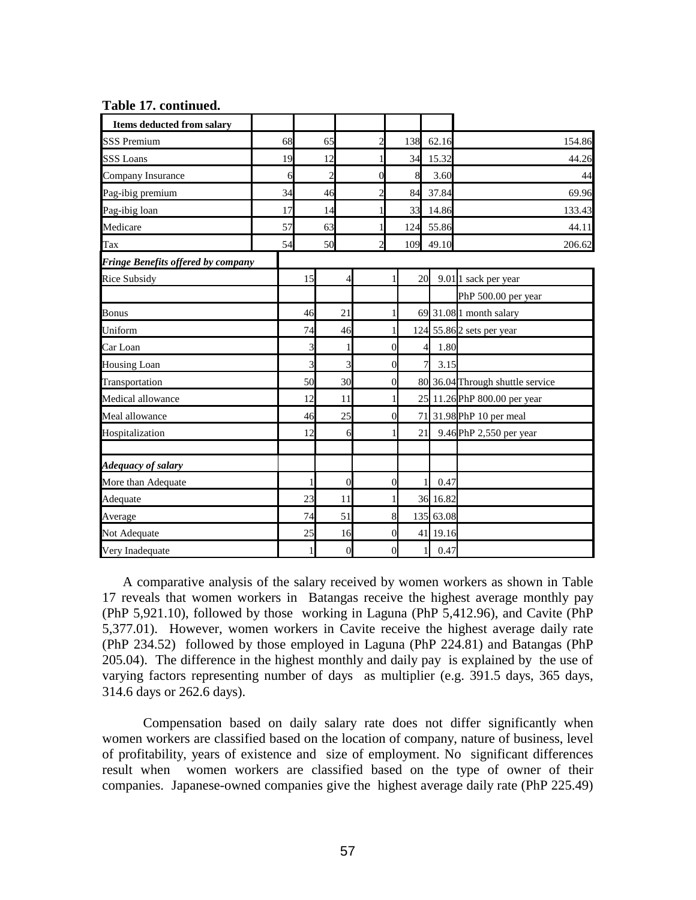| Items deducted from salary         |    |                |                |                |                  |     |                        |                                  |
|------------------------------------|----|----------------|----------------|----------------|------------------|-----|------------------------|----------------------------------|
| <b>SSS Premium</b>                 | 68 | 65             |                | $\overline{c}$ |                  |     | 138 62.16              | 154.86                           |
| <b>SSS Loans</b>                   | 19 | 12             |                | 1              |                  | 34  | 15.32                  | 44.26                            |
| Company Insurance                  | 6  | $\overline{2}$ |                | $\mathbf{0}$   |                  | 8   | 3.60                   | 44                               |
| Pag-ibig premium                   | 34 | 46             |                | $\overline{c}$ |                  | 84  | 37.84                  | 69.96                            |
| Pag-ibig loan                      | 17 | 14             |                | 1              |                  | 33  | 14.86                  | 133.43                           |
| Medicare                           | 57 | 63             |                | 1              |                  | 124 | 55.86                  | 44.11                            |
| Tax                                | 54 | 50             |                | $\overline{c}$ |                  | 109 | 49.10                  | 206.62                           |
| Fringe Benefits offered by company |    |                |                |                |                  |     |                        |                                  |
| <b>Rice Subsidy</b>                |    | 15             | 4              |                |                  | 20  |                        | 9.01 <sup>1</sup> sack per year  |
|                                    |    |                |                |                |                  |     |                        | PhP 500.00 per year              |
| <b>Bonus</b>                       |    | 46             | 21             |                |                  |     |                        | 69 31.08 1 month salary          |
| Uniform                            |    | 74             | 46             |                |                  |     |                        | 124 55.86 2 sets per year        |
| Car Loan                           |    | 3              |                |                | $\overline{0}$   | 4   | 1.80                   |                                  |
| <b>Housing Loan</b>                |    | 3              | 3              |                | $\overline{0}$   |     | $\overline{7}$<br>3.15 |                                  |
| Transportation                     |    | 50             | 30             |                | $\theta$         |     |                        | 80 36.04 Through shuttle service |
| Medical allowance                  |    | 12             | 11             |                | 1                | 25  |                        | 11.26 PhP 800.00 per year        |
| Meal allowance                     |    | 46             | 25             |                | $\boldsymbol{0}$ |     |                        | 71 31.98 PhP 10 per meal         |
| Hospitalization                    |    | 12             | 6              |                |                  | 21  |                        | 9.46 PhP 2,550 per year          |
| Adequacy of salary                 |    |                |                |                |                  |     |                        |                                  |
| More than Adequate                 |    |                | $\overline{0}$ |                | $\overline{0}$   | 1   | 0.47                   |                                  |
| Adequate                           |    | 23             | 11             |                |                  |     | 36 16.82               |                                  |
| Average                            |    | 74             | 51             |                | 8                |     | 135 63.08              |                                  |
| Not Adequate                       |    | 25             | 16             |                | $\overline{0}$   |     | 41 19.16               |                                  |
| Very Inadequate                    |    |                | $\overline{0}$ |                | $\theta$         |     | 0.47<br>$\mathbf{1}$   |                                  |

#### **Table 17. continued.**

A comparative analysis of the salary received by women workers as shown in Table 17 reveals that women workers in Batangas receive the highest average monthly pay (PhP 5,921.10), followed by those working in Laguna (PhP 5,412.96), and Cavite (PhP 5,377.01). However, women workers in Cavite receive the highest average daily rate (PhP 234.52) followed by those employed in Laguna (PhP 224.81) and Batangas (PhP 205.04). The difference in the highest monthly and daily pay is explained by the use of varying factors representing number of days as multiplier (e.g. 391.5 days, 365 days, 314.6 days or 262.6 days).

Compensation based on daily salary rate does not differ significantly when women workers are classified based on the location of company, nature of business, level of profitability, years of existence and size of employment. No significant differences result when women workers are classified based on the type of owner of their companies. Japanese-owned companies give the highest average daily rate (PhP 225.49)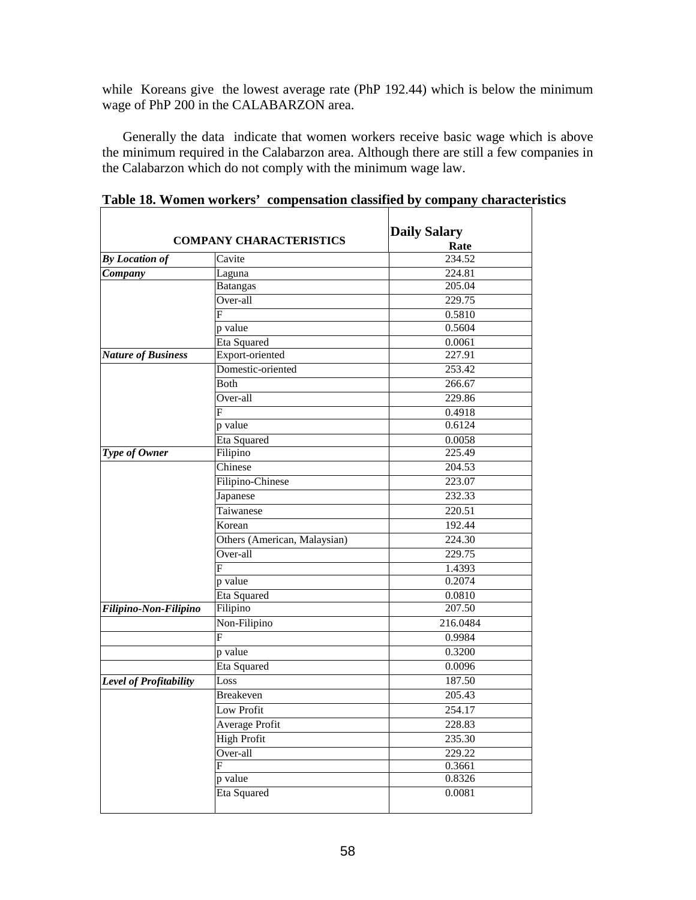while Koreans give the lowest average rate (PhP 192.44) which is below the minimum wage of PhP 200 in the CALABARZON area.

Generally the data indicate that women workers receive basic wage which is above the minimum required in the Calabarzon area. Although there are still a few companies in the Calabarzon which do not comply with the minimum wage law.

|                           | <b>COMPANY CHARACTERISTICS</b> | <b>Daily Salary</b><br>Rate |
|---------------------------|--------------------------------|-----------------------------|
| <b>By Location of</b>     | Cavite                         | 234.52                      |
| Company                   | Laguna                         | 224.81                      |
|                           | <b>Batangas</b>                | 205.04                      |
|                           | Over-all                       | 229.75                      |
|                           | F                              | 0.5810                      |
|                           | p value                        | 0.5604                      |
|                           | Eta Squared                    | 0.0061                      |
| <b>Nature of Business</b> | Export-oriented                | 227.91                      |
|                           | Domestic-oriented              | 253.42                      |
|                           | Both                           | 266.67                      |
|                           | Over-all                       | 229.86                      |
|                           | F                              | 0.4918                      |
|                           | p value                        | 0.6124                      |
|                           | Eta Squared                    | 0.0058                      |
| Type of Owner             | Filipino                       | 225.49                      |
|                           | Chinese                        | 204.53                      |
|                           | Filipino-Chinese               | 223.07                      |
|                           | Japanese                       | 232.33                      |
|                           | Taiwanese                      | 220.51                      |
|                           | Korean                         | 192.44                      |
|                           | Others (American, Malaysian)   | 224.30                      |
|                           | Over-all                       | 229.75                      |
|                           | F                              | 1.4393                      |
|                           | p value                        | 0.2074                      |
|                           | Eta Squared                    | 0.0810                      |
| Filipino-Non-Filipino     | Filipino                       | 207.50                      |
|                           | Non-Filipino                   | 216.0484                    |
|                           | F                              | 0.9984                      |
|                           | p value                        | 0.3200                      |
|                           | Eta Squared                    | 0.0096                      |
| Level of Profitability    | Loss                           | 187.50                      |
|                           | <b>Breakeven</b>               | 205.43                      |
|                           | Low Profit                     | 254.17                      |
|                           | Average Profit                 | 228.83                      |
|                           | <b>High Profit</b>             | 235.30                      |
|                           | Over-all                       | 229.22                      |
|                           | F                              | 0.3661                      |
|                           | p value                        | 0.8326                      |
|                           | Eta Squared                    | 0.0081                      |
|                           |                                |                             |

**Table 18. Women workers' compensation classified by company characteristics**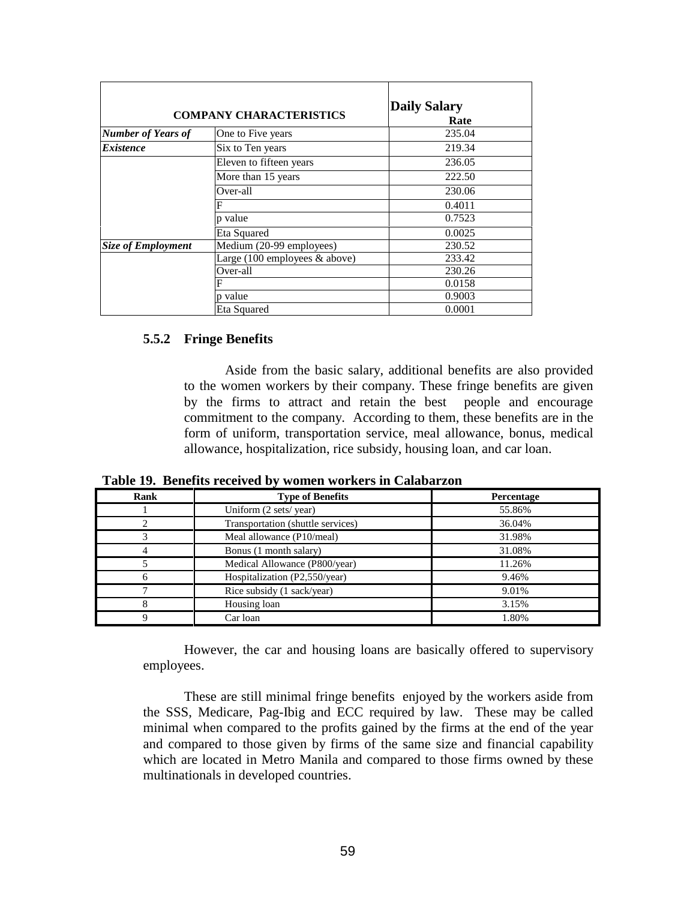| <b>COMPANY CHARACTERISTICS</b> |                                                  | <b>Daily Salary</b><br>Rate |  |
|--------------------------------|--------------------------------------------------|-----------------------------|--|
| <b>Number of Years of</b>      | One to Five years                                | 235.04                      |  |
| <i><b>Existence</b></i>        | Six to Ten years                                 | 219.34                      |  |
|                                | Eleven to fifteen years                          | 236.05                      |  |
|                                | More than 15 years                               | 222.50                      |  |
|                                | Over-all                                         | 230.06                      |  |
|                                | F                                                | 0.4011                      |  |
|                                | p value                                          | 0.7523                      |  |
|                                | Eta Squared                                      | 0.0025                      |  |
| <b>Size of Employment</b>      | Medium (20-99 employees)                         | 230.52                      |  |
|                                | Large $(100 \text{ employees } \& \text{above})$ | 233.42                      |  |
|                                | Over-all                                         | 230.26                      |  |
|                                | F                                                | 0.0158                      |  |
|                                | p value                                          | 0.9003                      |  |
|                                | Eta Squared                                      | 0.0001                      |  |

## **5.5.2 Fringe Benefits**

 Aside from the basic salary, additional benefits are also provided to the women workers by their company. These fringe benefits are given by the firms to attract and retain the best people and encourage commitment to the company. According to them, these benefits are in the form of uniform, transportation service, meal allowance, bonus, medical allowance, hospitalization, rice subsidy, housing loan, and car loan.

**Table 19. Benefits received by women workers in Calabarzon** 

| Rank     | <b>Type of Benefits</b>           | Percentage |
|----------|-----------------------------------|------------|
|          | Uniform (2 sets/year)             | 55.86%     |
|          | Transportation (shuttle services) | 36.04%     |
|          | Meal allowance (P10/meal)         | 31.98%     |
|          | Bonus (1 month salary)            | 31.08%     |
|          | Medical Allowance (P800/year)     | 11.26%     |
|          | Hospitalization (P2,550/year)     | 9.46%      |
|          | Rice subsidy (1 sack/year)        | 9.01%      |
| 8        | Housing loan                      | 3.15%      |
| $\Omega$ | Car loan                          | 1.80%      |

 However, the car and housing loans are basically offered to supervisory employees.

 These are still minimal fringe benefits enjoyed by the workers aside from the SSS, Medicare, Pag-Ibig and ECC required by law. These may be called minimal when compared to the profits gained by the firms at the end of the year and compared to those given by firms of the same size and financial capability which are located in Metro Manila and compared to those firms owned by these multinationals in developed countries.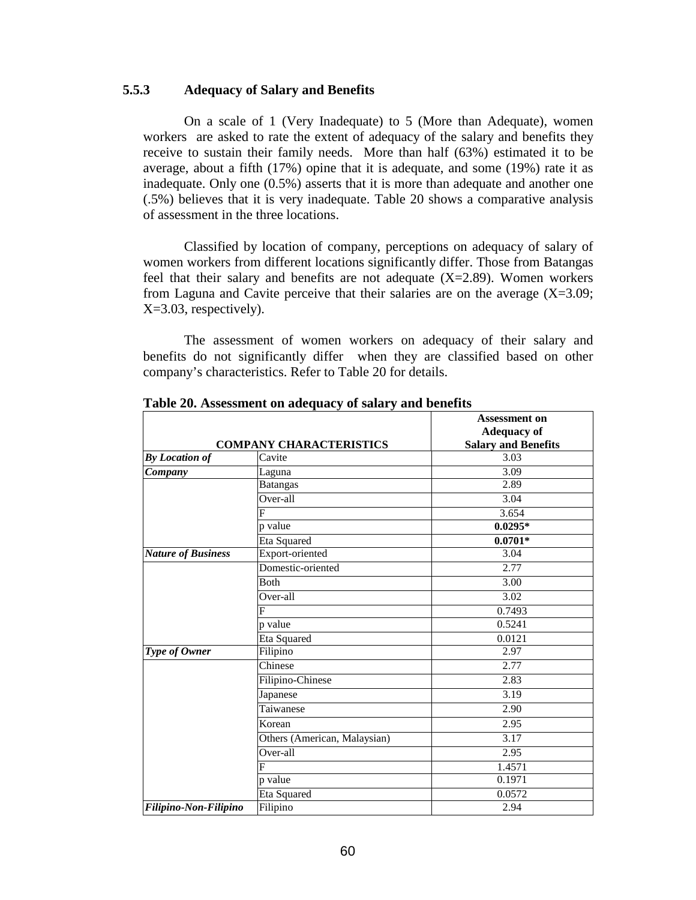## **5.5.3 Adequacy of Salary and Benefits**

 On a scale of 1 (Very Inadequate) to 5 (More than Adequate), women workers are asked to rate the extent of adequacy of the salary and benefits they receive to sustain their family needs. More than half (63%) estimated it to be average, about a fifth (17%) opine that it is adequate, and some (19%) rate it as inadequate. Only one (0.5%) asserts that it is more than adequate and another one (.5%) believes that it is very inadequate. Table 20 shows a comparative analysis of assessment in the three locations.

 Classified by location of company, perceptions on adequacy of salary of women workers from different locations significantly differ. Those from Batangas feel that their salary and benefits are not adequate  $(X=2.89)$ . Women workers from Laguna and Cavite perceive that their salaries are on the average  $(X=3.09;$ X=3.03, respectively).

 The assessment of women workers on adequacy of their salary and benefits do not significantly differ when they are classified based on other company's characteristics. Refer to Table 20 for details.

|                                |                              | <b>Assessment on</b>       |  |  |
|--------------------------------|------------------------------|----------------------------|--|--|
|                                |                              | <b>Adequacy of</b>         |  |  |
| <b>COMPANY CHARACTERISTICS</b> |                              | <b>Salary and Benefits</b> |  |  |
| <b>By Location of</b>          | Cavite                       | 3.03                       |  |  |
| Company                        | Laguna                       | 3.09                       |  |  |
|                                | <b>Batangas</b>              | 2.89                       |  |  |
|                                | Over-all                     | 3.04                       |  |  |
|                                | F                            | 3.654                      |  |  |
|                                | p value                      | $0.0295*$                  |  |  |
|                                | Eta Squared                  | $0.0701*$                  |  |  |
| <b>Nature of Business</b>      | Export-oriented              | 3.04                       |  |  |
|                                | Domestic-oriented            | 2.77                       |  |  |
|                                | Both                         | 3.00                       |  |  |
|                                | $Over-all$                   | 3.02                       |  |  |
|                                | $\overline{F}$               | 0.7493                     |  |  |
|                                | p value                      | 0.5241                     |  |  |
|                                | Eta Squared                  | 0.0121                     |  |  |
| Type of Owner                  | Filipino                     | 2.97                       |  |  |
|                                | Chinese                      | 2.77                       |  |  |
|                                | Filipino-Chinese             | 2.83                       |  |  |
|                                | Japanese                     | 3.19                       |  |  |
|                                | Taiwanese                    | 2.90                       |  |  |
|                                | Korean                       | 2.95                       |  |  |
|                                | Others (American, Malaysian) | 3.17                       |  |  |
|                                | Over-all                     | 2.95                       |  |  |
|                                | F                            | 1.4571                     |  |  |
|                                | p value                      | 0.1971                     |  |  |
|                                | Eta Squared                  | 0.0572                     |  |  |
| Filipino-Non-Filipino          | Filipino                     | 2.94                       |  |  |

 **Table 20. Assessment on adequacy of salary and benefits**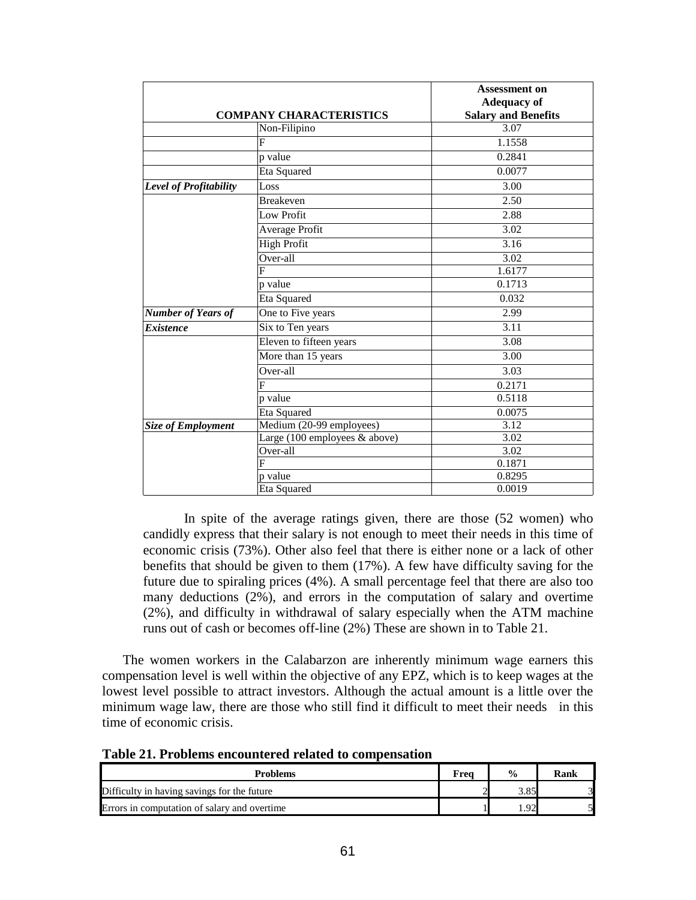|                           | <b>COMPANY CHARACTERISTICS</b> | <b>Assessment on</b><br><b>Adequacy of</b><br><b>Salary and Benefits</b> |
|---------------------------|--------------------------------|--------------------------------------------------------------------------|
|                           | Non-Filipino                   | 3.07                                                                     |
|                           | F                              | 1.1558                                                                   |
|                           | p value                        | 0.2841                                                                   |
|                           | Eta Squared                    | 0.0077                                                                   |
| Level of Profitability    | Loss                           | 3.00                                                                     |
|                           | <b>Breakeven</b>               | 2.50                                                                     |
|                           | Low Profit                     | 2.88                                                                     |
|                           | Average Profit                 | 3.02                                                                     |
|                           | <b>High Profit</b>             | 3.16                                                                     |
|                           | Over-all                       | 3.02                                                                     |
|                           | F                              | 1.6177                                                                   |
|                           | p value                        | 0.1713                                                                   |
|                           | Eta Squared                    | 0.032                                                                    |
| <b>Number of Years of</b> | One to Five years              | 2.99                                                                     |
| <b>Existence</b>          | Six to Ten years               | 3.11                                                                     |
|                           | Eleven to fifteen years        | 3.08                                                                     |
|                           | More than 15 years             | 3.00                                                                     |
|                           | Over-all                       | 3.03                                                                     |
|                           | F                              | 0.2171                                                                   |
|                           | p value                        | 0.5118                                                                   |
|                           | Eta Squared                    | 0.0075                                                                   |
| <b>Size of Employment</b> | Medium (20-99 employees)       | 3.12                                                                     |
|                           | Large (100 employees & above)  | 3.02                                                                     |
|                           | Over-all                       | 3.02                                                                     |
|                           | F                              | 0.1871                                                                   |
|                           | p value                        | 0.8295                                                                   |
|                           | Eta Squared                    | 0.0019                                                                   |

 In spite of the average ratings given, there are those (52 women) who candidly express that their salary is not enough to meet their needs in this time of economic crisis (73%). Other also feel that there is either none or a lack of other benefits that should be given to them (17%). A few have difficulty saving for the future due to spiraling prices (4%). A small percentage feel that there are also too many deductions (2%), and errors in the computation of salary and overtime (2%), and difficulty in withdrawal of salary especially when the ATM machine runs out of cash or becomes off-line (2%) These are shown in to Table 21.

 The women workers in the Calabarzon are inherently minimum wage earners this compensation level is well within the objective of any EPZ, which is to keep wages at the lowest level possible to attract investors. Although the actual amount is a little over the minimum wage law, there are those who still find it difficult to meet their needs in this time of economic crisis.

**Table 21. Problems encountered related to compensation**

| <b>Problems</b>                              | Freq | $\frac{0}{0}$ | Rank |
|----------------------------------------------|------|---------------|------|
| Difficulty in having savings for the future  |      |               |      |
| Errors in computation of salary and overtime |      | $\Omega$      |      |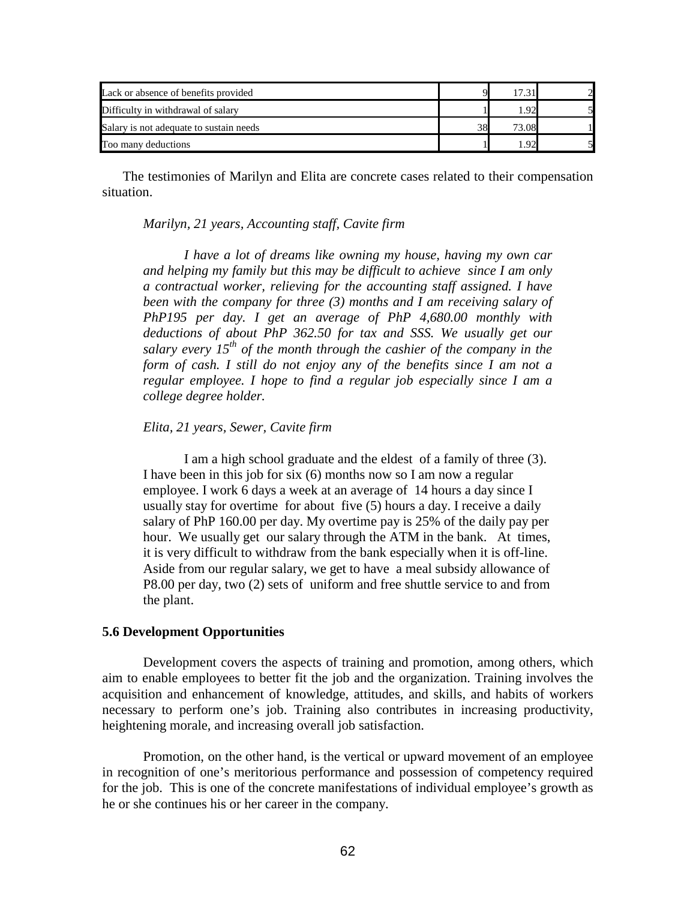| Lack or absence of benefits provided    |    |       |  |
|-----------------------------------------|----|-------|--|
| Difficulty in withdrawal of salary      |    | റ     |  |
| Salary is not adequate to sustain needs | 38 | 73.08 |  |
| Too many deductions                     |    | റ     |  |

 The testimonies of Marilyn and Elita are concrete cases related to their compensation situation.

*Marilyn, 21 years, Accounting staff, Cavite firm* 

*I have a lot of dreams like owning my house, having my own car and helping my family but this may be difficult to achieve since I am only a contractual worker, relieving for the accounting staff assigned. I have been with the company for three (3) months and I am receiving salary of PhP195 per day. I get an average of PhP 4,680.00 monthly with deductions of about PhP 362.50 for tax and SSS. We usually get our salary every 15th of the month through the cashier of the company in the form of cash. I still do not enjoy any of the benefits since I am not a regular employee. I hope to find a regular job especially since I am a college degree holder.* 

### *Elita, 21 years, Sewer, Cavite firm*

I am a high school graduate and the eldest of a family of three (3). I have been in this job for six (6) months now so I am now a regular employee. I work 6 days a week at an average of 14 hours a day since I usually stay for overtime for about five (5) hours a day. I receive a daily salary of PhP 160.00 per day. My overtime pay is 25% of the daily pay per hour. We usually get our salary through the ATM in the bank. At times, it is very difficult to withdraw from the bank especially when it is off-line. Aside from our regular salary, we get to have a meal subsidy allowance of P8.00 per day, two (2) sets of uniform and free shuttle service to and from the plant.

### **5.6 Development Opportunities**

Development covers the aspects of training and promotion, among others, which aim to enable employees to better fit the job and the organization. Training involves the acquisition and enhancement of knowledge, attitudes, and skills, and habits of workers necessary to perform one's job. Training also contributes in increasing productivity, heightening morale, and increasing overall job satisfaction.

Promotion, on the other hand, is the vertical or upward movement of an employee in recognition of one's meritorious performance and possession of competency required for the job. This is one of the concrete manifestations of individual employee's growth as he or she continues his or her career in the company.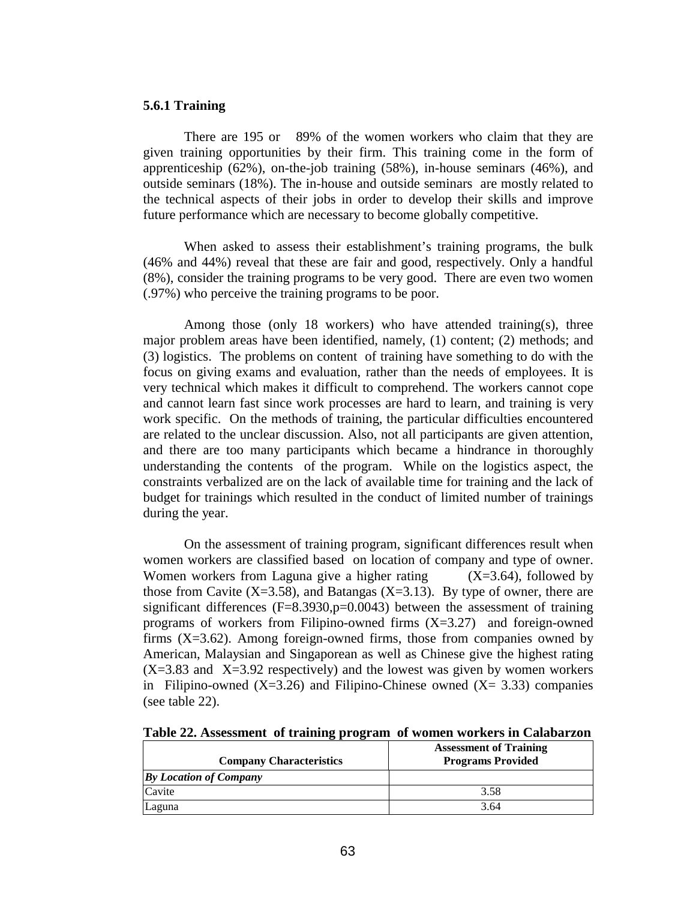### **5.6.1 Training**

There are 195 or 89% of the women workers who claim that they are given training opportunities by their firm. This training come in the form of apprenticeship (62%), on-the-job training (58%), in-house seminars (46%), and outside seminars (18%). The in-house and outside seminars are mostly related to the technical aspects of their jobs in order to develop their skills and improve future performance which are necessary to become globally competitive.

When asked to assess their establishment's training programs, the bulk (46% and 44%) reveal that these are fair and good, respectively. Only a handful (8%), consider the training programs to be very good. There are even two women (.97%) who perceive the training programs to be poor.

Among those (only 18 workers) who have attended training(s), three major problem areas have been identified, namely, (1) content; (2) methods; and (3) logistics. The problems on content of training have something to do with the focus on giving exams and evaluation, rather than the needs of employees. It is very technical which makes it difficult to comprehend. The workers cannot cope and cannot learn fast since work processes are hard to learn, and training is very work specific. On the methods of training, the particular difficulties encountered are related to the unclear discussion. Also, not all participants are given attention, and there are too many participants which became a hindrance in thoroughly understanding the contents of the program. While on the logistics aspect, the constraints verbalized are on the lack of available time for training and the lack of budget for trainings which resulted in the conduct of limited number of trainings during the year.

 On the assessment of training program, significant differences result when women workers are classified based on location of company and type of owner. Women workers from Laguna give a higher rating  $(X=3.64)$ , followed by those from Cavite  $(X=3.58)$ , and Batangas  $(X=3.13)$ . By type of owner, there are significant differences  $(F=8.3930,p=0.0043)$  between the assessment of training programs of workers from Filipino-owned firms  $(X=3.27)$  and foreign-owned firms  $(X=3.62)$ . Among foreign-owned firms, those from companies owned by American, Malaysian and Singaporean as well as Chinese give the highest rating  $(X=3.83$  and  $X=3.92$  respectively) and the lowest was given by women workers in Filipino-owned  $(X=3.26)$  and Filipino-Chinese owned  $(X=3.33)$  companies (see table 22).

**Table 22. Assessment of training program of women workers in Calabarzon** 

| <b>Company Characteristics</b> | <b>Assessment of Training</b><br><b>Programs Provided</b> |
|--------------------------------|-----------------------------------------------------------|
| <b>By Location of Company</b>  |                                                           |
| Cavite                         | 3.58                                                      |
| Laguna                         | 3.64                                                      |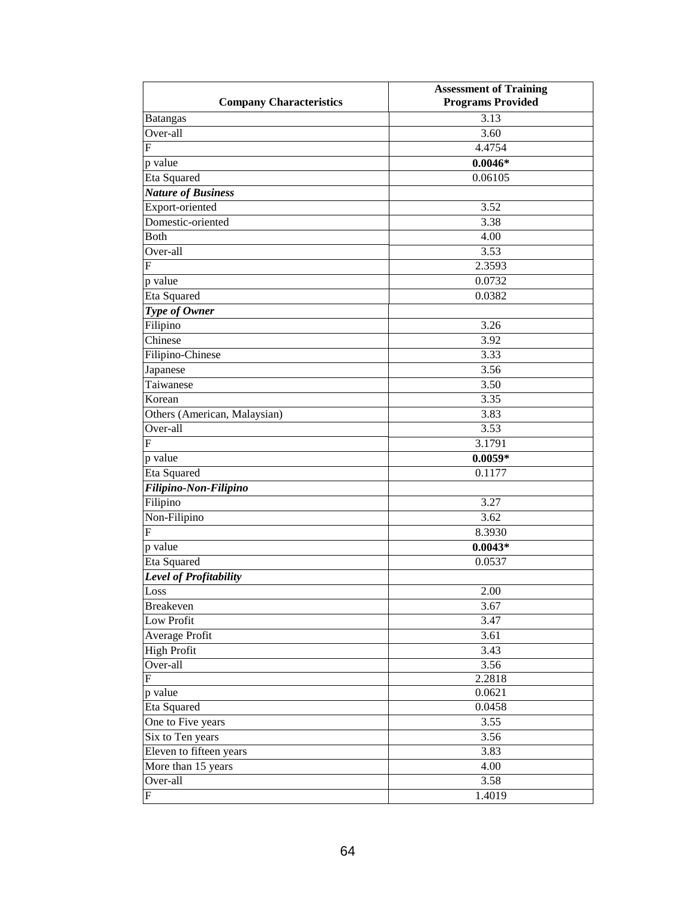|                                | <b>Assessment of Training</b> |
|--------------------------------|-------------------------------|
| <b>Company Characteristics</b> | <b>Programs Provided</b>      |
| Batangas                       | 3.13                          |
| Over-all                       | 3.60                          |
| F                              | 4.4754                        |
| p value                        | $0.0046*$                     |
| Eta Squared                    | 0.06105                       |
| <b>Nature of Business</b>      |                               |
| Export-oriented                | 3.52                          |
| Domestic-oriented              | 3.38                          |
| Both                           | 4.00                          |
| Over-all                       | 3.53                          |
| F                              | 2.3593                        |
| p value                        | 0.0732                        |
| Eta Squared                    | 0.0382                        |
| Type of Owner                  |                               |
| Filipino                       | 3.26                          |
| Chinese                        | 3.92                          |
| Filipino-Chinese               | 3.33                          |
| Japanese                       | 3.56                          |
| Taiwanese                      | 3.50                          |
| Korean                         | 3.35                          |
| Others (American, Malaysian)   | 3.83                          |
| Over-all                       | 3.53                          |
| F                              | 3.1791                        |
| p value                        | $0.0059*$                     |
| Eta Squared                    | 0.1177                        |
| Filipino-Non-Filipino          |                               |
| Filipino                       | 3.27                          |
| Non-Filipino                   | 3.62                          |
| $\boldsymbol{\mathrm{F}}$      | 8.3930                        |
| p value                        | $0.0043*$                     |
| Eta Squared                    | 0.0537                        |
| Level of Profitability         |                               |
| Loss                           | $2.00\,$                      |
| Breakeven                      | 3.67                          |
| Low Profit                     | 3.47                          |
| Average Profit                 | 3.61                          |
| <b>High Profit</b>             | 3.43                          |
| Over-all                       | 3.56                          |
| $\mathbf F$                    | 2.2818                        |
| p value                        | 0.0621                        |
| Eta Squared                    | 0.0458                        |
| One to Five years              | 3.55                          |
| Six to Ten years               | 3.56                          |
| Eleven to fifteen years        | 3.83                          |
| More than 15 years             | 4.00                          |
| Over-all                       | 3.58                          |
| ${\bf F}$                      | 1.4019                        |
|                                |                               |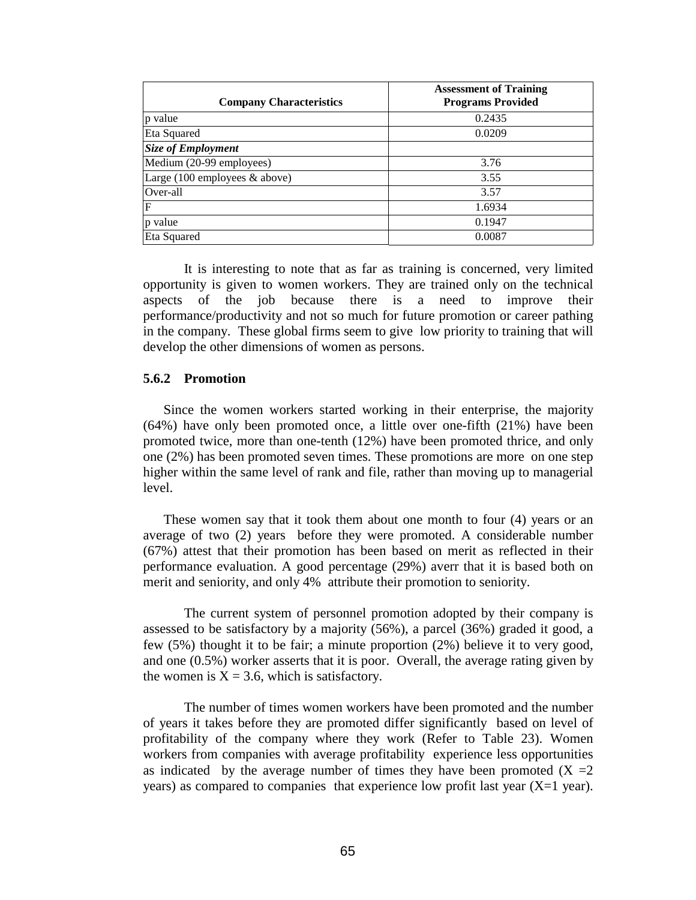| <b>Company Characteristics</b>                   | <b>Assessment of Training</b><br><b>Programs Provided</b> |
|--------------------------------------------------|-----------------------------------------------------------|
| p value                                          | 0.2435                                                    |
| Eta Squared                                      | 0.0209                                                    |
| <b>Size of Employment</b>                        |                                                           |
| Medium (20-99 employees)                         | 3.76                                                      |
| Large $(100 \text{ employees } \& \text{above})$ | 3.55                                                      |
| Over-all                                         | 3.57                                                      |
| F                                                | 1.6934                                                    |
| p value                                          | 0.1947                                                    |
| Eta Squared                                      | 0.0087                                                    |

It is interesting to note that as far as training is concerned, very limited opportunity is given to women workers. They are trained only on the technical aspects of the job because there is a need to improve their performance/productivity and not so much for future promotion or career pathing in the company. These global firms seem to give low priority to training that will develop the other dimensions of women as persons.

### **5.6.2 Promotion**

Since the women workers started working in their enterprise, the majority (64%) have only been promoted once, a little over one-fifth (21%) have been promoted twice, more than one-tenth (12%) have been promoted thrice, and only one (2%) has been promoted seven times. These promotions are more on one step higher within the same level of rank and file, rather than moving up to managerial level.

These women say that it took them about one month to four (4) years or an average of two (2) years before they were promoted. A considerable number (67%) attest that their promotion has been based on merit as reflected in their performance evaluation. A good percentage (29%) averr that it is based both on merit and seniority, and only 4% attribute their promotion to seniority.

The current system of personnel promotion adopted by their company is assessed to be satisfactory by a majority (56%), a parcel (36%) graded it good, a few (5%) thought it to be fair; a minute proportion (2%) believe it to very good, and one (0.5%) worker asserts that it is poor. Overall, the average rating given by the women is  $X = 3.6$ , which is satisfactory.

 The number of times women workers have been promoted and the number of years it takes before they are promoted differ significantly based on level of profitability of the company where they work (Refer to Table 23). Women workers from companies with average profitability experience less opportunities as indicated by the average number of times they have been promoted  $(X = 2$ years) as compared to companies that experience low profit last year  $(X=1$  year).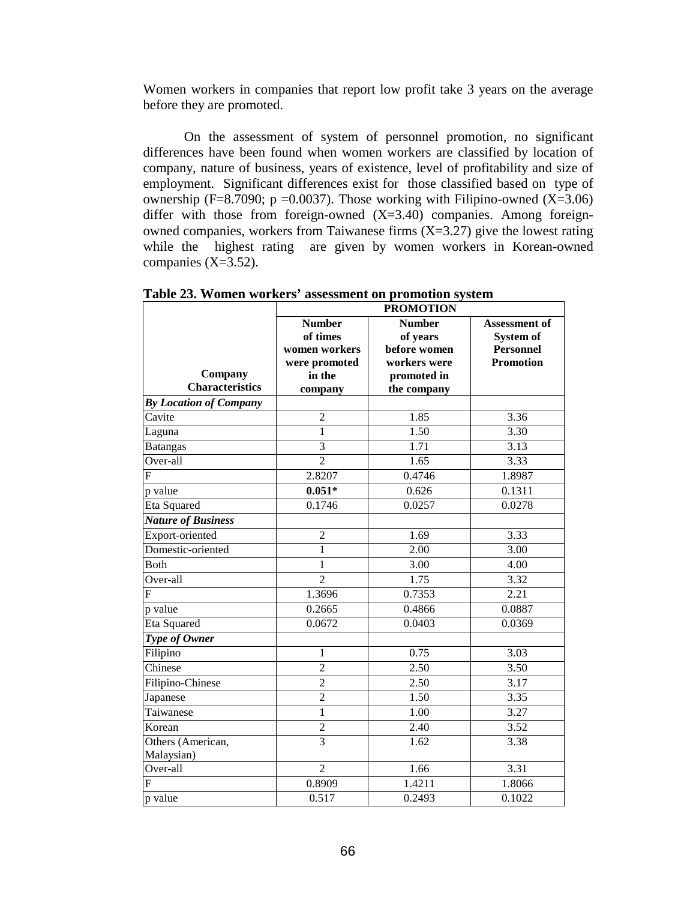Women workers in companies that report low profit take 3 years on the average before they are promoted.

 On the assessment of system of personnel promotion, no significant differences have been found when women workers are classified by location of company, nature of business, years of existence, level of profitability and size of employment. Significant differences exist for those classified based on type of ownership (F=8.7090; p =0.0037). Those working with Filipino-owned (X=3.06) differ with those from foreign-owned  $(X=3.40)$  companies. Among foreignowned companies, workers from Taiwanese firms  $(X=3.27)$  give the lowest rating while the highest rating are given by women workers in Korean-owned companies (X=3.52).

|                                   | <b>PROMOTION</b>                                                                 |                                                                                         |                                                                    |  |
|-----------------------------------|----------------------------------------------------------------------------------|-----------------------------------------------------------------------------------------|--------------------------------------------------------------------|--|
| Company<br><b>Characteristics</b> | <b>Number</b><br>of times<br>women workers<br>were promoted<br>in the<br>company | <b>Number</b><br>of years<br>before women<br>workers were<br>promoted in<br>the company | Assessment of<br>System of<br><b>Personnel</b><br><b>Promotion</b> |  |
| <b>By Location of Company</b>     |                                                                                  |                                                                                         |                                                                    |  |
| Cavite                            | $\overline{2}$                                                                   | 1.85                                                                                    | 3.36                                                               |  |
| Laguna                            | 1                                                                                | 1.50                                                                                    | 3.30                                                               |  |
| <b>Batangas</b>                   | $\overline{3}$                                                                   | 1.71                                                                                    | 3.13                                                               |  |
| Over-all                          | $\overline{2}$                                                                   | 1.65                                                                                    | 3.33                                                               |  |
| $\mathbf F$                       | 2.8207                                                                           | 0.4746                                                                                  | 1.8987                                                             |  |
| p value                           | $0.051*$                                                                         | 0.626                                                                                   | 0.1311                                                             |  |
| Eta Squared                       | 0.1746                                                                           | 0.0257                                                                                  | 0.0278                                                             |  |
| <b>Nature of Business</b>         |                                                                                  |                                                                                         |                                                                    |  |
| Export-oriented                   | $\overline{2}$                                                                   | 1.69                                                                                    | 3.33                                                               |  |
| Domestic-oriented                 | $\mathbf{1}$                                                                     | 2.00                                                                                    | 3.00                                                               |  |
| <b>B</b> oth                      | 1                                                                                | 3.00                                                                                    | 4.00                                                               |  |
| Over-all                          | $\overline{2}$                                                                   | 1.75                                                                                    | 3.32                                                               |  |
| F                                 | 1.3696                                                                           | 0.7353                                                                                  | 2.21                                                               |  |
| p value                           | 0.2665                                                                           | 0.4866                                                                                  | 0.0887                                                             |  |
| Eta Squared                       | 0.0672                                                                           | 0.0403                                                                                  | 0.0369                                                             |  |
| Type of Owner                     |                                                                                  |                                                                                         |                                                                    |  |
| Filipino                          | 1                                                                                | 0.75                                                                                    | 3.03                                                               |  |
| Chinese                           | $\overline{2}$                                                                   | 2.50                                                                                    | 3.50                                                               |  |
| Filipino-Chinese                  | $\overline{2}$                                                                   | 2.50                                                                                    | 3.17                                                               |  |
| Japanese                          | $\overline{2}$                                                                   | 1.50                                                                                    | 3.35                                                               |  |
| Taiwanese                         | $\mathbf{1}$                                                                     | 1.00                                                                                    | 3.27                                                               |  |
| Korean                            | $\overline{c}$                                                                   | 2.40                                                                                    | 3.52                                                               |  |
| Others (American,<br>Malaysian)   | 3                                                                                | 1.62                                                                                    | 3.38                                                               |  |
| Over-all                          | $\overline{2}$                                                                   | 1.66                                                                                    | 3.31                                                               |  |
| F                                 | 0.8909                                                                           | 1.4211                                                                                  | 1.8066                                                             |  |
| p value                           | 0.517                                                                            | 0.2493                                                                                  | 0.1022                                                             |  |

**Table 23. Women workers' assessment on promotion system**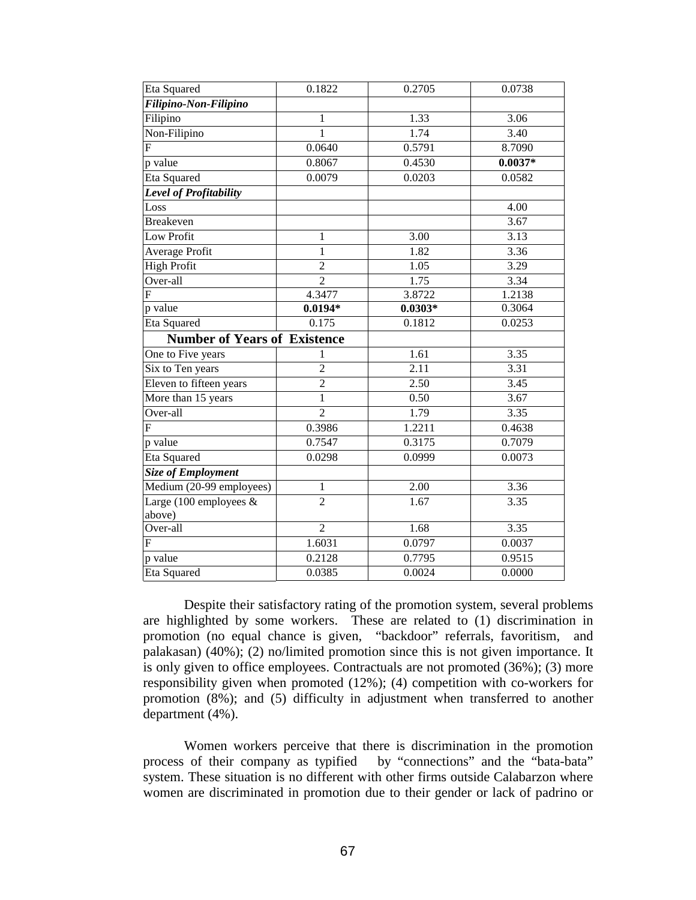| Eta Squared                         | 0.1822         | 0.2705            | 0.0738            |
|-------------------------------------|----------------|-------------------|-------------------|
| Filipino-Non-Filipino               |                |                   |                   |
| Filipino                            | 1              | 1.33              | 3.06              |
| Non-Filipino                        | 1              | 1.74              | 3.40              |
| $\overline{F}$                      | 0.0640         | 0.5791            | 8.7090            |
| p value                             | 0.8067         | 0.4530            | $0.0037*$         |
| Eta Squared                         | 0.0079         | 0.0203            | 0.0582            |
| Level of Profitability              |                |                   |                   |
| Loss                                |                |                   | 4.00              |
| <b>Breakeven</b>                    |                |                   | 3.67              |
| Low Profit                          | 1              | 3.00              | 3.13              |
| Average Profit                      | $\mathbf{1}$   | 1.82              | $\overline{3.36}$ |
| <b>High Profit</b>                  | $\overline{c}$ | 1.05              | 3.29              |
| Over-all                            | $\overline{2}$ | 1.75              | 3.34              |
| F                                   | 4.3477         | 3.8722            | 1.2138            |
| p value                             | $0.0194*$      | $0.0303*$         | 0.3064            |
| <b>Eta Squared</b>                  | 0.175          | 0.1812            | 0.0253            |
| <b>Number of Years of Existence</b> |                |                   |                   |
| One to Five years                   | 1              | 1.61              | 3.35              |
| Six to Ten years                    | $\overline{c}$ | 2.11              | 3.31              |
| Eleven to fifteen years             | $\overline{2}$ | 2.50              | 3.45              |
| More than 15 years                  | 1              | 0.50              | 3.67              |
| Over-all                            | $\overline{2}$ | $\overline{1.79}$ | 3.35              |
| $\boldsymbol{\mathrm{F}}$           | 0.3986         | 1.2211            | 0.4638            |
| p value                             | 0.7547         | 0.3175            | 0.7079            |
| Eta Squared                         | 0.0298         | 0.0999            | 0.0073            |
| <b>Size of Employment</b>           |                |                   |                   |
| Medium (20-99 employees)            | 1              | 2.00              | 3.36              |
| Large (100 employees &<br>above)    | $\overline{2}$ | 1.67              | 3.35              |
| Over-all                            | $\overline{2}$ | 1.68              | 3.35              |
| F                                   | 1.6031         | 0.0797            | 0.0037            |
| p value                             | 0.2128         | 0.7795            | 0.9515            |
| Eta Squared                         | 0.0385         | 0.0024            | 0.0000            |

 Despite their satisfactory rating of the promotion system, several problems are highlighted by some workers. These are related to (1) discrimination in promotion (no equal chance is given, "backdoor" referrals, favoritism, and palakasan) (40%); (2) no/limited promotion since this is not given importance. It is only given to office employees. Contractuals are not promoted (36%); (3) more responsibility given when promoted (12%); (4) competition with co-workers for promotion (8%); and (5) difficulty in adjustment when transferred to another department (4%).

 Women workers perceive that there is discrimination in the promotion process of their company as typified by "connections" and the "bata-bata" system. These situation is no different with other firms outside Calabarzon where women are discriminated in promotion due to their gender or lack of padrino or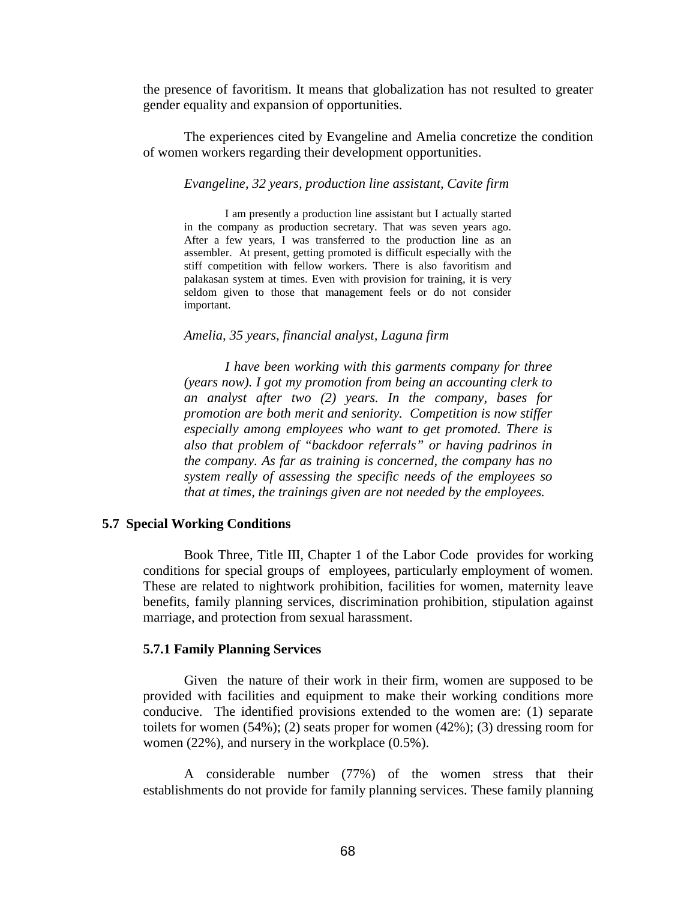the presence of favoritism. It means that globalization has not resulted to greater gender equality and expansion of opportunities.

 The experiences cited by Evangeline and Amelia concretize the condition of women workers regarding their development opportunities.

#### *Evangeline, 32 years, production line assistant, Cavite firm*

I am presently a production line assistant but I actually started in the company as production secretary. That was seven years ago. After a few years, I was transferred to the production line as an assembler. At present, getting promoted is difficult especially with the stiff competition with fellow workers. There is also favoritism and palakasan system at times. Even with provision for training, it is very seldom given to those that management feels or do not consider important.

#### *Amelia, 35 years, financial analyst, Laguna firm*

*I have been working with this garments company for three (years now). I got my promotion from being an accounting clerk to an analyst after two (2) years. In the company, bases for promotion are both merit and seniority. Competition is now stiffer especially among employees who want to get promoted. There is also that problem of "backdoor referrals" or having padrinos in the company. As far as training is concerned, the company has no system really of assessing the specific needs of the employees so that at times, the trainings given are not needed by the employees.* 

### **5.7 Special Working Conditions**

Book Three, Title III, Chapter 1 of the Labor Code provides for working conditions for special groups of employees, particularly employment of women. These are related to nightwork prohibition, facilities for women, maternity leave benefits, family planning services, discrimination prohibition, stipulation against marriage, and protection from sexual harassment.

### **5.7.1 Family Planning Services**

Given the nature of their work in their firm, women are supposed to be provided with facilities and equipment to make their working conditions more conducive. The identified provisions extended to the women are: (1) separate toilets for women  $(54\%)$ ; (2) seats proper for women  $(42\%)$ ; (3) dressing room for women (22%), and nursery in the workplace (0.5%).

 A considerable number (77%) of the women stress that their establishments do not provide for family planning services. These family planning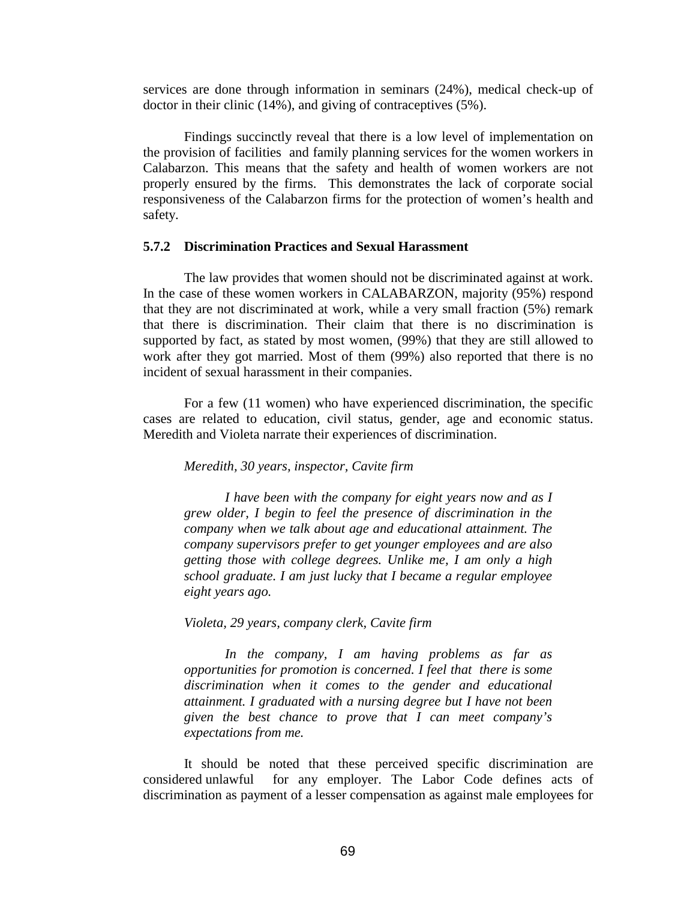services are done through information in seminars (24%), medical check-up of doctor in their clinic (14%), and giving of contraceptives (5%).

 Findings succinctly reveal that there is a low level of implementation on the provision of facilities and family planning services for the women workers in Calabarzon. This means that the safety and health of women workers are not properly ensured by the firms. This demonstrates the lack of corporate social responsiveness of the Calabarzon firms for the protection of women's health and safety.

### **5.7.2 Discrimination Practices and Sexual Harassment**

 The law provides that women should not be discriminated against at work. In the case of these women workers in CALABARZON, majority (95%) respond that they are not discriminated at work, while a very small fraction (5%) remark that there is discrimination. Their claim that there is no discrimination is supported by fact, as stated by most women, (99%) that they are still allowed to work after they got married. Most of them (99%) also reported that there is no incident of sexual harassment in their companies.

 For a few (11 women) who have experienced discrimination, the specific cases are related to education, civil status, gender, age and economic status. Meredith and Violeta narrate their experiences of discrimination.

#### *Meredith, 30 years, inspector, Cavite firm*

*I have been with the company for eight years now and as I grew older, I begin to feel the presence of discrimination in the company when we talk about age and educational attainment. The company supervisors prefer to get younger employees and are also getting those with college degrees. Unlike me, I am only a high school graduate. I am just lucky that I became a regular employee eight years ago.* 

*Violeta, 29 years, company clerk, Cavite firm* 

*In the company, I am having problems as far as opportunities for promotion is concerned. I feel that there is some discrimination when it comes to the gender and educational attainment. I graduated with a nursing degree but I have not been given the best chance to prove that I can meet company's expectations from me.* 

It should be noted that these perceived specific discrimination are considered unlawful for any employer. The Labor Code defines acts of discrimination as payment of a lesser compensation as against male employees for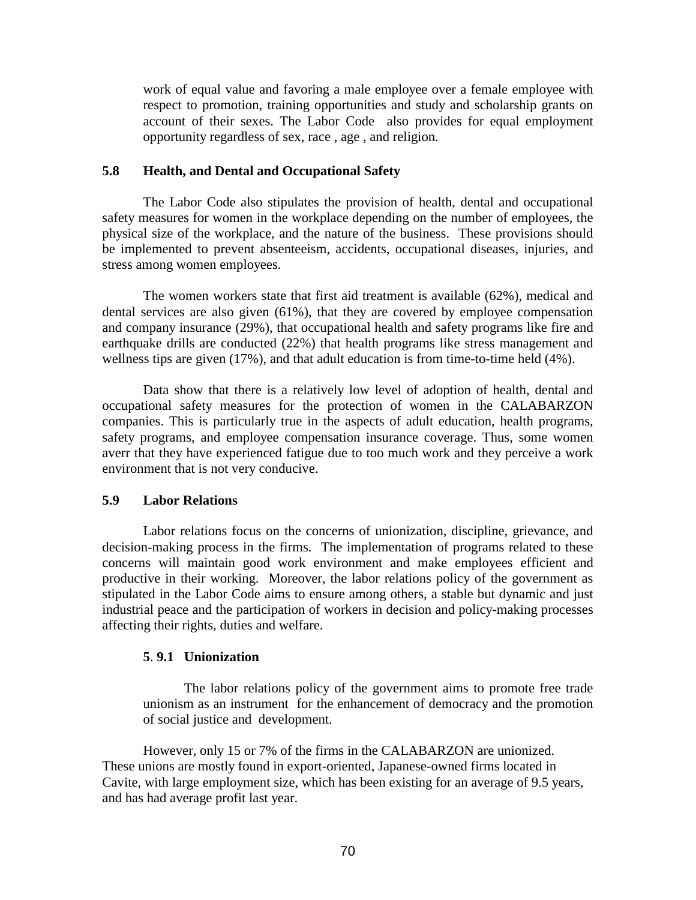work of equal value and favoring a male employee over a female employee with respect to promotion, training opportunities and study and scholarship grants on account of their sexes. The Labor Code also provides for equal employment opportunity regardless of sex, race , age , and religion.

## **5.8 Health, and Dental and Occupational Safety**

 The Labor Code also stipulates the provision of health, dental and occupational safety measures for women in the workplace depending on the number of employees, the physical size of the workplace, and the nature of the business. These provisions should be implemented to prevent absenteeism, accidents, occupational diseases, injuries, and stress among women employees.

 The women workers state that first aid treatment is available (62%), medical and dental services are also given (61%), that they are covered by employee compensation and company insurance (29%), that occupational health and safety programs like fire and earthquake drills are conducted (22%) that health programs like stress management and wellness tips are given (17%), and that adult education is from time-to-time held (4%).

 Data show that there is a relatively low level of adoption of health, dental and occupational safety measures for the protection of women in the CALABARZON companies. This is particularly true in the aspects of adult education, health programs, safety programs, and employee compensation insurance coverage. Thus, some women averr that they have experienced fatigue due to too much work and they perceive a work environment that is not very conducive.

## **5.9 Labor Relations**

 Labor relations focus on the concerns of unionization, discipline, grievance, and decision-making process in the firms. The implementation of programs related to these concerns will maintain good work environment and make employees efficient and productive in their working. Moreover, the labor relations policy of the government as stipulated in the Labor Code aims to ensure among others, a stable but dynamic and just industrial peace and the participation of workers in decision and policy-making processes affecting their rights, duties and welfare.

## **5**. **9.1 Unionization**

The labor relations policy of the government aims to promote free trade unionism as an instrument for the enhancement of democracy and the promotion of social justice and development.

However, only 15 or 7% of the firms in the CALABARZON are unionized. These unions are mostly found in export-oriented, Japanese-owned firms located in Cavite, with large employment size, which has been existing for an average of 9.5 years, and has had average profit last year.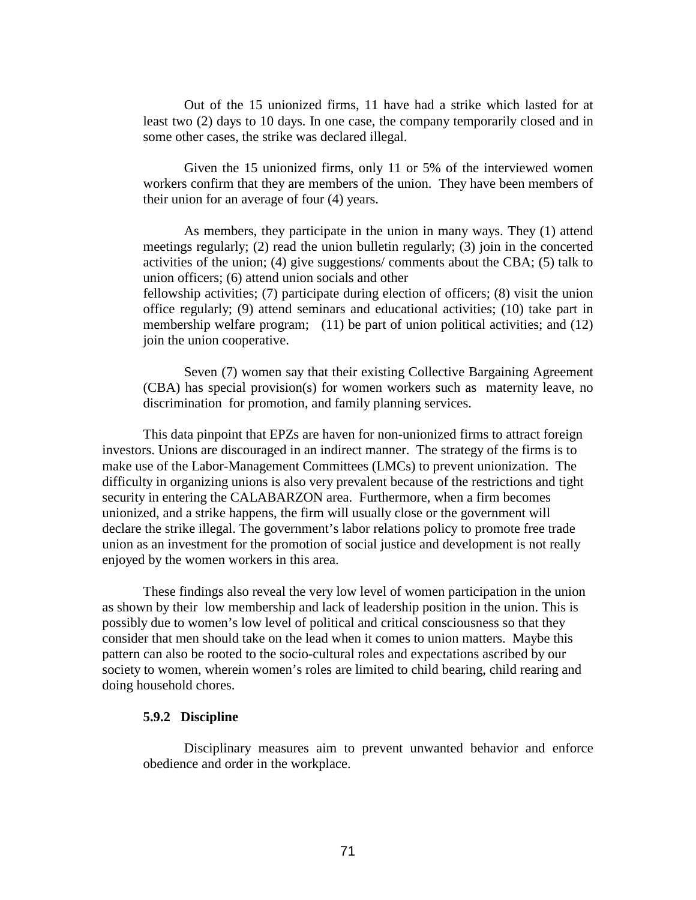Out of the 15 unionized firms, 11 have had a strike which lasted for at least two (2) days to 10 days. In one case, the company temporarily closed and in some other cases, the strike was declared illegal.

Given the 15 unionized firms, only 11 or 5% of the interviewed women workers confirm that they are members of the union. They have been members of their union for an average of four (4) years.

As members, they participate in the union in many ways. They (1) attend meetings regularly; (2) read the union bulletin regularly; (3) join in the concerted activities of the union; (4) give suggestions/ comments about the CBA; (5) talk to union officers; (6) attend union socials and other fellowship activities; (7) participate during election of officers; (8) visit the union

office regularly; (9) attend seminars and educational activities; (10) take part in membership welfare program; (11) be part of union political activities; and (12) join the union cooperative.

Seven (7) women say that their existing Collective Bargaining Agreement (CBA) has special provision(s) for women workers such as maternity leave, no discrimination for promotion, and family planning services.

This data pinpoint that EPZs are haven for non-unionized firms to attract foreign investors. Unions are discouraged in an indirect manner. The strategy of the firms is to make use of the Labor-Management Committees (LMCs) to prevent unionization. The difficulty in organizing unions is also very prevalent because of the restrictions and tight security in entering the CALABARZON area. Furthermore, when a firm becomes unionized, and a strike happens, the firm will usually close or the government will declare the strike illegal. The government's labor relations policy to promote free trade union as an investment for the promotion of social justice and development is not really enjoyed by the women workers in this area.

These findings also reveal the very low level of women participation in the union as shown by their low membership and lack of leadership position in the union. This is possibly due to women's low level of political and critical consciousness so that they consider that men should take on the lead when it comes to union matters. Maybe this pattern can also be rooted to the socio-cultural roles and expectations ascribed by our society to women, wherein women's roles are limited to child bearing, child rearing and doing household chores.

#### **5.9.2 Discipline**

Disciplinary measures aim to prevent unwanted behavior and enforce obedience and order in the workplace.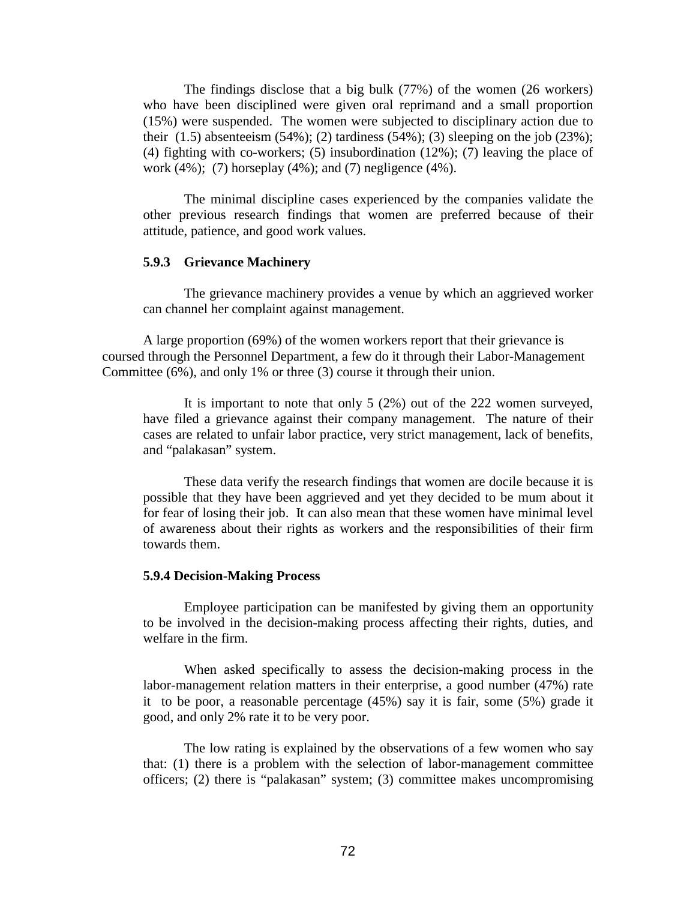The findings disclose that a big bulk (77%) of the women (26 workers) who have been disciplined were given oral reprimand and a small proportion (15%) were suspended. The women were subjected to disciplinary action due to their  $(1.5)$  absenteeism  $(54\%)$ ;  $(2)$  tardiness  $(54\%)$ ;  $(3)$  sleeping on the job  $(23\%)$ ; (4) fighting with co-workers; (5) insubordination (12%); (7) leaving the place of work (4%); (7) horseplay (4%); and (7) negligence (4%).

The minimal discipline cases experienced by the companies validate the other previous research findings that women are preferred because of their attitude, patience, and good work values.

## **5.9.3 Grievance Machinery**

The grievance machinery provides a venue by which an aggrieved worker can channel her complaint against management.

A large proportion (69%) of the women workers report that their grievance is coursed through the Personnel Department, a few do it through their Labor-Management Committee (6%), and only 1% or three (3) course it through their union.

It is important to note that only 5 (2%) out of the 222 women surveyed, have filed a grievance against their company management. The nature of their cases are related to unfair labor practice, very strict management, lack of benefits, and "palakasan" system.

These data verify the research findings that women are docile because it is possible that they have been aggrieved and yet they decided to be mum about it for fear of losing their job. It can also mean that these women have minimal level of awareness about their rights as workers and the responsibilities of their firm towards them.

#### **5.9.4 Decision-Making Process**

Employee participation can be manifested by giving them an opportunity to be involved in the decision-making process affecting their rights, duties, and welfare in the firm.

When asked specifically to assess the decision-making process in the labor-management relation matters in their enterprise, a good number (47%) rate it to be poor, a reasonable percentage (45%) say it is fair, some (5%) grade it good, and only 2% rate it to be very poor.

The low rating is explained by the observations of a few women who say that: (1) there is a problem with the selection of labor-management committee officers; (2) there is "palakasan" system; (3) committee makes uncompromising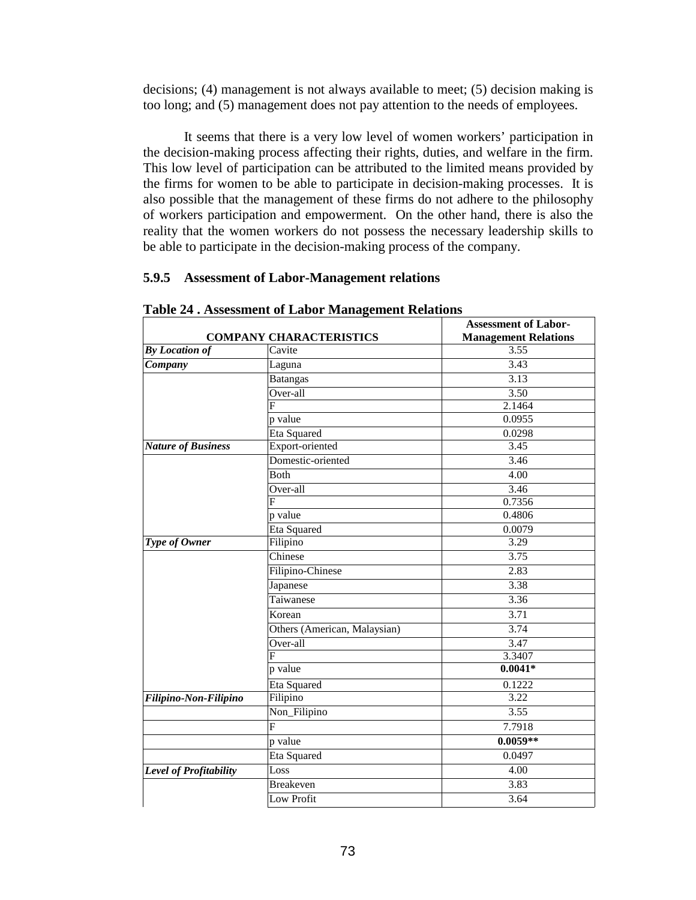decisions; (4) management is not always available to meet; (5) decision making is too long; and (5) management does not pay attention to the needs of employees.

It seems that there is a very low level of women workers' participation in the decision-making process affecting their rights, duties, and welfare in the firm. This low level of participation can be attributed to the limited means provided by the firms for women to be able to participate in decision-making processes. It is also possible that the management of these firms do not adhere to the philosophy of workers participation and empowerment. On the other hand, there is also the reality that the women workers do not possess the necessary leadership skills to be able to participate in the decision-making process of the company.

## **5.9.5 Assessment of Labor-Management relations**

| <b>COMPANY CHARACTERISTICS</b> |                              | <b>Assessment of Labor-</b><br><b>Management Relations</b> |
|--------------------------------|------------------------------|------------------------------------------------------------|
| <b>By Location of</b>          | Cavite                       | 3.55                                                       |
| Company                        | Laguna                       | 3.43                                                       |
|                                | <b>Batangas</b>              | 3.13                                                       |
|                                | Over-all                     | 3.50                                                       |
|                                | F                            | 2.1464                                                     |
|                                | p value                      | 0.0955                                                     |
|                                | Eta Squared                  | 0.0298                                                     |
| <b>Nature of Business</b>      | Export-oriented              | 3.45                                                       |
|                                | Domestic-oriented            | 3.46                                                       |
|                                | <b>Both</b>                  | 4.00                                                       |
|                                | Over-all                     | 3.46                                                       |
|                                | F                            | 0.7356                                                     |
|                                | p value                      | 0.4806                                                     |
|                                | Eta Squared                  | 0.0079                                                     |
| Type of Owner                  | Filipino                     | 3.29                                                       |
|                                | Chinese                      | 3.75                                                       |
|                                | Filipino-Chinese             | 2.83                                                       |
|                                | Japanese                     | 3.38                                                       |
|                                | Taiwanese                    | 3.36                                                       |
|                                | Korean                       | 3.71                                                       |
|                                | Others (American, Malaysian) | 3.74                                                       |
|                                | Over-all                     | 3.47                                                       |
|                                | F                            | 3.3407                                                     |
|                                | p value                      | $0.0041*$                                                  |
|                                | Eta Squared                  | 0.1222                                                     |
| Filipino-Non-Filipino          | Filipino                     | 3.22                                                       |
|                                | Non_Filipino                 | 3.55                                                       |
|                                | F                            | 7.7918                                                     |
|                                | p value                      | $0.0059**$                                                 |
|                                | Eta Squared                  | 0.0497                                                     |
| Level of Profitability         | Loss                         | 4.00                                                       |
|                                | <b>Breakeven</b>             | 3.83                                                       |
|                                | Low Profit                   | 3.64                                                       |

#### **Table 24 . Assessment of Labor Management Relations**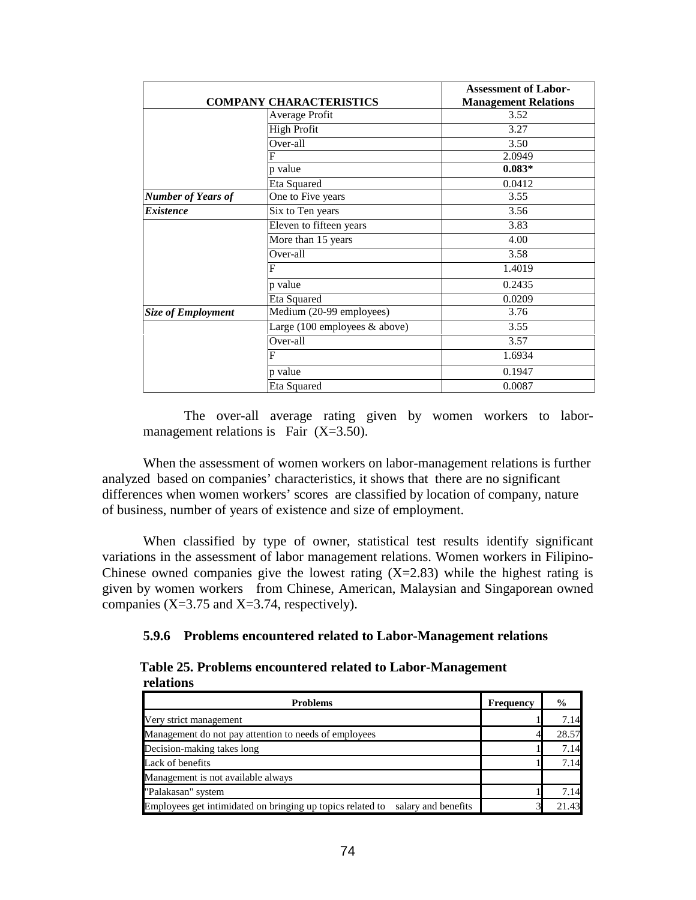| <b>COMPANY CHARACTERISTICS</b> |                                                  | <b>Assessment of Labor-</b> |
|--------------------------------|--------------------------------------------------|-----------------------------|
|                                |                                                  | <b>Management Relations</b> |
|                                | Average Profit                                   | 3.52                        |
|                                | <b>High Profit</b>                               | 3.27                        |
|                                | Over-all                                         | 3.50                        |
|                                | F                                                | 2.0949                      |
|                                | p value                                          | $0.083*$                    |
|                                | Eta Squared                                      | 0.0412                      |
| <b>Number of Years of</b>      | One to Five years                                | 3.55                        |
| <b>Existence</b>               | Six to Ten years                                 | 3.56                        |
|                                | Eleven to fifteen years                          | 3.83                        |
|                                | More than 15 years                               | 4.00                        |
|                                | Over-all                                         | 3.58                        |
|                                | F                                                | 1.4019                      |
|                                | p value                                          | 0.2435                      |
|                                | Eta Squared                                      | 0.0209                      |
| <b>Size of Employment</b>      | Medium (20-99 employees)                         | 3.76                        |
|                                | Large $(100 \text{ employees } \& \text{above})$ | 3.55                        |
|                                | Over-all                                         | 3.57                        |
|                                | F                                                | 1.6934                      |
|                                | p value                                          | 0.1947                      |
|                                | Eta Squared                                      | 0.0087                      |

The over-all average rating given by women workers to labormanagement relations is Fair  $(X=3.50)$ .

When the assessment of women workers on labor-management relations is further analyzed based on companies' characteristics, it shows that there are no significant differences when women workers' scores are classified by location of company, nature of business, number of years of existence and size of employment.

When classified by type of owner, statistical test results identify significant variations in the assessment of labor management relations. Women workers in Filipino-Chinese owned companies give the lowest rating  $(X=2.83)$  while the highest rating is given by women workers from Chinese, American, Malaysian and Singaporean owned companies  $(X=3.75$  and  $X=3.74$ , respectively).

## **5.9.6 Problems encountered related to Labor-Management relations**

 **Table 25. Problems encountered related to Labor-Management relations** 

| <b>Problems</b>                                                                | Frequency | $\frac{6}{9}$ |
|--------------------------------------------------------------------------------|-----------|---------------|
| Very strict management                                                         |           | 7.14          |
| Management do not pay attention to needs of employees                          |           | 28.57         |
| Decision-making takes long                                                     |           | 7.14          |
| Lack of benefits                                                               |           | 7.14          |
| Management is not available always                                             |           |               |
| "Palakasan" system                                                             |           | 7.14          |
| Employees get intimidated on bringing up topics related to salary and benefits |           | 21.43         |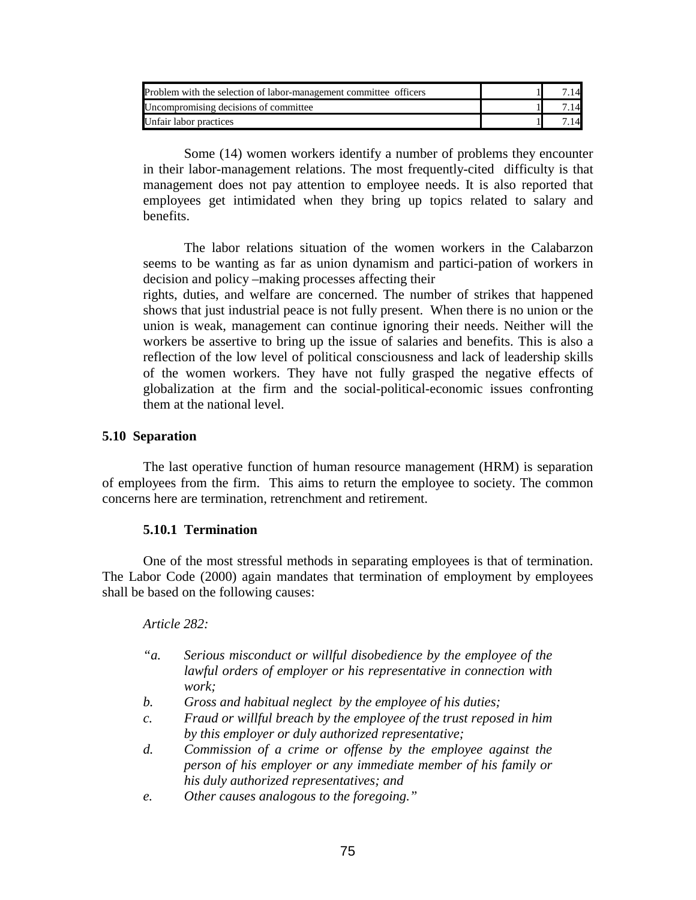| Problem with the selection of labor-management committee officers |  |
|-------------------------------------------------------------------|--|
| Uncompromising decisions of committee                             |  |
| Unfair labor practices                                            |  |

Some (14) women workers identify a number of problems they encounter in their labor-management relations. The most frequently-cited difficulty is that management does not pay attention to employee needs. It is also reported that employees get intimidated when they bring up topics related to salary and benefits.

The labor relations situation of the women workers in the Calabarzon seems to be wanting as far as union dynamism and partici-pation of workers in decision and policy –making processes affecting their

rights, duties, and welfare are concerned. The number of strikes that happened shows that just industrial peace is not fully present. When there is no union or the union is weak, management can continue ignoring their needs. Neither will the workers be assertive to bring up the issue of salaries and benefits. This is also a reflection of the low level of political consciousness and lack of leadership skills of the women workers. They have not fully grasped the negative effects of globalization at the firm and the social-political-economic issues confronting them at the national level.

## **5.10 Separation**

 The last operative function of human resource management (HRM) is separation of employees from the firm. This aims to return the employee to society. The common concerns here are termination, retrenchment and retirement.

## **5.10.1 Termination**

One of the most stressful methods in separating employees is that of termination. The Labor Code (2000) again mandates that termination of employment by employees shall be based on the following causes:

## *Article 282:*

| $a^{\prime}a$ . | Serious misconduct or willful disobedience by the employee of the<br>lawful orders of employer or his representative in connection with<br>work: |
|-----------------|--------------------------------------------------------------------------------------------------------------------------------------------------|
| b.              | Gross and habitual neglect by the employee of his duties;                                                                                        |
| $\mathcal{C}$ . | Fraud or willful breach by the employee of the trust reposed in him                                                                              |
|                 | by this employer or duly authorized representative;                                                                                              |
| $d$ .           | Commission of a crime or offense by the employee against the<br>person of his employer or any immediate member of his family or                  |
|                 | his duly authorized representatives; and                                                                                                         |
| e.              | Other causes analogous to the foregoing."                                                                                                        |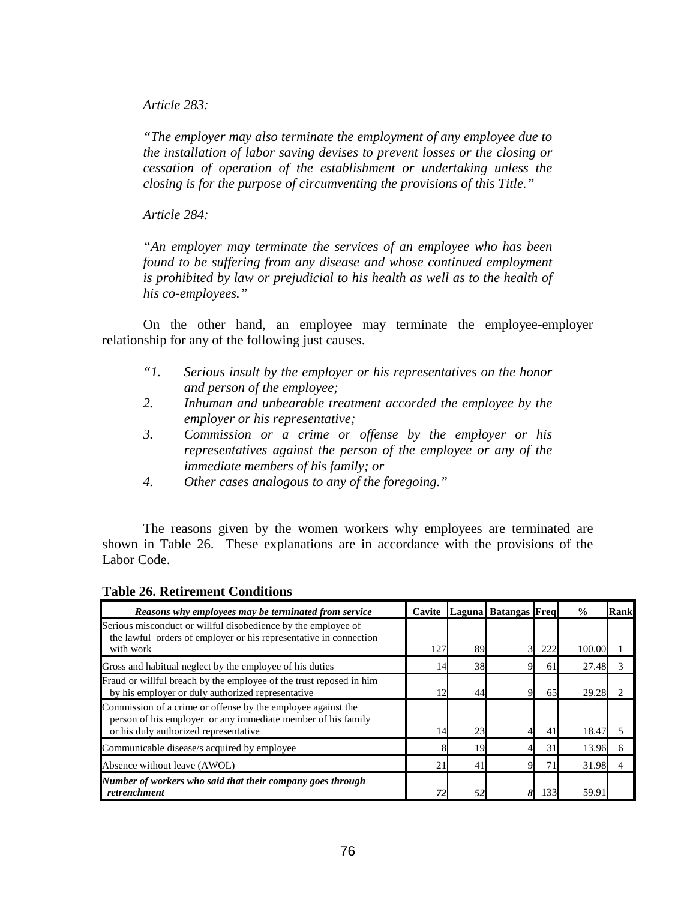*Article 283:* 

*"The employer may also terminate the employment of any employee due to the installation of labor saving devises to prevent losses or the closing or cessation of operation of the establishment or undertaking unless the closing is for the purpose of circumventing the provisions of this Title."* 

*Article 284:* 

*"An employer may terminate the services of an employee who has been found to be suffering from any disease and whose continued employment is prohibited by law or prejudicial to his health as well as to the health of his co-employees."* 

 On the other hand, an employee may terminate the employee-employer relationship for any of the following just causes.

- *"1. Serious insult by the employer or his representatives on the honor and person of the employee;*
- *2. Inhuman and unbearable treatment accorded the employee by the employer or his representative;*
- *3. Commission or a crime or offense by the employer or his representatives against the person of the employee or any of the immediate members of his family; or*
- *4. Other cases analogous to any of the foregoing."*

The reasons given by the women workers why employees are terminated are shown in Table 26. These explanations are in accordance with the provisions of the Labor Code.

| Reasons why employees may be terminated from service                                                                               | Cavite |    | Laguna Batangas Freq |     | $\frac{0}{0}$ | <b>Rank</b> |
|------------------------------------------------------------------------------------------------------------------------------------|--------|----|----------------------|-----|---------------|-------------|
| Serious misconduct or willful disobedience by the employee of<br>the lawful orders of employer or his representative in connection |        |    |                      |     |               |             |
| with work                                                                                                                          | 127    | 89 |                      | 222 | 100.00        |             |
| Gross and habitual neglect by the employee of his duties                                                                           | 14     | 38 |                      | 61  | 27.48         |             |
| Fraud or willful breach by the employee of the trust reposed in him<br>by his employer or duly authorized representative           | 12.    | 44 |                      | 65  | 29.28         |             |
| Commission of a crime or offense by the employee against the<br>person of his employer or any immediate member of his family       |        |    |                      |     |               |             |
| or his duly authorized representative                                                                                              | 14     | 23 |                      | 41  | 18.47         |             |
| Communicable disease/s acquired by employee                                                                                        |        |    |                      | 31  | 13.96         |             |
| Absence without leave (AWOL)                                                                                                       | 2.1    | 41 |                      |     | 31.98         |             |
| Number of workers who said that their company goes through<br>retrenchment                                                         |        |    |                      | 133 | 59.91         |             |

## **Table 26. Retirement Conditions**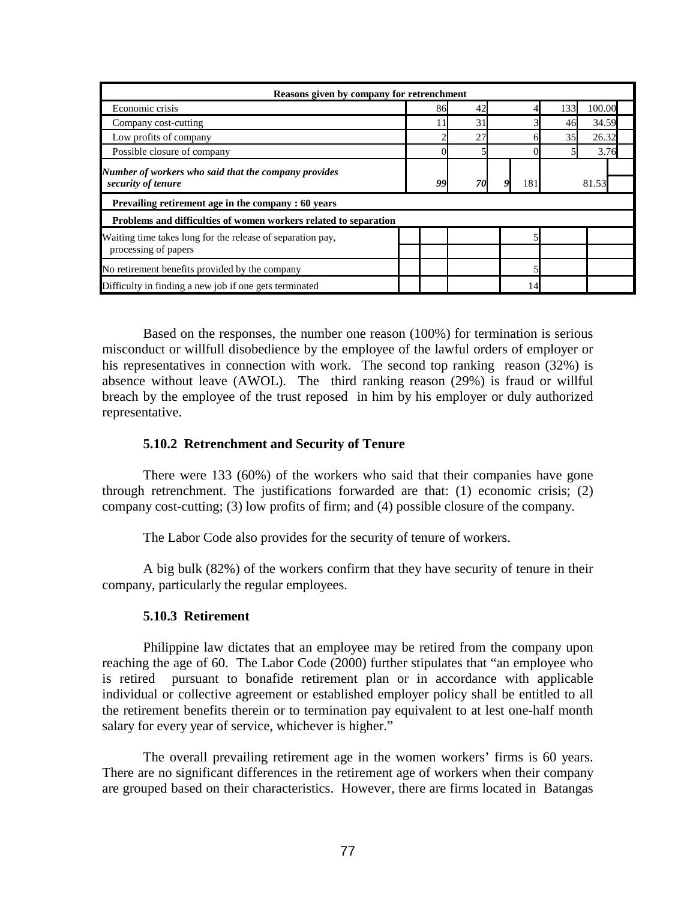| Reasons given by company for retrenchment                        |    |    |     |     |        |  |
|------------------------------------------------------------------|----|----|-----|-----|--------|--|
| Economic crisis                                                  | 86 |    |     | 133 | 100.00 |  |
| Company cost-cutting                                             |    | 31 |     | 46  | 34.59  |  |
| Low profits of company                                           |    | 27 |     | 35  | 26.32  |  |
| Possible closure of company                                      |    |    |     |     | 3.76   |  |
| Number of workers who said that the company provides             |    |    |     |     |        |  |
| security of tenure                                               | 99 | 70 | 181 |     | 81.53  |  |
| Prevailing retirement age in the company : 60 years              |    |    |     |     |        |  |
| Problems and difficulties of women workers related to separation |    |    |     |     |        |  |
| Waiting time takes long for the release of separation pay,       |    |    |     |     |        |  |
| processing of papers                                             |    |    |     |     |        |  |
| No retirement benefits provided by the company                   |    |    |     |     |        |  |
| Difficulty in finding a new job if one gets terminated           |    |    |     | 14  |        |  |

 Based on the responses, the number one reason (100%) for termination is serious misconduct or willfull disobedience by the employee of the lawful orders of employer or his representatives in connection with work. The second top ranking reason (32%) is absence without leave (AWOL). The third ranking reason (29%) is fraud or willful breach by the employee of the trust reposed in him by his employer or duly authorized representative.

## **5.10.2 Retrenchment and Security of Tenure**

There were 133 (60%) of the workers who said that their companies have gone through retrenchment. The justifications forwarded are that: (1) economic crisis; (2) company cost-cutting; (3) low profits of firm; and (4) possible closure of the company.

The Labor Code also provides for the security of tenure of workers.

A big bulk (82%) of the workers confirm that they have security of tenure in their company, particularly the regular employees.

## **5.10.3 Retirement**

Philippine law dictates that an employee may be retired from the company upon reaching the age of 60. The Labor Code (2000) further stipulates that "an employee who is retired pursuant to bonafide retirement plan or in accordance with applicable individual or collective agreement or established employer policy shall be entitled to all the retirement benefits therein or to termination pay equivalent to at lest one-half month salary for every year of service, whichever is higher."

The overall prevailing retirement age in the women workers' firms is 60 years. There are no significant differences in the retirement age of workers when their company are grouped based on their characteristics. However, there are firms located in Batangas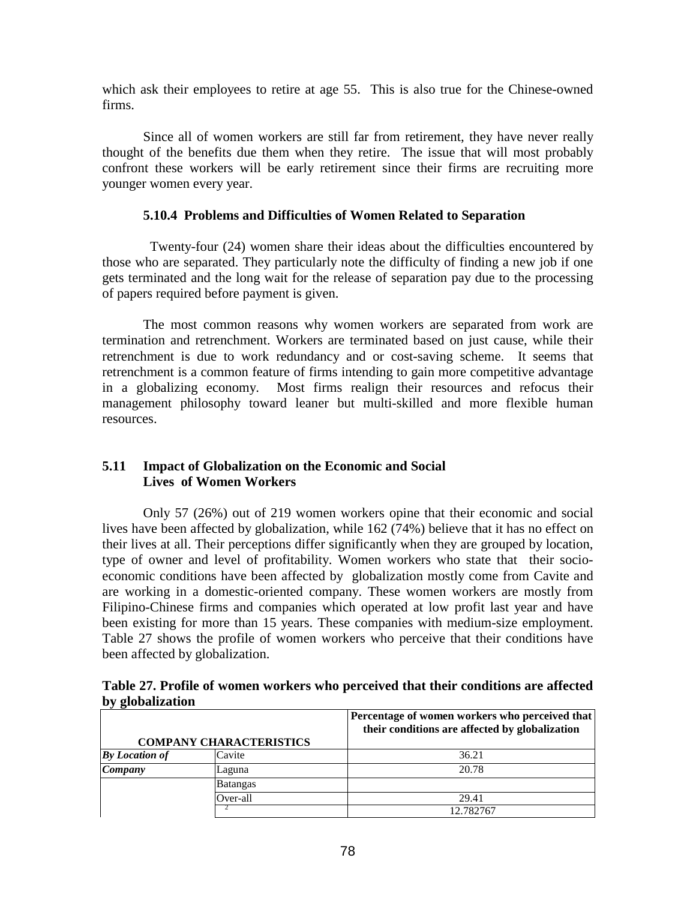which ask their employees to retire at age 55. This is also true for the Chinese-owned firms.

Since all of women workers are still far from retirement, they have never really thought of the benefits due them when they retire. The issue that will most probably confront these workers will be early retirement since their firms are recruiting more younger women every year.

## **5.10.4 Problems and Difficulties of Women Related to Separation**

Twenty-four (24) women share their ideas about the difficulties encountered by those who are separated. They particularly note the difficulty of finding a new job if one gets terminated and the long wait for the release of separation pay due to the processing of papers required before payment is given.

 The most common reasons why women workers are separated from work are termination and retrenchment. Workers are terminated based on just cause, while their retrenchment is due to work redundancy and or cost-saving scheme. It seems that retrenchment is a common feature of firms intending to gain more competitive advantage in a globalizing economy. Most firms realign their resources and refocus their management philosophy toward leaner but multi-skilled and more flexible human resources.

# **5.11 Impact of Globalization on the Economic and Social Lives of Women Workers**

Only 57 (26%) out of 219 women workers opine that their economic and social lives have been affected by globalization, while 162 (74%) believe that it has no effect on their lives at all. Their perceptions differ significantly when they are grouped by location, type of owner and level of profitability. Women workers who state that their socioeconomic conditions have been affected by globalization mostly come from Cavite and are working in a domestic-oriented company. These women workers are mostly from Filipino-Chinese firms and companies which operated at low profit last year and have been existing for more than 15 years. These companies with medium-size employment. Table 27 shows the profile of women workers who perceive that their conditions have been affected by globalization.

| Table 27. Profile of women workers who perceived that their conditions are affected |  |  |
|-------------------------------------------------------------------------------------|--|--|
| by globalization                                                                    |  |  |

|                        |                                | Percentage of women workers who perceived that<br>their conditions are affected by globalization |  |  |  |
|------------------------|--------------------------------|--------------------------------------------------------------------------------------------------|--|--|--|
|                        | <b>COMPANY CHARACTERISTICS</b> |                                                                                                  |  |  |  |
| $\bm{B}$ y Location of | Cavite                         | 36.21                                                                                            |  |  |  |
| Company                | Laguna                         | 20.78                                                                                            |  |  |  |
|                        | <b>Batangas</b>                |                                                                                                  |  |  |  |
|                        | Over-all                       | 29.41                                                                                            |  |  |  |
|                        |                                | 12.782767                                                                                        |  |  |  |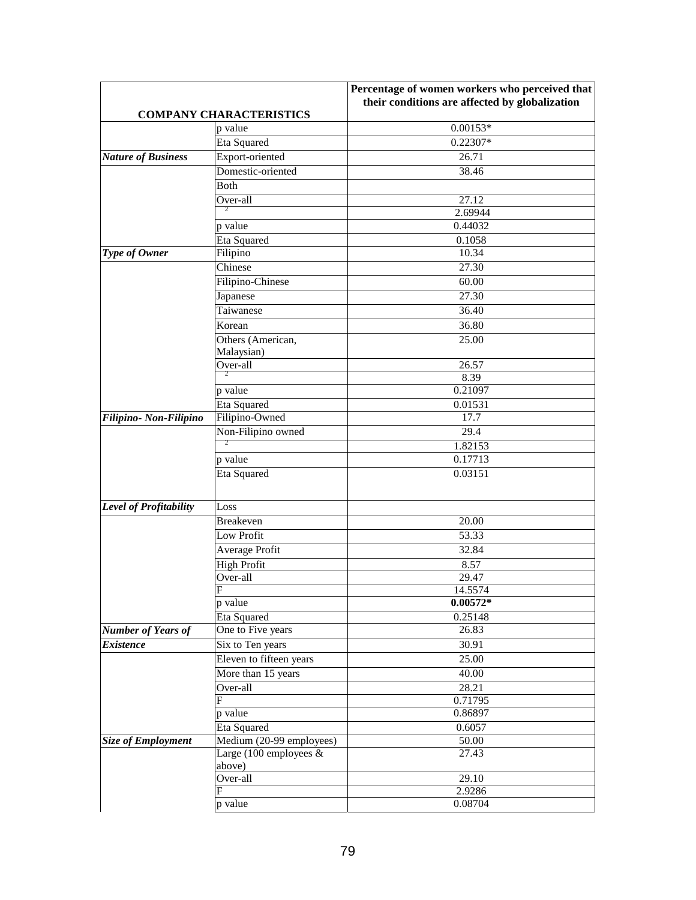|                           |                                | Percentage of women workers who perceived that |
|---------------------------|--------------------------------|------------------------------------------------|
|                           |                                | their conditions are affected by globalization |
|                           | <b>COMPANY CHARACTERISTICS</b> |                                                |
|                           | p value                        | $0.00153*$                                     |
|                           | Eta Squared                    | 0.22307*                                       |
| <b>Nature of Business</b> | Export-oriented                | 26.71                                          |
|                           | Domestic-oriented              | 38.46                                          |
|                           | <b>Both</b>                    |                                                |
|                           | Over-all                       | 27.12                                          |
|                           | $\overline{2}$                 | 2.69944                                        |
|                           | p value                        | 0.44032                                        |
|                           | Eta Squared                    | 0.1058                                         |
| Type of Owner             | Filipino                       | 10.34                                          |
|                           | Chinese                        | 27.30                                          |
|                           | Filipino-Chinese               | 60.00                                          |
|                           | Japanese                       | 27.30                                          |
|                           | Taiwanese                      | 36.40                                          |
|                           | Korean                         | 36.80                                          |
|                           | Others (American,              | 25.00                                          |
|                           | Malaysian)                     |                                                |
|                           | Over-all                       | 26.57                                          |
|                           | 2                              | 8.39                                           |
|                           | p value                        | 0.21097                                        |
|                           | Eta Squared                    | 0.01531                                        |
| Filipino- Non-Filipino    | Filipino-Owned                 | 17.7                                           |
|                           | Non-Filipino owned             | 29.4                                           |
|                           | 2                              | 1.82153                                        |
|                           | p value                        | 0.17713                                        |
|                           | Eta Squared                    | 0.03151                                        |
|                           |                                |                                                |
|                           |                                |                                                |
| Level of Profitability    | Loss                           |                                                |
|                           | <b>Breakeven</b>               | 20.00                                          |
|                           | Low Profit                     | 53.33                                          |
|                           | Average Profit                 | 32.84                                          |
|                           | <b>High Profit</b>             | 8.57                                           |
|                           | Over-all                       | 29.47                                          |
|                           | $\boldsymbol{\mathrm{F}}$      | 14.5574                                        |
|                           | p value                        | $0.00572*$                                     |
|                           | Eta Squared                    | 0.25148                                        |
| <b>Number of Years of</b> | One to Five years              | 26.83                                          |
| <b>Existence</b>          | Six to Ten years               | 30.91                                          |
|                           | Eleven to fifteen years        | 25.00                                          |
|                           | More than 15 years             | 40.00                                          |
|                           | Over-all                       | 28.21                                          |
|                           | F                              | 0.71795                                        |
|                           | p value                        | 0.86897                                        |
|                           | Eta Squared                    | 0.6057                                         |
| <b>Size of Employment</b> | Medium (20-99 employees)       | 50.00                                          |
|                           | Large (100 employees $\&$      | 27.43                                          |
|                           | above)                         |                                                |
|                           | Over-all                       | 29.10                                          |
|                           | F                              | 2.9286                                         |
|                           | p value                        | 0.08704                                        |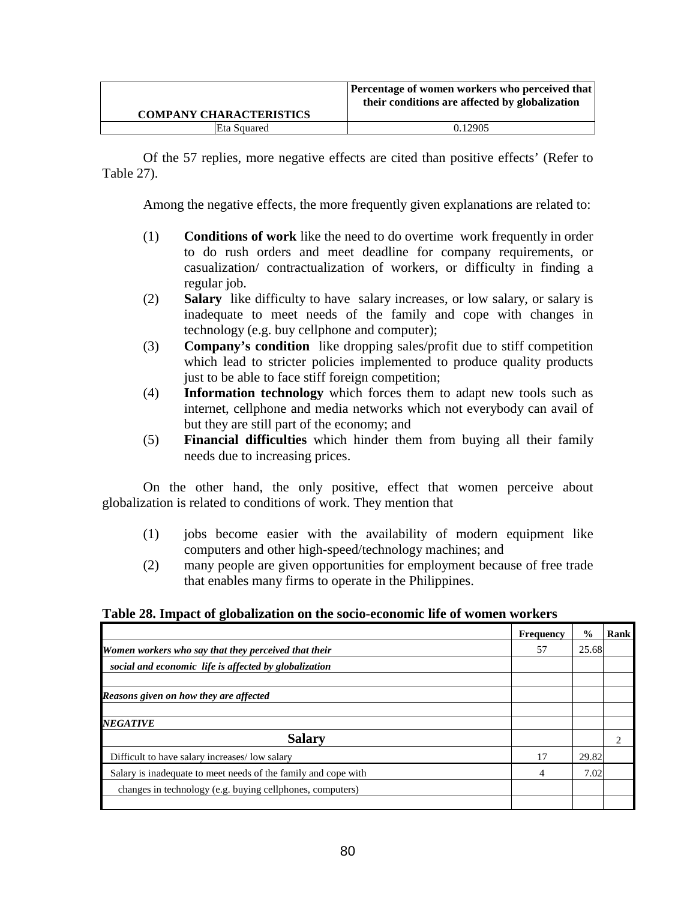|                                | <b>Percentage of women workers who perceived that</b><br>their conditions are affected by globalization |
|--------------------------------|---------------------------------------------------------------------------------------------------------|
| <b>COMPANY CHARACTERISTICS</b> |                                                                                                         |
| Eta Squared                    | 0.12905                                                                                                 |

Of the 57 replies, more negative effects are cited than positive effects' (Refer to Table 27).

Among the negative effects, the more frequently given explanations are related to:

- (1) **Conditions of work** like the need to do overtime work frequently in order to do rush orders and meet deadline for company requirements, or casualization/ contractualization of workers, or difficulty in finding a regular job.
- (2) **Salary** like difficulty to have salary increases, or low salary, or salary is inadequate to meet needs of the family and cope with changes in technology (e.g. buy cellphone and computer);
- (3) **Company's condition** like dropping sales/profit due to stiff competition which lead to stricter policies implemented to produce quality products just to be able to face stiff foreign competition;
- (4) **Information technology** which forces them to adapt new tools such as internet, cellphone and media networks which not everybody can avail of but they are still part of the economy; and
- (5) **Financial difficulties** which hinder them from buying all their family needs due to increasing prices.

On the other hand, the only positive, effect that women perceive about globalization is related to conditions of work. They mention that

- (1) jobs become easier with the availability of modern equipment like computers and other high-speed/technology machines; and
- (2) many people are given opportunities for employment because of free trade that enables many firms to operate in the Philippines.

## **Table 28. Impact of globalization on the socio-economic life of women workers**

|                                                                | <b>Frequency</b> | $\frac{0}{0}$ | Rank |
|----------------------------------------------------------------|------------------|---------------|------|
| Women workers who say that they perceived that their           |                  | 25.68         |      |
| social and economic life is affected by globalization          |                  |               |      |
|                                                                |                  |               |      |
| Reasons given on how they are affected                         |                  |               |      |
|                                                                |                  |               |      |
| <b>NEGATIVE</b>                                                |                  |               |      |
| <b>Salary</b>                                                  |                  |               |      |
| Difficult to have salary increases/low salary                  | 17               | 29.82         |      |
| Salary is inadequate to meet needs of the family and cope with |                  | 7.02          |      |
| changes in technology (e.g. buying cellphones, computers)      |                  |               |      |
|                                                                |                  |               |      |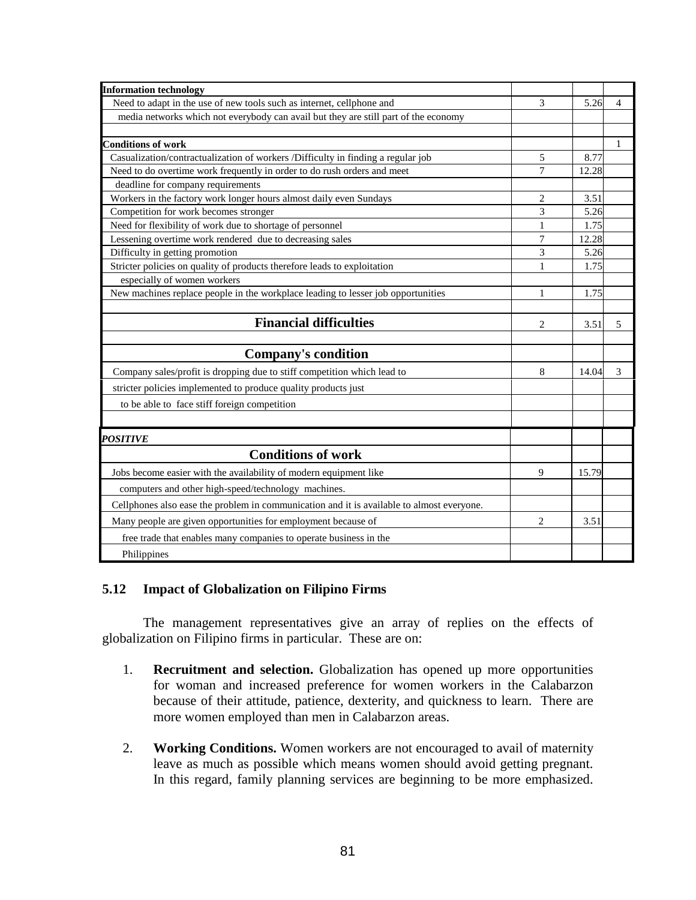| <b>Information technology</b>                                                             | 3              |       |   |
|-------------------------------------------------------------------------------------------|----------------|-------|---|
| Need to adapt in the use of new tools such as internet, cellphone and                     |                | 5.26  | 4 |
| media networks which not everybody can avail but they are still part of the economy       |                |       |   |
|                                                                                           |                |       |   |
| <b>Conditions of work</b>                                                                 |                |       | 1 |
| Casualization/contractualization of workers /Difficulty in finding a regular job          | 5              | 8.77  |   |
| Need to do overtime work frequently in order to do rush orders and meet                   | 7              | 12.28 |   |
| deadline for company requirements                                                         |                |       |   |
| Workers in the factory work longer hours almost daily even Sundays                        | 2              | 3.51  |   |
| Competition for work becomes stronger                                                     | 3              | 5.26  |   |
| Need for flexibility of work due to shortage of personnel                                 | 1              | 1.75  |   |
| Lessening overtime work rendered due to decreasing sales                                  |                | 12.28 |   |
| Difficulty in getting promotion                                                           | 3              | 5.26  |   |
| Stricter policies on quality of products therefore leads to exploitation                  |                | 1.75  |   |
| especially of women workers                                                               |                |       |   |
| New machines replace people in the workplace leading to lesser job opportunities          | 1              | 1.75  |   |
|                                                                                           |                |       |   |
| <b>Financial difficulties</b>                                                             | $\overline{c}$ | 3.51  | 5 |
|                                                                                           |                |       |   |
| <b>Company's condition</b>                                                                |                |       |   |
| Company sales/profit is dropping due to stiff competition which lead to                   |                | 14.04 | 3 |
| stricter policies implemented to produce quality products just                            |                |       |   |
| to be able to face stiff foreign competition                                              |                |       |   |
|                                                                                           |                |       |   |
| <b>POSITIVE</b>                                                                           |                |       |   |
| <b>Conditions of work</b>                                                                 |                |       |   |
| Jobs become easier with the availability of modern equipment like                         |                | 15.79 |   |
| computers and other high-speed/technology machines.                                       |                |       |   |
| Cellphones also ease the problem in communication and it is available to almost everyone. |                |       |   |
| Many people are given opportunities for employment because of                             |                | 3.51  |   |
| free trade that enables many companies to operate business in the                         |                |       |   |
| Philippines                                                                               |                |       |   |

# **5.12 Impact of Globalization on Filipino Firms**

The management representatives give an array of replies on the effects of globalization on Filipino firms in particular. These are on:

- 1. **Recruitment and selection.** Globalization has opened up more opportunities for woman and increased preference for women workers in the Calabarzon because of their attitude, patience, dexterity, and quickness to learn. There are more women employed than men in Calabarzon areas.
- 2. **Working Conditions.** Women workers are not encouraged to avail of maternity leave as much as possible which means women should avoid getting pregnant. In this regard, family planning services are beginning to be more emphasized.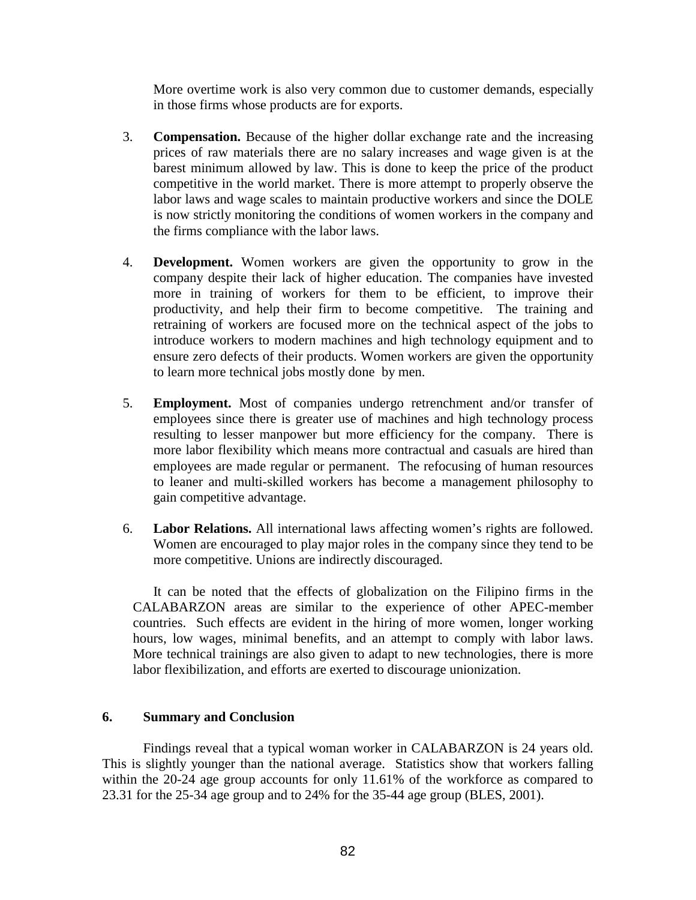More overtime work is also very common due to customer demands, especially in those firms whose products are for exports.

- 3. **Compensation.** Because of the higher dollar exchange rate and the increasing prices of raw materials there are no salary increases and wage given is at the barest minimum allowed by law. This is done to keep the price of the product competitive in the world market. There is more attempt to properly observe the labor laws and wage scales to maintain productive workers and since the DOLE is now strictly monitoring the conditions of women workers in the company and the firms compliance with the labor laws.
- 4. **Development.** Women workers are given the opportunity to grow in the company despite their lack of higher education. The companies have invested more in training of workers for them to be efficient, to improve their productivity, and help their firm to become competitive. The training and retraining of workers are focused more on the technical aspect of the jobs to introduce workers to modern machines and high technology equipment and to ensure zero defects of their products. Women workers are given the opportunity to learn more technical jobs mostly done by men.
- 5. **Employment.** Most of companies undergo retrenchment and/or transfer of employees since there is greater use of machines and high technology process resulting to lesser manpower but more efficiency for the company. There is more labor flexibility which means more contractual and casuals are hired than employees are made regular or permanent. The refocusing of human resources to leaner and multi-skilled workers has become a management philosophy to gain competitive advantage.
- 6. **Labor Relations.** All international laws affecting women's rights are followed. Women are encouraged to play major roles in the company since they tend to be more competitive. Unions are indirectly discouraged.

It can be noted that the effects of globalization on the Filipino firms in the CALABARZON areas are similar to the experience of other APEC-member countries. Such effects are evident in the hiring of more women, longer working hours, low wages, minimal benefits, and an attempt to comply with labor laws. More technical trainings are also given to adapt to new technologies, there is more labor flexibilization, and efforts are exerted to discourage unionization.

## **6. Summary and Conclusion**

 Findings reveal that a typical woman worker in CALABARZON is 24 years old. This is slightly younger than the national average. Statistics show that workers falling within the 20-24 age group accounts for only 11.61% of the workforce as compared to 23.31 for the 25-34 age group and to 24% for the 35-44 age group (BLES, 2001).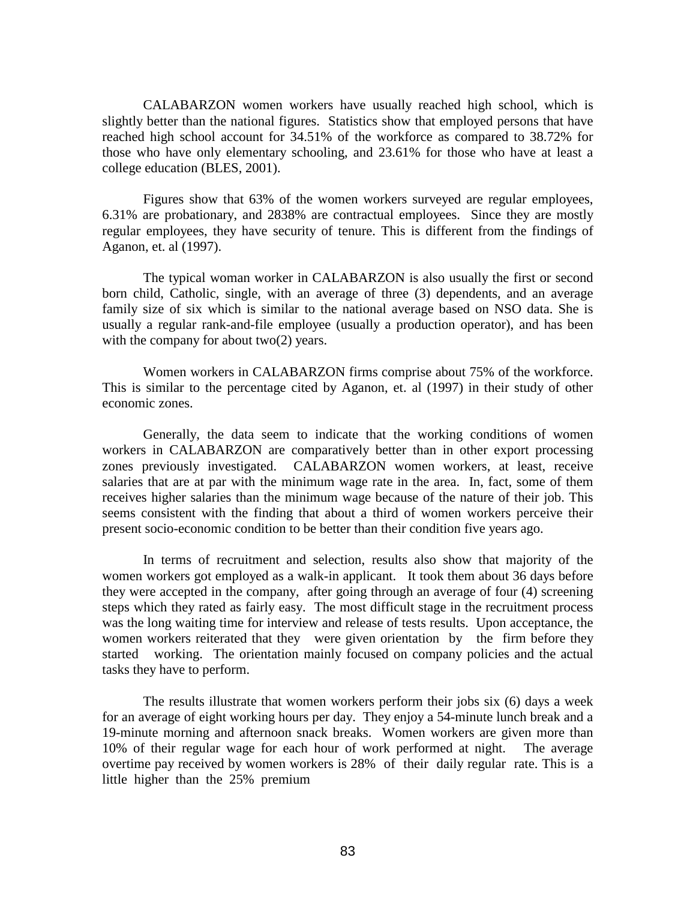CALABARZON women workers have usually reached high school, which is slightly better than the national figures. Statistics show that employed persons that have reached high school account for 34.51% of the workforce as compared to 38.72% for those who have only elementary schooling, and 23.61% for those who have at least a college education (BLES, 2001).

 Figures show that 63% of the women workers surveyed are regular employees, 6.31% are probationary, and 2838% are contractual employees. Since they are mostly regular employees, they have security of tenure. This is different from the findings of Aganon, et. al (1997).

 The typical woman worker in CALABARZON is also usually the first or second born child, Catholic, single, with an average of three (3) dependents, and an average family size of six which is similar to the national average based on NSO data. She is usually a regular rank-and-file employee (usually a production operator), and has been with the company for about two(2) years.

 Women workers in CALABARZON firms comprise about 75% of the workforce. This is similar to the percentage cited by Aganon, et. al (1997) in their study of other economic zones.

Generally, the data seem to indicate that the working conditions of women workers in CALABARZON are comparatively better than in other export processing zones previously investigated. CALABARZON women workers, at least, receive salaries that are at par with the minimum wage rate in the area. In, fact, some of them receives higher salaries than the minimum wage because of the nature of their job. This seems consistent with the finding that about a third of women workers perceive their present socio-economic condition to be better than their condition five years ago.

 In terms of recruitment and selection, results also show that majority of the women workers got employed as a walk-in applicant. It took them about 36 days before they were accepted in the company, after going through an average of four (4) screening steps which they rated as fairly easy. The most difficult stage in the recruitment process was the long waiting time for interview and release of tests results. Upon acceptance, the women workers reiterated that they were given orientation by the firm before they started working. The orientation mainly focused on company policies and the actual tasks they have to perform.

 The results illustrate that women workers perform their jobs six (6) days a week for an average of eight working hours per day. They enjoy a 54-minute lunch break and a 19-minute morning and afternoon snack breaks. Women workers are given more than 10% of their regular wage for each hour of work performed at night. The average overtime pay received by women workers is 28% of their daily regular rate. This is a little higher than the 25% premium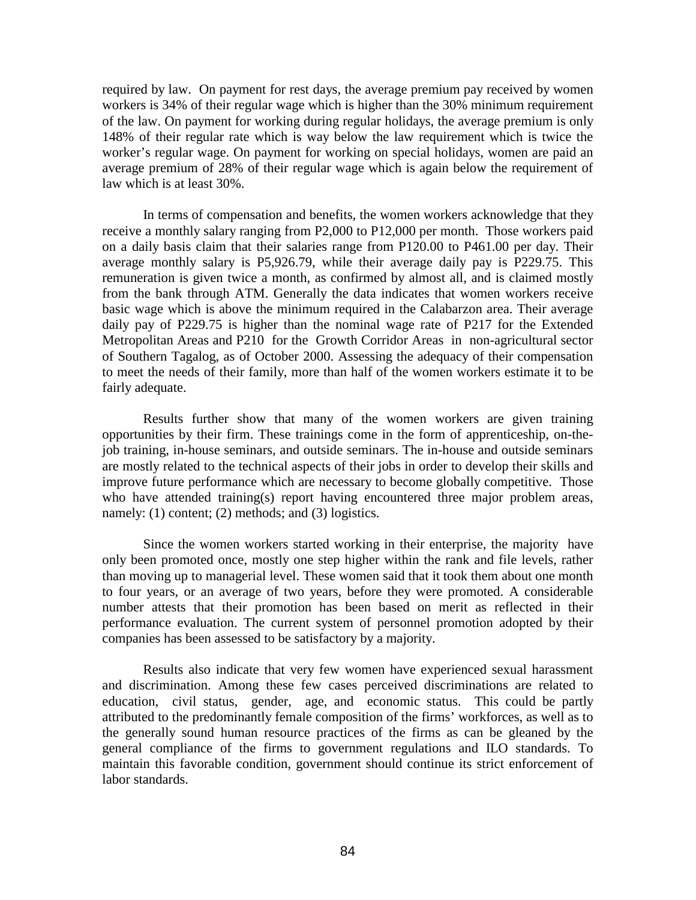required by law. On payment for rest days, the average premium pay received by women workers is 34% of their regular wage which is higher than the 30% minimum requirement of the law. On payment for working during regular holidays, the average premium is only 148% of their regular rate which is way below the law requirement which is twice the worker's regular wage. On payment for working on special holidays, women are paid an average premium of 28% of their regular wage which is again below the requirement of law which is at least 30%.

 In terms of compensation and benefits, the women workers acknowledge that they receive a monthly salary ranging from P2,000 to P12,000 per month. Those workers paid on a daily basis claim that their salaries range from P120.00 to P461.00 per day. Their average monthly salary is P5,926.79, while their average daily pay is P229.75. This remuneration is given twice a month, as confirmed by almost all, and is claimed mostly from the bank through ATM. Generally the data indicates that women workers receive basic wage which is above the minimum required in the Calabarzon area. Their average daily pay of P229.75 is higher than the nominal wage rate of P217 for the Extended Metropolitan Areas and P210 for the Growth Corridor Areas in non-agricultural sector of Southern Tagalog, as of October 2000. Assessing the adequacy of their compensation to meet the needs of their family, more than half of the women workers estimate it to be fairly adequate.

Results further show that many of the women workers are given training opportunities by their firm. These trainings come in the form of apprenticeship, on-thejob training, in-house seminars, and outside seminars. The in-house and outside seminars are mostly related to the technical aspects of their jobs in order to develop their skills and improve future performance which are necessary to become globally competitive. Those who have attended training(s) report having encountered three major problem areas, namely: (1) content; (2) methods; and (3) logistics.

Since the women workers started working in their enterprise, the majority have only been promoted once, mostly one step higher within the rank and file levels, rather than moving up to managerial level. These women said that it took them about one month to four years, or an average of two years, before they were promoted. A considerable number attests that their promotion has been based on merit as reflected in their performance evaluation. The current system of personnel promotion adopted by their companies has been assessed to be satisfactory by a majority.

Results also indicate that very few women have experienced sexual harassment and discrimination. Among these few cases perceived discriminations are related to education, civil status, gender, age, and economic status. This could be partly attributed to the predominantly female composition of the firms' workforces, as well as to the generally sound human resource practices of the firms as can be gleaned by the general compliance of the firms to government regulations and ILO standards. To maintain this favorable condition, government should continue its strict enforcement of labor standards.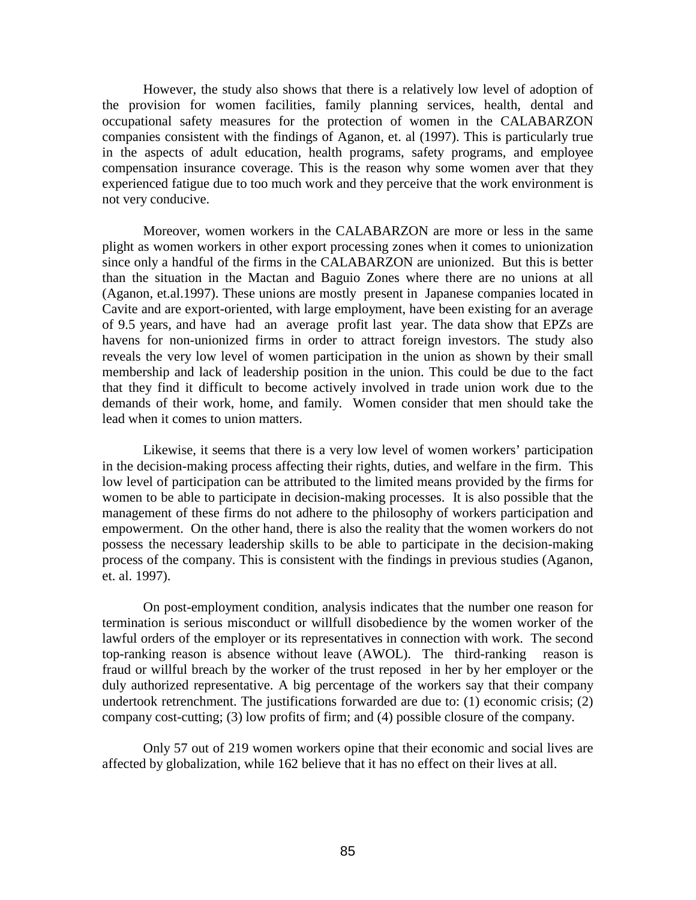However, the study also shows that there is a relatively low level of adoption of the provision for women facilities, family planning services, health, dental and occupational safety measures for the protection of women in the CALABARZON companies consistent with the findings of Aganon, et. al (1997). This is particularly true in the aspects of adult education, health programs, safety programs, and employee compensation insurance coverage. This is the reason why some women aver that they experienced fatigue due to too much work and they perceive that the work environment is not very conducive.

Moreover, women workers in the CALABARZON are more or less in the same plight as women workers in other export processing zones when it comes to unionization since only a handful of the firms in the CALABARZON are unionized. But this is better than the situation in the Mactan and Baguio Zones where there are no unions at all (Aganon, et.al.1997). These unions are mostly present in Japanese companies located in Cavite and are export-oriented, with large employment, have been existing for an average of 9.5 years, and have had an average profit last year. The data show that EPZs are havens for non-unionized firms in order to attract foreign investors. The study also reveals the very low level of women participation in the union as shown by their small membership and lack of leadership position in the union. This could be due to the fact that they find it difficult to become actively involved in trade union work due to the demands of their work, home, and family. Women consider that men should take the lead when it comes to union matters.

Likewise, it seems that there is a very low level of women workers' participation in the decision-making process affecting their rights, duties, and welfare in the firm. This low level of participation can be attributed to the limited means provided by the firms for women to be able to participate in decision-making processes. It is also possible that the management of these firms do not adhere to the philosophy of workers participation and empowerment. On the other hand, there is also the reality that the women workers do not possess the necessary leadership skills to be able to participate in the decision-making process of the company. This is consistent with the findings in previous studies (Aganon, et. al. 1997).

 On post-employment condition, analysis indicates that the number one reason for termination is serious misconduct or willfull disobedience by the women worker of the lawful orders of the employer or its representatives in connection with work. The second top-ranking reason is absence without leave (AWOL). The third-ranking reason is fraud or willful breach by the worker of the trust reposed in her by her employer or the duly authorized representative. A big percentage of the workers say that their company undertook retrenchment. The justifications forwarded are due to: (1) economic crisis; (2) company cost-cutting; (3) low profits of firm; and (4) possible closure of the company.

Only 57 out of 219 women workers opine that their economic and social lives are affected by globalization, while 162 believe that it has no effect on their lives at all.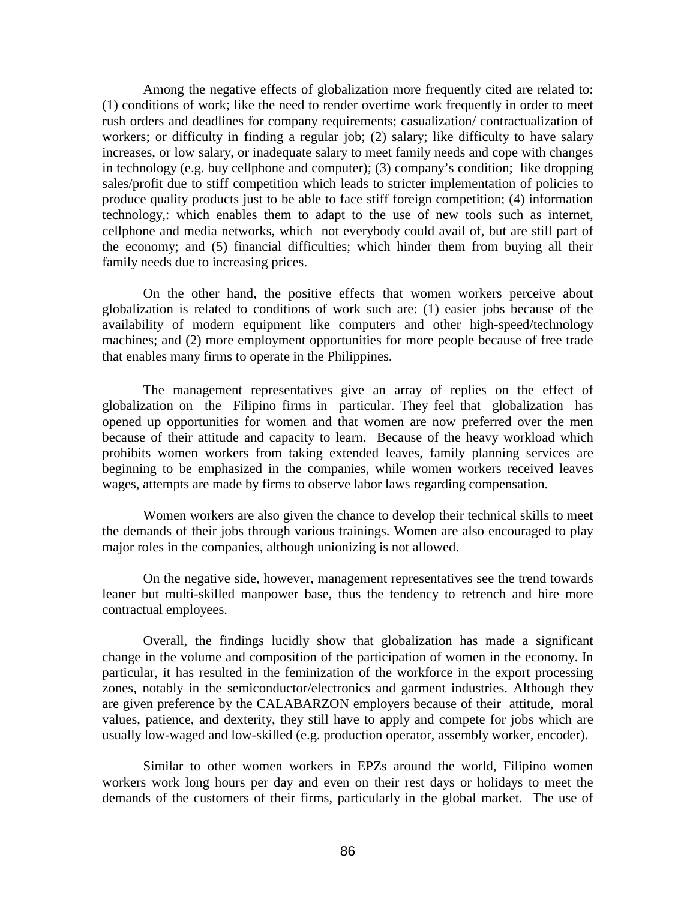Among the negative effects of globalization more frequently cited are related to: (1) conditions of work; like the need to render overtime work frequently in order to meet rush orders and deadlines for company requirements; casualization/ contractualization of workers; or difficulty in finding a regular job; (2) salary; like difficulty to have salary increases, or low salary, or inadequate salary to meet family needs and cope with changes in technology (e.g. buy cellphone and computer); (3) company's condition; like dropping sales/profit due to stiff competition which leads to stricter implementation of policies to produce quality products just to be able to face stiff foreign competition; (4) information technology,: which enables them to adapt to the use of new tools such as internet, cellphone and media networks, which not everybody could avail of, but are still part of the economy; and (5) financial difficulties; which hinder them from buying all their family needs due to increasing prices.

On the other hand, the positive effects that women workers perceive about globalization is related to conditions of work such are: (1) easier jobs because of the availability of modern equipment like computers and other high-speed/technology machines; and (2) more employment opportunities for more people because of free trade that enables many firms to operate in the Philippines.

The management representatives give an array of replies on the effect of globalization on the Filipino firms in particular. They feel that globalization has opened up opportunities for women and that women are now preferred over the men because of their attitude and capacity to learn. Because of the heavy workload which prohibits women workers from taking extended leaves, family planning services are beginning to be emphasized in the companies, while women workers received leaves wages, attempts are made by firms to observe labor laws regarding compensation.

 Women workers are also given the chance to develop their technical skills to meet the demands of their jobs through various trainings. Women are also encouraged to play major roles in the companies, although unionizing is not allowed.

 On the negative side, however, management representatives see the trend towards leaner but multi-skilled manpower base, thus the tendency to retrench and hire more contractual employees.

Overall, the findings lucidly show that globalization has made a significant change in the volume and composition of the participation of women in the economy. In particular, it has resulted in the feminization of the workforce in the export processing zones, notably in the semiconductor/electronics and garment industries. Although they are given preference by the CALABARZON employers because of their attitude, moral values, patience, and dexterity, they still have to apply and compete for jobs which are usually low-waged and low-skilled (e.g. production operator, assembly worker, encoder).

Similar to other women workers in EPZs around the world, Filipino women workers work long hours per day and even on their rest days or holidays to meet the demands of the customers of their firms, particularly in the global market. The use of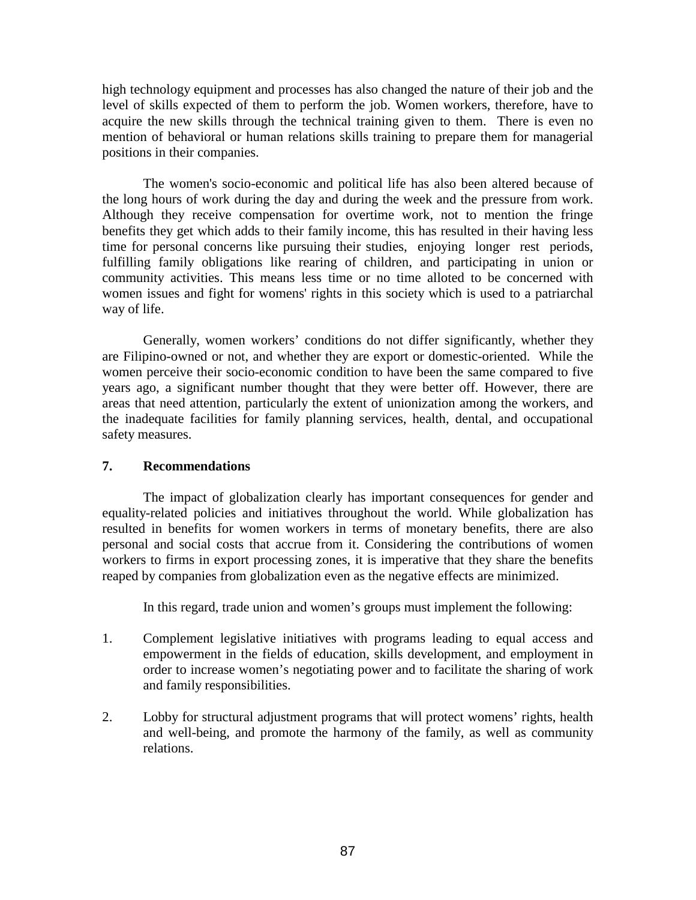high technology equipment and processes has also changed the nature of their job and the level of skills expected of them to perform the job. Women workers, therefore, have to acquire the new skills through the technical training given to them. There is even no mention of behavioral or human relations skills training to prepare them for managerial positions in their companies.

The women's socio-economic and political life has also been altered because of the long hours of work during the day and during the week and the pressure from work. Although they receive compensation for overtime work, not to mention the fringe benefits they get which adds to their family income, this has resulted in their having less time for personal concerns like pursuing their studies, enjoying longer rest periods, fulfilling family obligations like rearing of children, and participating in union or community activities. This means less time or no time alloted to be concerned with women issues and fight for womens' rights in this society which is used to a patriarchal way of life.

Generally, women workers' conditions do not differ significantly, whether they are Filipino-owned or not, and whether they are export or domestic-oriented. While the women perceive their socio-economic condition to have been the same compared to five years ago, a significant number thought that they were better off. However, there are areas that need attention, particularly the extent of unionization among the workers, and the inadequate facilities for family planning services, health, dental, and occupational safety measures.

# **7. Recommendations**

The impact of globalization clearly has important consequences for gender and equality-related policies and initiatives throughout the world. While globalization has resulted in benefits for women workers in terms of monetary benefits, there are also personal and social costs that accrue from it. Considering the contributions of women workers to firms in export processing zones, it is imperative that they share the benefits reaped by companies from globalization even as the negative effects are minimized.

In this regard, trade union and women's groups must implement the following:

- 1. Complement legislative initiatives with programs leading to equal access and empowerment in the fields of education, skills development, and employment in order to increase women's negotiating power and to facilitate the sharing of work and family responsibilities.
- 2. Lobby for structural adjustment programs that will protect womens' rights, health and well-being, and promote the harmony of the family, as well as community relations.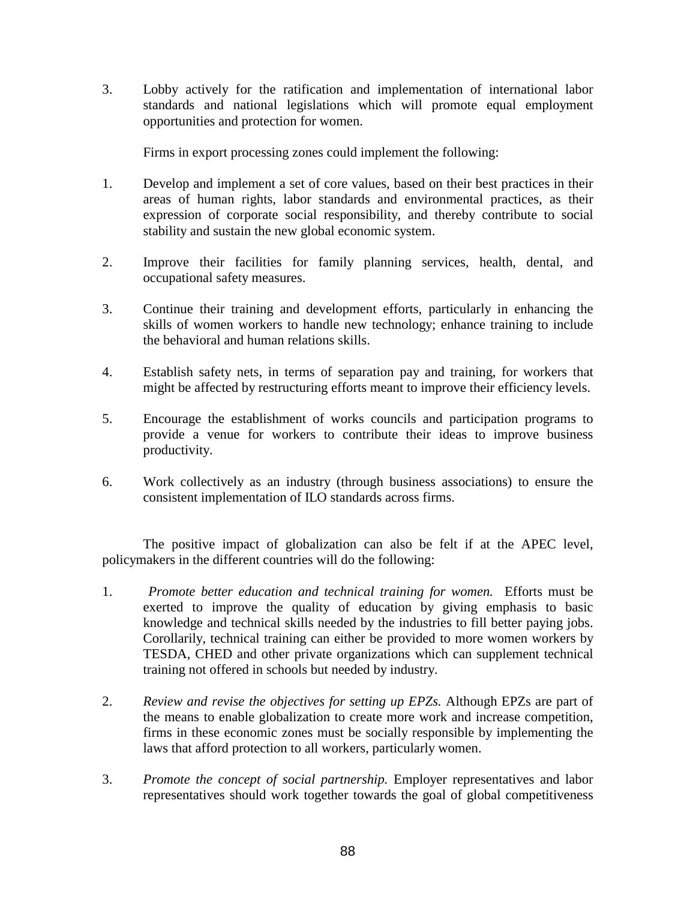3. Lobby actively for the ratification and implementation of international labor standards and national legislations which will promote equal employment opportunities and protection for women.

Firms in export processing zones could implement the following:

- 1. Develop and implement a set of core values, based on their best practices in their areas of human rights, labor standards and environmental practices, as their expression of corporate social responsibility, and thereby contribute to social stability and sustain the new global economic system.
- 2. Improve their facilities for family planning services, health, dental, and occupational safety measures.
- 3. Continue their training and development efforts, particularly in enhancing the skills of women workers to handle new technology; enhance training to include the behavioral and human relations skills.
- 4. Establish safety nets, in terms of separation pay and training, for workers that might be affected by restructuring efforts meant to improve their efficiency levels.
- 5. Encourage the establishment of works councils and participation programs to provide a venue for workers to contribute their ideas to improve business productivity.
- 6. Work collectively as an industry (through business associations) to ensure the consistent implementation of ILO standards across firms.

 The positive impact of globalization can also be felt if at the APEC level, policymakers in the different countries will do the following:

- 1. *Promote better education and technical training for women.* Efforts must be exerted to improve the quality of education by giving emphasis to basic knowledge and technical skills needed by the industries to fill better paying jobs. Corollarily, technical training can either be provided to more women workers by TESDA, CHED and other private organizations which can supplement technical training not offered in schools but needed by industry.
- 2. *Review and revise the objectives for setting up EPZs.* Although EPZs are part of the means to enable globalization to create more work and increase competition, firms in these economic zones must be socially responsible by implementing the laws that afford protection to all workers, particularly women.
- 3. *Promote the concept of social partnership.* Employer representatives and labor representatives should work together towards the goal of global competitiveness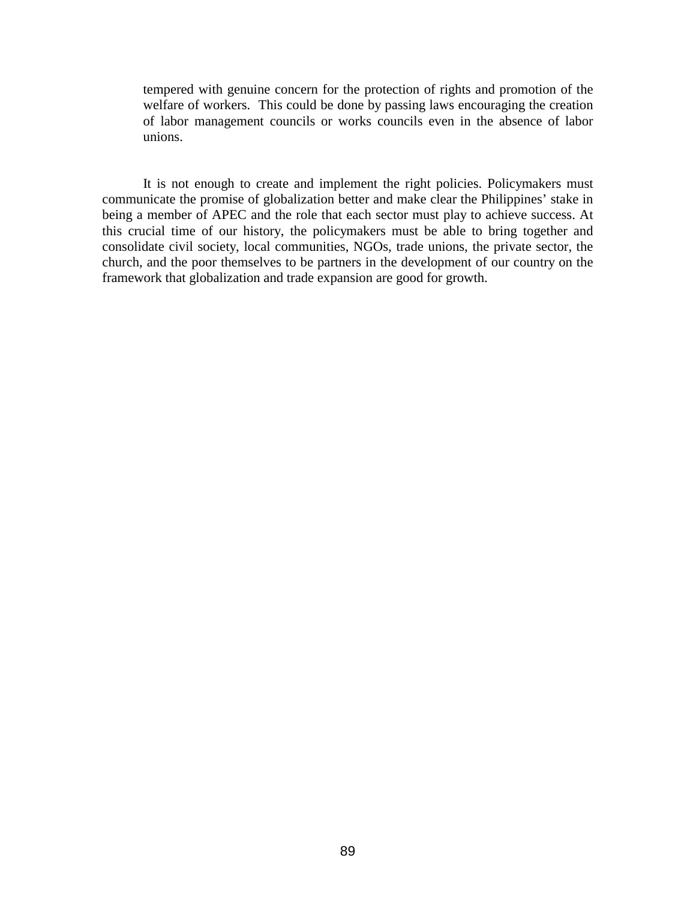tempered with genuine concern for the protection of rights and promotion of the welfare of workers. This could be done by passing laws encouraging the creation of labor management councils or works councils even in the absence of labor unions.

 It is not enough to create and implement the right policies. Policymakers must communicate the promise of globalization better and make clear the Philippines' stake in being a member of APEC and the role that each sector must play to achieve success. At this crucial time of our history, the policymakers must be able to bring together and consolidate civil society, local communities, NGOs, trade unions, the private sector, the church, and the poor themselves to be partners in the development of our country on the framework that globalization and trade expansion are good for growth.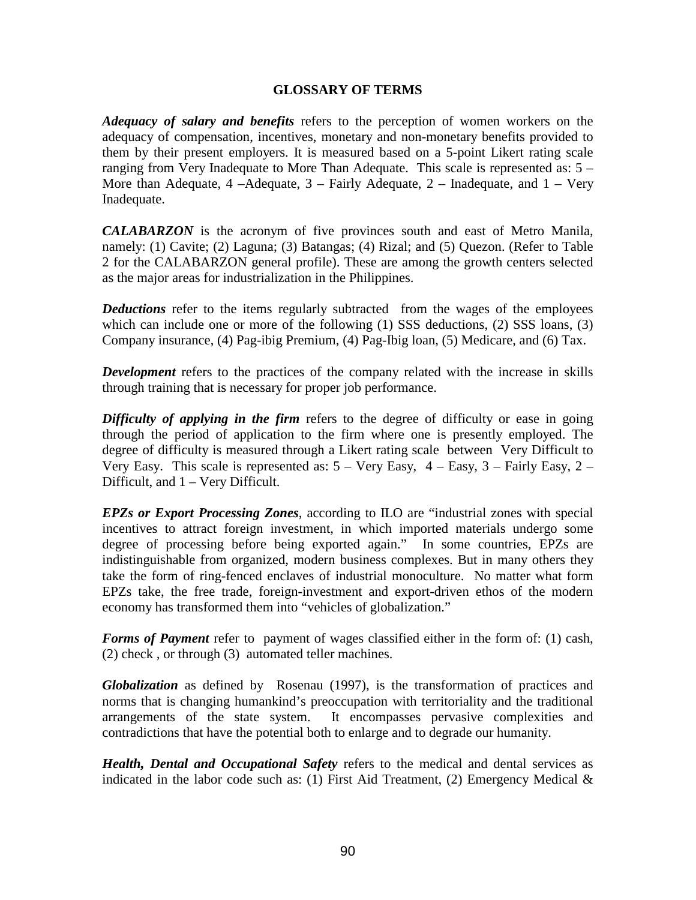## **GLOSSARY OF TERMS**

*Adequacy of salary and benefits* refers to the perception of women workers on the adequacy of compensation, incentives, monetary and non-monetary benefits provided to them by their present employers. It is measured based on a 5-point Likert rating scale ranging from Very Inadequate to More Than Adequate. This scale is represented as: 5 – More than Adequate,  $4 -$ Adequate,  $3 -$  Fairly Adequate,  $2 -$  Inadequate, and  $1 -$  Very Inadequate.

*CALABARZON* is the acronym of five provinces south and east of Metro Manila, namely: (1) Cavite; (2) Laguna; (3) Batangas; (4) Rizal; and (5) Quezon. (Refer to Table 2 for the CALABARZON general profile). These are among the growth centers selected as the major areas for industrialization in the Philippines.

*Deductions* refer to the items regularly subtracted from the wages of the employees which can include one or more of the following (1) SSS deductions, (2) SSS loans, (3) Company insurance, (4) Pag-ibig Premium, (4) Pag-Ibig loan, (5) Medicare, and (6) Tax.

*Development* refers to the practices of the company related with the increase in skills through training that is necessary for proper job performance.

*Difficulty of applying in the firm* refers to the degree of difficulty or ease in going through the period of application to the firm where one is presently employed. The degree of difficulty is measured through a Likert rating scale between Very Difficult to Very Easy. This scale is represented as:  $5 -$  Very Easy,  $4 -$  Easy,  $3 -$  Fairly Easy,  $2 -$ Difficult, and 1 – Very Difficult.

*EPZs or Export Processing Zones*, according to ILO are "industrial zones with special incentives to attract foreign investment, in which imported materials undergo some degree of processing before being exported again." In some countries, EPZs are indistinguishable from organized, modern business complexes. But in many others they take the form of ring-fenced enclaves of industrial monoculture. No matter what form EPZs take, the free trade, foreign-investment and export-driven ethos of the modern economy has transformed them into "vehicles of globalization."

*Forms of Payment* refer to payment of wages classified either in the form of: (1) cash, (2) check , or through (3) automated teller machines.

*Globalization* as defined by Rosenau (1997), is the transformation of practices and norms that is changing humankind's preoccupation with territoriality and the traditional arrangements of the state system. It encompasses pervasive complexities and contradictions that have the potential both to enlarge and to degrade our humanity.

*Health, Dental and Occupational Safety* refers to the medical and dental services as indicated in the labor code such as: (1) First Aid Treatment, (2) Emergency Medical  $\&$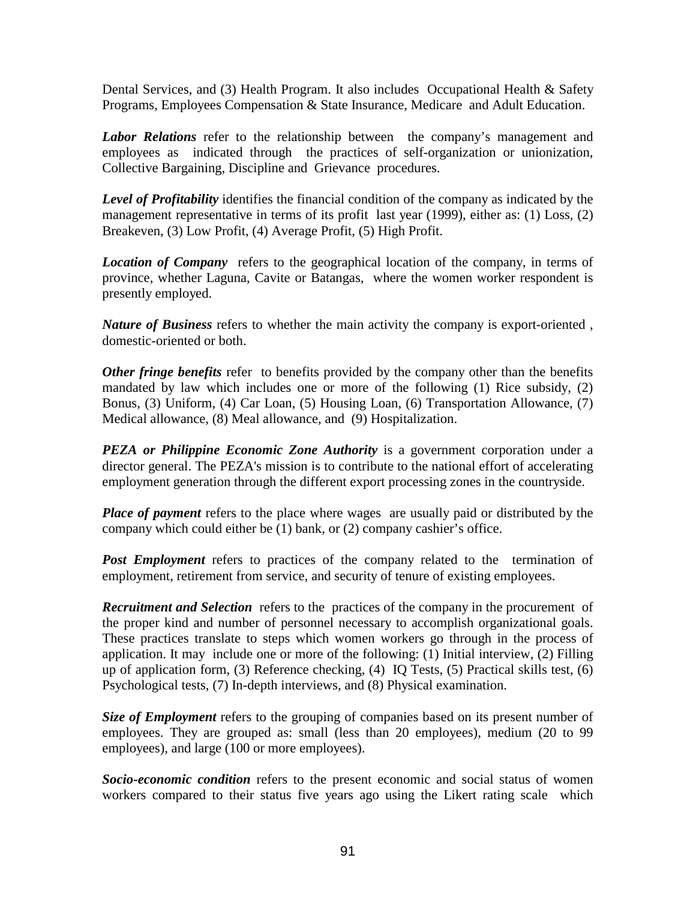Dental Services, and (3) Health Program. It also includes Occupational Health & Safety Programs, Employees Compensation & State Insurance, Medicare and Adult Education.

*Labor Relations* refer to the relationship between the company's management and employees as indicated through the practices of self-organization or unionization, Collective Bargaining, Discipline and Grievance procedures.

**Level of Profitability** identifies the financial condition of the company as indicated by the management representative in terms of its profit last year (1999), either as: (1) Loss, (2) Breakeven, (3) Low Profit, (4) Average Profit, (5) High Profit.

*Location of Company* refers to the geographical location of the company, in terms of province, whether Laguna, Cavite or Batangas, where the women worker respondent is presently employed.

*Nature of Business* refers to whether the main activity the company is export-oriented , domestic-oriented or both.

*Other fringe benefits* refer to benefits provided by the company other than the benefits mandated by law which includes one or more of the following (1) Rice subsidy, (2) Bonus, (3) Uniform, (4) Car Loan, (5) Housing Loan, (6) Transportation Allowance, (7) Medical allowance, (8) Meal allowance, and (9) Hospitalization.

*PEZA or Philippine Economic Zone Authority* is a government corporation under a director general. The PEZA's mission is to contribute to the national effort of accelerating employment generation through the different export processing zones in the countryside.

*Place of payment* refers to the place where wages are usually paid or distributed by the company which could either be (1) bank, or (2) company cashier's office.

**Post Employment** refers to practices of the company related to the termination of employment, retirement from service, and security of tenure of existing employees.

**Recruitment and Selection** refers to the practices of the company in the procurement of the proper kind and number of personnel necessary to accomplish organizational goals. These practices translate to steps which women workers go through in the process of application. It may include one or more of the following: (1) Initial interview, (2) Filling up of application form, (3) Reference checking, (4) IQ Tests, (5) Practical skills test, (6) Psychological tests, (7) In-depth interviews, and (8) Physical examination.

**Size of Employment** refers to the grouping of companies based on its present number of employees. They are grouped as: small (less than 20 employees), medium (20 to 99 employees), and large (100 or more employees).

*Socio-economic condition* refers to the present economic and social status of women workers compared to their status five years ago using the Likert rating scale which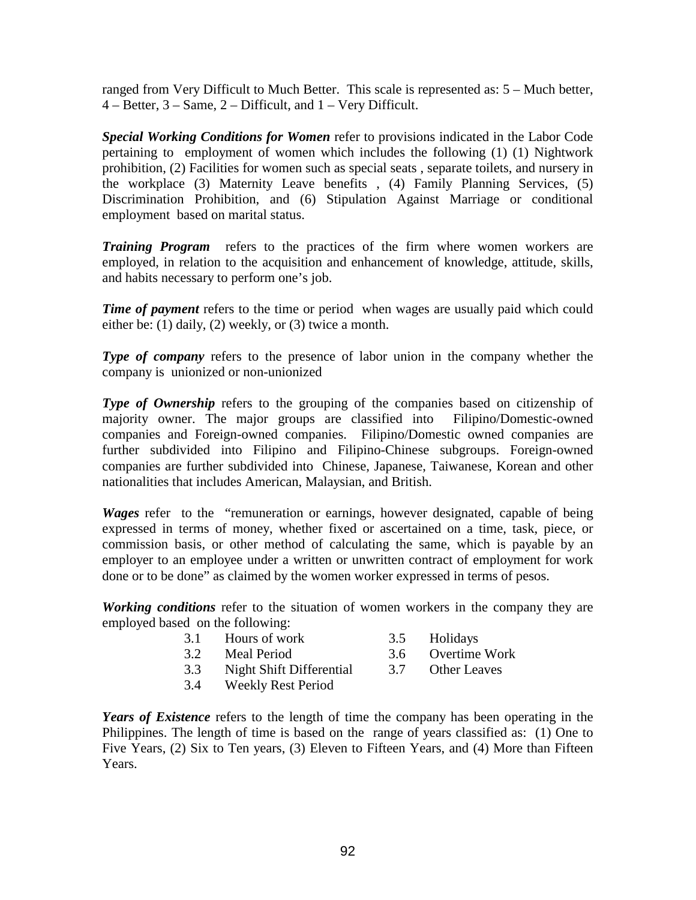ranged from Very Difficult to Much Better. This scale is represented as: 5 – Much better, 4 – Better, 3 – Same, 2 – Difficult, and 1 – Very Difficult.

*Special Working Conditions for Women* refer to provisions indicated in the Labor Code pertaining to employment of women which includes the following (1) (1) Nightwork prohibition, (2) Facilities for women such as special seats , separate toilets, and nursery in the workplace (3) Maternity Leave benefits , (4) Family Planning Services, (5) Discrimination Prohibition, and (6) Stipulation Against Marriage or conditional employment based on marital status.

*Training Program* refers to the practices of the firm where women workers are employed, in relation to the acquisition and enhancement of knowledge, attitude, skills, and habits necessary to perform one's job.

*Time of payment* refers to the time or period when wages are usually paid which could either be: (1) daily, (2) weekly, or (3) twice a month.

**Type of company** refers to the presence of labor union in the company whether the company is unionized or non-unionized

**Type of Ownership** refers to the grouping of the companies based on citizenship of majority owner. The major groups are classified into Filipino/Domestic-owned companies and Foreign-owned companies. Filipino/Domestic owned companies are further subdivided into Filipino and Filipino-Chinese subgroups. Foreign-owned companies are further subdivided into Chinese, Japanese, Taiwanese, Korean and other nationalities that includes American, Malaysian, and British.

*Wages* refer to the "remuneration or earnings, however designated, capable of being expressed in terms of money, whether fixed or ascertained on a time, task, piece, or commission basis, or other method of calculating the same, which is payable by an employer to an employee under a written or unwritten contract of employment for work done or to be done" as claimed by the women worker expressed in terms of pesos.

*Working conditions* refer to the situation of women workers in the company they are employed based on the following:

- 3.1 Hours of work 3.5 Holidays
- 
- 3.2 Meal Period 3.6 Overtime Work
- 
- 3.3 Night Shift Differential 3.7 Other Leaves
	-
- 3.4 Weekly Rest Period

*Years of Existence* refers to the length of time the company has been operating in the Philippines. The length of time is based on the range of years classified as: (1) One to Five Years, (2) Six to Ten years, (3) Eleven to Fifteen Years, and (4) More than Fifteen Years.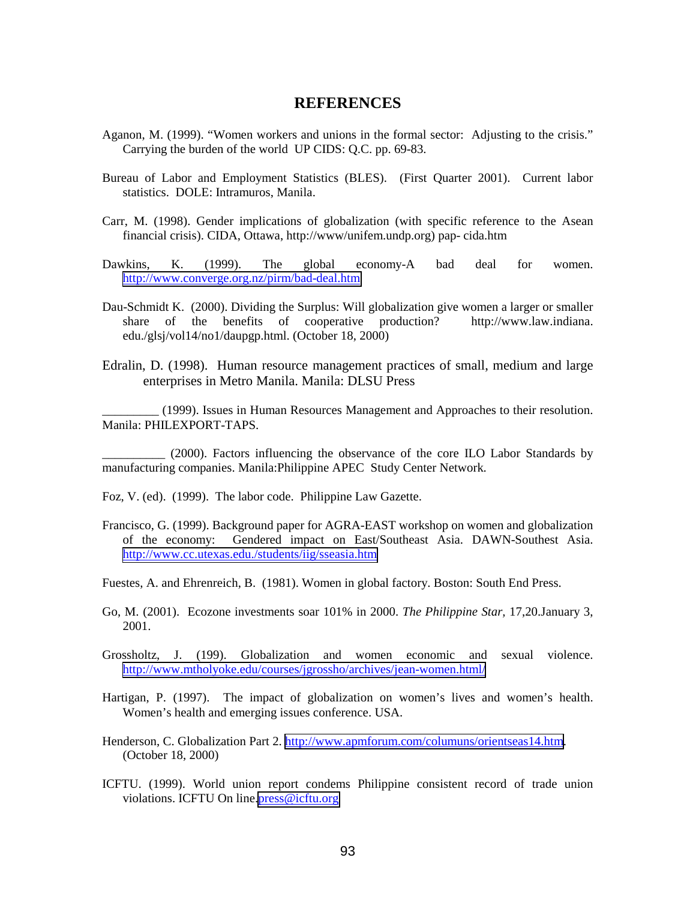# **REFERENCES**

- Aganon, M. (1999). "Women workers and unions in the formal sector: Adjusting to the crisis." Carrying the burden of the world UP CIDS: Q.C. pp. 69-83.
- Bureau of Labor and Employment Statistics (BLES). (First Quarter 2001). Current labor statistics. DOLE: Intramuros, Manila.
- Carr, M. (1998). Gender implications of globalization (with specific reference to the Asean financial crisis). CIDA, Ottawa, http://www/unifem.undp.org) pap- cida.htm
- Dawkins, K. (1999). The global economy-A bad deal for women. <http://www.converge.org.nz/pirm/bad-deal.htm>
- Dau-Schmidt K. (2000). Dividing the Surplus: Will globalization give women a larger or smaller share of the benefits of cooperative production? http://www.law.indiana. edu./glsj/vol14/no1/daupgp.html. (October 18, 2000)
- Edralin, D. (1998). Human resource management practices of small, medium and large enterprises in Metro Manila. Manila: DLSU Press

\_\_\_\_\_\_\_\_\_ (1999). Issues in Human Resources Management and Approaches to their resolution. Manila: PHILEXPORT-TAPS.

\_\_\_\_\_\_\_\_\_\_ (2000). Factors influencing the observance of the core ILO Labor Standards by manufacturing companies. Manila:Philippine APEC Study Center Network.

Foz, V. (ed). (1999). The labor code. Philippine Law Gazette.

- Francisco, G. (1999). Background paper for AGRA-EAST workshop on women and globalization of the economy: Gendered impact on East/Southeast Asia. DAWN-Southest Asia. <http://www.cc.utexas.edu./students/iig/sseasia.htm>
- Fuestes, A. and Ehrenreich, B. (1981). Women in global factory. Boston: South End Press.
- Go, M. (2001). Ecozone investments soar 101% in 2000. *The Philippine Star,* 17,20.January 3, 2001.
- Grossholtz, J. (199). Globalization and women economic and sexual violence. <http://www.mtholyoke.edu/courses/jgrossho/archives/jean-women.html/>
- Hartigan, P. (1997). The impact of globalization on women's lives and women's health. Women's health and emerging issues conference. USA.
- Henderson, C. Globalization Part 2. [http://www.apmforum.com/columuns/orientseas14.htm.](http://www.apmforum.com/columuns/orientseas14.htm) (October 18, 2000)
- ICFTU. (1999). World union report condems Philippine consistent record of trade union violations. ICFTU On line[.press@icftu.org](mailto:press@icftu.org)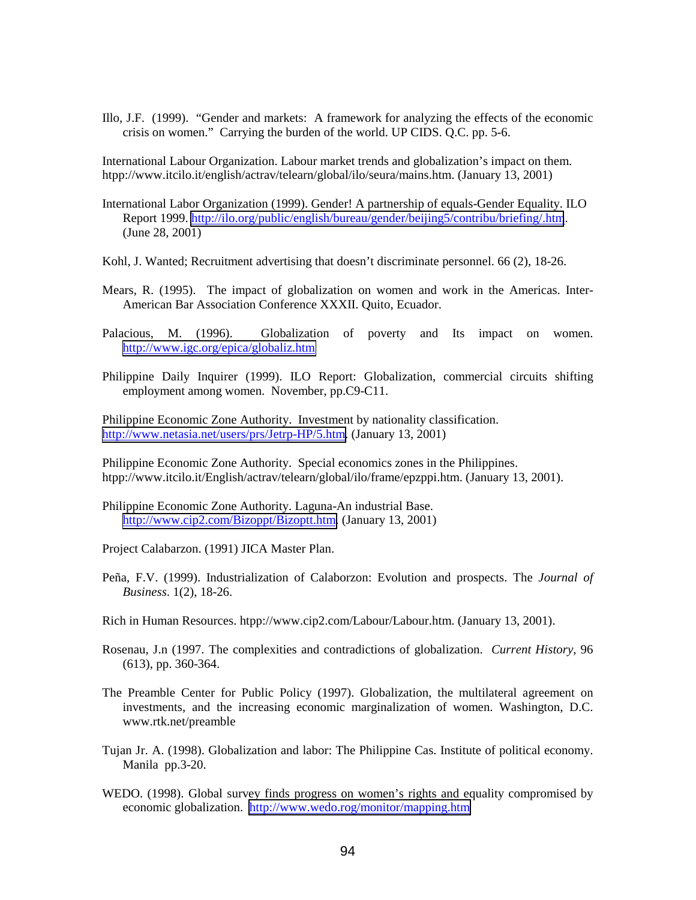Illo, J.F. (1999). "Gender and markets: A framework for analyzing the effects of the economic crisis on women." Carrying the burden of the world. UP CIDS. Q.C. pp. 5-6.

International Labour Organization. Labour market trends and globalization's impact on them. htpp://www.itcilo.it/english/actrav/telearn/global/ilo/seura/mains.htm. (January 13, 2001)

- International Labor Organization (1999). Gender! A partnership of equals-Gender Equality. ILO Report 1999.<http://ilo.org/public/english/bureau/gender/beijing5/contribu/briefing/.htm>. (June 28, 2001)
- Kohl, J. Wanted; Recruitment advertising that doesn't discriminate personnel. 66 (2), 18-26.
- Mears, R. (1995). The impact of globalization on women and work in the Americas. Inter-American Bar Association Conference XXXII. Quito, Ecuador.
- Palacious, M. (1996). Globalization of poverty and Its impact on women. <http://www.igc.org/epica/globaliz.htm>
- Philippine Daily Inquirer (1999). ILO Report: Globalization, commercial circuits shifting employment among women. November, pp.C9-C11.

Philippine Economic Zone Authority. Investment by nationality classification. [http://www.netasia.net/users/prs/Jetrp-HP/5.htm.](http://www.netasia.net/users/prs/Jetrp-HP/5.htm) (January 13, 2001)

Philippine Economic Zone Authority. Special economics zones in the Philippines. htpp://www.itcilo.it/English/actrav/telearn/global/ilo/frame/epzppi.htm. (January 13, 2001).

- Philippine Economic Zone Authority. Laguna-An industrial Base. [http://www.cip2.com/Bizoppt/Bizoptt.htm.](http://www.cip2.com/Bizoppt/Bizoptt.htm) (January 13, 2001)
- Project Calabarzon. (1991) JICA Master Plan.
- Peña, F.V. (1999). Industrialization of Calaborzon: Evolution and prospects. The *Journal of Business*. 1(2), 18-26.
- Rich in Human Resources. htpp://www.cip2.com/Labour/Labour.htm. (January 13, 2001).
- Rosenau, J.n (1997. The complexities and contradictions of globalization. *Current History,* 96 (613), pp. 360-364.
- The Preamble Center for Public Policy (1997). Globalization, the multilateral agreement on investments, and the increasing economic marginalization of women. Washington, D.C. www.rtk.net/preamble
- Tujan Jr. A. (1998). Globalization and labor: The Philippine Cas. Institute of political economy. Manila pp.3-20.
- WEDO. (1998). Global survey finds progress on women's rights and equality compromised by economic globalization. <http://www.wedo.rog/monitor/mapping.htm>